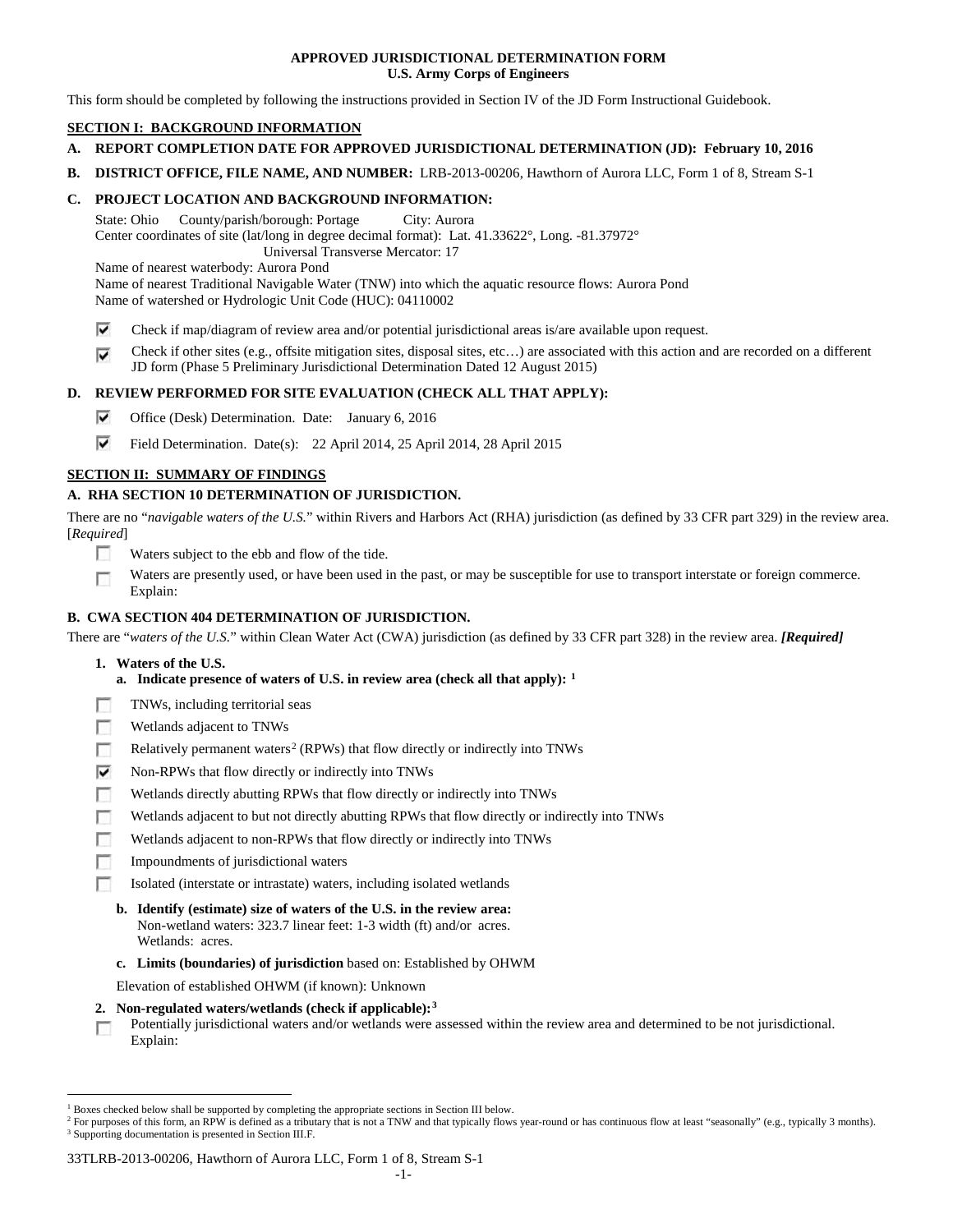## **APPROVED JURISDICTIONAL DETERMINATION FORM U.S. Army Corps of Engineers**

This form should be completed by following the instructions provided in Section IV of the JD Form Instructional Guidebook.

# **SECTION I: BACKGROUND INFORMATION**

- **A. REPORT COMPLETION DATE FOR APPROVED JURISDICTIONAL DETERMINATION (JD): February 10, 2016**
- **B. DISTRICT OFFICE, FILE NAME, AND NUMBER:** LRB-2013-00206, Hawthorn of Aurora LLC, Form 1 of 8, Stream S-1

## **C. PROJECT LOCATION AND BACKGROUND INFORMATION:**

State: Ohio County/parish/borough: Portage City: Aurora Center coordinates of site (lat/long in degree decimal format): Lat. 41.33622°, Long. -81.37972° Universal Transverse Mercator: 17

Name of nearest waterbody: Aurora Pond

Name of nearest Traditional Navigable Water (TNW) into which the aquatic resource flows: Aurora Pond Name of watershed or Hydrologic Unit Code (HUC): 04110002

- ⊽ Check if map/diagram of review area and/or potential jurisdictional areas is/are available upon request.
- Check if other sites (e.g., offsite mitigation sites, disposal sites, etc…) are associated with this action and are recorded on a different ⊽ JD form (Phase 5 Preliminary Jurisdictional Determination Dated 12 August 2015)

## **D. REVIEW PERFORMED FOR SITE EVALUATION (CHECK ALL THAT APPLY):**

- ⊽ Office (Desk) Determination. Date: January 6, 2016
- ⊽ Field Determination. Date(s): 22 April 2014, 25 April 2014, 28 April 2015

# **SECTION II: SUMMARY OF FINDINGS**

# **A. RHA SECTION 10 DETERMINATION OF JURISDICTION.**

There are no "*navigable waters of the U.S.*" within Rivers and Harbors Act (RHA) jurisdiction (as defined by 33 CFR part 329) in the review area. [*Required*]

- n Waters subject to the ebb and flow of the tide.
- Waters are presently used, or have been used in the past, or may be susceptible for use to transport interstate or foreign commerce. п Explain:

## **B. CWA SECTION 404 DETERMINATION OF JURISDICTION.**

There are "*waters of the U.S.*" within Clean Water Act (CWA) jurisdiction (as defined by 33 CFR part 328) in the review area. *[Required]*

- **1. Waters of the U.S.**
	- **a. Indicate presence of waters of U.S. in review area (check all that apply): [1](#page-0-0)**
- F TNWs, including territorial seas
- п Wetlands adjacent to TNWs
- Relatively permanent waters<sup>[2](#page-0-1)</sup> (RPWs) that flow directly or indirectly into TNWs п
- ⊽ Non-RPWs that flow directly or indirectly into TNWs
- п Wetlands directly abutting RPWs that flow directly or indirectly into TNWs
- Wetlands adjacent to but not directly abutting RPWs that flow directly or indirectly into TNWs г
- Wetlands adjacent to non-RPWs that flow directly or indirectly into TNWs г
- Impoundments of jurisdictional waters
- п Isolated (interstate or intrastate) waters, including isolated wetlands
	- **b. Identify (estimate) size of waters of the U.S. in the review area:** Non-wetland waters: 323.7 linear feet: 1-3 width (ft) and/or acres. Wetlands: acres.
	- **c. Limits (boundaries) of jurisdiction** based on: Established by OHWM

Elevation of established OHWM (if known): Unknown

- **2. Non-regulated waters/wetlands (check if applicable):[3](#page-0-2)**
- Potentially jurisdictional waters and/or wetlands were assessed within the review area and determined to be not jurisdictional. п Explain:

<span id="page-0-0"></span><sup>&</sup>lt;sup>1</sup> Boxes checked below shall be supported by completing the appropriate sections in Section III below.

<span id="page-0-2"></span><span id="page-0-1"></span><sup>&</sup>lt;sup>2</sup> For purposes of this form, an RPW is defined as a tributary that is not a TNW and that typically flows year-round or has continuous flow at least "seasonally" (e.g., typically 3 months). <sup>3</sup> Supporting documentation is presented in Section III.F.

<sup>33</sup>TLRB-2013-00206, Hawthorn of Aurora LLC, Form 1 of 8, Stream S-1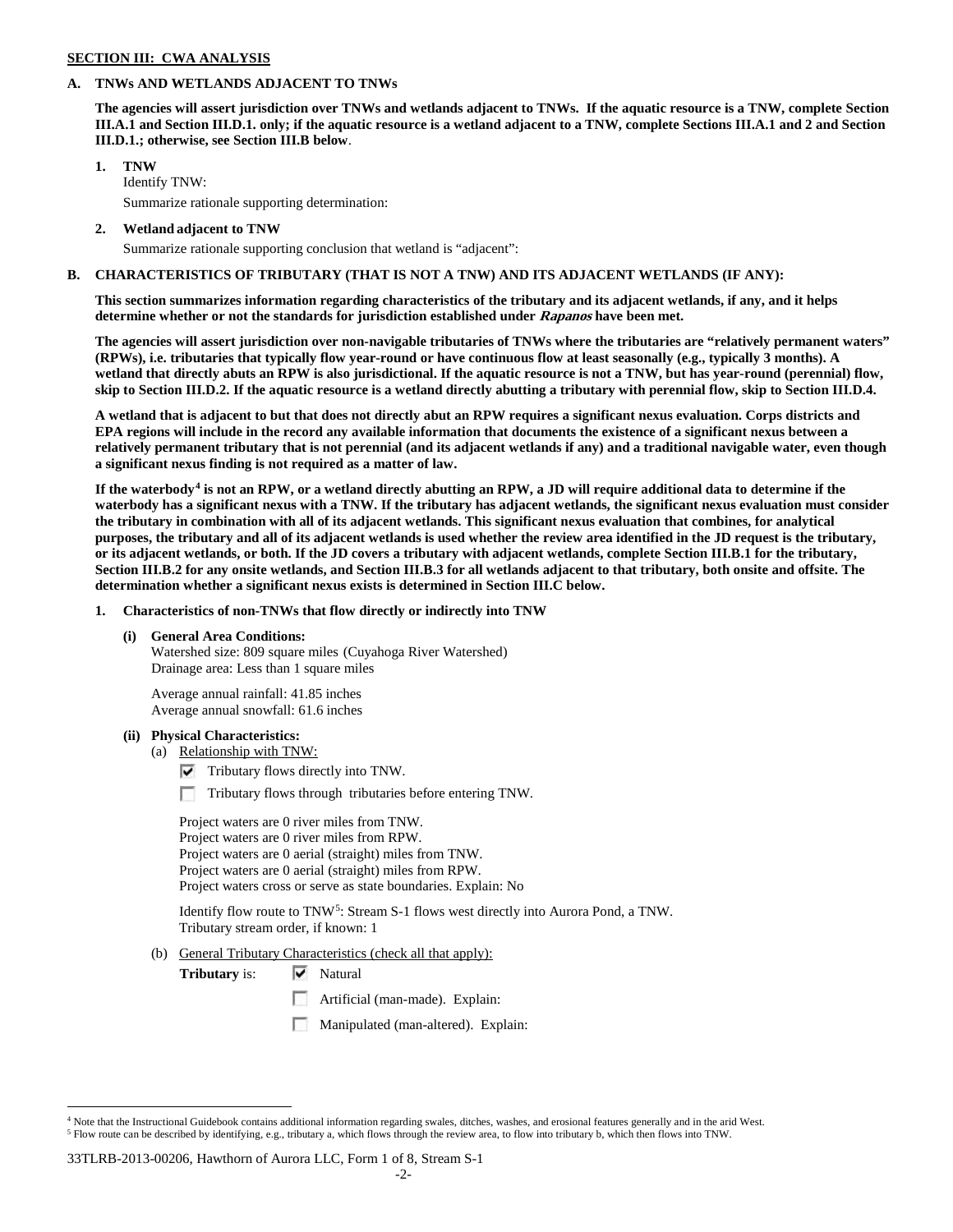#### **SECTION III: CWA ANALYSIS**

## **A. TNWs AND WETLANDS ADJACENT TO TNWs**

**The agencies will assert jurisdiction over TNWs and wetlands adjacent to TNWs. If the aquatic resource is a TNW, complete Section III.A.1 and Section III.D.1. only; if the aquatic resource is a wetland adjacent to a TNW, complete Sections III.A.1 and 2 and Section III.D.1.; otherwise, see Section III.B below**.

## **1. TNW**

Identify TNW: Summarize rationale supporting determination:

**2. Wetland adjacent to TNW**

Summarize rationale supporting conclusion that wetland is "adjacent":

## **B. CHARACTERISTICS OF TRIBUTARY (THAT IS NOT A TNW) AND ITS ADJACENT WETLANDS (IF ANY):**

**This section summarizes information regarding characteristics of the tributary and its adjacent wetlands, if any, and it helps determine whether or not the standards for jurisdiction established under Rapanos have been met.** 

**The agencies will assert jurisdiction over non-navigable tributaries of TNWs where the tributaries are "relatively permanent waters" (RPWs), i.e. tributaries that typically flow year-round or have continuous flow at least seasonally (e.g., typically 3 months). A wetland that directly abuts an RPW is also jurisdictional. If the aquatic resource is not a TNW, but has year-round (perennial) flow, skip to Section III.D.2. If the aquatic resource is a wetland directly abutting a tributary with perennial flow, skip to Section III.D.4.**

**A wetland that is adjacent to but that does not directly abut an RPW requires a significant nexus evaluation. Corps districts and EPA regions will include in the record any available information that documents the existence of a significant nexus between a relatively permanent tributary that is not perennial (and its adjacent wetlands if any) and a traditional navigable water, even though a significant nexus finding is not required as a matter of law.**

**If the waterbody[4](#page-1-0) is not an RPW, or a wetland directly abutting an RPW, a JD will require additional data to determine if the waterbody has a significant nexus with a TNW. If the tributary has adjacent wetlands, the significant nexus evaluation must consider the tributary in combination with all of its adjacent wetlands. This significant nexus evaluation that combines, for analytical purposes, the tributary and all of its adjacent wetlands is used whether the review area identified in the JD request is the tributary, or its adjacent wetlands, or both. If the JD covers a tributary with adjacent wetlands, complete Section III.B.1 for the tributary, Section III.B.2 for any onsite wetlands, and Section III.B.3 for all wetlands adjacent to that tributary, both onsite and offsite. The determination whether a significant nexus exists is determined in Section III.C below.**

**1. Characteristics of non-TNWs that flow directly or indirectly into TNW**

## **(i) General Area Conditions:**

Watershed size: 809 square miles (Cuyahoga River Watershed) Drainage area: Less than 1 square miles

Average annual rainfall: 41.85 inches Average annual snowfall: 61.6 inches

#### **(ii) Physical Characteristics:**

- (a) Relationship with TNW:
	- $\triangledown$  Tributary flows directly into TNW.
	- Tributary flows through tributaries before entering TNW.

Project waters are 0 river miles from TNW. Project waters are 0 river miles from RPW. Project waters are 0 aerial (straight) miles from TNW. Project waters are 0 aerial (straight) miles from RPW. Project waters cross or serve as state boundaries. Explain: No

Identify flow route to TNW<sup>5</sup>: Stream S-1 flows west directly into Aurora Pond, a TNW. Tributary stream order, if known: 1

(b) General Tributary Characteristics (check all that apply):

**Tributary is:**  $\overrightarrow{V}$  Natural

- Artificial (man-made). Explain:
- Manipulated (man-altered). Explain:

#### 33TLRB-2013-00206, Hawthorn of Aurora LLC, Form 1 of 8, Stream S-1

<span id="page-1-1"></span><span id="page-1-0"></span> $4$  Note that the Instructional Guidebook contains additional information regarding swales, ditches, washes, and erosional features generally and in the arid West. <sup>5</sup> Flow route can be described by identifying, e.g., tributary a, which flows through the review area, to flow into tributary b, which then flows into TNW.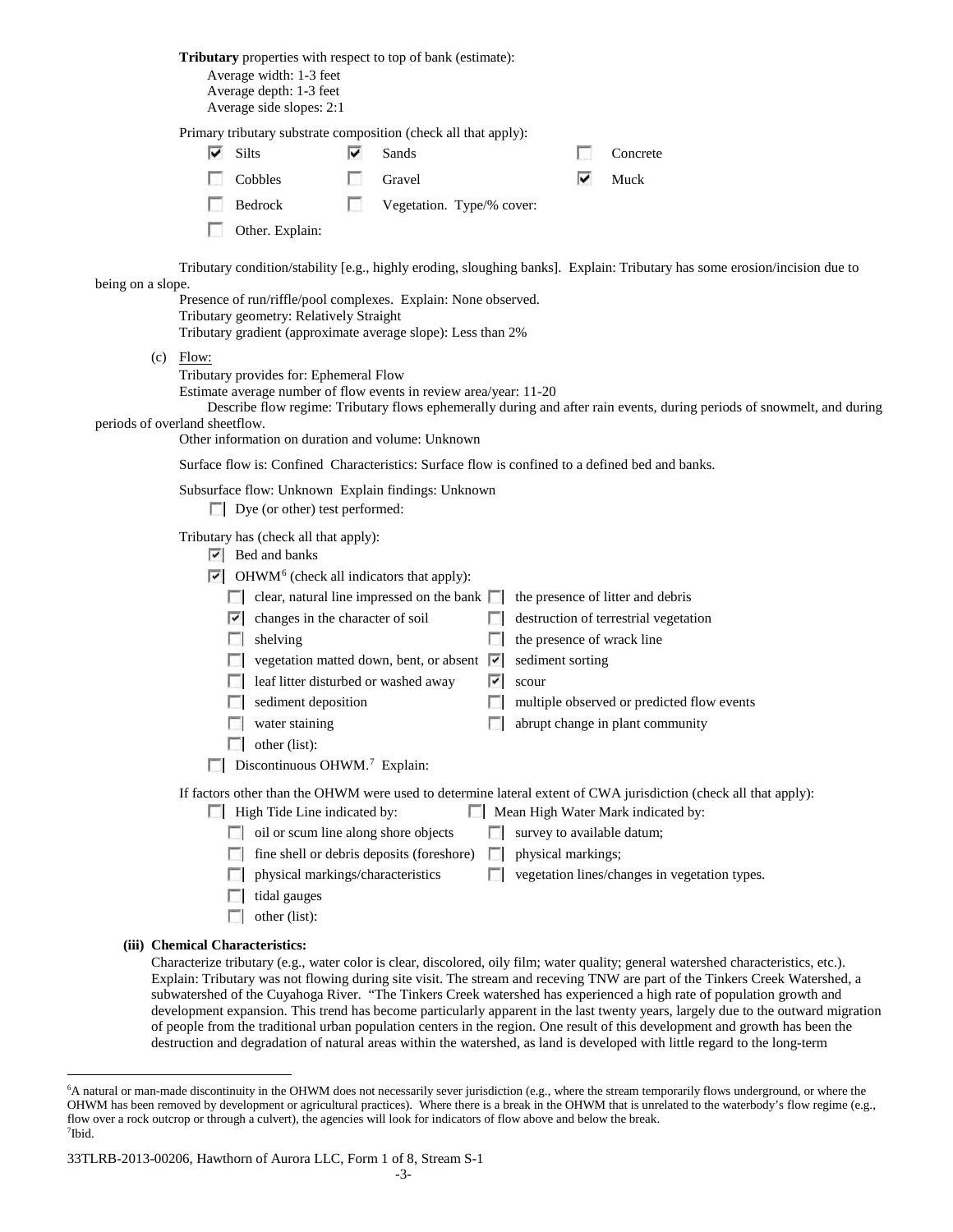**Tributary** properties with respect to top of bank (estimate): Average width: 1-3 feet Average depth: 1-3 feet Average side slopes: 2:1 Primary tributary substrate composition (check all that apply): ⊽ Silts **v** Sands Concrete To 1 Cobbles Gravel Gravel Muck Bedrock Vegetation. Type/% cover: Other. Explain: Tributary condition/stability [e.g., highly eroding, sloughing banks]. Explain: Tributary has some erosion/incision due to being on a slope. Presence of run/riffle/pool complexes. Explain: None observed. Tributary geometry: Relatively Straight Tributary gradient (approximate average slope): Less than 2% (c) Flow: Tributary provides for: Ephemeral Flow Estimate average number of flow events in review area/year: 11-20 Describe flow regime: Tributary flows ephemerally during and after rain events, during periods of snowmelt, and during periods of overland sheetflow. Other information on duration and volume: Unknown Surface flow is: Confined Characteristics: Surface flow is confined to a defined bed and banks. Subsurface flow: Unknown Explain findings: Unknown Dye (or other) test performed: Tributary has (check all that apply):  $\triangleright$  Bed and banks  $\triangleright$  OHWM<sup>[6](#page-2-0)</sup> (check all indicators that apply):  $\Box$  clear, natural line impressed on the bank  $\Box$  the presence of litter and debris  $\Box$  changes in the character of soil  $\Box$  destruction of terrestrial vegetation  $\Box$  shelving the presence of wrack line vegetation matted down, bent, or absent  $\vert \cdot \vert$  sediment sorting  $\Box$  leaf litter disturbed or washed away  $\Box$  scour  $\Box$  sediment deposition  $\Box$  multiple observed or predicted flow events **abrupt change in plant community** abrupt change in plant community  $\Box$  other (list):  $\Box$  Discontinuous OHWM.<sup>7</sup> Explain: If factors other than the OHWM were used to determine lateral extent of CWA jurisdiction (check all that apply):  $\Box$  High Tide Line indicated by:  $\Box$  Mean High Water Mark indicated by: oil or scum line along shore objects  $\Box$  survey to available datum;  $\Box$  fine shell or debris deposits (foreshore)  $\Box$  physical markings;  $\Box$  physical markings/characteristics  $\Box$  vegetation lines/changes in vegetation types.  $\Box$  tidal gauges  $\Box$  other (list): **(iii) Chemical Characteristics:** Characterize tributary (e.g., water color is clear, discolored, oily film; water quality; general watershed characteristics, etc.).

Explain: Tributary was not flowing during site visit. The stream and receving TNW are part of the Tinkers Creek Watershed, a subwatershed of the Cuyahoga River. "The Tinkers Creek watershed has experienced a high rate of population growth and development expansion. This trend has become particularly apparent in the last twenty years, largely due to the outward migration of people from the traditional urban population centers in the region. One result of this development and growth has been the destruction and degradation of natural areas within the watershed, as land is developed with little regard to the long-term

<span id="page-2-0"></span> <sup>6</sup> <sup>6</sup>A natural or man-made discontinuity in the OHWM does not necessarily sever jurisdiction (e.g., where the stream temporarily flows underground, or where the OHWM has been removed by development or agricultural practices). Where there is a break in the OHWM that is unrelated to the waterbody's flow regime (e.g., flow over a rock outcrop or through a culvert), the agencies will look for indicators of flow above and below the break. 7 Ibid.

<span id="page-2-1"></span><sup>33</sup>TLRB-2013-00206, Hawthorn of Aurora LLC, Form 1 of 8, Stream S-1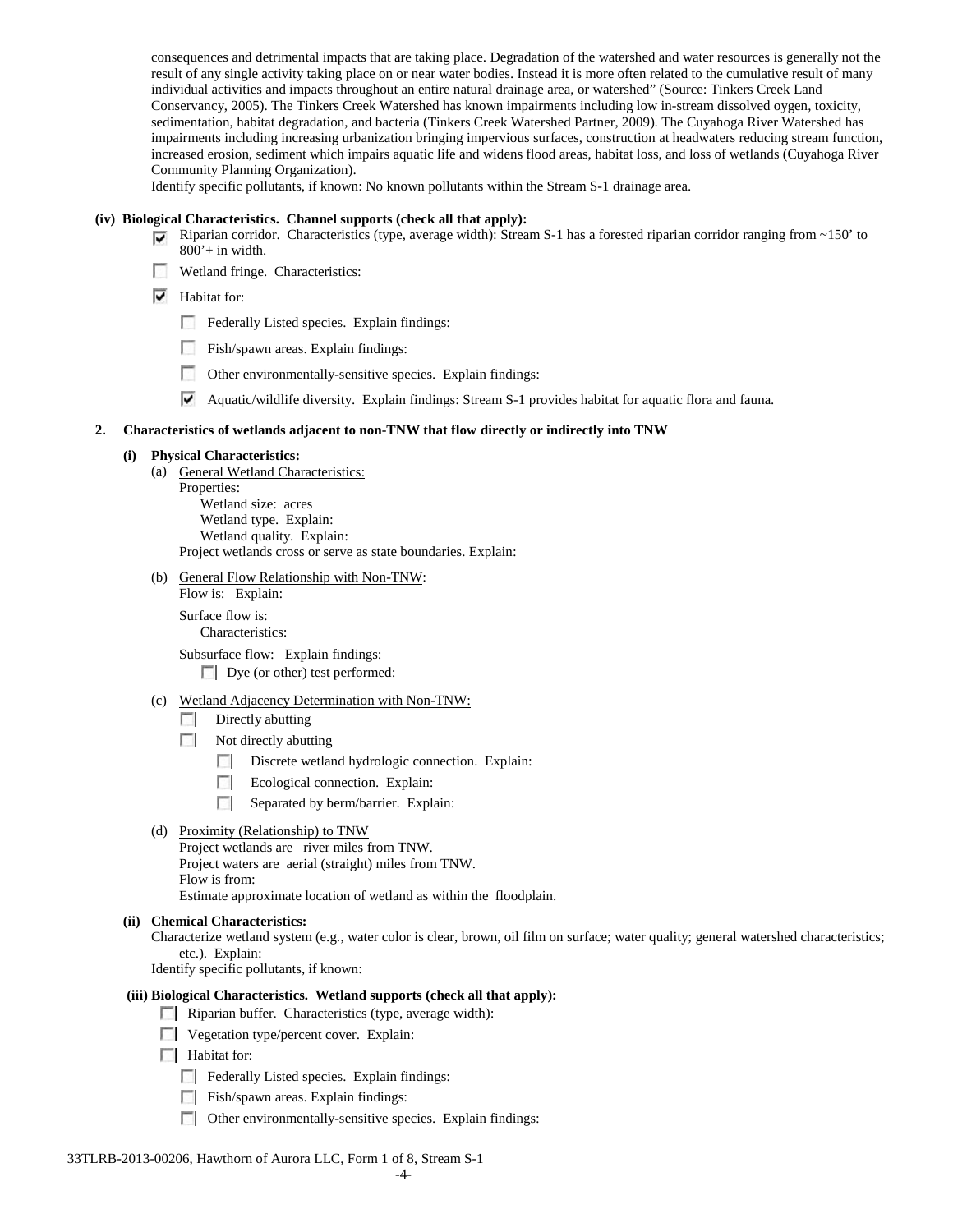consequences and detrimental impacts that are taking place. Degradation of the watershed and water resources is generally not the result of any single activity taking place on or near water bodies. Instead it is more often related to the cumulative result of many individual activities and impacts throughout an entire natural drainage area, or watershed" (Source: Tinkers Creek Land Conservancy, 2005). The Tinkers Creek Watershed has known impairments including low in-stream dissolved oygen, toxicity, sedimentation, habitat degradation, and bacteria (Tinkers Creek Watershed Partner, 2009). The Cuyahoga River Watershed has impairments including increasing urbanization bringing impervious surfaces, construction at headwaters reducing stream function, increased erosion, sediment which impairs aquatic life and widens flood areas, habitat loss, and loss of wetlands (Cuyahoga River Community Planning Organization).

Identify specific pollutants, if known: No known pollutants within the Stream S-1 drainage area.

#### **(iv) Biological Characteristics. Channel supports (check all that apply):**

- Riparian corridor. Characteristics (type, average width): Stream S-1 has a forested riparian corridor ranging from ~150' to 800'+ in width.
- Wetland fringe. Characteristics:
- $\blacktriangleright$  Habitat for:
	- Federally Listed species. Explain findings:
	- Fish/spawn areas. Explain findings:
	- Other environmentally-sensitive species. Explain findings:
	- Aquatic/wildlife diversity. Explain findings: Stream S-1 provides habitat for aquatic flora and fauna.

#### **2. Characteristics of wetlands adjacent to non-TNW that flow directly or indirectly into TNW**

#### **(i) Physical Characteristics:**

- (a) General Wetland Characteristics:
	- Properties:

Wetland size: acres Wetland type. Explain: Wetland quality. Explain: Project wetlands cross or serve as state boundaries. Explain:

(b) General Flow Relationship with Non-TNW:

Flow is: Explain:

Surface flow is:

Characteristics:

Subsurface flow: Explain findings:

Dye (or other) test performed:

## (c) Wetland Adjacency Determination with Non-TNW:

- Directly abutting
- Not directly abutting
	- Discrete wetland hydrologic connection. Explain:
	- **Explain:** Ecological connection. Explain:
	- Separated by berm/barrier. Explain:
- (d) Proximity (Relationship) to TNW

Project wetlands are river miles from TNW. Project waters are aerial (straight) miles from TNW. Flow is from: Estimate approximate location of wetland as within the floodplain.

#### **(ii) Chemical Characteristics:**

Characterize wetland system (e.g., water color is clear, brown, oil film on surface; water quality; general watershed characteristics; etc.). Explain:

Identify specific pollutants, if known:

# **(iii) Biological Characteristics. Wetland supports (check all that apply):**

Riparian buffer. Characteristics (type, average width):

**Vegetation type/percent cover.** Explain:

 $\Box$  Habitat for:

- F Federally Listed species. Explain findings:
- Fish/spawn areas. Explain findings:
- Other environmentally-sensitive species. Explain findings:

#### 33TLRB-2013-00206, Hawthorn of Aurora LLC, Form 1 of 8, Stream S-1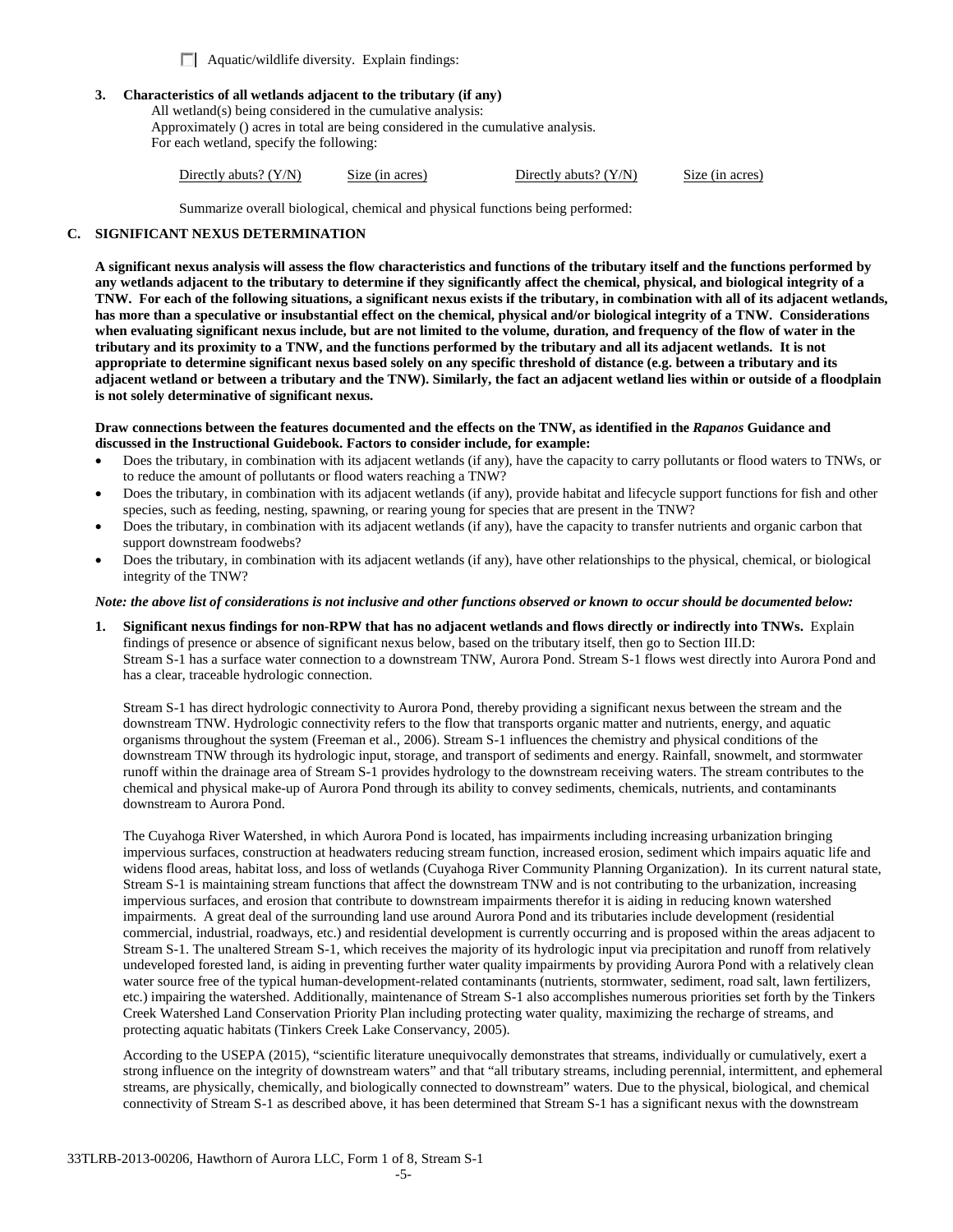Aquatic/wildlife diversity. Explain findings:

### **3. Characteristics of all wetlands adjacent to the tributary (if any)**

All wetland(s) being considered in the cumulative analysis: Approximately () acres in total are being considered in the cumulative analysis. For each wetland, specify the following:

|  | Directly abuts? $(Y/N)$ | Size (in acres) | Directly abuts? $(Y/N)$ | Size (in acres) |
|--|-------------------------|-----------------|-------------------------|-----------------|
|--|-------------------------|-----------------|-------------------------|-----------------|

Summarize overall biological, chemical and physical functions being performed:

## **C. SIGNIFICANT NEXUS DETERMINATION**

**A significant nexus analysis will assess the flow characteristics and functions of the tributary itself and the functions performed by any wetlands adjacent to the tributary to determine if they significantly affect the chemical, physical, and biological integrity of a TNW. For each of the following situations, a significant nexus exists if the tributary, in combination with all of its adjacent wetlands, has more than a speculative or insubstantial effect on the chemical, physical and/or biological integrity of a TNW. Considerations when evaluating significant nexus include, but are not limited to the volume, duration, and frequency of the flow of water in the tributary and its proximity to a TNW, and the functions performed by the tributary and all its adjacent wetlands. It is not appropriate to determine significant nexus based solely on any specific threshold of distance (e.g. between a tributary and its adjacent wetland or between a tributary and the TNW). Similarly, the fact an adjacent wetland lies within or outside of a floodplain is not solely determinative of significant nexus.** 

#### **Draw connections between the features documented and the effects on the TNW, as identified in the** *Rapanos* **Guidance and discussed in the Instructional Guidebook. Factors to consider include, for example:**

- Does the tributary, in combination with its adjacent wetlands (if any), have the capacity to carry pollutants or flood waters to TNWs, or to reduce the amount of pollutants or flood waters reaching a TNW?
- Does the tributary, in combination with its adjacent wetlands (if any), provide habitat and lifecycle support functions for fish and other species, such as feeding, nesting, spawning, or rearing young for species that are present in the TNW?
- Does the tributary, in combination with its adjacent wetlands (if any), have the capacity to transfer nutrients and organic carbon that support downstream foodwebs?
- Does the tributary, in combination with its adjacent wetlands (if any), have other relationships to the physical, chemical, or biological integrity of the TNW?

#### *Note: the above list of considerations is not inclusive and other functions observed or known to occur should be documented below:*

**1. Significant nexus findings for non-RPW that has no adjacent wetlands and flows directly or indirectly into TNWs.** Explain findings of presence or absence of significant nexus below, based on the tributary itself, then go to Section III.D: Stream S-1 has a surface water connection to a downstream TNW, Aurora Pond. Stream S-1 flows west directly into Aurora Pond and has a clear, traceable hydrologic connection.

Stream S-1 has direct hydrologic connectivity to Aurora Pond, thereby providing a significant nexus between the stream and the downstream TNW. Hydrologic connectivity refers to the flow that transports organic matter and nutrients, energy, and aquatic organisms throughout the system (Freeman et al., 2006). Stream S-1 influences the chemistry and physical conditions of the downstream TNW through its hydrologic input, storage, and transport of sediments and energy. Rainfall, snowmelt, and stormwater runoff within the drainage area of Stream S-1 provides hydrology to the downstream receiving waters. The stream contributes to the chemical and physical make-up of Aurora Pond through its ability to convey sediments, chemicals, nutrients, and contaminants downstream to Aurora Pond.

The Cuyahoga River Watershed, in which Aurora Pond is located, has impairments including increasing urbanization bringing impervious surfaces, construction at headwaters reducing stream function, increased erosion, sediment which impairs aquatic life and widens flood areas, habitat loss, and loss of wetlands (Cuyahoga River Community Planning Organization). In its current natural state, Stream S-1 is maintaining stream functions that affect the downstream TNW and is not contributing to the urbanization, increasing impervious surfaces, and erosion that contribute to downstream impairments therefor it is aiding in reducing known watershed impairments. A great deal of the surrounding land use around Aurora Pond and its tributaries include development (residential commercial, industrial, roadways, etc.) and residential development is currently occurring and is proposed within the areas adjacent to Stream S-1. The unaltered Stream S-1, which receives the majority of its hydrologic input via precipitation and runoff from relatively undeveloped forested land, is aiding in preventing further water quality impairments by providing Aurora Pond with a relatively clean water source free of the typical human-development-related contaminants (nutrients, stormwater, sediment, road salt, lawn fertilizers, etc.) impairing the watershed. Additionally, maintenance of Stream S-1 also accomplishes numerous priorities set forth by the Tinkers Creek Watershed Land Conservation Priority Plan including protecting water quality, maximizing the recharge of streams, and protecting aquatic habitats (Tinkers Creek Lake Conservancy, 2005).

According to the USEPA (2015), "scientific literature unequivocally demonstrates that streams, individually or cumulatively, exert a strong influence on the integrity of downstream waters" and that "all tributary streams, including perennial, intermittent, and ephemeral streams, are physically, chemically, and biologically connected to downstream" waters. Due to the physical, biological, and chemical connectivity of Stream S-1 as described above, it has been determined that Stream S-1 has a significant nexus with the downstream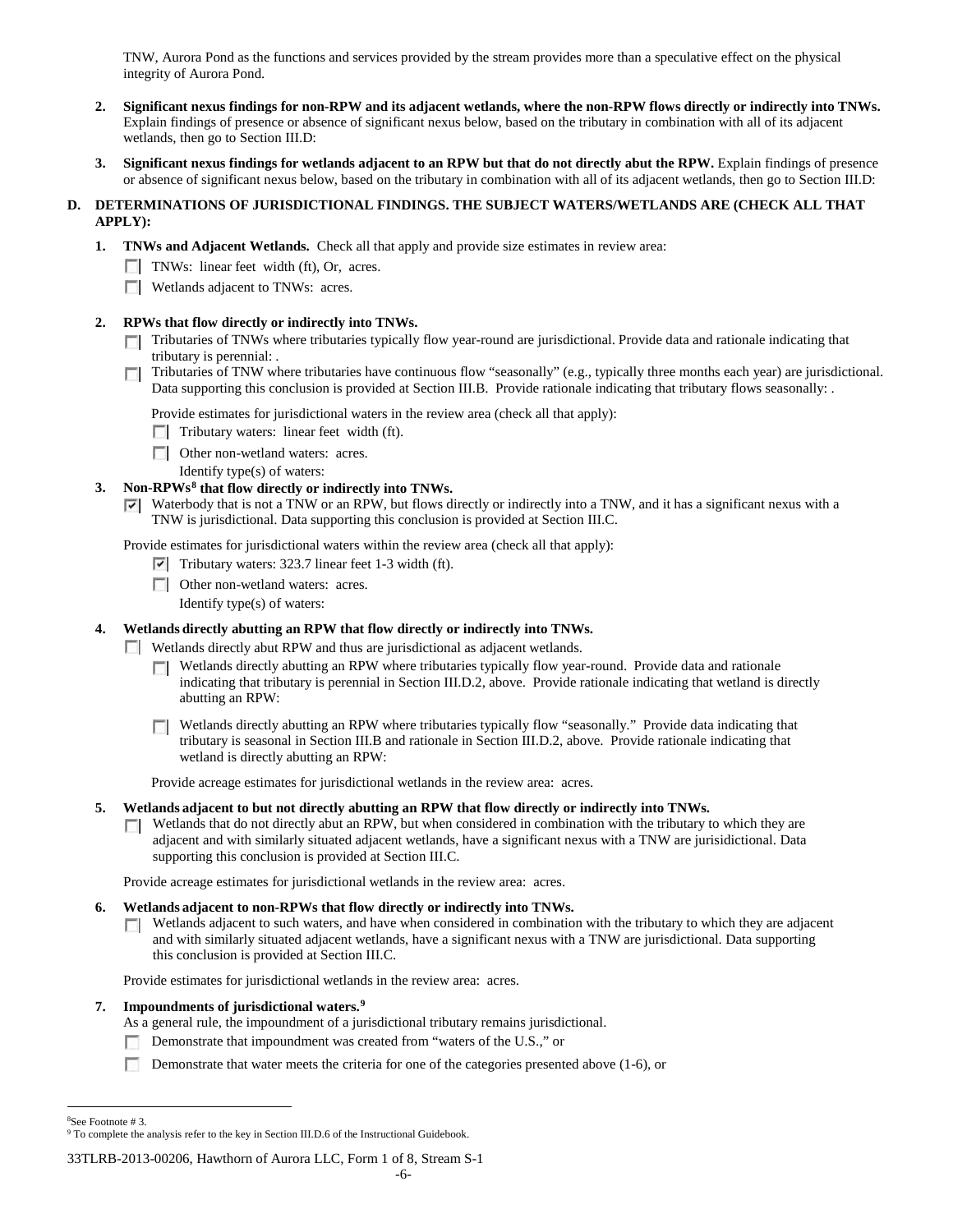TNW, Aurora Pond as the functions and services provided by the stream provides more than a speculative effect on the physical integrity of Aurora Pond.

- **2. Significant nexus findings for non-RPW and its adjacent wetlands, where the non-RPW flows directly or indirectly into TNWs.**  Explain findings of presence or absence of significant nexus below, based on the tributary in combination with all of its adjacent wetlands, then go to Section III.D:
- **3. Significant nexus findings for wetlands adjacent to an RPW but that do not directly abut the RPW.** Explain findings of presence or absence of significant nexus below, based on the tributary in combination with all of its adjacent wetlands, then go to Section III.D:

# **D. DETERMINATIONS OF JURISDICTIONAL FINDINGS. THE SUBJECT WATERS/WETLANDS ARE (CHECK ALL THAT APPLY):**

- **1. TNWs and Adjacent Wetlands.** Check all that apply and provide size estimates in review area:
	- TNWs: linear feet width (ft), Or, acres.
	- **Wetlands adjacent to TNWs: acres.**

## **2. RPWs that flow directly or indirectly into TNWs.**

- Tributaries of TNWs where tributaries typically flow year-round are jurisdictional. Provide data and rationale indicating that tributary is perennial: .
- $\sim$ Tributaries of TNW where tributaries have continuous flow "seasonally" (e.g., typically three months each year) are jurisdictional. Data supporting this conclusion is provided at Section III.B. Provide rationale indicating that tributary flows seasonally: .

Provide estimates for jurisdictional waters in the review area (check all that apply):

- $\Box$  Tributary waters: linear feet width (ft).
- **DE Other non-wetland waters: acres.**
- Identify type(s) of waters:

## **3. Non-RPWs[8](#page-5-0) that flow directly or indirectly into TNWs.**

 $\triangledown$  Waterbody that is not a TNW or an RPW, but flows directly or indirectly into a TNW, and it has a significant nexus with a TNW is jurisdictional. Data supporting this conclusion is provided at Section III.C.

Provide estimates for jurisdictional waters within the review area (check all that apply):

- $\triangledown$  Tributary waters: 323.7 linear feet 1-3 width (ft).
- **DET** Other non-wetland waters: acres.

Identify type(s) of waters:

# **4. Wetlands directly abutting an RPW that flow directly or indirectly into TNWs.**

Wetlands directly abut RPW and thus are jurisdictional as adjacent wetlands.

- Wetlands directly abutting an RPW where tributaries typically flow year-round. Provide data and rationale  $\sim$ indicating that tributary is perennial in Section III.D.2, above. Provide rationale indicating that wetland is directly abutting an RPW:
- Wetlands directly abutting an RPW where tributaries typically flow "seasonally." Provide data indicating that tributary is seasonal in Section III.B and rationale in Section III.D.2, above. Provide rationale indicating that wetland is directly abutting an RPW:

Provide acreage estimates for jurisdictional wetlands in the review area: acres.

#### **5. Wetlands adjacent to but not directly abutting an RPW that flow directly or indirectly into TNWs.**

Wetlands that do not directly abut an RPW, but when considered in combination with the tributary to which they are **TT** adjacent and with similarly situated adjacent wetlands, have a significant nexus with a TNW are jurisidictional. Data supporting this conclusion is provided at Section III.C.

Provide acreage estimates for jurisdictional wetlands in the review area: acres.

## **6. Wetlands adjacent to non-RPWs that flow directly or indirectly into TNWs.**

Wetlands adjacent to such waters, and have when considered in combination with the tributary to which they are adjacent  $\mathcal{L}$ and with similarly situated adjacent wetlands, have a significant nexus with a TNW are jurisdictional. Data supporting this conclusion is provided at Section III.C.

Provide estimates for jurisdictional wetlands in the review area: acres.

## **7. Impoundments of jurisdictional waters. [9](#page-5-1)**

- As a general rule, the impoundment of a jurisdictional tributary remains jurisdictional.
- Demonstrate that impoundment was created from "waters of the U.S.," or
- n Demonstrate that water meets the criteria for one of the categories presented above (1-6), or

 $\frac{1}{8}$ See Footnote # 3.

<span id="page-5-1"></span><span id="page-5-0"></span><sup>&</sup>lt;sup>9</sup> To complete the analysis refer to the key in Section III.D.6 of the Instructional Guidebook.

<sup>33</sup>TLRB-2013-00206, Hawthorn of Aurora LLC, Form 1 of 8, Stream S-1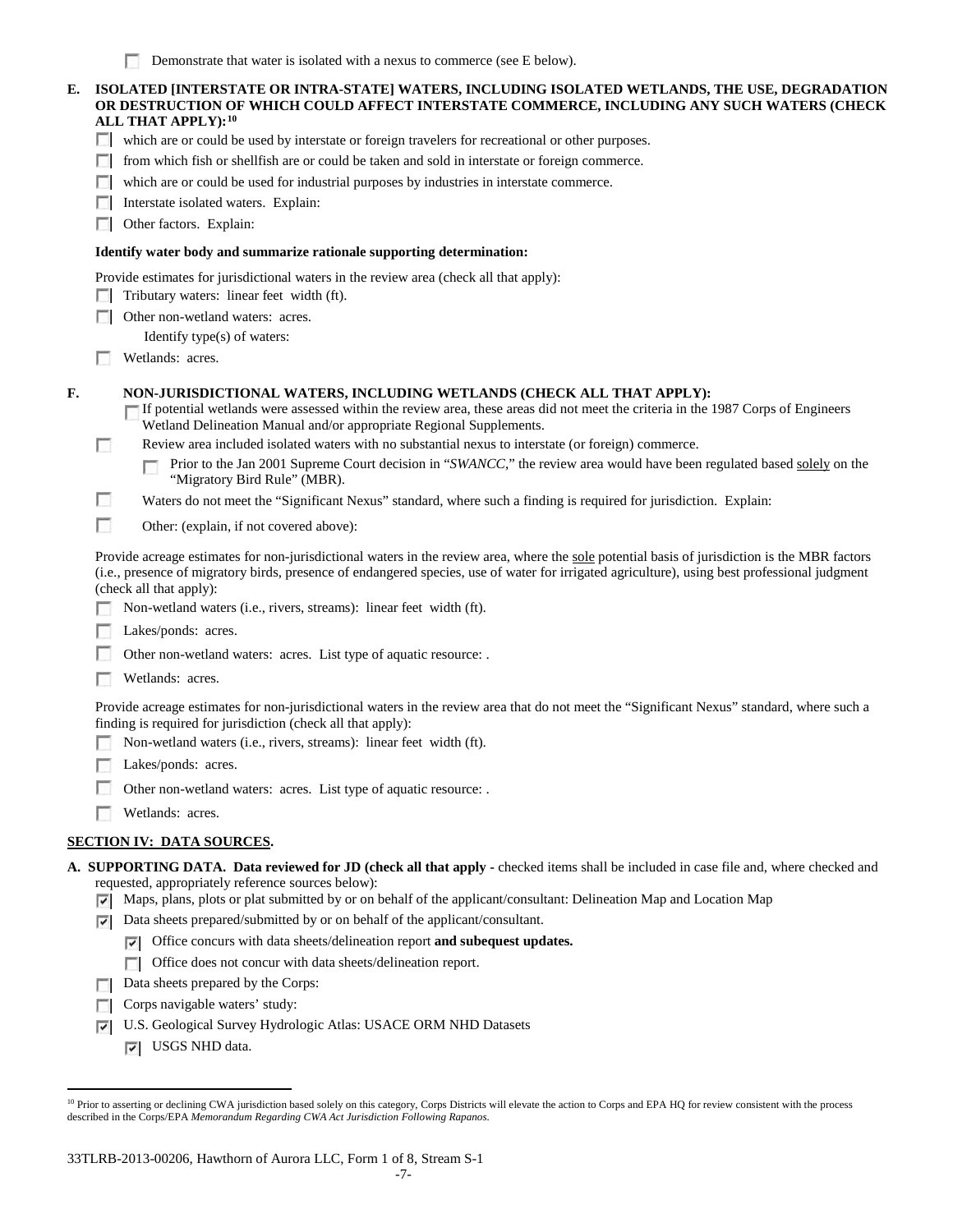| E. |                          | ISOLATED [INTERSTATE OR INTRA-STATE] WATERS, INCLUDING ISOLATED WETLANDS, THE USE, DEGRADATION<br>OR DESTRUCTION OF WHICH COULD AFFECT INTERSTATE COMMERCE, INCLUDING ANY SUCH WATERS (CHECK<br>ALL THAT APPLY): <sup>10</sup>                                                                                            |
|----|--------------------------|---------------------------------------------------------------------------------------------------------------------------------------------------------------------------------------------------------------------------------------------------------------------------------------------------------------------------|
|    |                          | which are or could be used by interstate or foreign travelers for recreational or other purposes.                                                                                                                                                                                                                         |
|    |                          | from which fish or shellfish are or could be taken and sold in interstate or foreign commerce.                                                                                                                                                                                                                            |
|    |                          | which are or could be used for industrial purposes by industries in interstate commerce.                                                                                                                                                                                                                                  |
|    |                          | Interstate isolated waters. Explain:                                                                                                                                                                                                                                                                                      |
|    | L.                       | Other factors. Explain:                                                                                                                                                                                                                                                                                                   |
|    |                          | Identify water body and summarize rationale supporting determination:                                                                                                                                                                                                                                                     |
|    |                          | Provide estimates for jurisdictional waters in the review area (check all that apply):                                                                                                                                                                                                                                    |
|    |                          | Tributary waters: linear feet width (ft).                                                                                                                                                                                                                                                                                 |
|    |                          | Other non-wetland waters: acres.                                                                                                                                                                                                                                                                                          |
|    |                          | Identify type(s) of waters:                                                                                                                                                                                                                                                                                               |
|    |                          | Wetlands: acres.                                                                                                                                                                                                                                                                                                          |
|    |                          |                                                                                                                                                                                                                                                                                                                           |
| F. |                          | NON-JURISDICTIONAL WATERS, INCLUDING WETLANDS (CHECK ALL THAT APPLY):<br>If potential wetlands were assessed within the review area, these areas did not meet the criteria in the 1987 Corps of Engineers<br>Wetland Delineation Manual and/or appropriate Regional Supplements.                                          |
|    | $\sim$                   | Review area included isolated waters with no substantial nexus to interstate (or foreign) commerce.                                                                                                                                                                                                                       |
|    |                          | Prior to the Jan 2001 Supreme Court decision in "SWANCC," the review area would have been regulated based solely on the<br>"Migratory Bird Rule" (MBR).                                                                                                                                                                   |
|    |                          | Waters do not meet the "Significant Nexus" standard, where such a finding is required for jurisdiction. Explain:                                                                                                                                                                                                          |
|    | n                        | Other: (explain, if not covered above):                                                                                                                                                                                                                                                                                   |
|    |                          | Provide acreage estimates for non-jurisdictional waters in the review area, where the sole potential basis of jurisdiction is the MBR factors<br>(i.e., presence of migratory birds, presence of endangered species, use of water for irrigated agriculture), using best professional judgment<br>(check all that apply): |
|    |                          | Non-wetland waters (i.e., rivers, streams): linear feet width (ft).                                                                                                                                                                                                                                                       |
|    |                          | Lakes/ponds: acres.                                                                                                                                                                                                                                                                                                       |
|    |                          | Other non-wetland waters: acres. List type of aquatic resource: .                                                                                                                                                                                                                                                         |
|    |                          | Wetlands: acres.                                                                                                                                                                                                                                                                                                          |
|    |                          | Provide acreage estimates for non-jurisdictional waters in the review area that do not meet the "Significant Nexus" standard, where such a<br>finding is required for jurisdiction (check all that apply):                                                                                                                |
|    |                          | Non-wetland waters (i.e., rivers, streams): linear feet width (ft).                                                                                                                                                                                                                                                       |
|    |                          | Lakes/ponds: acres.                                                                                                                                                                                                                                                                                                       |
|    |                          | Other non-wetland waters: acres. List type of aquatic resource: .                                                                                                                                                                                                                                                         |
|    |                          | Wetlands: acres.                                                                                                                                                                                                                                                                                                          |
|    |                          |                                                                                                                                                                                                                                                                                                                           |
|    |                          | <u>SECTION IV:  DATA SOURCES.</u>                                                                                                                                                                                                                                                                                         |
|    |                          | A. SUPPORTING DATA. Data reviewed for JD (check all that apply - checked items shall be included in case file and, where checked and                                                                                                                                                                                      |
|    | ▿                        | requested, appropriately reference sources below):<br>Maps, plans, plots or plat submitted by or on behalf of the applicant/consultant: Delineation Map and Location Map                                                                                                                                                  |
|    | ▿                        | Data sheets prepared/submitted by or on behalf of the applicant/consultant.                                                                                                                                                                                                                                               |
|    |                          | Office concurs with data sheets/delineation report and subequest updates.<br>▽                                                                                                                                                                                                                                            |
|    |                          | Office does not concur with data sheets/delineation report.<br>г                                                                                                                                                                                                                                                          |
|    |                          | Data sheets prepared by the Corps:                                                                                                                                                                                                                                                                                        |
|    |                          | Corps navigable waters' study:                                                                                                                                                                                                                                                                                            |
|    | <b>The Second Second</b> | ILS. Geological Survey Hydrologic Atlas: HS ACE ODM NUD Detects                                                                                                                                                                                                                                                           |

- U.S. Geological Survey Hydrologic Atlas: USACE ORM NHD Datasets
	- USGS NHD data.

<span id="page-6-0"></span><sup>10</sup> Prior to asserting or declining CWA jurisdiction based solely on this category, Corps Districts will elevate the action to Corps and EPA HQ for review consistent with the process described in the Corps/EPA *Memorandum Regarding CWA Act Jurisdiction Following Rapanos.*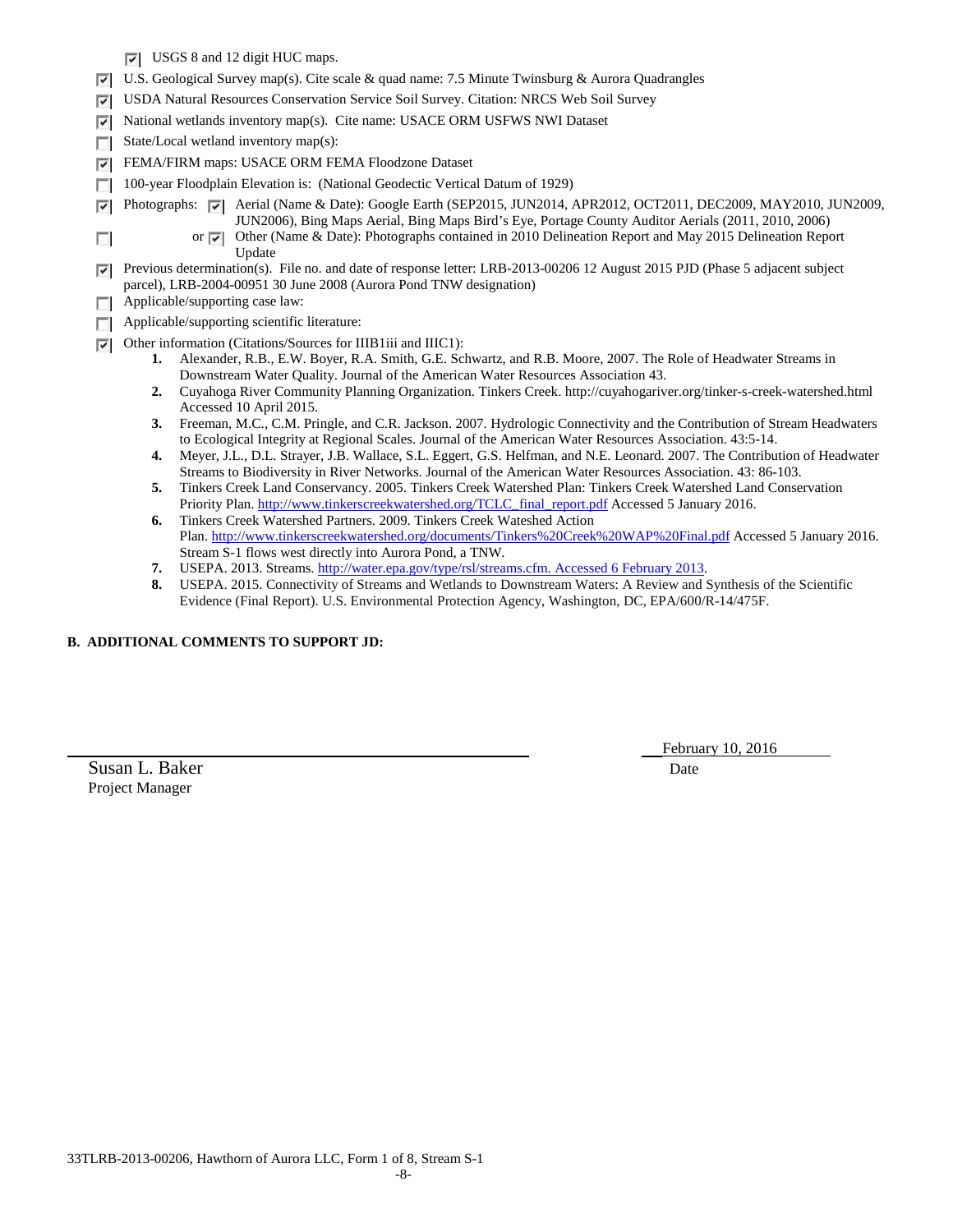- USGS 8 and 12 digit HUC maps.
- $\nabla$  U.S. Geological Survey map(s). Cite scale & quad name: 7.5 Minute Twinsburg & Aurora Quadrangles
- USDA Natural Resources Conservation Service Soil Survey. Citation: NRCS Web Soil Survey
- National wetlands inventory map(s). Cite name: USACE ORM USFWS NWI Dataset
- State/Local wetland inventory map(s):
- FEMA/FIRM maps: USACE ORM FEMA Floodzone Dataset ☞
- 100-year Floodplain Elevation is: (National Geodectic Vertical Datum of 1929) п
	- Photographs:  $\sqrt{\phantom{a}}$  Aerial (Name & Date): Google Earth (SEP2015, JUN2014, APR2012, OCT2011, DEC2009, MAY2010, JUN2009, JUN2006), Bing Maps Aerial, Bing Maps Bird's Eye, Portage County Auditor Aerials (2011, 2010, 2006)
		- or  $\overline{V}$  Other (Name & Date): Photographs contained in 2010 Delineation Report and May 2015 Delineation Report Update

**Previous determination(s).** File no. and date of response letter: LRB-2013-00206 12 August 2015 PJD (Phase 5 adjacent subject parcel), LRB-2004-00951 30 June 2008 (Aurora Pond TNW designation)

 $\Box$  Applicable/supporting case law:

⊽

 $\overline{\mathcal{L}}$ 

- **Applicable/supporting scientific literature:**
- Other information (Citations/Sources for IIIB1iii and IIIC1):
	- **1.** Alexander, R.B., E.W. Boyer, R.A. Smith, G.E. Schwartz, and R.B. Moore, 2007. The Role of Headwater Streams in Downstream Water Quality. Journal of the American Water Resources Association 43.
	- **2.** Cuyahoga River Community Planning Organization. Tinkers Creek. http://cuyahogariver.org/tinker-s-creek-watershed.html Accessed 10 April 2015.
	- **3.** Freeman, M.C., C.M. Pringle, and C.R. Jackson. 2007. Hydrologic Connectivity and the Contribution of Stream Headwaters to Ecological Integrity at Regional Scales. Journal of the American Water Resources Association. 43:5-14.
	- **4.** Meyer, J.L., D.L. Strayer, J.B. Wallace, S.L. Eggert, G.S. Helfman, and N.E. Leonard. 2007. The Contribution of Headwater Streams to Biodiversity in River Networks. Journal of the American Water Resources Association. 43: 86-103.
	- **5.** Tinkers Creek Land Conservancy. 2005. Tinkers Creek Watershed Plan: Tinkers Creek Watershed Land Conservation Priority Plan[. http://www.tinkerscreekwatershed.org/TCLC\\_final\\_report.pdf](http://www.tinkerscreekwatershed.org/TCLC_final_report.pdf) Accessed 5 January 2016.
	- **6.** Tinkers Creek Watershed Partners. 2009. Tinkers Creek Wateshed Action Plan.<http://www.tinkerscreekwatershed.org/documents/Tinkers%20Creek%20WAP%20Final.pdf> Accessed 5 January 2016. Stream S-1 flows west directly into Aurora Pond, a TNW.
	- **7.** USEPA. 2013. Streams[. http://water.epa.gov/type/rsl/streams.cfm. Accessed 6 February 2013.](http://water.epa.gov/type/rsl/streams.cfm.%20Accessed%206%20February%202013)
	- **8.** USEPA. 2015. Connectivity of Streams and Wetlands to Downstream Waters: A Review and Synthesis of the Scientific Evidence (Final Report). U.S. Environmental Protection Agency, Washington, DC, EPA/600/R-14/475F.

# **B. ADDITIONAL COMMENTS TO SUPPORT JD:**

Susan L. Baker Date Date of the U.S. and the U.S. of the U.S. of the U.S. of the U.S. of the U.S. of the U.S. of the U.S. of the U.S. of the U.S. of the U.S. of the U.S. of the U.S. of the U.S. of the U.S. of the U.S. of t Project Manager

February 10, 2016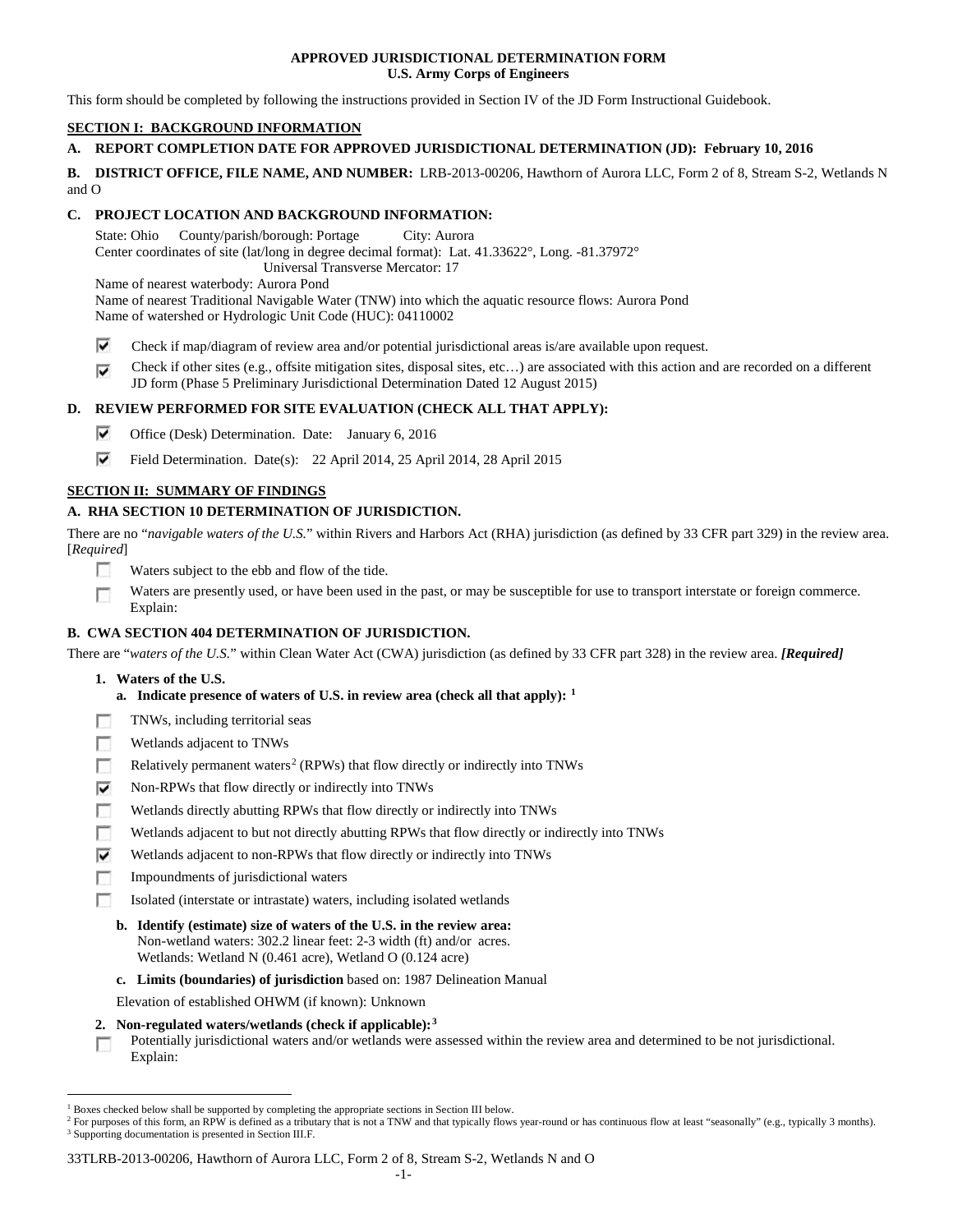## **APPROVED JURISDICTIONAL DETERMINATION FORM U.S. Army Corps of Engineers**

This form should be completed by following the instructions provided in Section IV of the JD Form Instructional Guidebook.

# **SECTION I: BACKGROUND INFORMATION**

# **A. REPORT COMPLETION DATE FOR APPROVED JURISDICTIONAL DETERMINATION (JD): February 10, 2016**

**B. DISTRICT OFFICE, FILE NAME, AND NUMBER:** LRB-2013-00206, Hawthorn of Aurora LLC, Form 2 of 8, Stream S-2, Wetlands N and O

# **C. PROJECT LOCATION AND BACKGROUND INFORMATION:**

State: Ohio County/parish/borough: Portage City: Aurora Center coordinates of site (lat/long in degree decimal format): Lat. 41.33622°, Long. -81.37972° Universal Transverse Mercator: 17

Name of nearest waterbody: Aurora Pond

Name of nearest Traditional Navigable Water (TNW) into which the aquatic resource flows: Aurora Pond Name of watershed or Hydrologic Unit Code (HUC): 04110002

- ⊽ Check if map/diagram of review area and/or potential jurisdictional areas is/are available upon request.
- Check if other sites (e.g., offsite mitigation sites, disposal sites, etc…) are associated with this action and are recorded on a different ⊽ JD form (Phase 5 Preliminary Jurisdictional Determination Dated 12 August 2015)

# **D. REVIEW PERFORMED FOR SITE EVALUATION (CHECK ALL THAT APPLY):**

- ⊽ Office (Desk) Determination. Date: January 6, 2016
- ⊽ Field Determination. Date(s): 22 April 2014, 25 April 2014, 28 April 2015

# **SECTION II: SUMMARY OF FINDINGS**

# **A. RHA SECTION 10 DETERMINATION OF JURISDICTION.**

There are no "*navigable waters of the U.S.*" within Rivers and Harbors Act (RHA) jurisdiction (as defined by 33 CFR part 329) in the review area. [*Required*]

- n Waters subject to the ebb and flow of the tide.
- Waters are presently used, or have been used in the past, or may be susceptible for use to transport interstate or foreign commerce. Г Explain:

# **B. CWA SECTION 404 DETERMINATION OF JURISDICTION.**

There are "*waters of the U.S.*" within Clean Water Act (CWA) jurisdiction (as defined by 33 CFR part 328) in the review area. *[Required]*

- **1. Waters of the U.S.**
	- **a. Indicate presence of waters of U.S. in review area (check all that apply): [1](#page-8-0)**
- п TNWs, including territorial seas
- Wetlands adjacent to TNWs п
- Relatively permanent waters<sup>[2](#page-8-1)</sup> (RPWs) that flow directly or indirectly into TNWs п
- ⊽ Non-RPWs that flow directly or indirectly into TNWs
- Wetlands directly abutting RPWs that flow directly or indirectly into TNWs
- п Wetlands adjacent to but not directly abutting RPWs that flow directly or indirectly into TNWs
- ⊽ Wetlands adjacent to non-RPWs that flow directly or indirectly into TNWs
- г Impoundments of jurisdictional waters
- Isolated (interstate or intrastate) waters, including isolated wetlands n.
	- **b. Identify (estimate) size of waters of the U.S. in the review area:** Non-wetland waters: 302.2 linear feet: 2-3 width (ft) and/or acres. Wetlands: Wetland N (0.461 acre), Wetland O (0.124 acre)
	- **c. Limits (boundaries) of jurisdiction** based on: 1987 Delineation Manual
	- Elevation of established OHWM (if known): Unknown
- **2. Non-regulated waters/wetlands (check if applicable):[3](#page-8-2)**

Potentially jurisdictional waters and/or wetlands were assessed within the review area and determined to be not jurisdictional. T. Explain:

#### 33TLRB-2013-00206, Hawthorn of Aurora LLC, Form 2 of 8, Stream S-2, Wetlands N and O

<span id="page-8-0"></span> <sup>1</sup> Boxes checked below shall be supported by completing the appropriate sections in Section III below.

<span id="page-8-2"></span><span id="page-8-1"></span><sup>&</sup>lt;sup>2</sup> For purposes of this form, an RPW is defined as a tributary that is not a TNW and that typically flows year-round or has continuous flow at least "seasonally" (e.g., typically 3 months). <sup>3</sup> Supporting documentation is presented in Section III.F.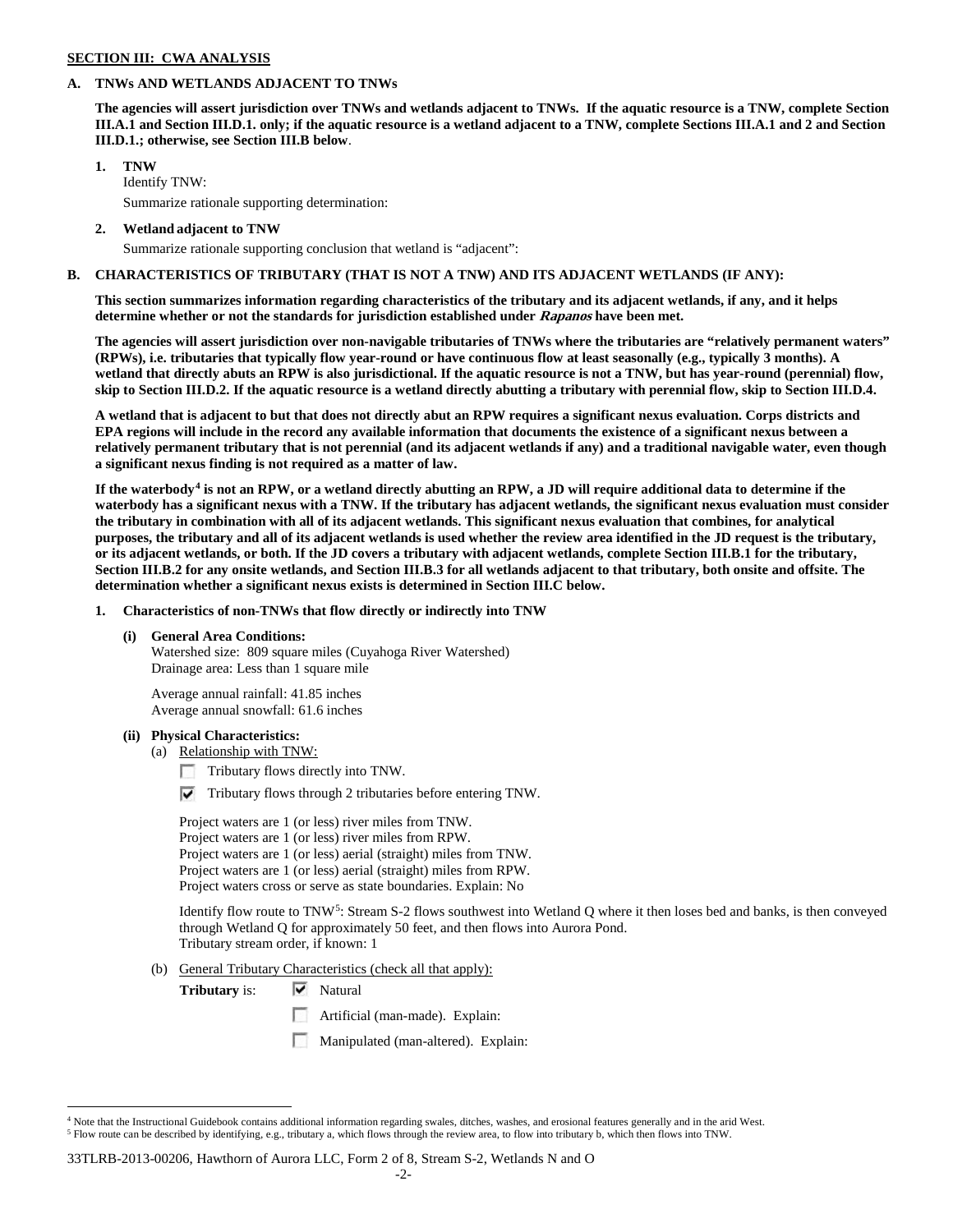### **SECTION III: CWA ANALYSIS**

### **A. TNWs AND WETLANDS ADJACENT TO TNWs**

**The agencies will assert jurisdiction over TNWs and wetlands adjacent to TNWs. If the aquatic resource is a TNW, complete Section III.A.1 and Section III.D.1. only; if the aquatic resource is a wetland adjacent to a TNW, complete Sections III.A.1 and 2 and Section III.D.1.; otherwise, see Section III.B below**.

## **1. TNW**

Identify TNW: Summarize rationale supporting determination:

**2. Wetland adjacent to TNW**

Summarize rationale supporting conclusion that wetland is "adjacent":

## **B. CHARACTERISTICS OF TRIBUTARY (THAT IS NOT A TNW) AND ITS ADJACENT WETLANDS (IF ANY):**

**This section summarizes information regarding characteristics of the tributary and its adjacent wetlands, if any, and it helps determine whether or not the standards for jurisdiction established under Rapanos have been met.** 

**The agencies will assert jurisdiction over non-navigable tributaries of TNWs where the tributaries are "relatively permanent waters" (RPWs), i.e. tributaries that typically flow year-round or have continuous flow at least seasonally (e.g., typically 3 months). A wetland that directly abuts an RPW is also jurisdictional. If the aquatic resource is not a TNW, but has year-round (perennial) flow, skip to Section III.D.2. If the aquatic resource is a wetland directly abutting a tributary with perennial flow, skip to Section III.D.4.**

**A wetland that is adjacent to but that does not directly abut an RPW requires a significant nexus evaluation. Corps districts and EPA regions will include in the record any available information that documents the existence of a significant nexus between a relatively permanent tributary that is not perennial (and its adjacent wetlands if any) and a traditional navigable water, even though a significant nexus finding is not required as a matter of law.**

**If the waterbody[4](#page-9-0) is not an RPW, or a wetland directly abutting an RPW, a JD will require additional data to determine if the waterbody has a significant nexus with a TNW. If the tributary has adjacent wetlands, the significant nexus evaluation must consider the tributary in combination with all of its adjacent wetlands. This significant nexus evaluation that combines, for analytical purposes, the tributary and all of its adjacent wetlands is used whether the review area identified in the JD request is the tributary, or its adjacent wetlands, or both. If the JD covers a tributary with adjacent wetlands, complete Section III.B.1 for the tributary, Section III.B.2 for any onsite wetlands, and Section III.B.3 for all wetlands adjacent to that tributary, both onsite and offsite. The determination whether a significant nexus exists is determined in Section III.C below.**

**1. Characteristics of non-TNWs that flow directly or indirectly into TNW**

## **(i) General Area Conditions:**

Watershed size: 809 square miles (Cuyahoga River Watershed) Drainage area: Less than 1 square mile

Average annual rainfall: 41.85 inches Average annual snowfall: 61.6 inches

#### **(ii) Physical Characteristics:**

- (a) Relationship with TNW:
	- Tributary flows directly into TNW.

 $\triangledown$  Tributary flows through 2 tributaries before entering TNW.

Project waters are 1 (or less) river miles from TNW. Project waters are 1 (or less) river miles from RPW. Project waters are 1 (or less) aerial (straight) miles from TNW. Project waters are 1 (or less) aerial (straight) miles from RPW. Project waters cross or serve as state boundaries. Explain: No

Identify flow route to TNW[5:](#page-9-1) Stream S-2 flows southwest into Wetland Q where it then loses bed and banks, is then conveyed through Wetland Q for approximately 50 feet, and then flows into Aurora Pond. Tributary stream order, if known: 1

(b) General Tributary Characteristics (check all that apply):

**Tributary** is:  $\overline{\mathbf{v}}$  Natural

- **Artificial (man-made). Explain:**
- Manipulated (man-altered). Explain:

33TLRB-2013-00206, Hawthorn of Aurora LLC, Form 2 of 8, Stream S-2, Wetlands N and O

<span id="page-9-1"></span><span id="page-9-0"></span> $4$  Note that the Instructional Guidebook contains additional information regarding swales, ditches, washes, and erosional features generally and in the arid West. <sup>5</sup> Flow route can be described by identifying, e.g., tributary a, which flows through the review area, to flow into tributary b, which then flows into TNW.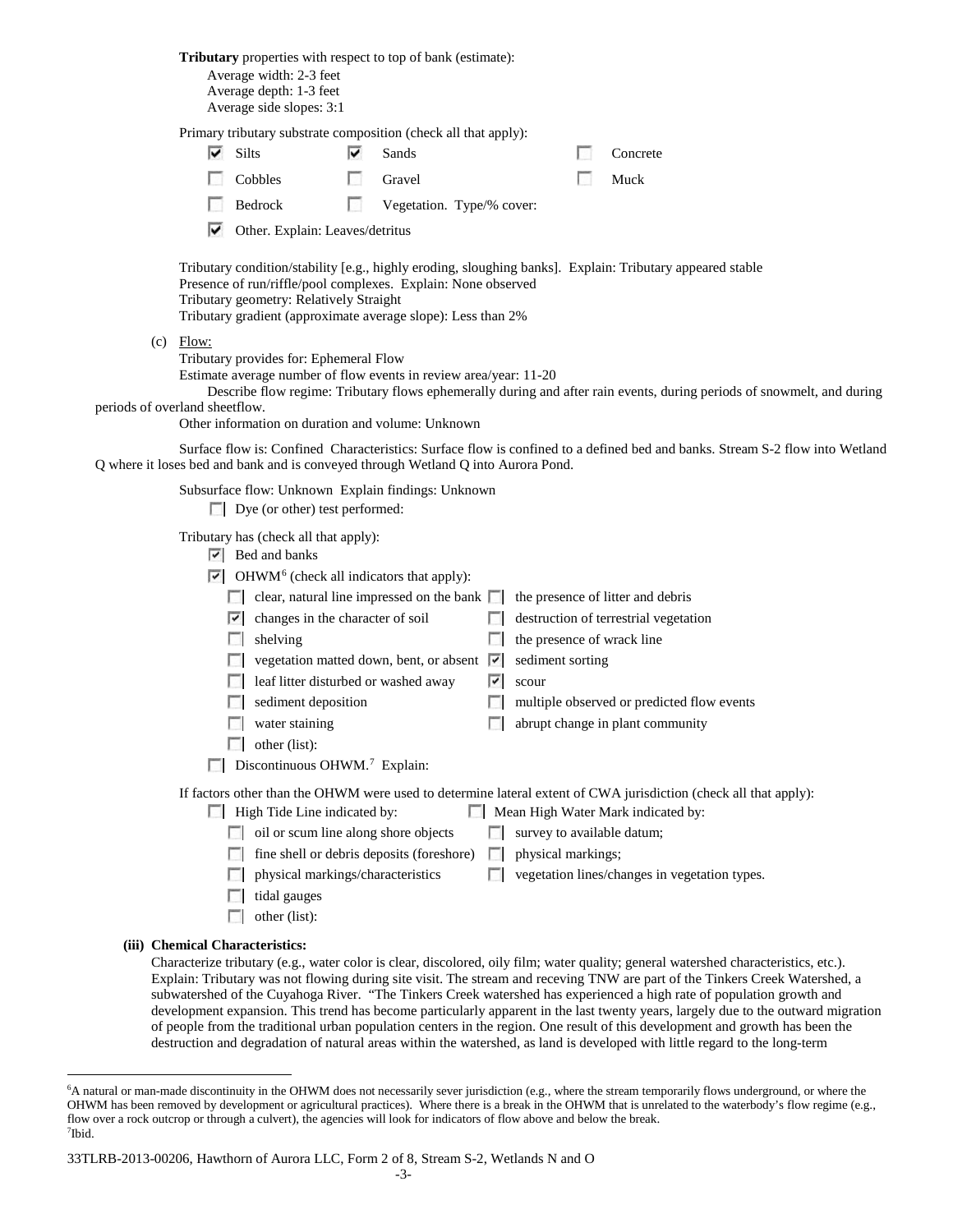|                                |                                                                                             | Average width: 2-3 feet<br>Average depth: 1-3 feet<br>Average side slopes: 3:1                                                                                                                                                            | <b>Tributary</b> properties with respect to top of bank (estimate):                                                                                                                                                                                              |                                    |  |                                                                                                                                                              |  |  |
|--------------------------------|---------------------------------------------------------------------------------------------|-------------------------------------------------------------------------------------------------------------------------------------------------------------------------------------------------------------------------------------------|------------------------------------------------------------------------------------------------------------------------------------------------------------------------------------------------------------------------------------------------------------------|------------------------------------|--|--------------------------------------------------------------------------------------------------------------------------------------------------------------|--|--|
|                                |                                                                                             |                                                                                                                                                                                                                                           | Primary tributary substrate composition (check all that apply):                                                                                                                                                                                                  |                                    |  |                                                                                                                                                              |  |  |
|                                | ⊽                                                                                           | Silts                                                                                                                                                                                                                                     | ⊽<br>Sands                                                                                                                                                                                                                                                       |                                    |  | Concrete                                                                                                                                                     |  |  |
|                                |                                                                                             | Cobbles                                                                                                                                                                                                                                   | Gravel                                                                                                                                                                                                                                                           |                                    |  | Muck                                                                                                                                                         |  |  |
|                                |                                                                                             | Bedrock                                                                                                                                                                                                                                   | п<br>Vegetation. Type/% cover:                                                                                                                                                                                                                                   |                                    |  |                                                                                                                                                              |  |  |
|                                | ⋉                                                                                           | Other. Explain: Leaves/detritus                                                                                                                                                                                                           |                                                                                                                                                                                                                                                                  |                                    |  |                                                                                                                                                              |  |  |
|                                |                                                                                             | Tributary geometry: Relatively Straight                                                                                                                                                                                                   | Presence of run/riffle/pool complexes. Explain: None observed<br>Tributary gradient (approximate average slope): Less than 2%                                                                                                                                    |                                    |  | Tributary condition/stability [e.g., highly eroding, sloughing banks]. Explain: Tributary appeared stable                                                    |  |  |
| periods of overland sheetflow. | $(c)$ Flow:                                                                                 | Tributary provides for: Ephemeral Flow                                                                                                                                                                                                    | Estimate average number of flow events in review area/year: 11-20<br>Other information on duration and volume: Unknown                                                                                                                                           |                                    |  | Describe flow regime: Tributary flows ephemerally during and after rain events, during periods of snowmelt, and during                                       |  |  |
|                                |                                                                                             |                                                                                                                                                                                                                                           | Q where it loses bed and bank and is conveyed through Wetland Q into Aurora Pond.                                                                                                                                                                                |                                    |  | Surface flow is: Confined Characteristics: Surface flow is confined to a defined bed and banks. Stream S-2 flow into Wetland                                 |  |  |
|                                | Subsurface flow: Unknown Explain findings: Unknown<br>$\Box$ Dye (or other) test performed: |                                                                                                                                                                                                                                           |                                                                                                                                                                                                                                                                  |                                    |  |                                                                                                                                                              |  |  |
|                                |                                                                                             | Tributary has (check all that apply):<br>$ \nabla $ Bed and banks<br>$\triangleright$ changes in the character of soil<br>shelving<br>sediment deposition<br>water staining<br>other (list):<br>Discontinuous OHWM. <sup>7</sup> Explain: | $\triangleright$ OHWM <sup>6</sup> (check all indicators that apply):<br>$\Box$ clear, natural line impressed on the bank $\Box$ the presence of litter and debris<br>vegetation matted down, bent, or absent $ \nabla $<br>leaf litter disturbed or washed away | sediment sorting<br>IY.<br>scour   |  | $\Box$ destruction of terrestrial vegetation<br>the presence of wrack line<br>multiple observed or predicted flow events<br>abrupt change in plant community |  |  |
|                                |                                                                                             | $\Box$ High Tide Line indicated by:                                                                                                                                                                                                       |                                                                                                                                                                                                                                                                  |                                    |  | If factors other than the OHWM were used to determine lateral extent of CWA jurisdiction (check all that apply):<br>Mean High Water Mark indicated by:       |  |  |
|                                |                                                                                             |                                                                                                                                                                                                                                           | oil or scum line along shore objects                                                                                                                                                                                                                             | $\Box$ survey to available datum;  |  |                                                                                                                                                              |  |  |
|                                |                                                                                             |                                                                                                                                                                                                                                           | fine shell or debris deposits (foreshore)                                                                                                                                                                                                                        | physical markings;<br>$\mathbf{L}$ |  |                                                                                                                                                              |  |  |
|                                |                                                                                             |                                                                                                                                                                                                                                           | physical markings/characteristics                                                                                                                                                                                                                                | L.                                 |  | vegetation lines/changes in vegetation types.                                                                                                                |  |  |
|                                |                                                                                             | tidal gauges<br>other (list):                                                                                                                                                                                                             |                                                                                                                                                                                                                                                                  |                                    |  |                                                                                                                                                              |  |  |
|                                |                                                                                             |                                                                                                                                                                                                                                           |                                                                                                                                                                                                                                                                  |                                    |  |                                                                                                                                                              |  |  |
|                                |                                                                                             | (iii) Chemical Characteristics:                                                                                                                                                                                                           |                                                                                                                                                                                                                                                                  |                                    |  | Characterize tributary (e.g., water color is clear, discolored, oily film; water quality; general watershed characteristics, etc.).                          |  |  |
|                                |                                                                                             |                                                                                                                                                                                                                                           |                                                                                                                                                                                                                                                                  |                                    |  | Explain: Tributary was not flowing during site visit. The stream and receving TNW are part of the Tinkers Creek Watershed, a                                 |  |  |

Explain: Tributary was not flowing during site visit. The stream and receving TNW are part of the Tinkers Creek Watershed, a subwatershed of the Cuyahoga River. "The Tinkers Creek watershed has experienced a high rate of population growth and development expansion. This trend has become particularly apparent in the last twenty years, largely due to the outward migration of people from the traditional urban population centers in the region. One result of this development and growth has been the destruction and degradation of natural areas within the watershed, as land is developed with little regard to the long-term

<span id="page-10-1"></span>33TLRB-2013-00206, Hawthorn of Aurora LLC, Form 2 of 8, Stream S-2, Wetlands N and O

<span id="page-10-0"></span> <sup>6</sup> <sup>6</sup>A natural or man-made discontinuity in the OHWM does not necessarily sever jurisdiction (e.g., where the stream temporarily flows underground, or where the OHWM has been removed by development or agricultural practices). Where there is a break in the OHWM that is unrelated to the waterbody's flow regime (e.g., flow over a rock outcrop or through a culvert), the agencies will look for indicators of flow above and below the break. 7 Ibid.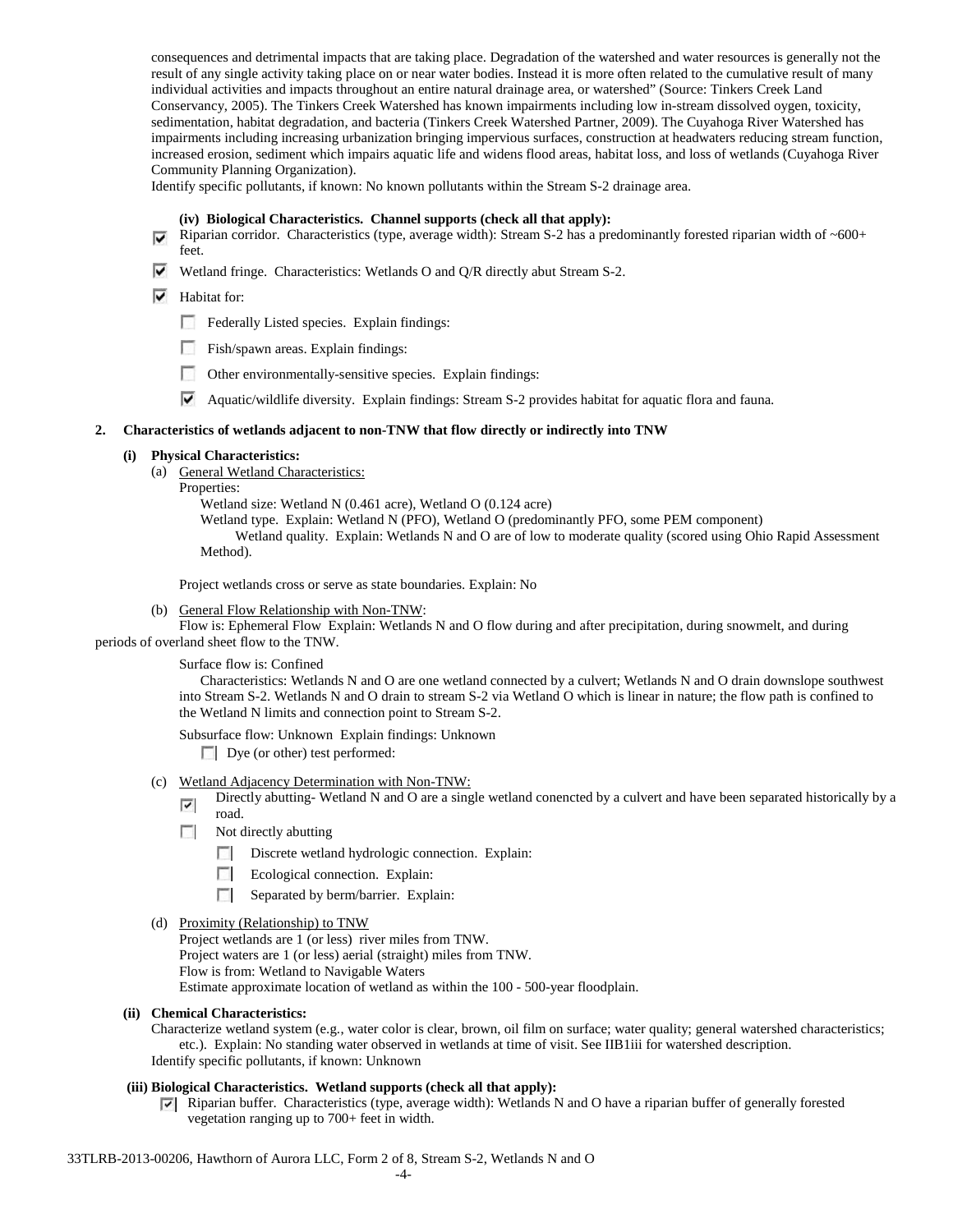consequences and detrimental impacts that are taking place. Degradation of the watershed and water resources is generally not the result of any single activity taking place on or near water bodies. Instead it is more often related to the cumulative result of many individual activities and impacts throughout an entire natural drainage area, or watershed" (Source: Tinkers Creek Land Conservancy, 2005). The Tinkers Creek Watershed has known impairments including low in-stream dissolved oygen, toxicity, sedimentation, habitat degradation, and bacteria (Tinkers Creek Watershed Partner, 2009). The Cuyahoga River Watershed has impairments including increasing urbanization bringing impervious surfaces, construction at headwaters reducing stream function, increased erosion, sediment which impairs aquatic life and widens flood areas, habitat loss, and loss of wetlands (Cuyahoga River Community Planning Organization).

Identify specific pollutants, if known: No known pollutants within the Stream S-2 drainage area.

#### **(iv) Biological Characteristics. Channel supports (check all that apply):**

- Riparian corridor. Characteristics (type, average width): Stream S-2 has a predominantly forested riparian width of  $~600+$ feet.
- Wetland fringe. Characteristics: Wetlands O and Q/R directly abut Stream S-2.
- $\blacktriangleright$  Habitat for:
	- Federally Listed species. Explain findings:
	- Fish/spawn areas. Explain findings:
	- Other environmentally-sensitive species. Explain findings:
	- Aquatic/wildlife diversity. Explain findings: Stream S-2 provides habitat for aquatic flora and fauna.

#### **2. Characteristics of wetlands adjacent to non-TNW that flow directly or indirectly into TNW**

#### **(i) Physical Characteristics:**

- (a) General Wetland Characteristics:
	- Properties:

Wetland size: Wetland N (0.461 acre), Wetland O (0.124 acre) Wetland type. Explain: Wetland N (PFO), Wetland O (predominantly PFO, some PEM component) Wetland quality. Explain: Wetlands N and O are of low to moderate quality (scored using Ohio Rapid Assessment

Method).

Project wetlands cross or serve as state boundaries. Explain: No

(b) General Flow Relationship with Non-TNW:

Flow is: Ephemeral Flow Explain: Wetlands N and O flow during and after precipitation, during snowmelt, and during periods of overland sheet flow to the TNW.

Surface flow is: Confined

Characteristics: Wetlands N and O are one wetland connected by a culvert; Wetlands N and O drain downslope southwest into Stream S-2. Wetlands N and O drain to stream S-2 via Wetland O which is linear in nature; the flow path is confined to the Wetland N limits and connection point to Stream S-2.

Subsurface flow: Unknown Explain findings: Unknown

Dye (or other) test performed:

- (c) Wetland Adjacency Determination with Non-TNW:
	- Directly abutting- Wetland N and O are a single wetland conencted by a culvert and have been separated historically by a  $\overline{\phantom{a}}$ road.
	- $\sim$ Not directly abutting
		- **The Contract of the Contract of the Contract of the Contract of the Contract of the Contract of the Contract of the Contract of the Contract of the Contract of the Contract of the Contract of the Contract of the Contract** Discrete wetland hydrologic connection. Explain:
		- n Ecological connection. Explain:
		- $\overline{a}$ Separated by berm/barrier. Explain:
- (d) Proximity (Relationship) to TNW

Project wetlands are 1 (or less) river miles from TNW. Project waters are 1 (or less) aerial (straight) miles from TNW. Flow is from: Wetland to Navigable Waters Estimate approximate location of wetland as within the 100 - 500-year floodplain.

#### **(ii) Chemical Characteristics:**

Characterize wetland system (e.g., water color is clear, brown, oil film on surface; water quality; general watershed characteristics; etc.). Explain: No standing water observed in wetlands at time of visit. See IIB1iii for watershed description. Identify specific pollutants, if known: Unknown

# **(iii) Biological Characteristics. Wetland supports (check all that apply):**

Riparian buffer. Characteristics (type, average width): Wetlands N and O have a riparian buffer of generally forested vegetation ranging up to 700+ feet in width.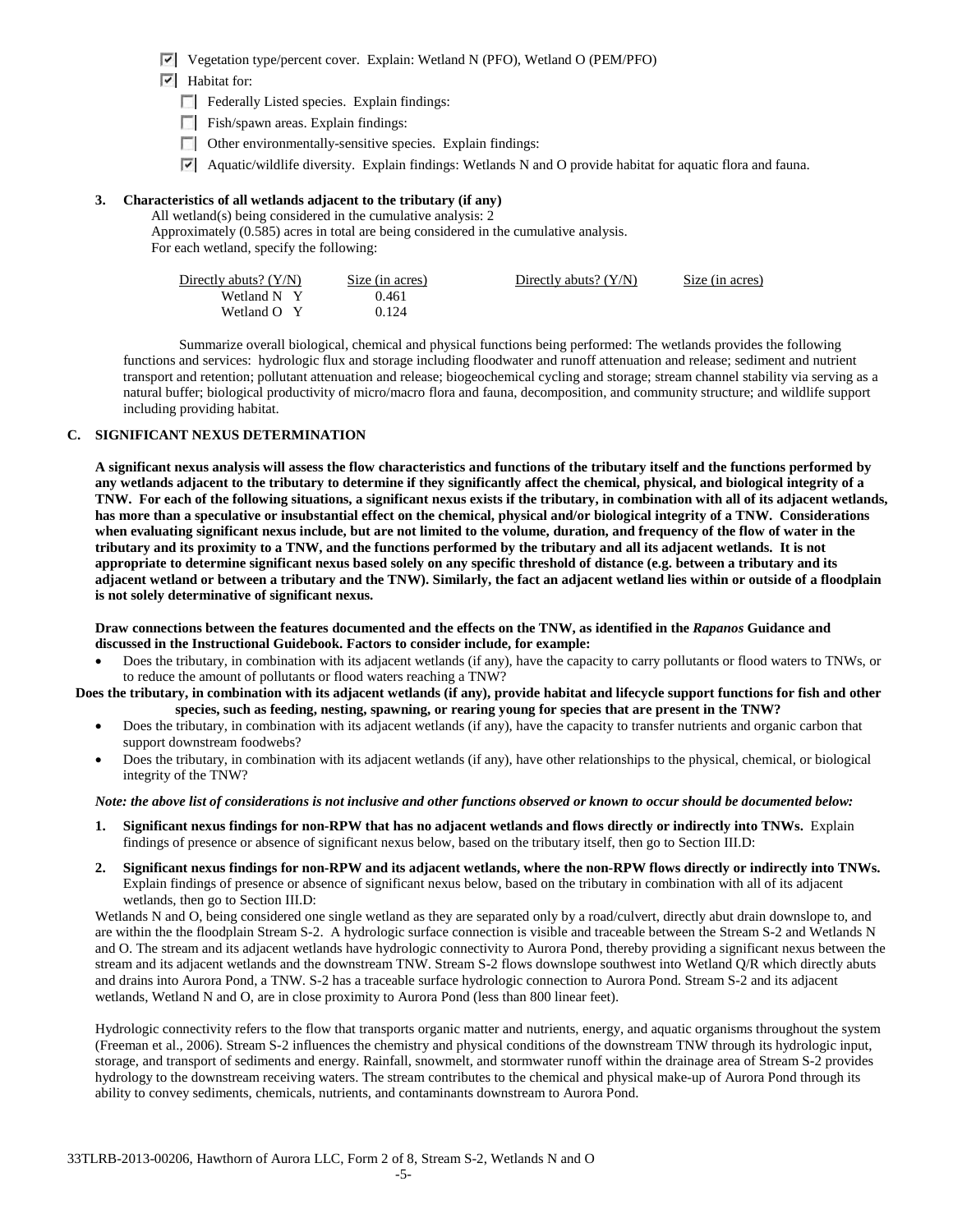- Vegetation type/percent cover. Explain: Wetland N (PFO), Wetland O (PEM/PFO)
- $\overline{\triangledown}$  Habitat for:
	- F Federally Listed species. Explain findings:
	- $\Box$  Fish/spawn areas. Explain findings:
	- $\Box$  Other environmentally-sensitive species. Explain findings:
	- $\triangledown$  Aquatic/wildlife diversity. Explain findings: Wetlands N and O provide habitat for aquatic flora and fauna.

## **3. Characteristics of all wetlands adjacent to the tributary (if any)**

All wetland(s) being considered in the cumulative analysis: 2 Approximately (0.585) acres in total are being considered in the cumulative analysis. For each wetland, specify the following:

| Directly abuts? $(Y/N)$ | Size (in acres) | Directly abuts? $(Y/N)$ | Size (in acres) |
|-------------------------|-----------------|-------------------------|-----------------|
| Wetland N Y             | 0.461           |                         |                 |
| Wetland O Y             | 0.124           |                         |                 |

Summarize overall biological, chemical and physical functions being performed: The wetlands provides the following functions and services: hydrologic flux and storage including floodwater and runoff attenuation and release; sediment and nutrient transport and retention; pollutant attenuation and release; biogeochemical cycling and storage; stream channel stability via serving as a natural buffer; biological productivity of micro/macro flora and fauna, decomposition, and community structure; and wildlife support including providing habitat.

## **C. SIGNIFICANT NEXUS DETERMINATION**

**A significant nexus analysis will assess the flow characteristics and functions of the tributary itself and the functions performed by any wetlands adjacent to the tributary to determine if they significantly affect the chemical, physical, and biological integrity of a TNW. For each of the following situations, a significant nexus exists if the tributary, in combination with all of its adjacent wetlands, has more than a speculative or insubstantial effect on the chemical, physical and/or biological integrity of a TNW. Considerations when evaluating significant nexus include, but are not limited to the volume, duration, and frequency of the flow of water in the tributary and its proximity to a TNW, and the functions performed by the tributary and all its adjacent wetlands. It is not appropriate to determine significant nexus based solely on any specific threshold of distance (e.g. between a tributary and its adjacent wetland or between a tributary and the TNW). Similarly, the fact an adjacent wetland lies within or outside of a floodplain is not solely determinative of significant nexus.** 

**Draw connections between the features documented and the effects on the TNW, as identified in the** *Rapanos* **Guidance and discussed in the Instructional Guidebook. Factors to consider include, for example:**

• Does the tributary, in combination with its adjacent wetlands (if any), have the capacity to carry pollutants or flood waters to TNWs, or to reduce the amount of pollutants or flood waters reaching a TNW?

**Does the tributary, in combination with its adjacent wetlands (if any), provide habitat and lifecycle support functions for fish and other species, such as feeding, nesting, spawning, or rearing young for species that are present in the TNW?** 

- Does the tributary, in combination with its adjacent wetlands (if any), have the capacity to transfer nutrients and organic carbon that support downstream foodwebs?
- Does the tributary, in combination with its adjacent wetlands (if any), have other relationships to the physical, chemical, or biological integrity of the TNW?

#### *Note: the above list of considerations is not inclusive and other functions observed or known to occur should be documented below:*

- **1. Significant nexus findings for non-RPW that has no adjacent wetlands and flows directly or indirectly into TNWs.** Explain findings of presence or absence of significant nexus below, based on the tributary itself, then go to Section III.D:
- **2. Significant nexus findings for non-RPW and its adjacent wetlands, where the non-RPW flows directly or indirectly into TNWs.**  Explain findings of presence or absence of significant nexus below, based on the tributary in combination with all of its adjacent wetlands, then go to Section III.D:

Wetlands N and O, being considered one single wetland as they are separated only by a road/culvert, directly abut drain downslope to, and are within the the floodplain Stream S-2. A hydrologic surface connection is visible and traceable between the Stream S-2 and Wetlands N and O. The stream and its adjacent wetlands have hydrologic connectivity to Aurora Pond, thereby providing a significant nexus between the stream and its adjacent wetlands and the downstream TNW. Stream S-2 flows downslope southwest into Wetland Q/R which directly abuts and drains into Aurora Pond, a TNW. S-2 has a traceable surface hydrologic connection to Aurora Pond. Stream S-2 and its adjacent wetlands, Wetland N and O, are in close proximity to Aurora Pond (less than 800 linear feet).

Hydrologic connectivity refers to the flow that transports organic matter and nutrients, energy, and aquatic organisms throughout the system (Freeman et al., 2006). Stream S-2 influences the chemistry and physical conditions of the downstream TNW through its hydrologic input, storage, and transport of sediments and energy. Rainfall, snowmelt, and stormwater runoff within the drainage area of Stream S-2 provides hydrology to the downstream receiving waters. The stream contributes to the chemical and physical make-up of Aurora Pond through its ability to convey sediments, chemicals, nutrients, and contaminants downstream to Aurora Pond.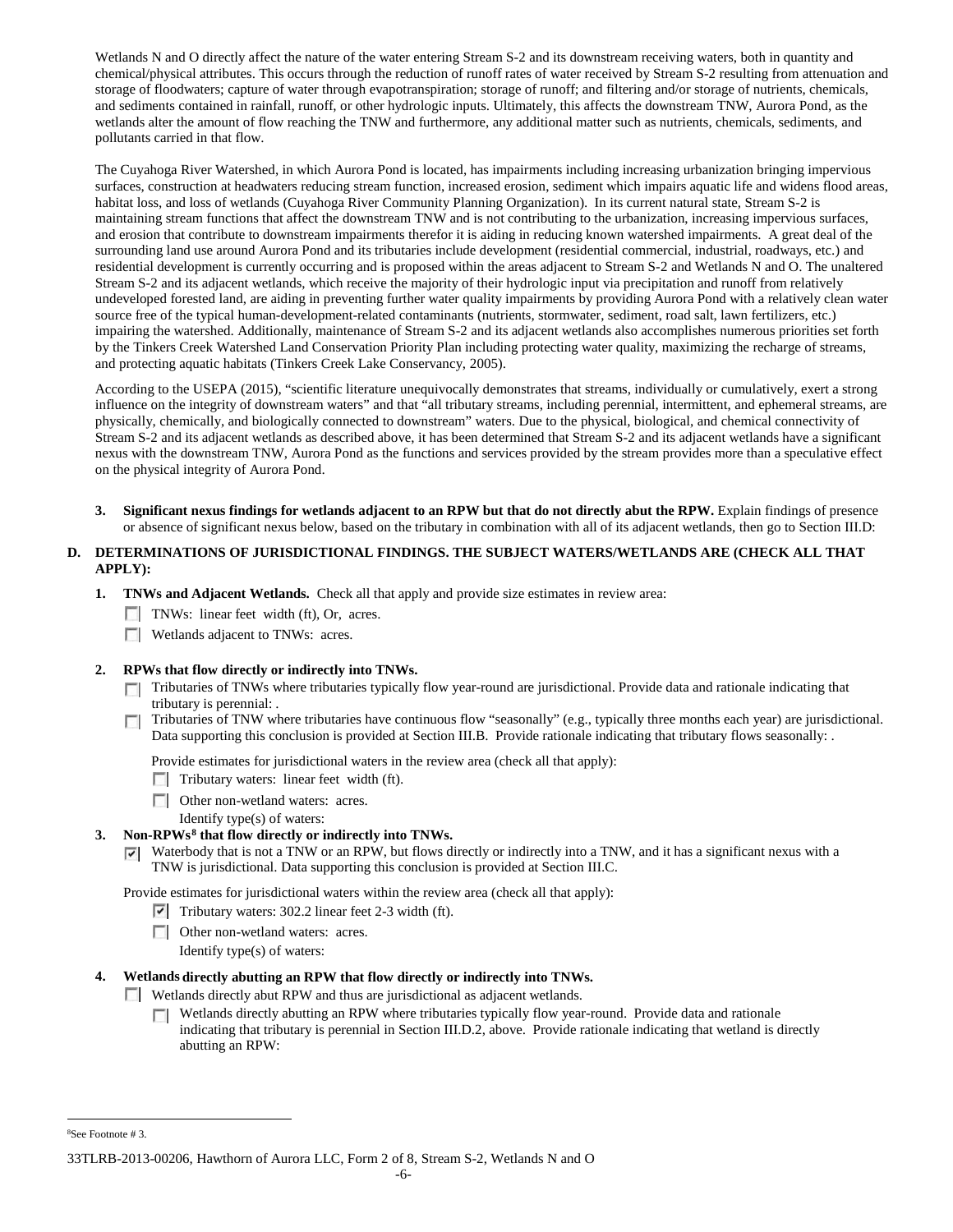Wetlands N and O directly affect the nature of the water entering Stream S-2 and its downstream receiving waters, both in quantity and chemical/physical attributes. This occurs through the reduction of runoff rates of water received by Stream S-2 resulting from attenuation and storage of floodwaters; capture of water through evapotranspiration; storage of runoff; and filtering and/or storage of nutrients, chemicals, and sediments contained in rainfall, runoff, or other hydrologic inputs. Ultimately, this affects the downstream TNW, Aurora Pond, as the wetlands alter the amount of flow reaching the TNW and furthermore, any additional matter such as nutrients, chemicals, sediments, and pollutants carried in that flow.

The Cuyahoga River Watershed, in which Aurora Pond is located, has impairments including increasing urbanization bringing impervious surfaces, construction at headwaters reducing stream function, increased erosion, sediment which impairs aquatic life and widens flood areas, habitat loss, and loss of wetlands (Cuyahoga River Community Planning Organization). In its current natural state, Stream S-2 is maintaining stream functions that affect the downstream TNW and is not contributing to the urbanization, increasing impervious surfaces, and erosion that contribute to downstream impairments therefor it is aiding in reducing known watershed impairments. A great deal of the surrounding land use around Aurora Pond and its tributaries include development (residential commercial, industrial, roadways, etc.) and residential development is currently occurring and is proposed within the areas adjacent to Stream S-2 and Wetlands N and O. The unaltered Stream S-2 and its adjacent wetlands, which receive the majority of their hydrologic input via precipitation and runoff from relatively undeveloped forested land, are aiding in preventing further water quality impairments by providing Aurora Pond with a relatively clean water source free of the typical human-development-related contaminants (nutrients, stormwater, sediment, road salt, lawn fertilizers, etc.) impairing the watershed. Additionally, maintenance of Stream S-2 and its adjacent wetlands also accomplishes numerous priorities set forth by the Tinkers Creek Watershed Land Conservation Priority Plan including protecting water quality, maximizing the recharge of streams, and protecting aquatic habitats (Tinkers Creek Lake Conservancy, 2005).

According to the USEPA (2015), "scientific literature unequivocally demonstrates that streams, individually or cumulatively, exert a strong influence on the integrity of downstream waters" and that "all tributary streams, including perennial, intermittent, and ephemeral streams, are physically, chemically, and biologically connected to downstream" waters. Due to the physical, biological, and chemical connectivity of Stream S-2 and its adjacent wetlands as described above, it has been determined that Stream S-2 and its adjacent wetlands have a significant nexus with the downstream TNW, Aurora Pond as the functions and services provided by the stream provides more than a speculative effect on the physical integrity of Aurora Pond.

**3. Significant nexus findings for wetlands adjacent to an RPW but that do not directly abut the RPW.** Explain findings of presence or absence of significant nexus below, based on the tributary in combination with all of its adjacent wetlands, then go to Section III.D:

# **D. DETERMINATIONS OF JURISDICTIONAL FINDINGS. THE SUBJECT WATERS/WETLANDS ARE (CHECK ALL THAT APPLY):**

- **1. TNWs and Adjacent Wetlands.** Check all that apply and provide size estimates in review area:
	- TNWs: linear feet width (ft), Or, acres.
	- **Wetlands adjacent to TNWs: acres.**

# **2. RPWs that flow directly or indirectly into TNWs.**

- Tributaries of TNWs where tributaries typically flow year-round are jurisdictional. Provide data and rationale indicating that tributary is perennial: .
- Tributaries of TNW where tributaries have continuous flow "seasonally" (e.g., typically three months each year) are jurisdictional. Data supporting this conclusion is provided at Section III.B. Provide rationale indicating that tributary flows seasonally: .

Provide estimates for jurisdictional waters in the review area (check all that apply):

- $\Box$  Tributary waters: linear feet width (ft).
- **Other non-wetland waters: acres.** 
	- Identify type(s) of waters:

# **3. Non-RPWs[8](#page-13-0) that flow directly or indirectly into TNWs.**

 $\triangledown$  Waterbody that is not a TNW or an RPW, but flows directly or indirectly into a TNW, and it has a significant nexus with a TNW is jurisdictional. Data supporting this conclusion is provided at Section III.C.

Provide estimates for jurisdictional waters within the review area (check all that apply):

- $\triangledown$  Tributary waters: 302.2 linear feet 2-3 width (ft).
- **Other non-wetland waters: acres.** 
	- Identify type(s) of waters:

#### **4. Wetlands directly abutting an RPW that flow directly or indirectly into TNWs.**

- Wetlands directly abut RPW and thus are jurisdictional as adjacent wetlands.
	- $\Box$ Wetlands directly abutting an RPW where tributaries typically flow year-round. Provide data and rationale indicating that tributary is perennial in Section III.D.2, above. Provide rationale indicating that wetland is directly abutting an RPW:

<span id="page-13-0"></span> $\frac{1}{8}$ See Footnote # 3.

<sup>33</sup>TLRB-2013-00206, Hawthorn of Aurora LLC, Form 2 of 8, Stream S-2, Wetlands N and O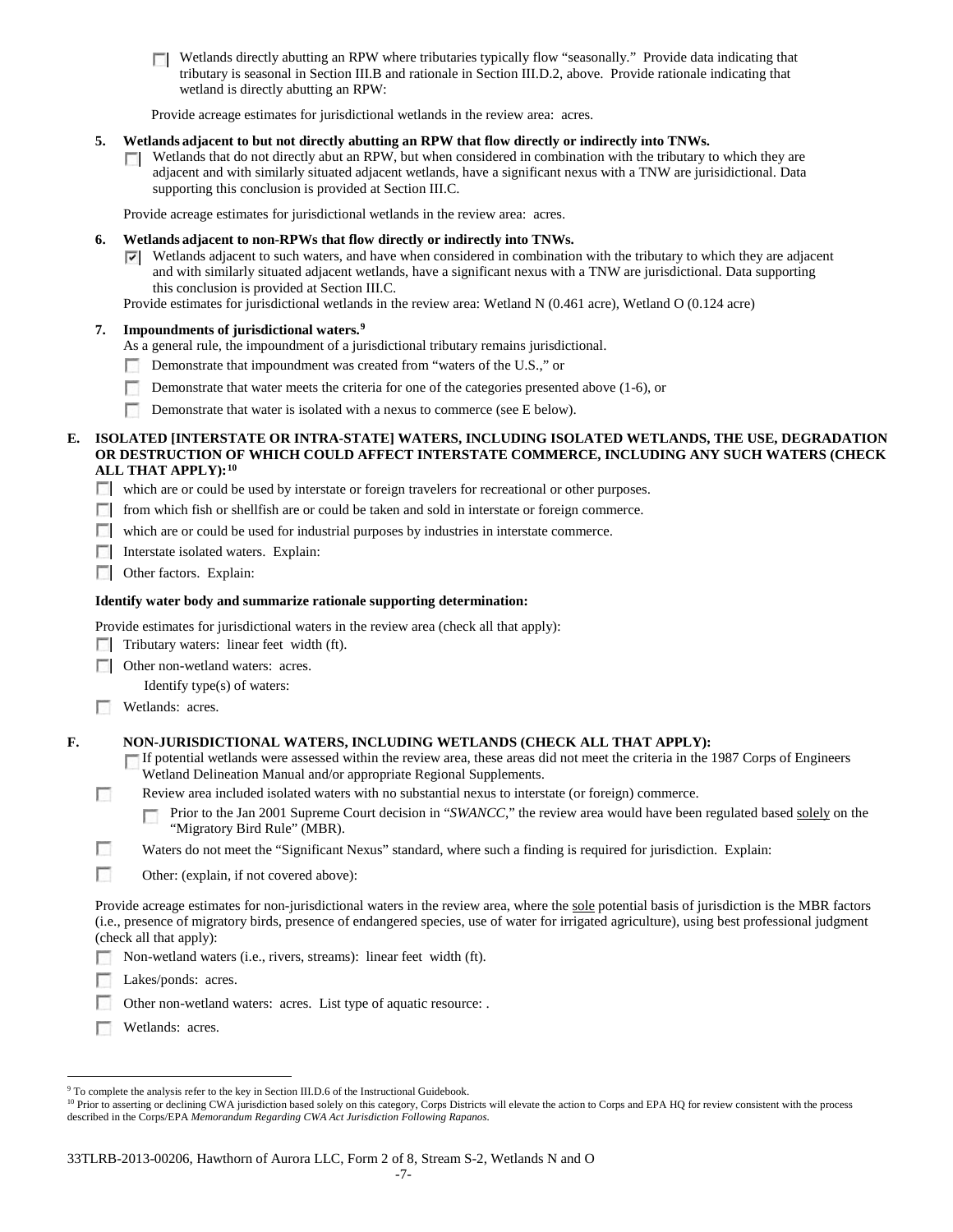**T** Wetlands directly abutting an RPW where tributaries typically flow "seasonally." Provide data indicating that tributary is seasonal in Section III.B and rationale in Section III.D.2, above. Provide rationale indicating that wetland is directly abutting an RPW:

Provide acreage estimates for jurisdictional wetlands in the review area: acres.

# **5. Wetlands adjacent to but not directly abutting an RPW that flow directly or indirectly into TNWs.**

 $\Box$  Wetlands that do not directly abut an RPW, but when considered in combination with the tributary to which they are adjacent and with similarly situated adjacent wetlands, have a significant nexus with a TNW are jurisidictional. Data supporting this conclusion is provided at Section III.C.

Provide acreage estimates for jurisdictional wetlands in the review area: acres.

### **6. Wetlands adjacent to non-RPWs that flow directly or indirectly into TNWs.**

- $\nabla$  Wetlands adjacent to such waters, and have when considered in combination with the tributary to which they are adjacent and with similarly situated adjacent wetlands, have a significant nexus with a TNW are jurisdictional. Data supporting this conclusion is provided at Section III.C.
- Provide estimates for jurisdictional wetlands in the review area: Wetland N (0.461 acre), Wetland O (0.124 acre)

## **7. Impoundments of jurisdictional waters. [9](#page-14-0)**

- As a general rule, the impoundment of a jurisdictional tributary remains jurisdictional.
- Demonstrate that impoundment was created from "waters of the U.S.," or
- n Demonstrate that water meets the criteria for one of the categories presented above (1-6), or
- $\sim$ Demonstrate that water is isolated with a nexus to commerce (see E below).

## **E. ISOLATED [INTERSTATE OR INTRA-STATE] WATERS, INCLUDING ISOLATED WETLANDS, THE USE, DEGRADATION OR DESTRUCTION OF WHICH COULD AFFECT INTERSTATE COMMERCE, INCLUDING ANY SUCH WATERS (CHECK ALL THAT APPLY):[10](#page-14-1)**

- which are or could be used by interstate or foreign travelers for recreational or other purposes.
- from which fish or shellfish are or could be taken and sold in interstate or foreign commerce.
- which are or could be used for industrial purposes by industries in interstate commerce.
- **Interstate isolated waters. Explain:**
- **Other factors.** Explain:

## **Identify water body and summarize rationale supporting determination:**

Provide estimates for jurisdictional waters in the review area (check all that apply):

 $\Box$  Tributary waters: linear feet width (ft).

**Other non-wetland waters: acres.** 

Identify type(s) of waters:

**Wetlands:** acres.

**Tale** 

# **F. NON-JURISDICTIONAL WATERS, INCLUDING WETLANDS (CHECK ALL THAT APPLY):**

- If potential wetlands were assessed within the review area, these areas did not meet the criteria in the 1987 Corps of Engineers Wetland Delineation Manual and/or appropriate Regional Supplements.
- Review area included isolated waters with no substantial nexus to interstate (or foreign) commerce.
	- Prior to the Jan 2001 Supreme Court decision in "*SWANCC*," the review area would have been regulated based solely on the п "Migratory Bird Rule" (MBR).
- г Waters do not meet the "Significant Nexus" standard, where such a finding is required for jurisdiction. Explain:
- П Other: (explain, if not covered above):

Provide acreage estimates for non-jurisdictional waters in the review area, where the sole potential basis of jurisdiction is the MBR factors (i.e., presence of migratory birds, presence of endangered species, use of water for irrigated agriculture), using best professional judgment (check all that apply):

Non-wetland waters (i.e., rivers, streams): linear feet width (ft).

Lakes/ponds: acres.

Other non-wetland waters: acres. List type of aquatic resource: .

**Wetlands: acres.** 

<span id="page-14-0"></span><sup>&</sup>lt;sup>9</sup> To complete the analysis refer to the key in Section III.D.6 of the Instructional Guidebook.

<span id="page-14-1"></span><sup>&</sup>lt;sup>10</sup> Prior to asserting or declining CWA jurisdiction based solely on this category, Corps Districts will elevate the action to Corps and EPA HQ for review consistent with the process described in the Corps/EPA *Memorandum Regarding CWA Act Jurisdiction Following Rapanos.*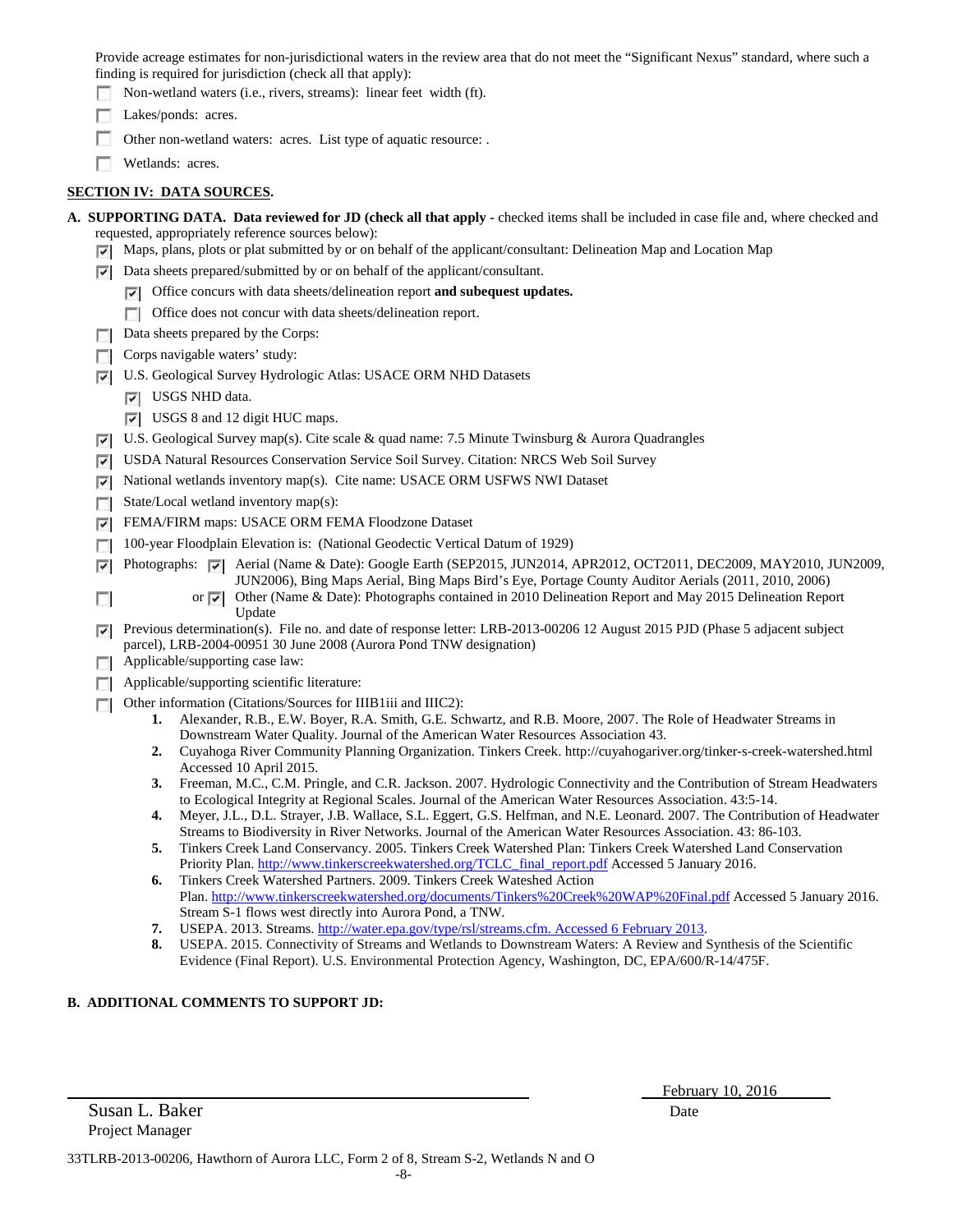Provide acreage estimates for non-jurisdictional waters in the review area that do not meet the "Significant Nexus" standard, where such a finding is required for jurisdiction (check all that apply):

Non-wetland waters (i.e., rivers, streams): linear feet width (ft).

Lakes/ponds: acres.

Other non-wetland waters: acres. List type of aquatic resource: .

Wetlands: acres.

# **SECTION IV: DATA SOURCES.**

| A. SUPPORTING DATA. Data reviewed for JD (check all that apply - checked items shall be included in case file and, where checked and |  |
|--------------------------------------------------------------------------------------------------------------------------------------|--|
| requested, appropriately reference sources below):                                                                                   |  |

- $\triangledown$  Maps, plans, plots or plat submitted by or on behalf of the applicant/consultant: Delineation Map and Location Map
- $\triangleright$  Data sheets prepared/submitted by or on behalf of the applicant/consultant.
	- Office concurs with data sheets/delineation report **and subequest updates.**
	- Office does not concur with data sheets/delineation report.
- Data sheets prepared by the Corps:
- $\Box$  Corps navigable waters' study:
- U.S. Geological Survey Hydrologic Atlas: USACE ORM NHD Datasets
	- **V** USGS NHD data.
	- USGS 8 and 12 digit HUC maps.
- $\triangledown$  U.S. Geological Survey map(s). Cite scale & quad name: 7.5 Minute Twinsburg & Aurora Quadrangles
- USDA Natural Resources Conservation Service Soil Survey. Citation: NRCS Web Soil Survey
- National wetlands inventory map(s). Cite name: USACE ORM USFWS NWI Dataset
- State/Local wetland inventory map(s):
- FEMA/FIRM maps: USACE ORM FEMA Floodzone Dataset
- 100-year Floodplain Elevation is: (National Geodectic Vertical Datum of 1929)
- Photographs: Aerial (Name & Date): Google Earth (SEP2015, JUN2014, APR2012, OCT2011, DEC2009, MAY2010, JUN2009, JUN2006), Bing Maps Aerial, Bing Maps Bird's Eye, Portage County Auditor Aerials (2011, 2010, 2006)
	- or  $\blacktriangledown$  Other (Name & Date): Photographs contained in 2010 Delineation Report and May 2015 Delineation Report Update
- Previous determination(s). File no. and date of response letter: LRB-2013-00206 12 August 2015 PJD (Phase 5 adjacent subject parcel), LRB-2004-00951 30 June 2008 (Aurora Pond TNW designation)
- **Applicable/supporting case law:**

 $\sim$ 

- **Applicable/supporting scientific literature:**
- Other information (Citations/Sources for IIIB1iii and IIIC2):
	- **1.** Alexander, R.B., E.W. Boyer, R.A. Smith, G.E. Schwartz, and R.B. Moore, 2007. The Role of Headwater Streams in Downstream Water Quality. Journal of the American Water Resources Association 43.
	- **2.** Cuyahoga River Community Planning Organization. Tinkers Creek. http://cuyahogariver.org/tinker-s-creek-watershed.html Accessed 10 April 2015.
	- **3.** Freeman, M.C., C.M. Pringle, and C.R. Jackson. 2007. Hydrologic Connectivity and the Contribution of Stream Headwaters to Ecological Integrity at Regional Scales. Journal of the American Water Resources Association. 43:5-14.
	- **4.** Meyer, J.L., D.L. Strayer, J.B. Wallace, S.L. Eggert, G.S. Helfman, and N.E. Leonard. 2007. The Contribution of Headwater Streams to Biodiversity in River Networks. Journal of the American Water Resources Association. 43: 86-103.
	- **5.** Tinkers Creek Land Conservancy. 2005. Tinkers Creek Watershed Plan: Tinkers Creek Watershed Land Conservation Priority Plan[. http://www.tinkerscreekwatershed.org/TCLC\\_final\\_report.pdf](http://www.tinkerscreekwatershed.org/TCLC_final_report.pdf) Accessed 5 January 2016.
	- **6.** Tinkers Creek Watershed Partners. 2009. Tinkers Creek Wateshed Action Plan.<http://www.tinkerscreekwatershed.org/documents/Tinkers%20Creek%20WAP%20Final.pdf> Accessed 5 January 2016. Stream S-1 flows west directly into Aurora Pond, a TNW.
	- **7.** USEPA. 2013. Streams[. http://water.epa.gov/type/rsl/streams.cfm. Accessed 6 February 2013.](http://water.epa.gov/type/rsl/streams.cfm.%20Accessed%206%20February%202013)
	- **8.** USEPA. 2015. Connectivity of Streams and Wetlands to Downstream Waters: A Review and Synthesis of the Scientific Evidence (Final Report). U.S. Environmental Protection Agency, Washington, DC, EPA/600/R-14/475F.

# **B. ADDITIONAL COMMENTS TO SUPPORT JD:**

| Susan L. Baker  | Date |
|-----------------|------|
| Project Manager |      |

February 10, 2016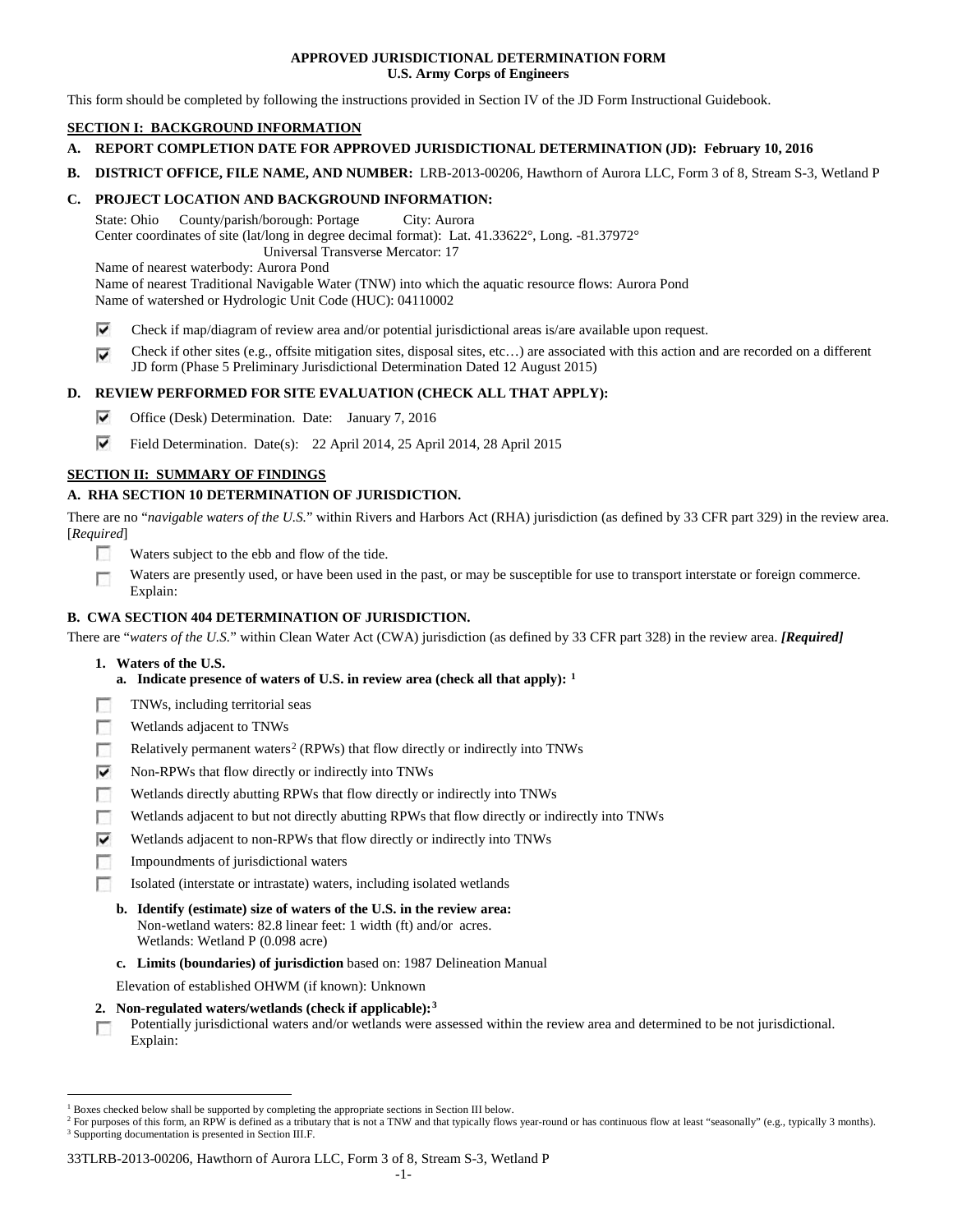## **APPROVED JURISDICTIONAL DETERMINATION FORM U.S. Army Corps of Engineers**

This form should be completed by following the instructions provided in Section IV of the JD Form Instructional Guidebook.

# **SECTION I: BACKGROUND INFORMATION**

- **A. REPORT COMPLETION DATE FOR APPROVED JURISDICTIONAL DETERMINATION (JD): February 10, 2016**
- **B. DISTRICT OFFICE, FILE NAME, AND NUMBER:** LRB-2013-00206, Hawthorn of Aurora LLC, Form 3 of 8, Stream S-3, Wetland P

## **C. PROJECT LOCATION AND BACKGROUND INFORMATION:**

State: Ohio County/parish/borough: Portage City: Aurora Center coordinates of site (lat/long in degree decimal format): Lat. 41.33622°, Long. -81.37972° Universal Transverse Mercator: 17

Name of nearest waterbody: Aurora Pond

Name of nearest Traditional Navigable Water (TNW) into which the aquatic resource flows: Aurora Pond Name of watershed or Hydrologic Unit Code (HUC): 04110002

- ⊽ Check if map/diagram of review area and/or potential jurisdictional areas is/are available upon request.
- Check if other sites (e.g., offsite mitigation sites, disposal sites, etc…) are associated with this action and are recorded on a different ⊽ JD form (Phase 5 Preliminary Jurisdictional Determination Dated 12 August 2015)

# **D. REVIEW PERFORMED FOR SITE EVALUATION (CHECK ALL THAT APPLY):**

- ⊽ Office (Desk) Determination. Date: January 7, 2016
- ⊽ Field Determination. Date(s): 22 April 2014, 25 April 2014, 28 April 2015

# **SECTION II: SUMMARY OF FINDINGS**

# **A. RHA SECTION 10 DETERMINATION OF JURISDICTION.**

There are no "*navigable waters of the U.S.*" within Rivers and Harbors Act (RHA) jurisdiction (as defined by 33 CFR part 329) in the review area. [*Required*]

- n Waters subject to the ebb and flow of the tide.
- Waters are presently used, or have been used in the past, or may be susceptible for use to transport interstate or foreign commerce. п Explain:

# **B. CWA SECTION 404 DETERMINATION OF JURISDICTION.**

There are "*waters of the U.S.*" within Clean Water Act (CWA) jurisdiction (as defined by 33 CFR part 328) in the review area. *[Required]*

- **1. Waters of the U.S.**
	- **a. Indicate presence of waters of U.S. in review area (check all that apply): [1](#page-16-0)**
- F TNWs, including territorial seas
- п Wetlands adjacent to TNWs
- Relatively permanent waters<sup>[2](#page-16-1)</sup> (RPWs) that flow directly or indirectly into TNWs п
- ⊽ Non-RPWs that flow directly or indirectly into TNWs
- п Wetlands directly abutting RPWs that flow directly or indirectly into TNWs
- Wetlands adjacent to but not directly abutting RPWs that flow directly or indirectly into TNWs n
- ⊽ Wetlands adjacent to non-RPWs that flow directly or indirectly into TNWs
- Impoundments of jurisdictional waters
- Isolated (interstate or intrastate) waters, including isolated wetlands
	- **b. Identify (estimate) size of waters of the U.S. in the review area:** Non-wetland waters: 82.8 linear feet: 1 width (ft) and/or acres. Wetlands: Wetland P (0.098 acre)
	- **c. Limits (boundaries) of jurisdiction** based on: 1987 Delineation Manual

Elevation of established OHWM (if known): Unknown

- **2. Non-regulated waters/wetlands (check if applicable):[3](#page-16-2)**
- Potentially jurisdictional waters and/or wetlands were assessed within the review area and determined to be not jurisdictional. п Explain:

#### 33TLRB-2013-00206, Hawthorn of Aurora LLC, Form 3 of 8, Stream S-3, Wetland P

<span id="page-16-0"></span><sup>&</sup>lt;sup>1</sup> Boxes checked below shall be supported by completing the appropriate sections in Section III below.

<span id="page-16-2"></span><span id="page-16-1"></span><sup>&</sup>lt;sup>2</sup> For purposes of this form, an RPW is defined as a tributary that is not a TNW and that typically flows year-round or has continuous flow at least "seasonally" (e.g., typically 3 months). <sup>3</sup> Supporting documentation is presented in Section III.F.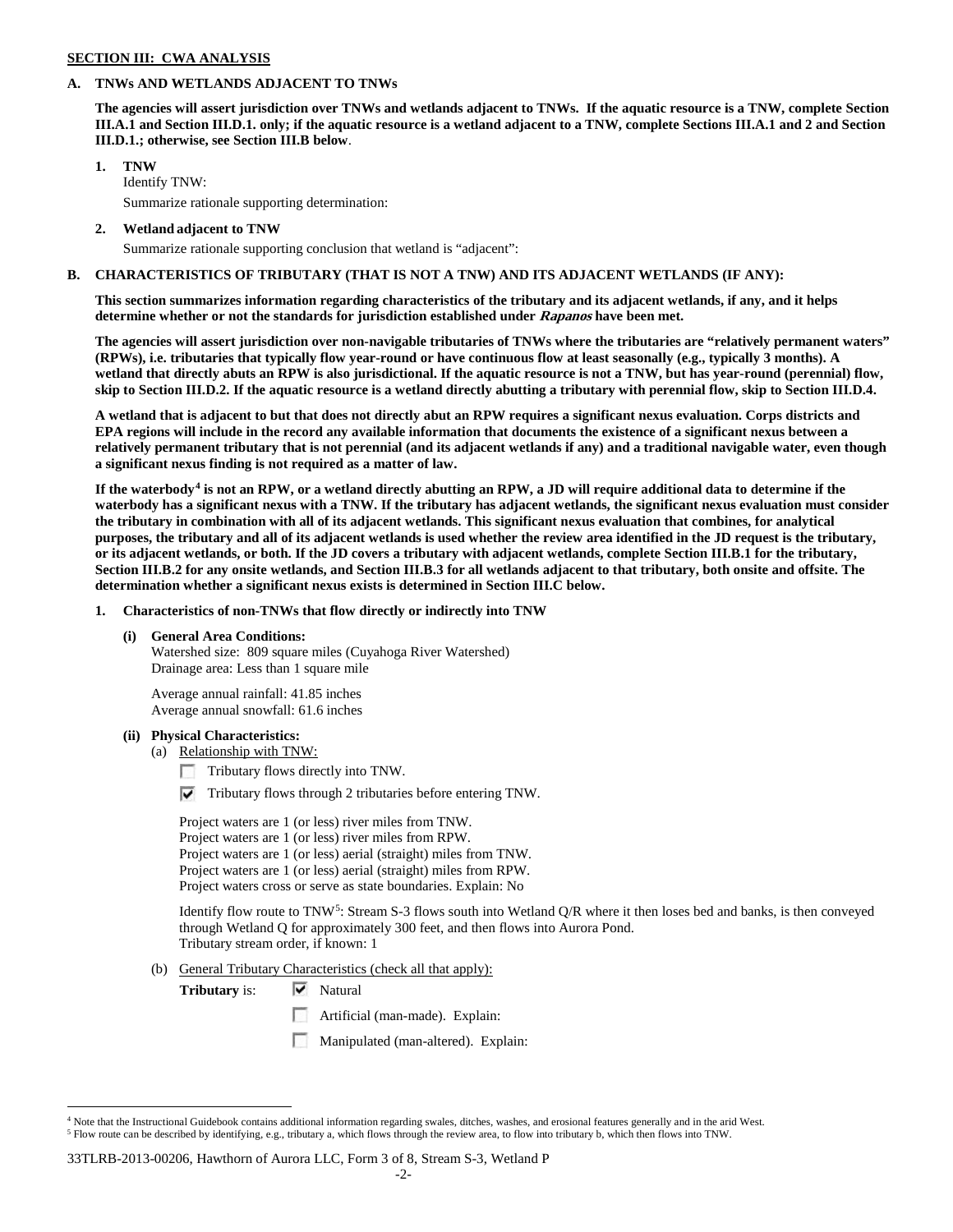#### **SECTION III: CWA ANALYSIS**

### **A. TNWs AND WETLANDS ADJACENT TO TNWs**

**The agencies will assert jurisdiction over TNWs and wetlands adjacent to TNWs. If the aquatic resource is a TNW, complete Section III.A.1 and Section III.D.1. only; if the aquatic resource is a wetland adjacent to a TNW, complete Sections III.A.1 and 2 and Section III.D.1.; otherwise, see Section III.B below**.

## **1. TNW**

Identify TNW: Summarize rationale supporting determination:

**2. Wetland adjacent to TNW**

Summarize rationale supporting conclusion that wetland is "adjacent":

## **B. CHARACTERISTICS OF TRIBUTARY (THAT IS NOT A TNW) AND ITS ADJACENT WETLANDS (IF ANY):**

**This section summarizes information regarding characteristics of the tributary and its adjacent wetlands, if any, and it helps determine whether or not the standards for jurisdiction established under Rapanos have been met.** 

**The agencies will assert jurisdiction over non-navigable tributaries of TNWs where the tributaries are "relatively permanent waters" (RPWs), i.e. tributaries that typically flow year-round or have continuous flow at least seasonally (e.g., typically 3 months). A wetland that directly abuts an RPW is also jurisdictional. If the aquatic resource is not a TNW, but has year-round (perennial) flow, skip to Section III.D.2. If the aquatic resource is a wetland directly abutting a tributary with perennial flow, skip to Section III.D.4.**

**A wetland that is adjacent to but that does not directly abut an RPW requires a significant nexus evaluation. Corps districts and EPA regions will include in the record any available information that documents the existence of a significant nexus between a relatively permanent tributary that is not perennial (and its adjacent wetlands if any) and a traditional navigable water, even though a significant nexus finding is not required as a matter of law.**

**If the waterbody[4](#page-17-0) is not an RPW, or a wetland directly abutting an RPW, a JD will require additional data to determine if the waterbody has a significant nexus with a TNW. If the tributary has adjacent wetlands, the significant nexus evaluation must consider the tributary in combination with all of its adjacent wetlands. This significant nexus evaluation that combines, for analytical purposes, the tributary and all of its adjacent wetlands is used whether the review area identified in the JD request is the tributary, or its adjacent wetlands, or both. If the JD covers a tributary with adjacent wetlands, complete Section III.B.1 for the tributary, Section III.B.2 for any onsite wetlands, and Section III.B.3 for all wetlands adjacent to that tributary, both onsite and offsite. The determination whether a significant nexus exists is determined in Section III.C below.**

**1. Characteristics of non-TNWs that flow directly or indirectly into TNW**

## **(i) General Area Conditions:**

Watershed size: 809 square miles (Cuyahoga River Watershed) Drainage area: Less than 1 square mile

Average annual rainfall: 41.85 inches Average annual snowfall: 61.6 inches

#### **(ii) Physical Characteristics:**

- (a) Relationship with TNW:
	- Tributary flows directly into TNW.

 $\triangledown$  Tributary flows through 2 tributaries before entering TNW.

Project waters are 1 (or less) river miles from TNW. Project waters are 1 (or less) river miles from RPW. Project waters are 1 (or less) aerial (straight) miles from TNW. Project waters are 1 (or less) aerial (straight) miles from RPW. Project waters cross or serve as state boundaries. Explain: No

Identify flow route to TNW[5:](#page-17-1) Stream S-3 flows south into Wetland Q/R where it then loses bed and banks, is then conveyed through Wetland Q for approximately 300 feet, and then flows into Aurora Pond. Tributary stream order, if known: 1

(b) General Tributary Characteristics (check all that apply):

**Tributary** is:  $\overline{\mathbf{v}}$  Natural

- **Artificial (man-made). Explain:**
- Manipulated (man-altered). Explain:

#### 33TLRB-2013-00206, Hawthorn of Aurora LLC, Form 3 of 8, Stream S-3, Wetland P

<span id="page-17-1"></span><span id="page-17-0"></span> $4$  Note that the Instructional Guidebook contains additional information regarding swales, ditches, washes, and erosional features generally and in the arid West. <sup>5</sup> Flow route can be described by identifying, e.g., tributary a, which flows through the review area, to flow into tributary b, which then flows into TNW.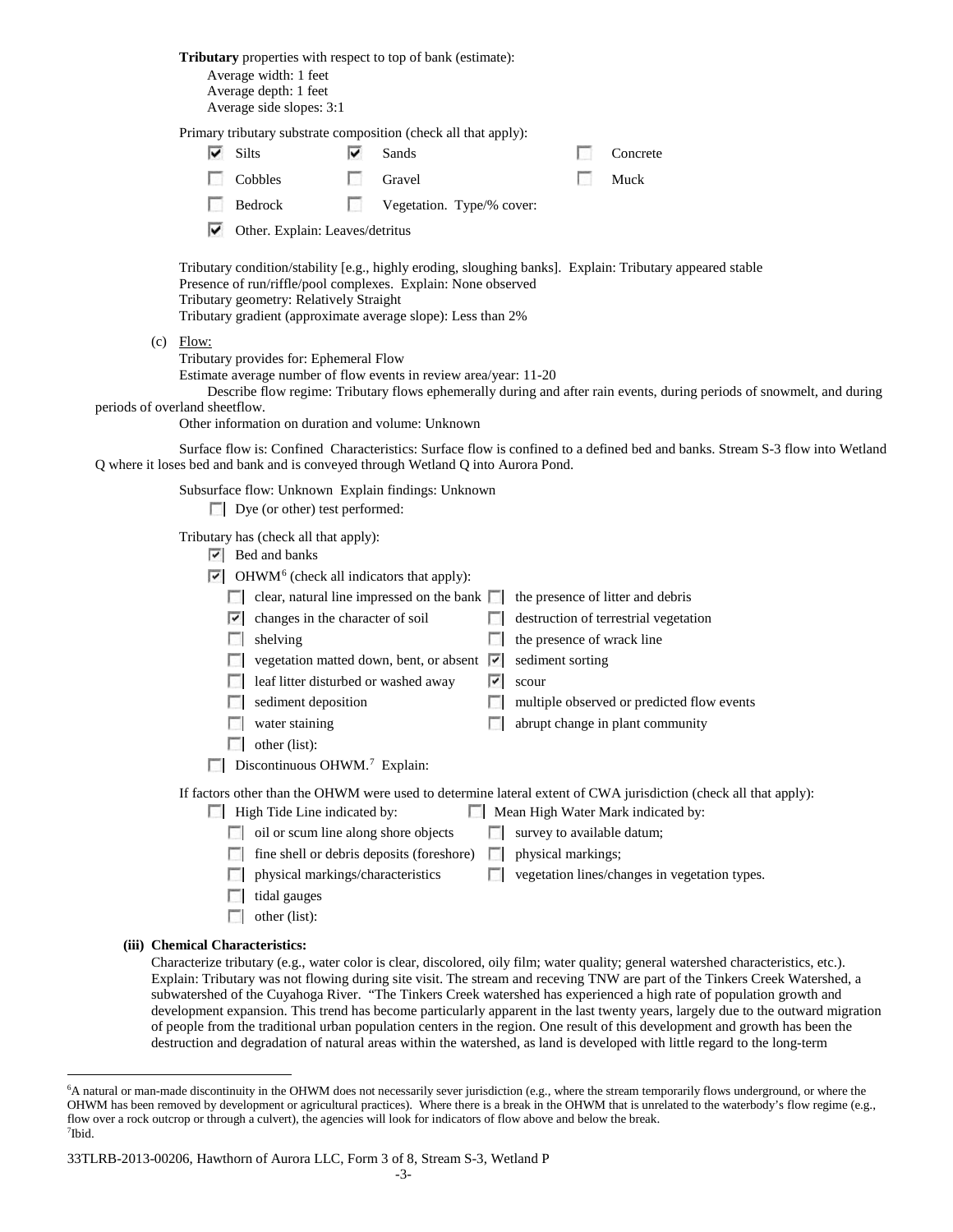**Tributary** properties with respect to top of bank (estimate): Average width: 1 feet Average depth: 1 feet Average side slopes: 3:1 Primary tributary substrate composition (check all that apply): ⊽ Silts **v** Sands Concrete  $\sim$ Cobbles Gravel Gravel Muck  $\sim$ Bedrock Vegetation. Type/% cover: ⊽ Other. Explain: Leaves/detritus Tributary condition/stability [e.g., highly eroding, sloughing banks]. Explain: Tributary appeared stable Presence of run/riffle/pool complexes. Explain: None observed Tributary geometry: Relatively Straight Tributary gradient (approximate average slope): Less than 2%  $(c)$  Flow: Tributary provides for: Ephemeral Flow Estimate average number of flow events in review area/year: 11-20 Describe flow regime: Tributary flows ephemerally during and after rain events, during periods of snowmelt, and during periods of overland sheetflow. Other information on duration and volume: Unknown Surface flow is: Confined Characteristics: Surface flow is confined to a defined bed and banks. Stream S-3 flow into Wetland Q where it loses bed and bank and is conveyed through Wetland Q into Aurora Pond. Subsurface flow: Unknown Explain findings: Unknown Dye (or other) test performed: Tributary has (check all that apply):  $\triangleright$  Bed and banks  $\triangleright$  OHWM<sup>[6](#page-18-0)</sup> (check all indicators that apply):  $\Box$  clear, natural line impressed on the bank  $\Box$  the presence of litter and debris  $\Box$  changes in the character of soil  $\Box$  destruction of terrestrial vegetation  $\Box$  shelving the presence of wrack line vegetation matted down, bent, or absent  $\vert \cdot \vert$  sediment sorting  $\Box$  leaf litter disturbed or washed away  $\Box$  scour  $\Box$  sediment deposition  $\Box$  multiple observed or predicted flow events **abrupt change in plant community** abrupt change in plant community  $\Box$  other (list):  $\Box$  Discontinuous OHWM.<sup>7</sup> Explain: If factors other than the OHWM were used to determine lateral extent of CWA jurisdiction (check all that apply): High Tide Line indicated by: Mean High Water Mark indicated by:  $\Box$  oil or scum line along shore objects  $\Box$  survey to available datum;  $\Box$  fine shell or debris deposits (foreshore)  $\Box$  physical markings;  $\Box$  physical markings/characteristics  $\Box$  vegetation lines/changes in vegetation types.  $\Box$  tidal gauges  $\Box$  other (list): **(iii) Chemical Characteristics:** Characterize tributary (e.g., water color is clear, discolored, oily film; water quality; general watershed characteristics, etc.).

Explain: Tributary was not flowing during site visit. The stream and receving TNW are part of the Tinkers Creek Watershed, a subwatershed of the Cuyahoga River. "The Tinkers Creek watershed has experienced a high rate of population growth and development expansion. This trend has become particularly apparent in the last twenty years, largely due to the outward migration of people from the traditional urban population centers in the region. One result of this development and growth has been the destruction and degradation of natural areas within the watershed, as land is developed with little regard to the long-term

<span id="page-18-0"></span> <sup>6</sup> <sup>6</sup>A natural or man-made discontinuity in the OHWM does not necessarily sever jurisdiction (e.g., where the stream temporarily flows underground, or where the OHWM has been removed by development or agricultural practices). Where there is a break in the OHWM that is unrelated to the waterbody's flow regime (e.g., flow over a rock outcrop or through a culvert), the agencies will look for indicators of flow above and below the break. 7 Ibid.

<span id="page-18-1"></span><sup>33</sup>TLRB-2013-00206, Hawthorn of Aurora LLC, Form 3 of 8, Stream S-3, Wetland P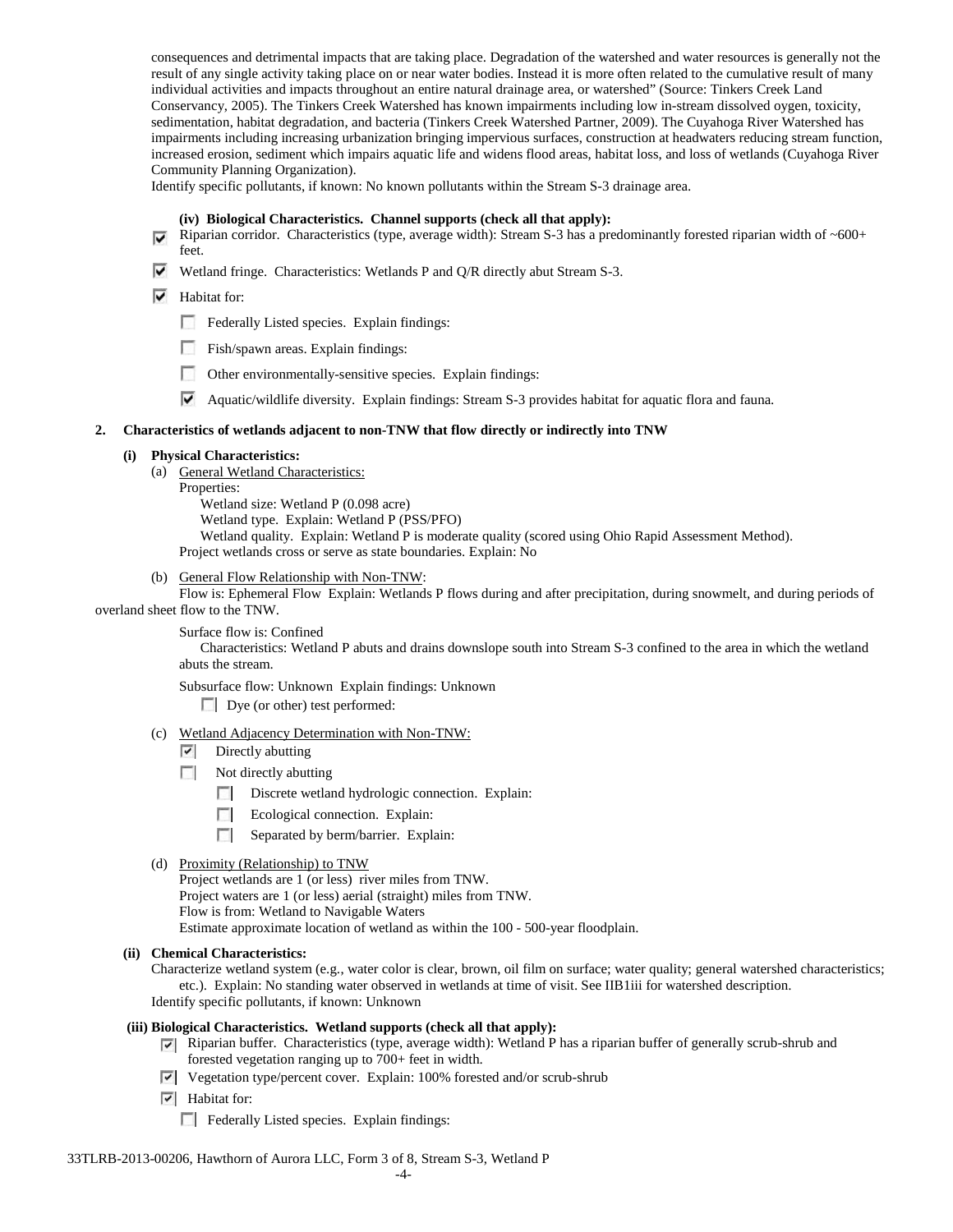consequences and detrimental impacts that are taking place. Degradation of the watershed and water resources is generally not the result of any single activity taking place on or near water bodies. Instead it is more often related to the cumulative result of many individual activities and impacts throughout an entire natural drainage area, or watershed" (Source: Tinkers Creek Land Conservancy, 2005). The Tinkers Creek Watershed has known impairments including low in-stream dissolved oygen, toxicity, sedimentation, habitat degradation, and bacteria (Tinkers Creek Watershed Partner, 2009). The Cuyahoga River Watershed has impairments including increasing urbanization bringing impervious surfaces, construction at headwaters reducing stream function, increased erosion, sediment which impairs aquatic life and widens flood areas, habitat loss, and loss of wetlands (Cuyahoga River Community Planning Organization).

Identify specific pollutants, if known: No known pollutants within the Stream S-3 drainage area.

#### **(iv) Biological Characteristics. Channel supports (check all that apply):**

- Riparian corridor. Characteristics (type, average width): Stream S-3 has a predominantly forested riparian width of  $~600+$ feet.
- Wetland fringe. Characteristics: Wetlands P and  $Q/R$  directly abut Stream S-3.
- $\blacktriangleright$  Habitat for:
	- Federally Listed species. Explain findings:
	- Fish/spawn areas. Explain findings:
	- Other environmentally-sensitive species. Explain findings:
	- Aquatic/wildlife diversity. Explain findings: Stream S-3 provides habitat for aquatic flora and fauna.

#### **2. Characteristics of wetlands adjacent to non-TNW that flow directly or indirectly into TNW**

#### **(i) Physical Characteristics:**

- (a) General Wetland Characteristics:
	- Properties:

Wetland size: Wetland P (0.098 acre) Wetland type. Explain: Wetland P (PSS/PFO) Wetland quality. Explain: Wetland P is moderate quality (scored using Ohio Rapid Assessment Method). Project wetlands cross or serve as state boundaries. Explain: No

(b) General Flow Relationship with Non-TNW:

Flow is: Ephemeral Flow Explain: Wetlands P flows during and after precipitation, during snowmelt, and during periods of overland sheet flow to the TNW.

Surface flow is: Confined

Characteristics: Wetland P abuts and drains downslope south into Stream S-3 confined to the area in which the wetland abuts the stream.

Subsurface flow: Unknown Explain findings: Unknown

Dye (or other) test performed:

- (c) Wetland Adjacency Determination with Non-TNW:
	- $\triangledown$  Directly abutting
	- $\Box$  Not directly abutting
		- Discrete wetland hydrologic connection. Explain:
		- **The Contract of the Contract of the Contract of the Contract of the Contract of the Contract of the Contract of the Contract of the Contract of the Contract of the Contract of the Contract of the Contract of the Contract** Ecological connection. Explain:
		- Separated by berm/barrier. Explain:
- (d) Proximity (Relationship) to TNW

Project wetlands are 1 (or less) river miles from TNW. Project waters are 1 (or less) aerial (straight) miles from TNW.

Flow is from: Wetland to Navigable Waters

Estimate approximate location of wetland as within the 100 - 500-year floodplain.

**(ii) Chemical Characteristics:**

Characterize wetland system (e.g., water color is clear, brown, oil film on surface; water quality; general watershed characteristics; etc.). Explain: No standing water observed in wetlands at time of visit. See IIB1iii for watershed description. Identify specific pollutants, if known: Unknown

## **(iii) Biological Characteristics. Wetland supports (check all that apply):**

- Riparian buffer. Characteristics (type, average width): Wetland P has a riparian buffer of generally scrub-shrub and forested vegetation ranging up to 700+ feet in width.
- Vegetation type/percent cover. Explain: 100% forested and/or scrub-shrub
- $\overline{\triangledown}$  Habitat for:
	- Federally Listed species. Explain findings: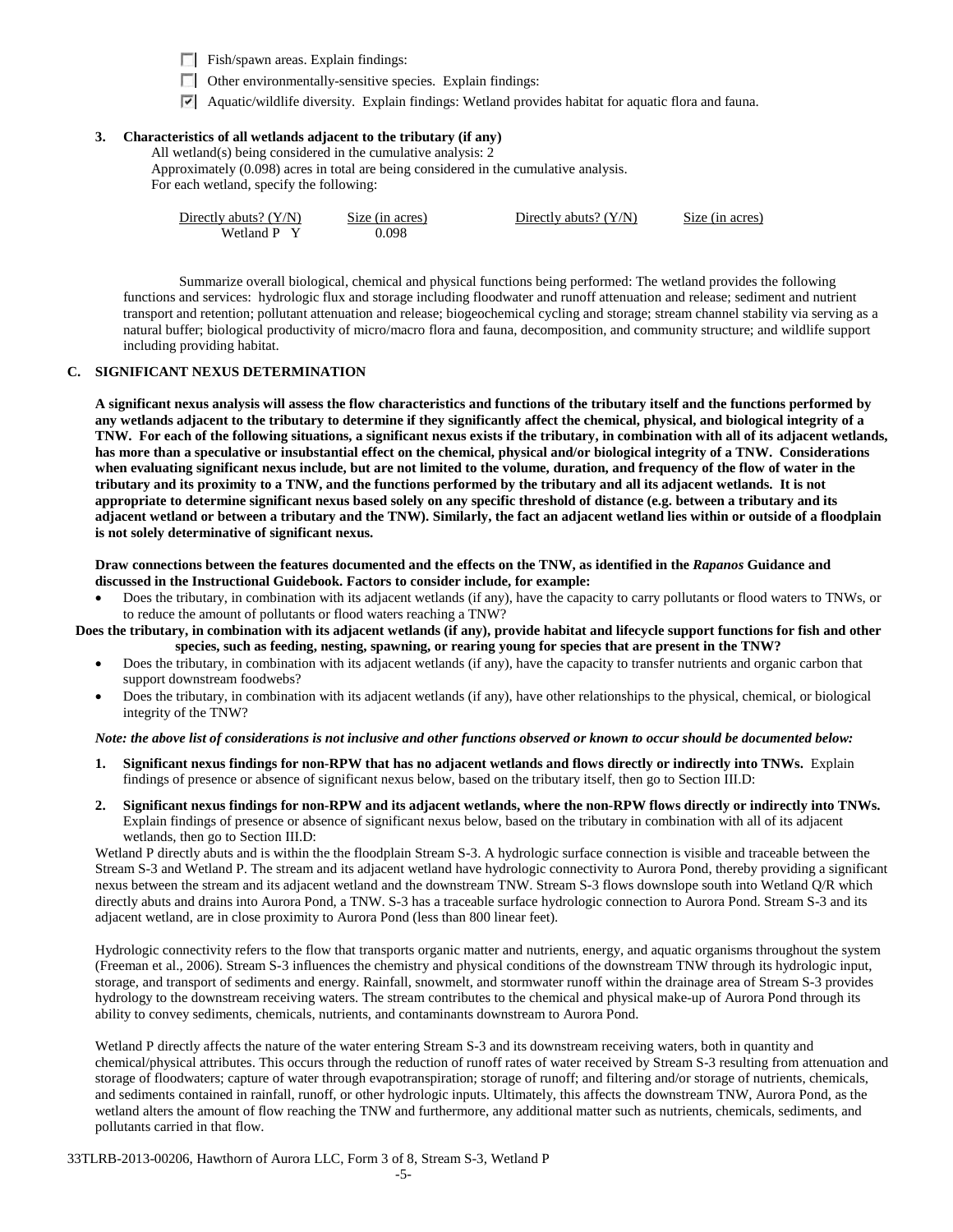Fish/spawn areas. Explain findings:

- $\Box$  Other environmentally-sensitive species. Explain findings:
- Aquatic/wildlife diversity. Explain findings: Wetland provides habitat for aquatic flora and fauna.

# **3. Characteristics of all wetlands adjacent to the tributary (if any)**

All wetland(s) being considered in the cumulative analysis: 2

Approximately (0.098) acres in total are being considered in the cumulative analysis. For each wetland, specify the following:

| Directly abuts? $(Y/N)$ | Size (in acres) | Directly abuts? $(Y/N)$ | Size (in acres) |
|-------------------------|-----------------|-------------------------|-----------------|
| Wetland P Y             | 0.098           |                         |                 |

Summarize overall biological, chemical and physical functions being performed: The wetland provides the following functions and services: hydrologic flux and storage including floodwater and runoff attenuation and release; sediment and nutrient transport and retention; pollutant attenuation and release; biogeochemical cycling and storage; stream channel stability via serving as a natural buffer; biological productivity of micro/macro flora and fauna, decomposition, and community structure; and wildlife support including providing habitat.

## **C. SIGNIFICANT NEXUS DETERMINATION**

**A significant nexus analysis will assess the flow characteristics and functions of the tributary itself and the functions performed by any wetlands adjacent to the tributary to determine if they significantly affect the chemical, physical, and biological integrity of a TNW. For each of the following situations, a significant nexus exists if the tributary, in combination with all of its adjacent wetlands, has more than a speculative or insubstantial effect on the chemical, physical and/or biological integrity of a TNW. Considerations when evaluating significant nexus include, but are not limited to the volume, duration, and frequency of the flow of water in the tributary and its proximity to a TNW, and the functions performed by the tributary and all its adjacent wetlands. It is not appropriate to determine significant nexus based solely on any specific threshold of distance (e.g. between a tributary and its adjacent wetland or between a tributary and the TNW). Similarly, the fact an adjacent wetland lies within or outside of a floodplain is not solely determinative of significant nexus.** 

**Draw connections between the features documented and the effects on the TNW, as identified in the** *Rapanos* **Guidance and discussed in the Instructional Guidebook. Factors to consider include, for example:**

• Does the tributary, in combination with its adjacent wetlands (if any), have the capacity to carry pollutants or flood waters to TNWs, or to reduce the amount of pollutants or flood waters reaching a TNW?

**Does the tributary, in combination with its adjacent wetlands (if any), provide habitat and lifecycle support functions for fish and other species, such as feeding, nesting, spawning, or rearing young for species that are present in the TNW?** 

- Does the tributary, in combination with its adjacent wetlands (if any), have the capacity to transfer nutrients and organic carbon that support downstream foodwebs?
- Does the tributary, in combination with its adjacent wetlands (if any), have other relationships to the physical, chemical, or biological integrity of the TNW?

#### *Note: the above list of considerations is not inclusive and other functions observed or known to occur should be documented below:*

- **1. Significant nexus findings for non-RPW that has no adjacent wetlands and flows directly or indirectly into TNWs.** Explain findings of presence or absence of significant nexus below, based on the tributary itself, then go to Section III.D:
- **2. Significant nexus findings for non-RPW and its adjacent wetlands, where the non-RPW flows directly or indirectly into TNWs.**  Explain findings of presence or absence of significant nexus below, based on the tributary in combination with all of its adjacent wetlands, then go to Section III.D:

Wetland P directly abuts and is within the the floodplain Stream S-3. A hydrologic surface connection is visible and traceable between the Stream S-3 and Wetland P. The stream and its adjacent wetland have hydrologic connectivity to Aurora Pond, thereby providing a significant nexus between the stream and its adjacent wetland and the downstream TNW. Stream S-3 flows downslope south into Wetland Q/R which directly abuts and drains into Aurora Pond, a TNW. S-3 has a traceable surface hydrologic connection to Aurora Pond. Stream S-3 and its adjacent wetland, are in close proximity to Aurora Pond (less than 800 linear feet).

Hydrologic connectivity refers to the flow that transports organic matter and nutrients, energy, and aquatic organisms throughout the system (Freeman et al., 2006). Stream S-3 influences the chemistry and physical conditions of the downstream TNW through its hydrologic input, storage, and transport of sediments and energy. Rainfall, snowmelt, and stormwater runoff within the drainage area of Stream S-3 provides hydrology to the downstream receiving waters. The stream contributes to the chemical and physical make-up of Aurora Pond through its ability to convey sediments, chemicals, nutrients, and contaminants downstream to Aurora Pond.

Wetland P directly affects the nature of the water entering Stream S-3 and its downstream receiving waters, both in quantity and chemical/physical attributes. This occurs through the reduction of runoff rates of water received by Stream S-3 resulting from attenuation and storage of floodwaters; capture of water through evapotranspiration; storage of runoff; and filtering and/or storage of nutrients, chemicals, and sediments contained in rainfall, runoff, or other hydrologic inputs. Ultimately, this affects the downstream TNW, Aurora Pond, as the wetland alters the amount of flow reaching the TNW and furthermore, any additional matter such as nutrients, chemicals, sediments, and pollutants carried in that flow.

33TLRB-2013-00206, Hawthorn of Aurora LLC, Form 3 of 8, Stream S-3, Wetland P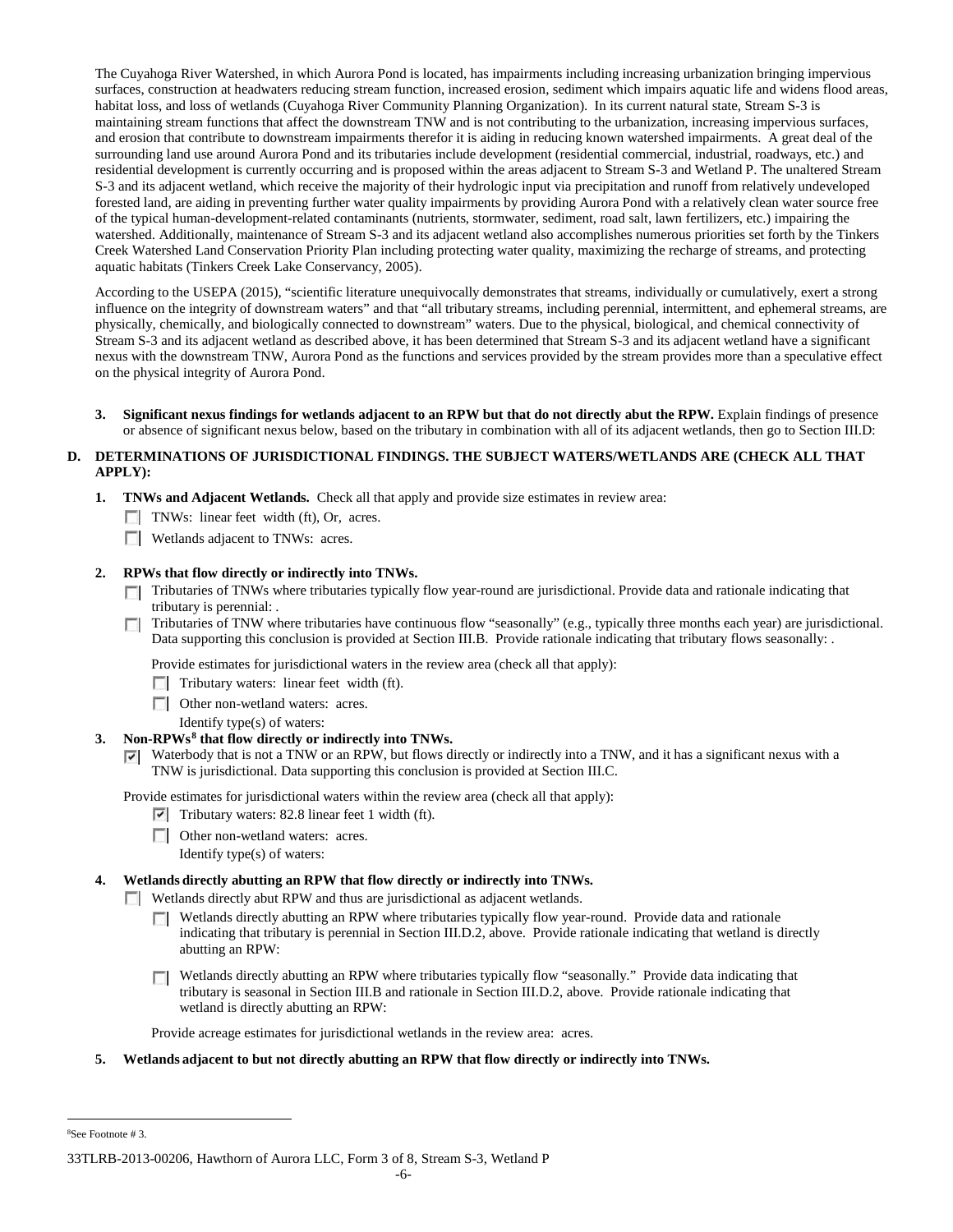The Cuyahoga River Watershed, in which Aurora Pond is located, has impairments including increasing urbanization bringing impervious surfaces, construction at headwaters reducing stream function, increased erosion, sediment which impairs aquatic life and widens flood areas, habitat loss, and loss of wetlands (Cuyahoga River Community Planning Organization). In its current natural state, Stream S-3 is maintaining stream functions that affect the downstream TNW and is not contributing to the urbanization, increasing impervious surfaces, and erosion that contribute to downstream impairments therefor it is aiding in reducing known watershed impairments. A great deal of the surrounding land use around Aurora Pond and its tributaries include development (residential commercial, industrial, roadways, etc.) and residential development is currently occurring and is proposed within the areas adjacent to Stream S-3 and Wetland P. The unaltered Stream S-3 and its adjacent wetland, which receive the majority of their hydrologic input via precipitation and runoff from relatively undeveloped forested land, are aiding in preventing further water quality impairments by providing Aurora Pond with a relatively clean water source free of the typical human-development-related contaminants (nutrients, stormwater, sediment, road salt, lawn fertilizers, etc.) impairing the watershed. Additionally, maintenance of Stream S-3 and its adjacent wetland also accomplishes numerous priorities set forth by the Tinkers Creek Watershed Land Conservation Priority Plan including protecting water quality, maximizing the recharge of streams, and protecting aquatic habitats (Tinkers Creek Lake Conservancy, 2005).

According to the USEPA (2015), "scientific literature unequivocally demonstrates that streams, individually or cumulatively, exert a strong influence on the integrity of downstream waters" and that "all tributary streams, including perennial, intermittent, and ephemeral streams, are physically, chemically, and biologically connected to downstream" waters. Due to the physical, biological, and chemical connectivity of Stream S-3 and its adjacent wetland as described above, it has been determined that Stream S-3 and its adjacent wetland have a significant nexus with the downstream TNW, Aurora Pond as the functions and services provided by the stream provides more than a speculative effect on the physical integrity of Aurora Pond.

**3. Significant nexus findings for wetlands adjacent to an RPW but that do not directly abut the RPW.** Explain findings of presence or absence of significant nexus below, based on the tributary in combination with all of its adjacent wetlands, then go to Section III.D:

# **D. DETERMINATIONS OF JURISDICTIONAL FINDINGS. THE SUBJECT WATERS/WETLANDS ARE (CHECK ALL THAT APPLY):**

- **1. TNWs and Adjacent Wetlands.** Check all that apply and provide size estimates in review area:
	- $\Box$  TNWs: linear feet width (ft), Or, acres.
	- **Wetlands adjacent to TNWs: acres.**

## **2. RPWs that flow directly or indirectly into TNWs.**

- Tributaries of TNWs where tributaries typically flow year-round are jurisdictional. Provide data and rationale indicating that tributary is perennial: .
- Tributaries of TNW where tributaries have continuous flow "seasonally" (e.g., typically three months each year) are jurisdictional.  $\sim$ Data supporting this conclusion is provided at Section III.B. Provide rationale indicating that tributary flows seasonally: .

Provide estimates for jurisdictional waters in the review area (check all that apply):

- $\Box$  Tributary waters: linear feet width (ft).
- **Other non-wetland waters: acres.** 
	- Identify type(s) of waters:

#### **3. Non-RPWs[8](#page-21-0) that flow directly or indirectly into TNWs.**

Waterbody that is not a TNW or an RPW, but flows directly or indirectly into a TNW, and it has a significant nexus with a TNW is jurisdictional. Data supporting this conclusion is provided at Section III.C.

Provide estimates for jurisdictional waters within the review area (check all that apply):

 $\triangledown$  Tributary waters: 82.8 linear feet 1 width (ft).

- **Other non-wetland waters: acres.** 
	- Identify type(s) of waters:

## **4. Wetlands directly abutting an RPW that flow directly or indirectly into TNWs.**

Wetlands directly abut RPW and thus are jurisdictional as adjacent wetlands.

- Wetlands directly abutting an RPW where tributaries typically flow year-round. Provide data and rationale  $\Box$ indicating that tributary is perennial in Section III.D.2, above. Provide rationale indicating that wetland is directly abutting an RPW:
- Wetlands directly abutting an RPW where tributaries typically flow "seasonally." Provide data indicating that tributary is seasonal in Section III.B and rationale in Section III.D.2, above. Provide rationale indicating that wetland is directly abutting an RPW:

Provide acreage estimates for jurisdictional wetlands in the review area: acres.

**5. Wetlands adjacent to but not directly abutting an RPW that flow directly or indirectly into TNWs.**

<span id="page-21-0"></span> $\frac{1}{8}$ See Footnote # 3.

<sup>33</sup>TLRB-2013-00206, Hawthorn of Aurora LLC, Form 3 of 8, Stream S-3, Wetland P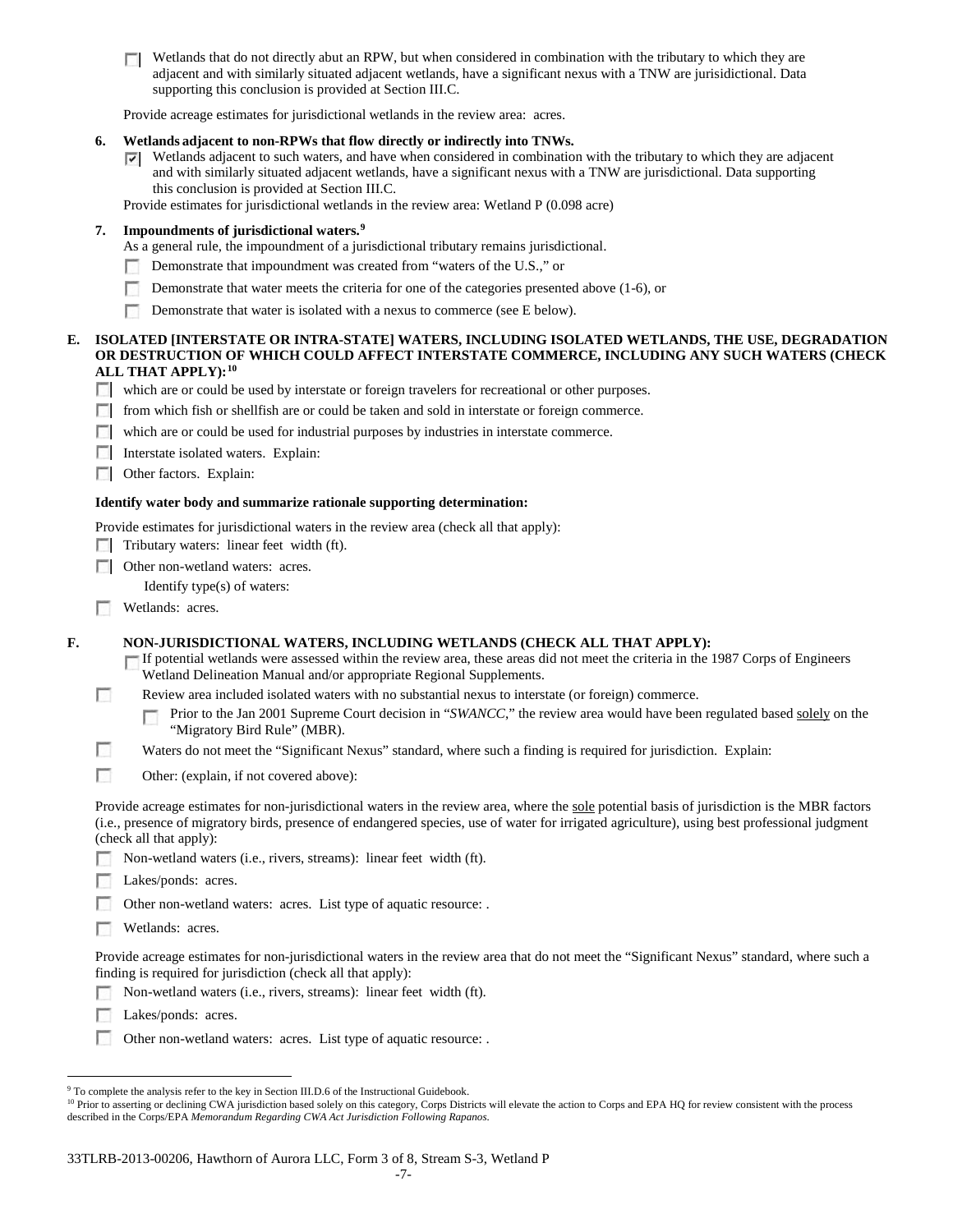$\Box$  Wetlands that do not directly abut an RPW, but when considered in combination with the tributary to which they are adjacent and with similarly situated adjacent wetlands, have a significant nexus with a TNW are jurisidictional. Data supporting this conclusion is provided at Section III.C.

Provide acreage estimates for jurisdictional wetlands in the review area: acres.

## **6. Wetlands adjacent to non-RPWs that flow directly or indirectly into TNWs.**

Wetlands adjacent to such waters, and have when considered in combination with the tributary to which they are adjacent and with similarly situated adjacent wetlands, have a significant nexus with a TNW are jurisdictional. Data supporting this conclusion is provided at Section III.C.

Provide estimates for jurisdictional wetlands in the review area: Wetland P (0.098 acre)

# **7. Impoundments of jurisdictional waters. [9](#page-22-0)**

- As a general rule, the impoundment of a jurisdictional tributary remains jurisdictional.
- Demonstrate that impoundment was created from "waters of the U.S.," or
- Demonstrate that water meets the criteria for one of the categories presented above (1-6), or m.
- $\sim$ Demonstrate that water is isolated with a nexus to commerce (see E below).

#### **E. ISOLATED [INTERSTATE OR INTRA-STATE] WATERS, INCLUDING ISOLATED WETLANDS, THE USE, DEGRADATION OR DESTRUCTION OF WHICH COULD AFFECT INTERSTATE COMMERCE, INCLUDING ANY SUCH WATERS (CHECK ALL THAT APPLY):[10](#page-22-1)**

- which are or could be used by interstate or foreign travelers for recreational or other purposes.
- from which fish or shellfish are or could be taken and sold in interstate or foreign commerce.
- which are or could be used for industrial purposes by industries in interstate commerce.
- **Interstate isolated waters. Explain:**
- **C** Other factors. Explain:

#### **Identify water body and summarize rationale supporting determination:**

Provide estimates for jurisdictional waters in the review area (check all that apply):

- $\Box$  Tributary waters: linear feet width (ft).
- □ Other non-wetland waters: acres.
	- Identify type(s) of waters:
- п Wetlands: acres.

**F. NON-JURISDICTIONAL WATERS, INCLUDING WETLANDS (CHECK ALL THAT APPLY):**

If potential wetlands were assessed within the review area, these areas did not meet the criteria in the 1987 Corps of Engineers Wetland Delineation Manual and/or appropriate Regional Supplements.

T. Review area included isolated waters with no substantial nexus to interstate (or foreign) commerce.

T Prior to the Jan 2001 Supreme Court decision in "*SWANCC*," the review area would have been regulated based solely on the "Migratory Bird Rule" (MBR).

- г Waters do not meet the "Significant Nexus" standard, where such a finding is required for jurisdiction. Explain:
- г Other: (explain, if not covered above):

Provide acreage estimates for non-jurisdictional waters in the review area, where the sole potential basis of jurisdiction is the MBR factors (i.e., presence of migratory birds, presence of endangered species, use of water for irrigated agriculture), using best professional judgment (check all that apply):

- Non-wetland waters (i.e., rivers, streams): linear feet width (ft).
- Lakes/ponds: acres.

Other non-wetland waters: acres. List type of aquatic resource: .

п. Wetlands: acres.

Provide acreage estimates for non-jurisdictional waters in the review area that do not meet the "Significant Nexus" standard, where such a finding is required for jurisdiction (check all that apply):

- Non-wetland waters (i.e., rivers, streams): linear feet width (ft).
- л Lakes/ponds: acres.
- n. Other non-wetland waters: acres. List type of aquatic resource: .

<span id="page-22-0"></span><sup>&</sup>lt;sup>9</sup> To complete the analysis refer to the key in Section III.D.6 of the Instructional Guidebook.

<span id="page-22-1"></span><sup>&</sup>lt;sup>10</sup> Prior to asserting or declining CWA jurisdiction based solely on this category, Corps Districts will elevate the action to Corps and EPA HQ for review consistent with the process described in the Corps/EPA *Memorandum Regarding CWA Act Jurisdiction Following Rapanos.*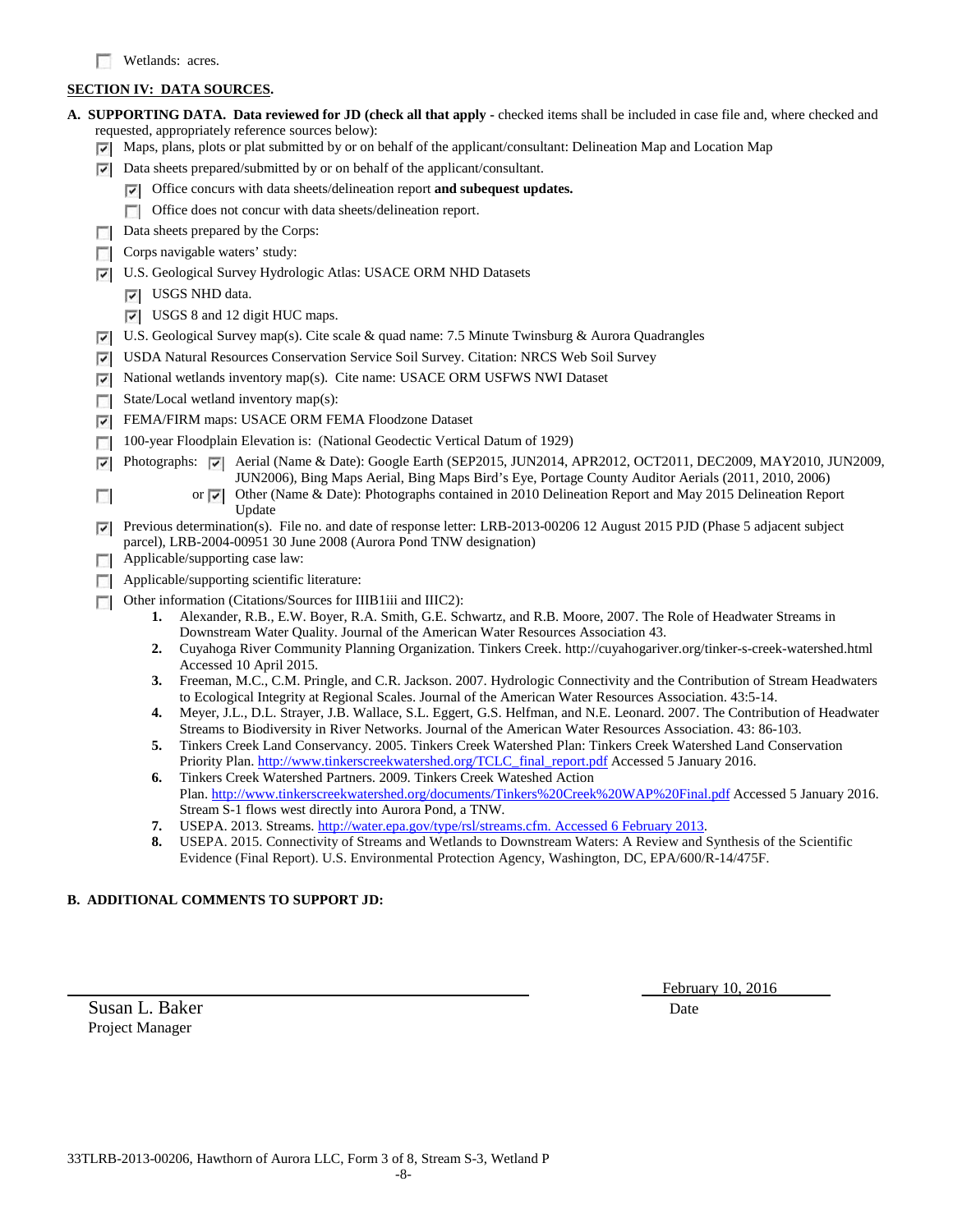# **SECTION IV: DATA SOURCES.**

|        | A. SUPPORTING DATA. Data reviewed for JD (check all that apply - checked items shall be included in case file and, where checked and                                                                                                          |
|--------|-----------------------------------------------------------------------------------------------------------------------------------------------------------------------------------------------------------------------------------------------|
|        | requested, appropriately reference sources below):                                                                                                                                                                                            |
| ⊡      | Maps, plans, plots or plat submitted by or on behalf of the applicant/consultant: Delineation Map and Location Map                                                                                                                            |
| ⊽      | Data sheets prepared/submitted by or on behalf of the applicant/consultant.                                                                                                                                                                   |
|        | $\triangledown$ Office concurs with data sheets/delineation report and subequest updates.                                                                                                                                                     |
|        | Office does not concur with data sheets/delineation report.<br>$\mathcal{L}$                                                                                                                                                                  |
|        | Data sheets prepared by the Corps:                                                                                                                                                                                                            |
|        | Corps navigable waters' study:                                                                                                                                                                                                                |
| ⊽      | U.S. Geological Survey Hydrologic Atlas: USACE ORM NHD Datasets                                                                                                                                                                               |
|        | $ \nabla $ USGS NHD data.                                                                                                                                                                                                                     |
|        | $\triangledown$ USGS 8 and 12 digit HUC maps.                                                                                                                                                                                                 |
| ⊽      | U.S. Geological Survey map(s). Cite scale & quad name: 7.5 Minute Twinsburg & Aurora Quadrangles                                                                                                                                              |
| ⊽      | USDA Natural Resources Conservation Service Soil Survey. Citation: NRCS Web Soil Survey                                                                                                                                                       |
| ⊽      | National wetlands inventory map(s). Cite name: USACE ORM USFWS NWI Dataset                                                                                                                                                                    |
|        | State/Local wetland inventory map(s):                                                                                                                                                                                                         |
| ⊽      | FEMA/FIRM maps: USACE ORM FEMA Floodzone Dataset                                                                                                                                                                                              |
|        | 100-year Floodplain Elevation is: (National Geodectic Vertical Datum of 1929)                                                                                                                                                                 |
| ⊽      | Photographs: $\overline{\check{e}}$ Aerial (Name & Date): Google Earth (SEP2015, JUN2014, APR2012, OCT2011, DEC2009, MAY2010, JUN2009,<br>JUN2006), Bing Maps Aerial, Bing Maps Bird's Eye, Portage County Auditor Aerials (2011, 2010, 2006) |
| П      | Other (Name & Date): Photographs contained in 2010 Delineation Report and May 2015 Delineation Report<br>or $ \nabla $<br>Update                                                                                                              |
| ⊽      | Previous determination(s). File no. and date of response letter: LRB-2013-00206 12 August 2015 PJD (Phase 5 adjacent subject                                                                                                                  |
|        | parcel), LRB-2004-00951 30 June 2008 (Aurora Pond TNW designation)                                                                                                                                                                            |
| $\sim$ | Applicable/supporting case law:                                                                                                                                                                                                               |
|        | Applicable/supporting scientific literature:                                                                                                                                                                                                  |
|        | Other information (Citations/Sources for IIIB1iii and IIIC2):                                                                                                                                                                                 |
|        | Alexander, R.B., E.W. Boyer, R.A. Smith, G.E. Schwartz, and R.B. Moore, 2007. The Role of Headwater Streams in<br>1.<br>Downstream Water Quality. Journal of the American Water Resources Association 43.                                     |
|        | Cuyahoga River Community Planning Organization. Tinkers Creek. http://cuyahogariver.org/tinker-s-creek-watershed.html<br>2.                                                                                                                   |
|        | Accessed 10 April 2015.<br>Freeman, M.C., C.M. Pringle, and C.R. Jackson. 2007. Hydrologic Connectivity and the Contribution of Stream Headwaters<br>3.                                                                                       |
|        | to Ecological Integrity at Regional Scales. Journal of the American Water Resources Association. 43:5-14.                                                                                                                                     |
|        | Meyer, J.L., D.L. Strayer, J.B. Wallace, S.L. Eggert, G.S. Helfman, and N.E. Leonard. 2007. The Contribution of Headwater<br>4.                                                                                                               |
|        | Streams to Biodiversity in River Networks. Journal of the American Water Resources Association. 43: 86-103.<br>Tinkers Creek Land Conservancy. 2005. Tinkers Creek Watershed Plan: Tinkers Creek Watershed Land Conservation<br>5.            |
|        | Priority Plan. http://www.tinkerscreekwatershed.org/TCLC_final_report.pdf Accessed 5 January 2016.                                                                                                                                            |
|        | Tinkers Creek Watershed Partners. 2009. Tinkers Creek Wateshed Action<br>6.                                                                                                                                                                   |
|        | Plan. http://www.tinkerscreekwatershed.org/documents/Tinkers%20Creek%20WAP%20Final.pdf Accessed 5 January 2016.                                                                                                                               |
|        | Stream S-1 flows west directly into Aurora Pond, a TNW.<br>USEPA. 2013. Streams. http://water.epa.gov/type/rsl/streams.cfm. Accessed 6 February 2013.<br>7.                                                                                   |
|        | 8.<br>USEPA. 2015. Connectivity of Streams and Wetlands to Downstream Waters: A Review and Synthesis of the Scientific                                                                                                                        |
|        | Evidence (Final Report). U.S. Environmental Protection Agency, Washington, DC, EPA/600/R-14/475F.                                                                                                                                             |
|        |                                                                                                                                                                                                                                               |

# **B. ADDITIONAL COMMENTS TO SUPPORT JD:**

Susan L. Baker Date Project Manager

February 10, 2016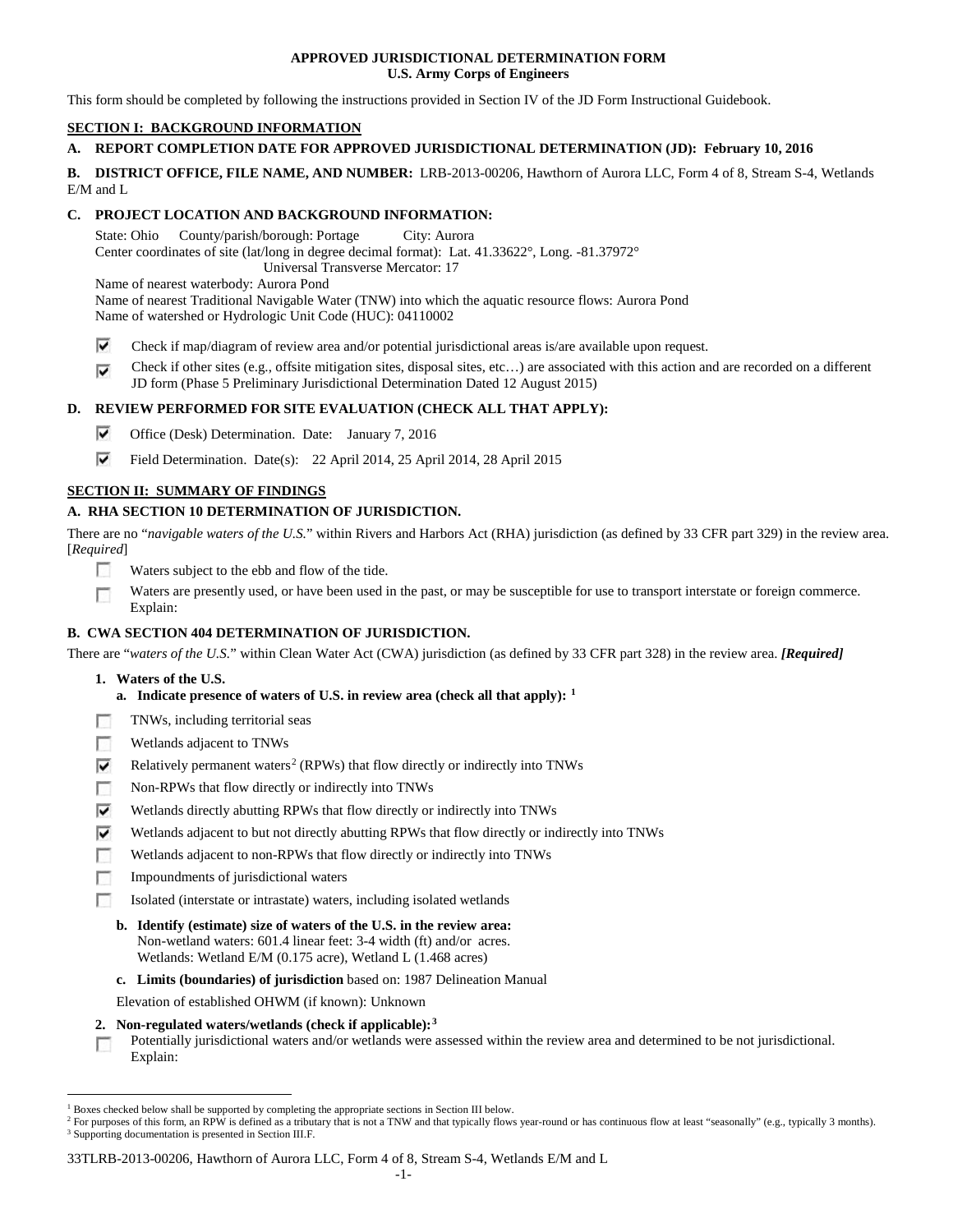## **APPROVED JURISDICTIONAL DETERMINATION FORM U.S. Army Corps of Engineers**

This form should be completed by following the instructions provided in Section IV of the JD Form Instructional Guidebook.

# **SECTION I: BACKGROUND INFORMATION**

# **A. REPORT COMPLETION DATE FOR APPROVED JURISDICTIONAL DETERMINATION (JD): February 10, 2016**

**B. DISTRICT OFFICE, FILE NAME, AND NUMBER:** LRB-2013-00206, Hawthorn of Aurora LLC, Form 4 of 8, Stream S-4, Wetlands E/M and L

# **C. PROJECT LOCATION AND BACKGROUND INFORMATION:**

State: Ohio County/parish/borough: Portage City: Aurora Center coordinates of site (lat/long in degree decimal format): Lat. 41.33622°, Long. -81.37972° Universal Transverse Mercator: 17

Name of nearest waterbody: Aurora Pond

Name of nearest Traditional Navigable Water (TNW) into which the aquatic resource flows: Aurora Pond Name of watershed or Hydrologic Unit Code (HUC): 04110002

- ⊽ Check if map/diagram of review area and/or potential jurisdictional areas is/are available upon request.
- Check if other sites (e.g., offsite mitigation sites, disposal sites, etc…) are associated with this action and are recorded on a different ⊽ JD form (Phase 5 Preliminary Jurisdictional Determination Dated 12 August 2015)

# **D. REVIEW PERFORMED FOR SITE EVALUATION (CHECK ALL THAT APPLY):**

- ⊽ Office (Desk) Determination. Date: January 7, 2016
- ⊽ Field Determination. Date(s): 22 April 2014, 25 April 2014, 28 April 2015

# **SECTION II: SUMMARY OF FINDINGS**

# **A. RHA SECTION 10 DETERMINATION OF JURISDICTION.**

There are no "*navigable waters of the U.S.*" within Rivers and Harbors Act (RHA) jurisdiction (as defined by 33 CFR part 329) in the review area. [*Required*]

- **IST** Waters subject to the ebb and flow of the tide.
- Waters are presently used, or have been used in the past, or may be susceptible for use to transport interstate or foreign commerce. Г Explain:

# **B. CWA SECTION 404 DETERMINATION OF JURISDICTION.**

There are "*waters of the U.S.*" within Clean Water Act (CWA) jurisdiction (as defined by 33 CFR part 328) in the review area. *[Required]*

- **1. Waters of the U.S.**
	- **a. Indicate presence of waters of U.S. in review area (check all that apply): [1](#page-24-0)**
- п TNWs, including territorial seas
- Wetlands adjacent to TNWs п
- ⊽ Relatively permanent waters<sup>[2](#page-24-1)</sup> (RPWs) that flow directly or indirectly into TNWs
- г Non-RPWs that flow directly or indirectly into TNWs
- ⊽ Wetlands directly abutting RPWs that flow directly or indirectly into TNWs
- ⊽ Wetlands adjacent to but not directly abutting RPWs that flow directly or indirectly into TNWs
- г Wetlands adjacent to non-RPWs that flow directly or indirectly into TNWs
- n Impoundments of jurisdictional waters
- Isolated (interstate or intrastate) waters, including isolated wetlands n.
	- **b. Identify (estimate) size of waters of the U.S. in the review area:** Non-wetland waters: 601.4 linear feet: 3-4 width (ft) and/or acres. Wetlands: Wetland E/M (0.175 acre), Wetland L (1.468 acres)
	- **c. Limits (boundaries) of jurisdiction** based on: 1987 Delineation Manual
	- Elevation of established OHWM (if known): Unknown
- **2. Non-regulated waters/wetlands (check if applicable):[3](#page-24-2)**

Potentially jurisdictional waters and/or wetlands were assessed within the review area and determined to be not jurisdictional. T. Explain:

<span id="page-24-0"></span> <sup>1</sup> Boxes checked below shall be supported by completing the appropriate sections in Section III below.

<span id="page-24-2"></span><span id="page-24-1"></span><sup>&</sup>lt;sup>2</sup> For purposes of this form, an RPW is defined as a tributary that is not a TNW and that typically flows year-round or has continuous flow at least "seasonally" (e.g., typically 3 months). <sup>3</sup> Supporting documentation is presented in Section III.F.

<sup>33</sup>TLRB-2013-00206, Hawthorn of Aurora LLC, Form 4 of 8, Stream S-4, Wetlands E/M and L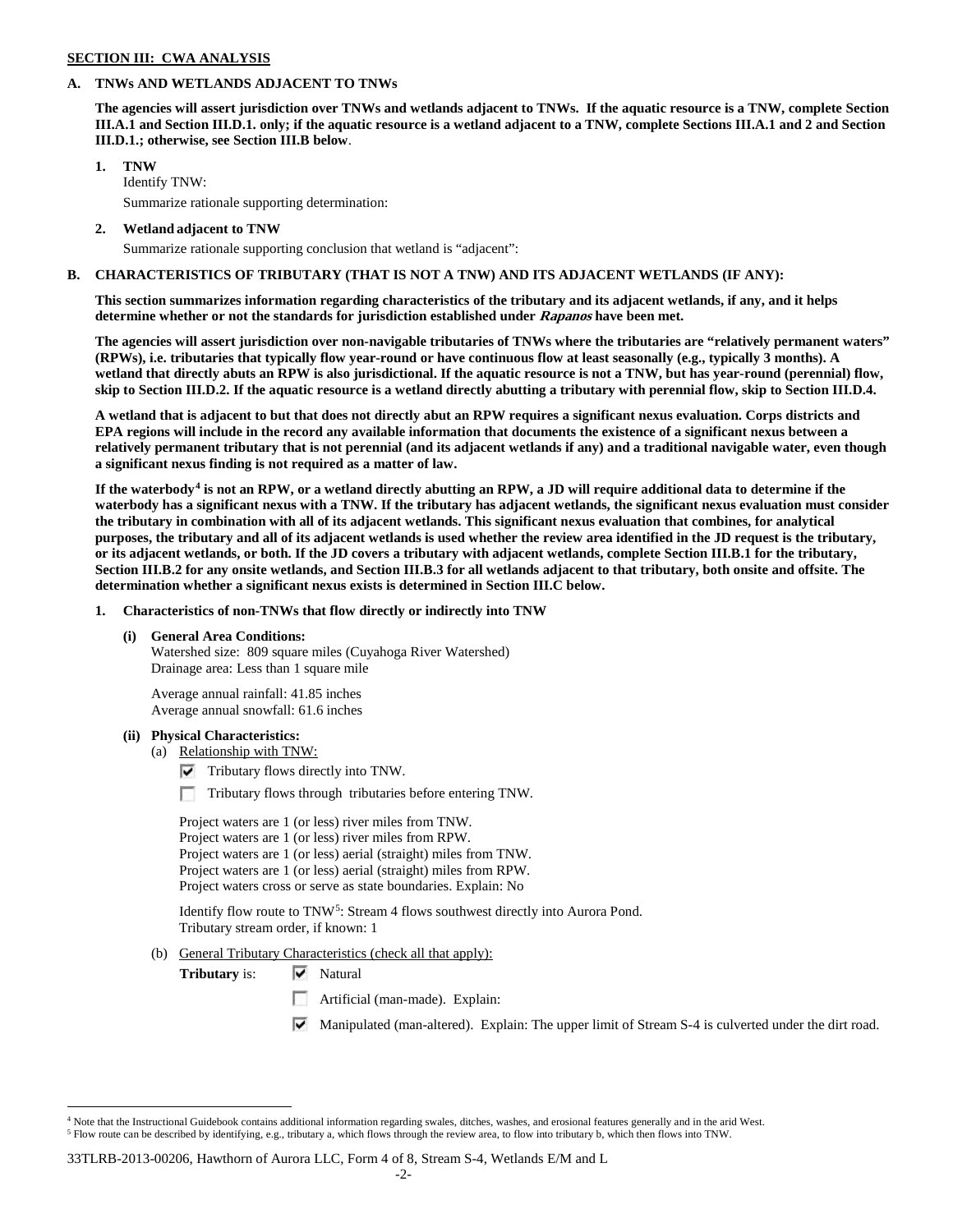#### **SECTION III: CWA ANALYSIS**

## **A. TNWs AND WETLANDS ADJACENT TO TNWs**

**The agencies will assert jurisdiction over TNWs and wetlands adjacent to TNWs. If the aquatic resource is a TNW, complete Section III.A.1 and Section III.D.1. only; if the aquatic resource is a wetland adjacent to a TNW, complete Sections III.A.1 and 2 and Section III.D.1.; otherwise, see Section III.B below**.

## **1. TNW**

Identify TNW: Summarize rationale supporting determination:

**2. Wetland adjacent to TNW**

Summarize rationale supporting conclusion that wetland is "adjacent":

### **B. CHARACTERISTICS OF TRIBUTARY (THAT IS NOT A TNW) AND ITS ADJACENT WETLANDS (IF ANY):**

**This section summarizes information regarding characteristics of the tributary and its adjacent wetlands, if any, and it helps determine whether or not the standards for jurisdiction established under Rapanos have been met.** 

**The agencies will assert jurisdiction over non-navigable tributaries of TNWs where the tributaries are "relatively permanent waters" (RPWs), i.e. tributaries that typically flow year-round or have continuous flow at least seasonally (e.g., typically 3 months). A wetland that directly abuts an RPW is also jurisdictional. If the aquatic resource is not a TNW, but has year-round (perennial) flow, skip to Section III.D.2. If the aquatic resource is a wetland directly abutting a tributary with perennial flow, skip to Section III.D.4.**

**A wetland that is adjacent to but that does not directly abut an RPW requires a significant nexus evaluation. Corps districts and EPA regions will include in the record any available information that documents the existence of a significant nexus between a relatively permanent tributary that is not perennial (and its adjacent wetlands if any) and a traditional navigable water, even though a significant nexus finding is not required as a matter of law.**

**If the waterbody[4](#page-25-0) is not an RPW, or a wetland directly abutting an RPW, a JD will require additional data to determine if the waterbody has a significant nexus with a TNW. If the tributary has adjacent wetlands, the significant nexus evaluation must consider the tributary in combination with all of its adjacent wetlands. This significant nexus evaluation that combines, for analytical purposes, the tributary and all of its adjacent wetlands is used whether the review area identified in the JD request is the tributary, or its adjacent wetlands, or both. If the JD covers a tributary with adjacent wetlands, complete Section III.B.1 for the tributary, Section III.B.2 for any onsite wetlands, and Section III.B.3 for all wetlands adjacent to that tributary, both onsite and offsite. The determination whether a significant nexus exists is determined in Section III.C below.**

**1. Characteristics of non-TNWs that flow directly or indirectly into TNW**

#### **(i) General Area Conditions:**

Watershed size: 809 square miles (Cuyahoga River Watershed) Drainage area: Less than 1 square mile

Average annual rainfall: 41.85 inches Average annual snowfall: 61.6 inches

#### **(ii) Physical Characteristics:**

- (a) Relationship with TNW:
	- $\triangledown$  Tributary flows directly into TNW.
	- Tributary flows through tributaries before entering TNW.

Project waters are 1 (or less) river miles from TNW. Project waters are 1 (or less) river miles from RPW. Project waters are 1 (or less) aerial (straight) miles from TNW. Project waters are 1 (or less) aerial (straight) miles from RPW. Project waters cross or serve as state boundaries. Explain: No

Identify flow route to TNW[5:](#page-25-1) Stream 4 flows southwest directly into Aurora Pond. Tributary stream order, if known: 1

(b) General Tributary Characteristics (check all that apply):

**Tributary is:**  $\overline{\mathbf{V}}$  Natural

- Artificial (man-made). Explain:
- Manipulated (man-altered). Explain: The upper limit of Stream S-4 is culverted under the dirt road.

<span id="page-25-1"></span><span id="page-25-0"></span> $4$  Note that the Instructional Guidebook contains additional information regarding swales, ditches, washes, and erosional features generally and in the arid West. <sup>5</sup> Flow route can be described by identifying, e.g., tributary a, which flows through the review area, to flow into tributary b, which then flows into TNW.

<sup>33</sup>TLRB-2013-00206, Hawthorn of Aurora LLC, Form 4 of 8, Stream S-4, Wetlands E/M and L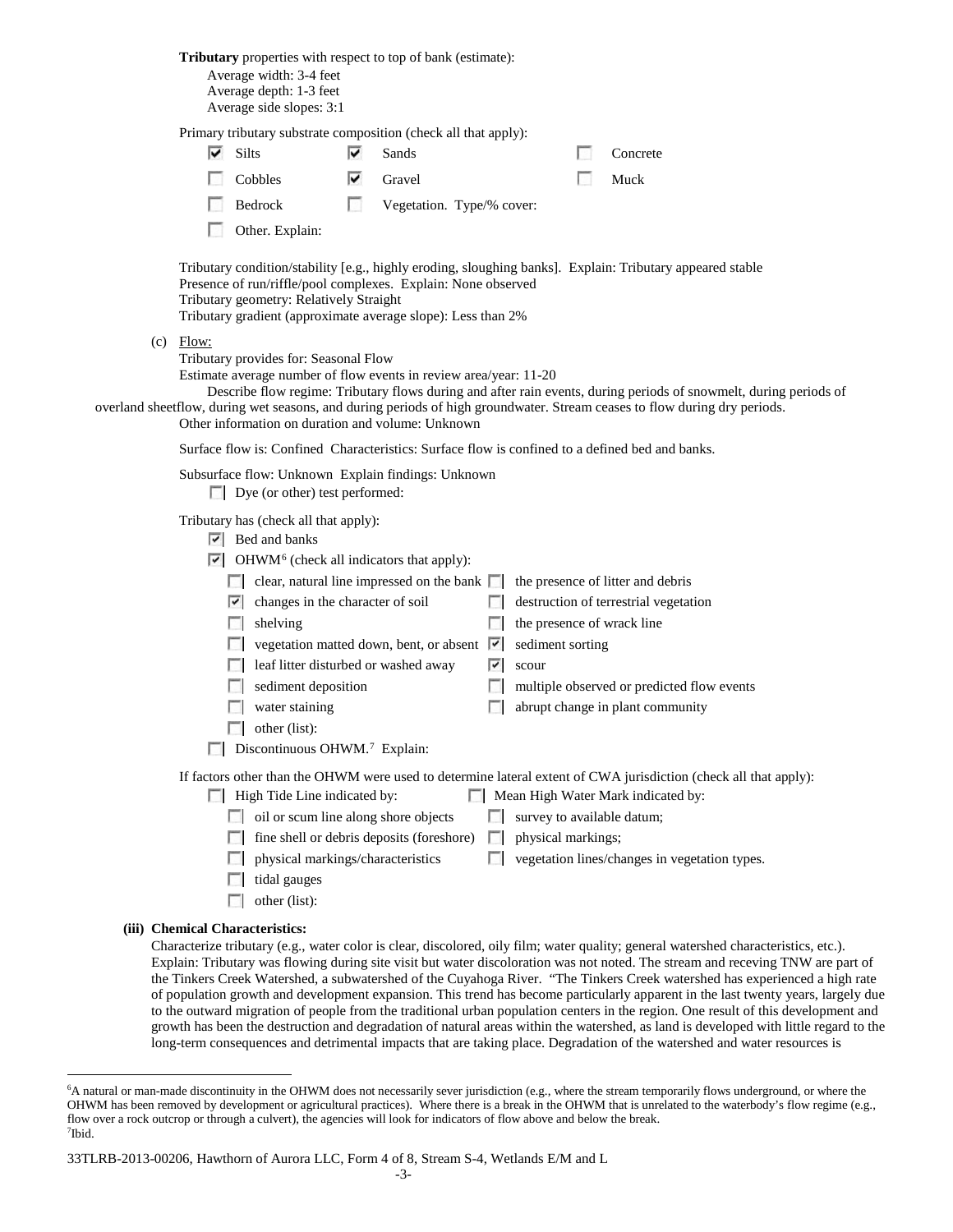**Tributary** properties with respect to top of bank (estimate): Average width: 3-4 feet Average depth: 1-3 feet Average side slopes: 3:1 Primary tributary substrate composition (check all that apply): ⊽ Silts **v** Sands Concrete  $\sim$ Cobbles **V** Gravel Muck Bedrock Vegetation. Type/% cover: Other. Explain: Tributary condition/stability [e.g., highly eroding, sloughing banks]. Explain: Tributary appeared stable Presence of run/riffle/pool complexes. Explain: None observed Tributary geometry: Relatively Straight Tributary gradient (approximate average slope): Less than 2%  $(c)$  Flow: Tributary provides for: Seasonal Flow Estimate average number of flow events in review area/year: 11-20 Describe flow regime: Tributary flows during and after rain events, during periods of snowmelt, during periods of overland sheetflow, during wet seasons, and during periods of high groundwater. Stream ceases to flow during dry periods. Other information on duration and volume: Unknown Surface flow is: Confined Characteristics: Surface flow is confined to a defined bed and banks. Subsurface flow: Unknown Explain findings: Unknown Dye (or other) test performed: Tributary has (check all that apply): **Bed** and banks  $\triangleright$  OHWM<sup>[6](#page-26-0)</sup> (check all indicators that apply): clear, natural line impressed on the bank  $\|\cdot\|$  the presence of litter and debris changes in the character of soil destruction of terrestrial vegetation  $\Box$  shelving the presence of wrack line  $\Box$  vegetation matted down, bent, or absent  $\Box$  sediment sorting  $\Box$  leaf litter disturbed or washed away  $\Box$  scour  $\Box$  sediment deposition  $\Box$  multiple observed or predicted flow events **abrupt change in plant community** abrupt change in plant community  $\Box$  other (list):  $\Box$  Discontinuous OHWM.<sup>7</sup> Explain: If factors other than the OHWM were used to determine lateral extent of CWA jurisdiction (check all that apply):  $\Box$  High Tide Line indicated by:  $\Box$  Mean High Water Mark indicated by: oil or scum line along shore objects  $\Box$  survey to available datum;  $\Box$  fine shell or debris deposits (foreshore)  $\Box$  physical markings; physical markings/characteristics  $\Box$  vegetation lines/changes in vegetation types.  $\Box$  tidal gauges  $\Box$  other (list): **(iii) Chemical Characteristics:** Characterize tributary (e.g., water color is clear, discolored, oily film; water quality; general watershed characteristics, etc.).

Explain: Tributary was flowing during site visit but water discoloration was not noted. The stream and receving TNW are part of the Tinkers Creek Watershed, a subwatershed of the Cuyahoga River. "The Tinkers Creek watershed has experienced a high rate of population growth and development expansion. This trend has become particularly apparent in the last twenty years, largely due to the outward migration of people from the traditional urban population centers in the region. One result of this development and growth has been the destruction and degradation of natural areas within the watershed, as land is developed with little regard to the long-term consequences and detrimental impacts that are taking place. Degradation of the watershed and water resources is

<span id="page-26-0"></span> <sup>6</sup> <sup>6</sup>A natural or man-made discontinuity in the OHWM does not necessarily sever jurisdiction (e.g., where the stream temporarily flows underground, or where the OHWM has been removed by development or agricultural practices). Where there is a break in the OHWM that is unrelated to the waterbody's flow regime (e.g., flow over a rock outcrop or through a culvert), the agencies will look for indicators of flow above and below the break. 7 Ibid.

<span id="page-26-1"></span><sup>33</sup>TLRB-2013-00206, Hawthorn of Aurora LLC, Form 4 of 8, Stream S-4, Wetlands E/M and L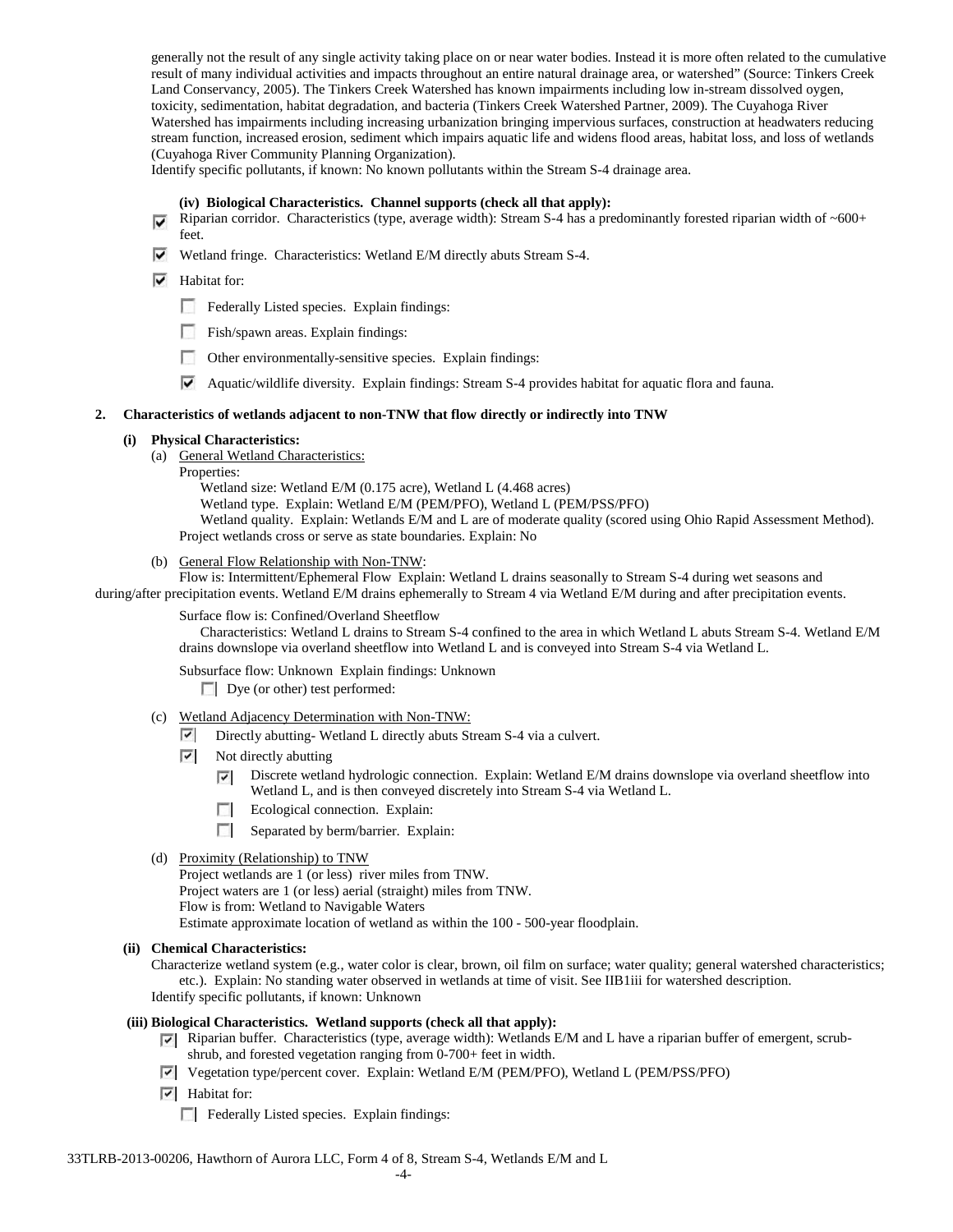generally not the result of any single activity taking place on or near water bodies. Instead it is more often related to the cumulative result of many individual activities and impacts throughout an entire natural drainage area, or watershed" (Source: Tinkers Creek Land Conservancy, 2005). The Tinkers Creek Watershed has known impairments including low in-stream dissolved oygen, toxicity, sedimentation, habitat degradation, and bacteria (Tinkers Creek Watershed Partner, 2009). The Cuyahoga River Watershed has impairments including increasing urbanization bringing impervious surfaces, construction at headwaters reducing stream function, increased erosion, sediment which impairs aquatic life and widens flood areas, habitat loss, and loss of wetlands (Cuyahoga River Community Planning Organization).

Identify specific pollutants, if known: No known pollutants within the Stream S-4 drainage area.

#### **(iv) Biological Characteristics. Channel supports (check all that apply):**

- Riparian corridor. Characteristics (type, average width): Stream S-4 has a predominantly forested riparian width of  $~600+$ feet.
- Wetland fringe. Characteristics: Wetland E/M directly abuts Stream S-4.
- $\blacktriangleright$  Habitat for:
	- Federally Listed species. Explain findings:
	- Fish/spawn areas. Explain findings:
	- Other environmentally-sensitive species. Explain findings:
	- Aquatic/wildlife diversity. Explain findings: Stream S-4 provides habitat for aquatic flora and fauna.

#### **2. Characteristics of wetlands adjacent to non-TNW that flow directly or indirectly into TNW**

#### **(i) Physical Characteristics:**

- (a) General Wetland Characteristics:
	- Properties:
		- Wetland size: Wetland E/M (0.175 acre), Wetland L (4.468 acres)
		- Wetland type. Explain: Wetland E/M (PEM/PFO), Wetland L (PEM/PSS/PFO)
		- Wetland quality. Explain: Wetlands E/M and L are of moderate quality (scored using Ohio Rapid Assessment Method). Project wetlands cross or serve as state boundaries. Explain: No
- (b) General Flow Relationship with Non-TNW:

Flow is: Intermittent/Ephemeral Flow Explain: Wetland L drains seasonally to Stream S-4 during wet seasons and during/after precipitation events. Wetland E/M drains ephemerally to Stream 4 via Wetland E/M during and after precipitation events.

## Surface flow is: Confined/Overland Sheetflow

Characteristics: Wetland L drains to Stream S-4 confined to the area in which Wetland L abuts Stream S-4. Wetland E/M drains downslope via overland sheetflow into Wetland L and is conveyed into Stream S-4 via Wetland L.

Subsurface flow: Unknown Explain findings: Unknown

Dye (or other) test performed:

- (c) Wetland Adjacency Determination with Non-TNW:
	- Directly abutting-Wetland L directly abuts Stream S-4 via a culvert.
	- ⊡ Not directly abutting
		- $\overline{\mathbf{v}}$ Discrete wetland hydrologic connection. Explain: Wetland E/M drains downslope via overland sheetflow into Wetland L, and is then conveyed discretely into Stream S-4 via Wetland L.
		- $\sim$ Ecological connection. Explain:
		- $\sim$ Separated by berm/barrier. Explain:
- (d) Proximity (Relationship) to TNW
	- Project wetlands are 1 (or less) river miles from TNW.
	- Project waters are 1 (or less) aerial (straight) miles from TNW.
	- Flow is from: Wetland to Navigable Waters

Estimate approximate location of wetland as within the 100 - 500-year floodplain.

**(ii) Chemical Characteristics:**

Characterize wetland system (e.g., water color is clear, brown, oil film on surface; water quality; general watershed characteristics; etc.). Explain: No standing water observed in wetlands at time of visit. See IIB1iii for watershed description. Identify specific pollutants, if known: Unknown

#### **(iii) Biological Characteristics. Wetland supports (check all that apply):**

- Riparian buffer. Characteristics (type, average width): Wetlands E/M and L have a riparian buffer of emergent, scrubshrub, and forested vegetation ranging from 0-700+ feet in width.
- Vegetation type/percent cover. Explain: Wetland E/M (PEM/PFO), Wetland L (PEM/PSS/PFO)
- $\boxed{\checkmark}$  Habitat for:
	- Federally Listed species. Explain findings: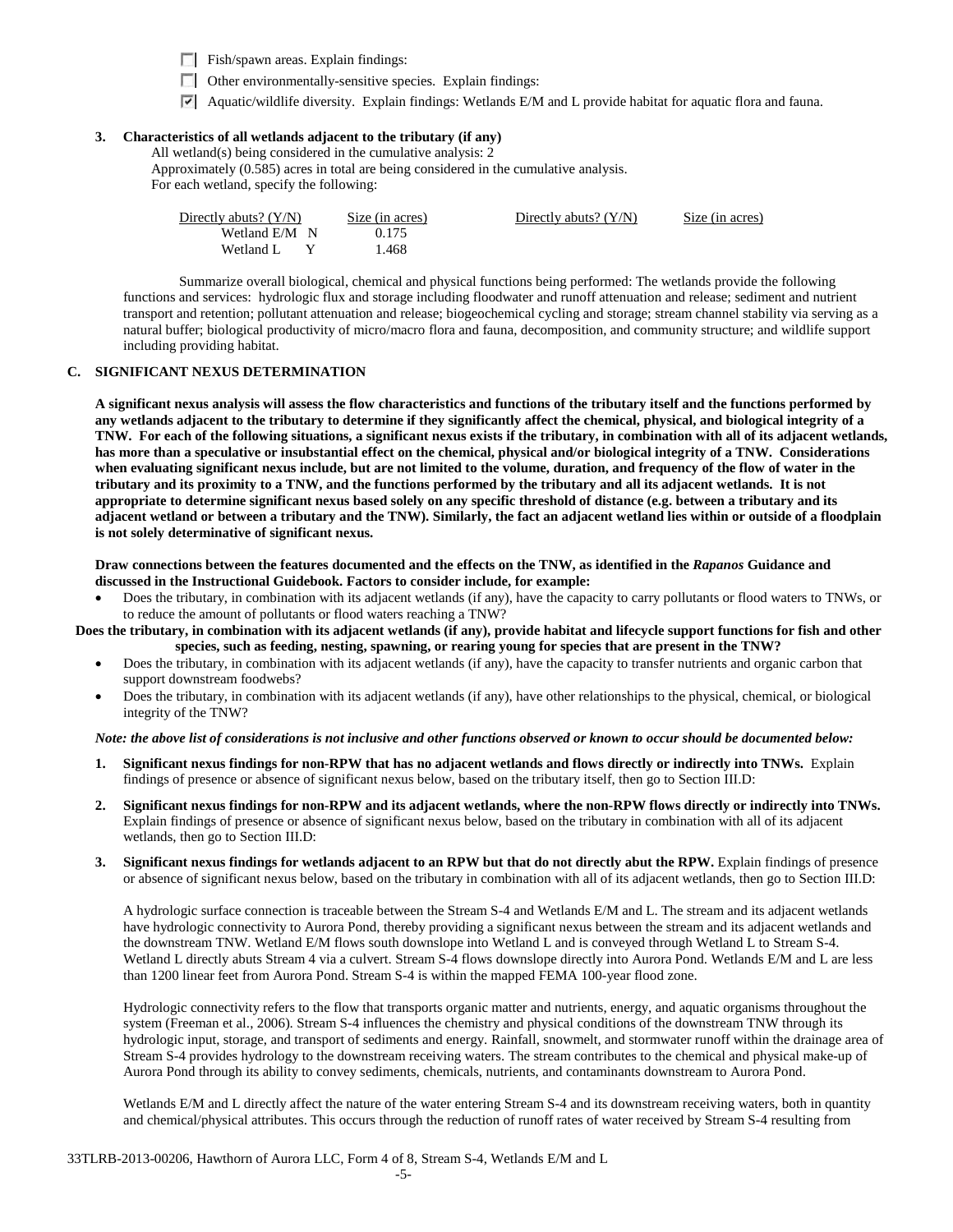Fish/spawn areas. Explain findings:

- $\Box$  Other environmentally-sensitive species. Explain findings:
- Aquatic/wildlife diversity. Explain findings: Wetlands E/M and L provide habitat for aquatic flora and fauna.

# **3. Characteristics of all wetlands adjacent to the tributary (if any)**

All wetland(s) being considered in the cumulative analysis: 2

Approximately (0.585) acres in total are being considered in the cumulative analysis. For each wetland, specify the following:

| Directly abuts? $(Y/N)$ | Size (in acres) | Directly abuts? $(Y/N)$ | Size (in acres) |
|-------------------------|-----------------|-------------------------|-----------------|
| Wetland E/M N           | 0.175           |                         |                 |
| Wetland L               | 1.468           |                         |                 |

Summarize overall biological, chemical and physical functions being performed: The wetlands provide the following functions and services: hydrologic flux and storage including floodwater and runoff attenuation and release; sediment and nutrient transport and retention; pollutant attenuation and release; biogeochemical cycling and storage; stream channel stability via serving as a natural buffer; biological productivity of micro/macro flora and fauna, decomposition, and community structure; and wildlife support including providing habitat.

## **C. SIGNIFICANT NEXUS DETERMINATION**

**A significant nexus analysis will assess the flow characteristics and functions of the tributary itself and the functions performed by any wetlands adjacent to the tributary to determine if they significantly affect the chemical, physical, and biological integrity of a TNW. For each of the following situations, a significant nexus exists if the tributary, in combination with all of its adjacent wetlands, has more than a speculative or insubstantial effect on the chemical, physical and/or biological integrity of a TNW. Considerations when evaluating significant nexus include, but are not limited to the volume, duration, and frequency of the flow of water in the tributary and its proximity to a TNW, and the functions performed by the tributary and all its adjacent wetlands. It is not appropriate to determine significant nexus based solely on any specific threshold of distance (e.g. between a tributary and its adjacent wetland or between a tributary and the TNW). Similarly, the fact an adjacent wetland lies within or outside of a floodplain is not solely determinative of significant nexus.** 

**Draw connections between the features documented and the effects on the TNW, as identified in the** *Rapanos* **Guidance and discussed in the Instructional Guidebook. Factors to consider include, for example:**

• Does the tributary, in combination with its adjacent wetlands (if any), have the capacity to carry pollutants or flood waters to TNWs, or to reduce the amount of pollutants or flood waters reaching a TNW?

**Does the tributary, in combination with its adjacent wetlands (if any), provide habitat and lifecycle support functions for fish and other species, such as feeding, nesting, spawning, or rearing young for species that are present in the TNW?** 

- Does the tributary, in combination with its adjacent wetlands (if any), have the capacity to transfer nutrients and organic carbon that support downstream foodwebs?
- Does the tributary, in combination with its adjacent wetlands (if any), have other relationships to the physical, chemical, or biological integrity of the TNW?

#### *Note: the above list of considerations is not inclusive and other functions observed or known to occur should be documented below:*

- **1. Significant nexus findings for non-RPW that has no adjacent wetlands and flows directly or indirectly into TNWs.** Explain findings of presence or absence of significant nexus below, based on the tributary itself, then go to Section III.D:
- **2. Significant nexus findings for non-RPW and its adjacent wetlands, where the non-RPW flows directly or indirectly into TNWs.**  Explain findings of presence or absence of significant nexus below, based on the tributary in combination with all of its adjacent wetlands, then go to Section III.D:
- **3. Significant nexus findings for wetlands adjacent to an RPW but that do not directly abut the RPW.** Explain findings of presence or absence of significant nexus below, based on the tributary in combination with all of its adjacent wetlands, then go to Section III.D:

A hydrologic surface connection is traceable between the Stream S-4 and Wetlands E/M and L. The stream and its adjacent wetlands have hydrologic connectivity to Aurora Pond, thereby providing a significant nexus between the stream and its adjacent wetlands and the downstream TNW. Wetland E/M flows south downslope into Wetland L and is conveyed through Wetland L to Stream S-4. Wetland L directly abuts Stream 4 via a culvert. Stream S-4 flows downslope directly into Aurora Pond. Wetlands E/M and L are less than 1200 linear feet from Aurora Pond. Stream S-4 is within the mapped FEMA 100-year flood zone.

Hydrologic connectivity refers to the flow that transports organic matter and nutrients, energy, and aquatic organisms throughout the system (Freeman et al., 2006). Stream S-4 influences the chemistry and physical conditions of the downstream TNW through its hydrologic input, storage, and transport of sediments and energy. Rainfall, snowmelt, and stormwater runoff within the drainage area of Stream S-4 provides hydrology to the downstream receiving waters. The stream contributes to the chemical and physical make-up of Aurora Pond through its ability to convey sediments, chemicals, nutrients, and contaminants downstream to Aurora Pond.

Wetlands E/M and L directly affect the nature of the water entering Stream S-4 and its downstream receiving waters, both in quantity and chemical/physical attributes. This occurs through the reduction of runoff rates of water received by Stream S-4 resulting from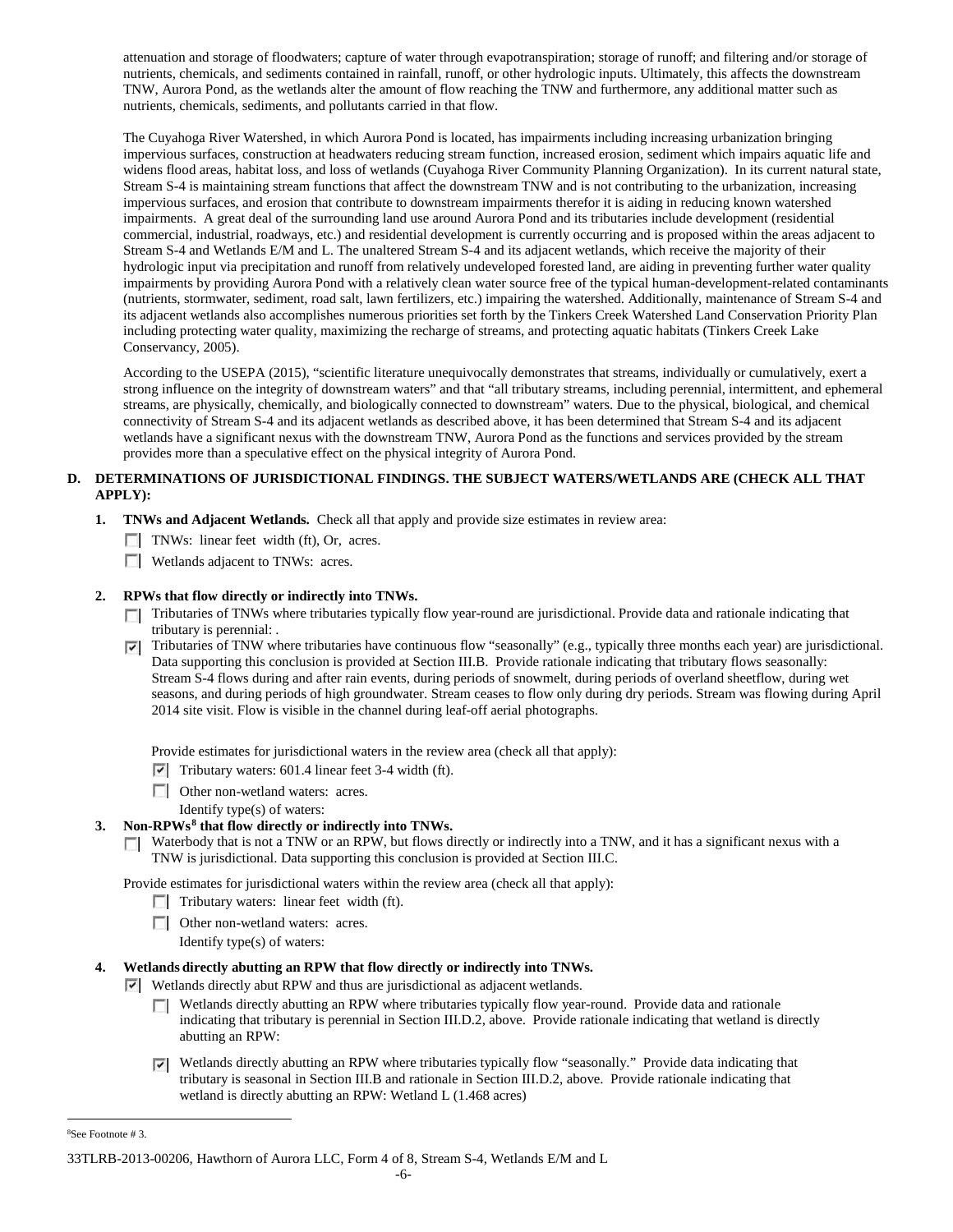attenuation and storage of floodwaters; capture of water through evapotranspiration; storage of runoff; and filtering and/or storage of nutrients, chemicals, and sediments contained in rainfall, runoff, or other hydrologic inputs. Ultimately, this affects the downstream TNW, Aurora Pond, as the wetlands alter the amount of flow reaching the TNW and furthermore, any additional matter such as nutrients, chemicals, sediments, and pollutants carried in that flow.

The Cuyahoga River Watershed, in which Aurora Pond is located, has impairments including increasing urbanization bringing impervious surfaces, construction at headwaters reducing stream function, increased erosion, sediment which impairs aquatic life and widens flood areas, habitat loss, and loss of wetlands (Cuyahoga River Community Planning Organization). In its current natural state, Stream S-4 is maintaining stream functions that affect the downstream TNW and is not contributing to the urbanization, increasing impervious surfaces, and erosion that contribute to downstream impairments therefor it is aiding in reducing known watershed impairments. A great deal of the surrounding land use around Aurora Pond and its tributaries include development (residential commercial, industrial, roadways, etc.) and residential development is currently occurring and is proposed within the areas adjacent to Stream S-4 and Wetlands E/M and L. The unaltered Stream S-4 and its adjacent wetlands, which receive the majority of their hydrologic input via precipitation and runoff from relatively undeveloped forested land, are aiding in preventing further water quality impairments by providing Aurora Pond with a relatively clean water source free of the typical human-development-related contaminants (nutrients, stormwater, sediment, road salt, lawn fertilizers, etc.) impairing the watershed. Additionally, maintenance of Stream S-4 and its adjacent wetlands also accomplishes numerous priorities set forth by the Tinkers Creek Watershed Land Conservation Priority Plan including protecting water quality, maximizing the recharge of streams, and protecting aquatic habitats (Tinkers Creek Lake Conservancy, 2005).

According to the USEPA (2015), "scientific literature unequivocally demonstrates that streams, individually or cumulatively, exert a strong influence on the integrity of downstream waters" and that "all tributary streams, including perennial, intermittent, and ephemeral streams, are physically, chemically, and biologically connected to downstream" waters. Due to the physical, biological, and chemical connectivity of Stream S-4 and its adjacent wetlands as described above, it has been determined that Stream S-4 and its adjacent wetlands have a significant nexus with the downstream TNW, Aurora Pond as the functions and services provided by the stream provides more than a speculative effect on the physical integrity of Aurora Pond.

# **D. DETERMINATIONS OF JURISDICTIONAL FINDINGS. THE SUBJECT WATERS/WETLANDS ARE (CHECK ALL THAT APPLY):**

- **1. TNWs and Adjacent Wetlands.** Check all that apply and provide size estimates in review area:
	- TNWs: linear feet width (ft), Or, acres.
	- **Wetlands adjacent to TNWs: acres.**

# **2. RPWs that flow directly or indirectly into TNWs.**

- Tributaries of TNWs where tributaries typically flow year-round are jurisdictional. Provide data and rationale indicating that tributary is perennial: .
- $\nabla$  Tributaries of TNW where tributaries have continuous flow "seasonally" (e.g., typically three months each year) are jurisdictional. Data supporting this conclusion is provided at Section III.B. Provide rationale indicating that tributary flows seasonally: Stream S-4 flows during and after rain events, during periods of snowmelt, during periods of overland sheetflow, during wet seasons, and during periods of high groundwater. Stream ceases to flow only during dry periods. Stream was flowing during April 2014 site visit. Flow is visible in the channel during leaf-off aerial photographs.

Provide estimates for jurisdictional waters in the review area (check all that apply):

- $\triangledown$  Tributary waters: 601.4 linear feet 3-4 width (ft).
- **Other non-wetland waters: acres.**

Identify type(s) of waters:

# **3. Non-RPWs[8](#page-29-0) that flow directly or indirectly into TNWs.**

 $\Box$  Waterbody that is not a TNW or an RPW, but flows directly or indirectly into a TNW, and it has a significant nexus with a TNW is jurisdictional. Data supporting this conclusion is provided at Section III.C.

Provide estimates for jurisdictional waters within the review area (check all that apply):

- $\Box$  Tributary waters: linear feet width (ft).
- **Other non-wetland waters: acres.**
- Identify type(s) of waters:

# **4. Wetlands directly abutting an RPW that flow directly or indirectly into TNWs.**

- Wetlands directly abut RPW and thus are jurisdictional as adjacent wetlands.
	- **Netlands directly abutting an RPW where tributaries typically flow year-round. Provide data and rationale** indicating that tributary is perennial in Section III.D.2, above. Provide rationale indicating that wetland is directly abutting an RPW:
	- Wetlands directly abutting an RPW where tributaries typically flow "seasonally." Provide data indicating that tributary is seasonal in Section III.B and rationale in Section III.D.2, above. Provide rationale indicating that wetland is directly abutting an RPW: Wetland L (1.468 acres)

<span id="page-29-0"></span> $\frac{1}{8}$ See Footnote # 3.

<sup>33</sup>TLRB-2013-00206, Hawthorn of Aurora LLC, Form 4 of 8, Stream S-4, Wetlands E/M and L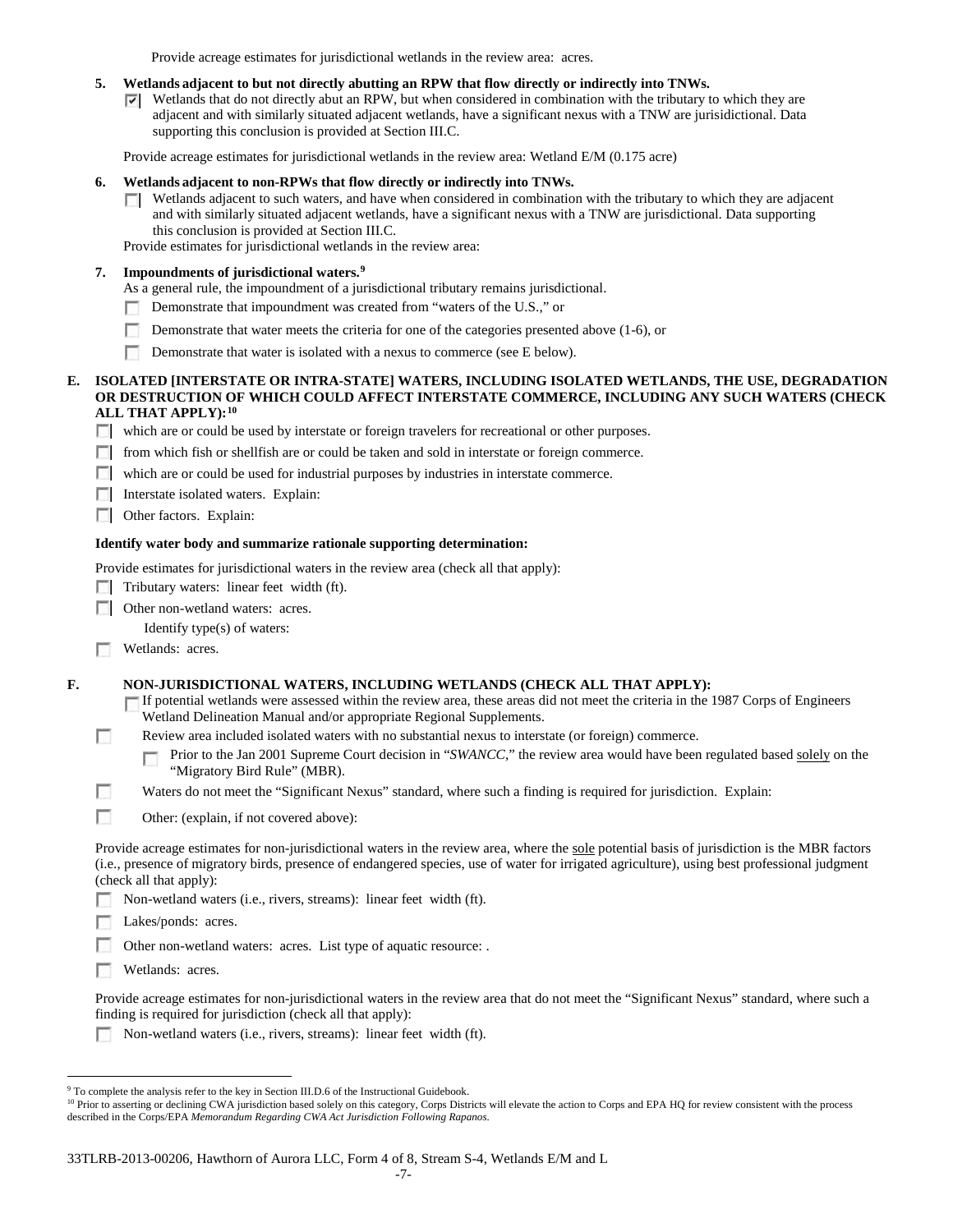Provide acreage estimates for jurisdictional wetlands in the review area: acres.

## **5. Wetlands adjacent to but not directly abutting an RPW that flow directly or indirectly into TNWs.**

 $\triangledown$  Wetlands that do not directly abut an RPW, but when considered in combination with the tributary to which they are adjacent and with similarly situated adjacent wetlands, have a significant nexus with a TNW are jurisidictional. Data supporting this conclusion is provided at Section III.C.

Provide acreage estimates for jurisdictional wetlands in the review area: Wetland E/M (0.175 acre)

### **6. Wetlands adjacent to non-RPWs that flow directly or indirectly into TNWs.**

Wetlands adjacent to such waters, and have when considered in combination with the tributary to which they are adjacent  $\Box$ and with similarly situated adjacent wetlands, have a significant nexus with a TNW are jurisdictional. Data supporting this conclusion is provided at Section III.C.

Provide estimates for jurisdictional wetlands in the review area:

## **7. Impoundments of jurisdictional waters. [9](#page-30-0)**

As a general rule, the impoundment of a jurisdictional tributary remains jurisdictional.

- Demonstrate that impoundment was created from "waters of the U.S.," or n.
- $\sim$ Demonstrate that water meets the criteria for one of the categories presented above (1-6), or
- **I** Demonstrate that water is isolated with a nexus to commerce (see E below).

## **E. ISOLATED [INTERSTATE OR INTRA-STATE] WATERS, INCLUDING ISOLATED WETLANDS, THE USE, DEGRADATION OR DESTRUCTION OF WHICH COULD AFFECT INTERSTATE COMMERCE, INCLUDING ANY SUCH WATERS (CHECK ALL THAT APPLY):[10](#page-30-1)**

which are or could be used by interstate or foreign travelers for recreational or other purposes.

- **F** from which fish or shellfish are or could be taken and sold in interstate or foreign commerce.
- which are or could be used for industrial purposes by industries in interstate commerce.

**Interstate isolated waters. Explain:** 

**Other factors. Explain:** 

#### **Identify water body and summarize rationale supporting determination:**

Provide estimates for jurisdictional waters in the review area (check all that apply):

- $\Box$  Tributary waters: linear feet width (ft).
- **DEL** Other non-wetland waters: acres.

Identify type(s) of waters:

**Wetlands:** acres.

п

n

#### **F. NON-JURISDICTIONAL WATERS, INCLUDING WETLANDS (CHECK ALL THAT APPLY):**

- If potential wetlands were assessed within the review area, these areas did not meet the criteria in the 1987 Corps of Engineers Wetland Delineation Manual and/or appropriate Regional Supplements.
- Review area included isolated waters with no substantial nexus to interstate (or foreign) commerce.
	- Prior to the Jan 2001 Supreme Court decision in "*SWANCC*," the review area would have been regulated based solely on the п "Migratory Bird Rule" (MBR).
- Waters do not meet the "Significant Nexus" standard, where such a finding is required for jurisdiction. Explain:
- П Other: (explain, if not covered above):

Provide acreage estimates for non-jurisdictional waters in the review area, where the sole potential basis of jurisdiction is the MBR factors (i.e., presence of migratory birds, presence of endangered species, use of water for irrigated agriculture), using best professional judgment (check all that apply):

Non-wetland waters (i.e., rivers, streams): linear feet width (ft).

Lakes/ponds: acres.

Other non-wetland waters: acres. List type of aquatic resource: .

Wetlands: acres.

Provide acreage estimates for non-jurisdictional waters in the review area that do not meet the "Significant Nexus" standard, where such a finding is required for jurisdiction (check all that apply):

Non-wetland waters (i.e., rivers, streams): linear feet width (ft).

<span id="page-30-0"></span><sup>&</sup>lt;sup>9</sup> To complete the analysis refer to the key in Section III.D.6 of the Instructional Guidebook.

<span id="page-30-1"></span><sup>&</sup>lt;sup>10</sup> Prior to asserting or declining CWA jurisdiction based solely on this category, Corps Districts will elevate the action to Corps and EPA HQ for review consistent with the process described in the Corps/EPA *Memorandum Regarding CWA Act Jurisdiction Following Rapanos.*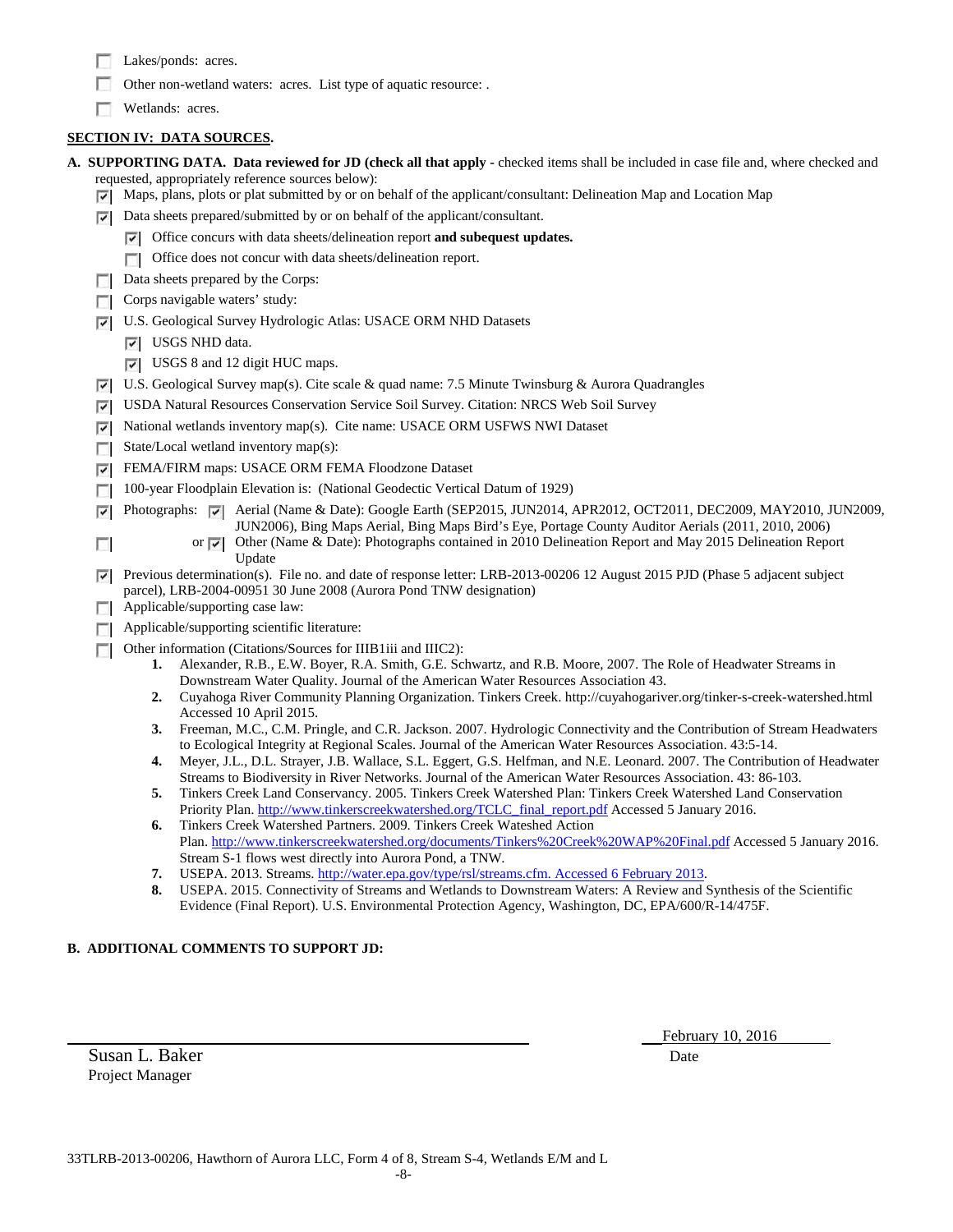- Lakes/ponds: acres.
- Other non-wetland waters: acres. List type of aquatic resource: .
- Wetlands: acres.

# **SECTION IV: DATA SOURCES.**

- **A. SUPPORTING DATA. Data reviewed for JD (check all that apply -** checked items shall be included in case file and, where checked and requested, appropriately reference sources below):
	- Maps, plans, plots or plat submitted by or on behalf of the applicant/consultant: Delineation Map and Location Map
	- Data sheets prepared/submitted by or on behalf of the applicant/consultant.
		- Office concurs with data sheets/delineation report **and subequest updates.**
		- Office does not concur with data sheets/delineation report.
	- Data sheets prepared by the Corps:
	- Corps navigable waters' study:
	- U.S. Geological Survey Hydrologic Atlas: USACE ORM NHD Datasets
		- USGS NHD data.
		- USGS 8 and 12 digit HUC maps.
	- U.S. Geological Survey map(s). Cite scale & quad name: 7.5 Minute Twinsburg & Aurora Quadrangles
	- USDA Natural Resources Conservation Service Soil Survey. Citation: NRCS Web Soil Survey
	- National wetlands inventory map(s). Cite name: USACE ORM USFWS NWI Dataset ⊽
	- State/Local wetland inventory map(s): E.
	- FEMA/FIRM maps: USACE ORM FEMA Floodzone Dataset ⊽
	- 100-year Floodplain Elevation is: (National Geodectic Vertical Datum of 1929)
	- Photographs:  $\blacktriangledown$  Aerial (Name & Date): Google Earth (SEP2015, JUN2014, APR2012, OCT2011, DEC2009, MAY2010, JUN2009, ☞
		- JUN2006), Bing Maps Aerial, Bing Maps Bird's Eye, Portage County Auditor Aerials (2011, 2010, 2006)
			- or Other (Name & Date): Photographs contained in 2010 Delineation Report and May 2015 Delineation Report Update
	- Previous determination(s). File no. and date of response letter: LRB-2013-00206 12 August 2015 PJD (Phase 5 adjacent subject parcel), LRB-2004-00951 30 June 2008 (Aurora Pond TNW designation)
	- **Applicable/supporting case law:**

 $\Box$ 

- **Applicable/supporting scientific literature:**
- Other information (Citations/Sources for IIIB1iii and IIIC2):
	- **1.** Alexander, R.B., E.W. Boyer, R.A. Smith, G.E. Schwartz, and R.B. Moore, 2007. The Role of Headwater Streams in Downstream Water Quality. Journal of the American Water Resources Association 43.
	- **2.** Cuyahoga River Community Planning Organization. Tinkers Creek. http://cuyahogariver.org/tinker-s-creek-watershed.html Accessed 10 April 2015.
	- **3.** Freeman, M.C., C.M. Pringle, and C.R. Jackson. 2007. Hydrologic Connectivity and the Contribution of Stream Headwaters to Ecological Integrity at Regional Scales. Journal of the American Water Resources Association. 43:5-14.
	- **4.** Meyer, J.L., D.L. Strayer, J.B. Wallace, S.L. Eggert, G.S. Helfman, and N.E. Leonard. 2007. The Contribution of Headwater Streams to Biodiversity in River Networks. Journal of the American Water Resources Association. 43: 86-103.
	- **5.** Tinkers Creek Land Conservancy. 2005. Tinkers Creek Watershed Plan: Tinkers Creek Watershed Land Conservation Priority Plan[. http://www.tinkerscreekwatershed.org/TCLC\\_final\\_report.pdf](http://www.tinkerscreekwatershed.org/TCLC_final_report.pdf) Accessed 5 January 2016.
	- **6.** Tinkers Creek Watershed Partners. 2009. Tinkers Creek Wateshed Action Plan.<http://www.tinkerscreekwatershed.org/documents/Tinkers%20Creek%20WAP%20Final.pdf> Accessed 5 January 2016. Stream S-1 flows west directly into Aurora Pond, a TNW.
	- **7.** USEPA. 2013. Streams[. http://water.epa.gov/type/rsl/streams.cfm. Accessed 6 February 2013.](http://water.epa.gov/type/rsl/streams.cfm.%20Accessed%206%20February%202013)
	- **8.** USEPA. 2015. Connectivity of Streams and Wetlands to Downstream Waters: A Review and Synthesis of the Scientific Evidence (Final Report). U.S. Environmental Protection Agency, Washington, DC, EPA/600/R-14/475F.

# **B. ADDITIONAL COMMENTS TO SUPPORT JD:**

Susan L. Baker Date Project Manager

February 10, 2016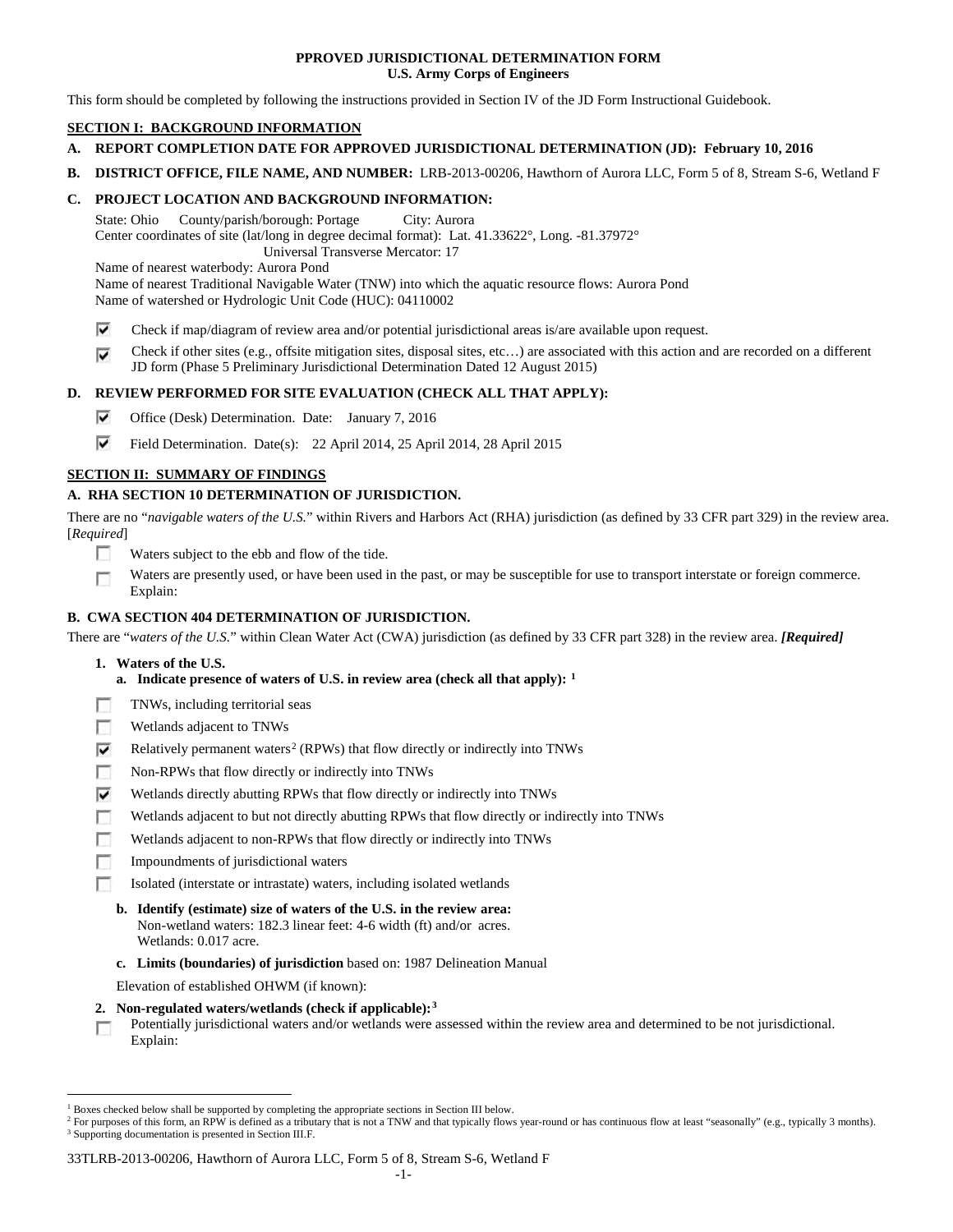## **PPROVED JURISDICTIONAL DETERMINATION FORM U.S. Army Corps of Engineers**

This form should be completed by following the instructions provided in Section IV of the JD Form Instructional Guidebook.

# **SECTION I: BACKGROUND INFORMATION**

- **A. REPORT COMPLETION DATE FOR APPROVED JURISDICTIONAL DETERMINATION (JD): February 10, 2016**
- **B. DISTRICT OFFICE, FILE NAME, AND NUMBER:** LRB-2013-00206, Hawthorn of Aurora LLC, Form 5 of 8, Stream S-6, Wetland F

## **C. PROJECT LOCATION AND BACKGROUND INFORMATION:**

State: Ohio County/parish/borough: Portage City: Aurora Center coordinates of site (lat/long in degree decimal format): Lat. 41.33622°, Long. -81.37972° Universal Transverse Mercator: 17

Name of nearest waterbody: Aurora Pond

Name of nearest Traditional Navigable Water (TNW) into which the aquatic resource flows: Aurora Pond Name of watershed or Hydrologic Unit Code (HUC): 04110002

- ⊽ Check if map/diagram of review area and/or potential jurisdictional areas is/are available upon request.
- Check if other sites (e.g., offsite mitigation sites, disposal sites, etc…) are associated with this action and are recorded on a different ⊽ JD form (Phase 5 Preliminary Jurisdictional Determination Dated 12 August 2015)

# **D. REVIEW PERFORMED FOR SITE EVALUATION (CHECK ALL THAT APPLY):**

- ⊽ Office (Desk) Determination. Date: January 7, 2016
- ⊽ Field Determination. Date(s): 22 April 2014, 25 April 2014, 28 April 2015

# **SECTION II: SUMMARY OF FINDINGS**

# **A. RHA SECTION 10 DETERMINATION OF JURISDICTION.**

There are no "*navigable waters of the U.S.*" within Rivers and Harbors Act (RHA) jurisdiction (as defined by 33 CFR part 329) in the review area. [*Required*]

- n Waters subject to the ebb and flow of the tide.
- Waters are presently used, or have been used in the past, or may be susceptible for use to transport interstate or foreign commerce. п Explain:

# **B. CWA SECTION 404 DETERMINATION OF JURISDICTION.**

There are "*waters of the U.S.*" within Clean Water Act (CWA) jurisdiction (as defined by 33 CFR part 328) in the review area. *[Required]*

- **1. Waters of the U.S.**
	- **a. Indicate presence of waters of U.S. in review area (check all that apply): [1](#page-32-0)**
- Е TNWs, including territorial seas
- п Wetlands adjacent to TNWs
- Relatively permanent waters<sup>[2](#page-32-1)</sup> (RPWs) that flow directly or indirectly into TNWs ⊽
- г Non-RPWs that flow directly or indirectly into TNWs
- ⊽ Wetlands directly abutting RPWs that flow directly or indirectly into TNWs
- Wetlands adjacent to but not directly abutting RPWs that flow directly or indirectly into TNWs г
- Wetlands adjacent to non-RPWs that flow directly or indirectly into TNWs г
- Impoundments of jurisdictional waters
- п Isolated (interstate or intrastate) waters, including isolated wetlands
	- **b. Identify (estimate) size of waters of the U.S. in the review area:** Non-wetland waters: 182.3 linear feet: 4-6 width (ft) and/or acres. Wetlands: 0.017 acre.
	- **c. Limits (boundaries) of jurisdiction** based on: 1987 Delineation Manual

Elevation of established OHWM (if known):

- **2. Non-regulated waters/wetlands (check if applicable):[3](#page-32-2)**
- Potentially jurisdictional waters and/or wetlands were assessed within the review area and determined to be not jurisdictional. п Explain:

#### 33TLRB-2013-00206, Hawthorn of Aurora LLC, Form 5 of 8, Stream S-6, Wetland F

<span id="page-32-0"></span><sup>&</sup>lt;sup>1</sup> Boxes checked below shall be supported by completing the appropriate sections in Section III below.

<span id="page-32-2"></span><span id="page-32-1"></span><sup>&</sup>lt;sup>2</sup> For purposes of this form, an RPW is defined as a tributary that is not a TNW and that typically flows year-round or has continuous flow at least "seasonally" (e.g., typically 3 months). <sup>3</sup> Supporting documentation is presented in Section III.F.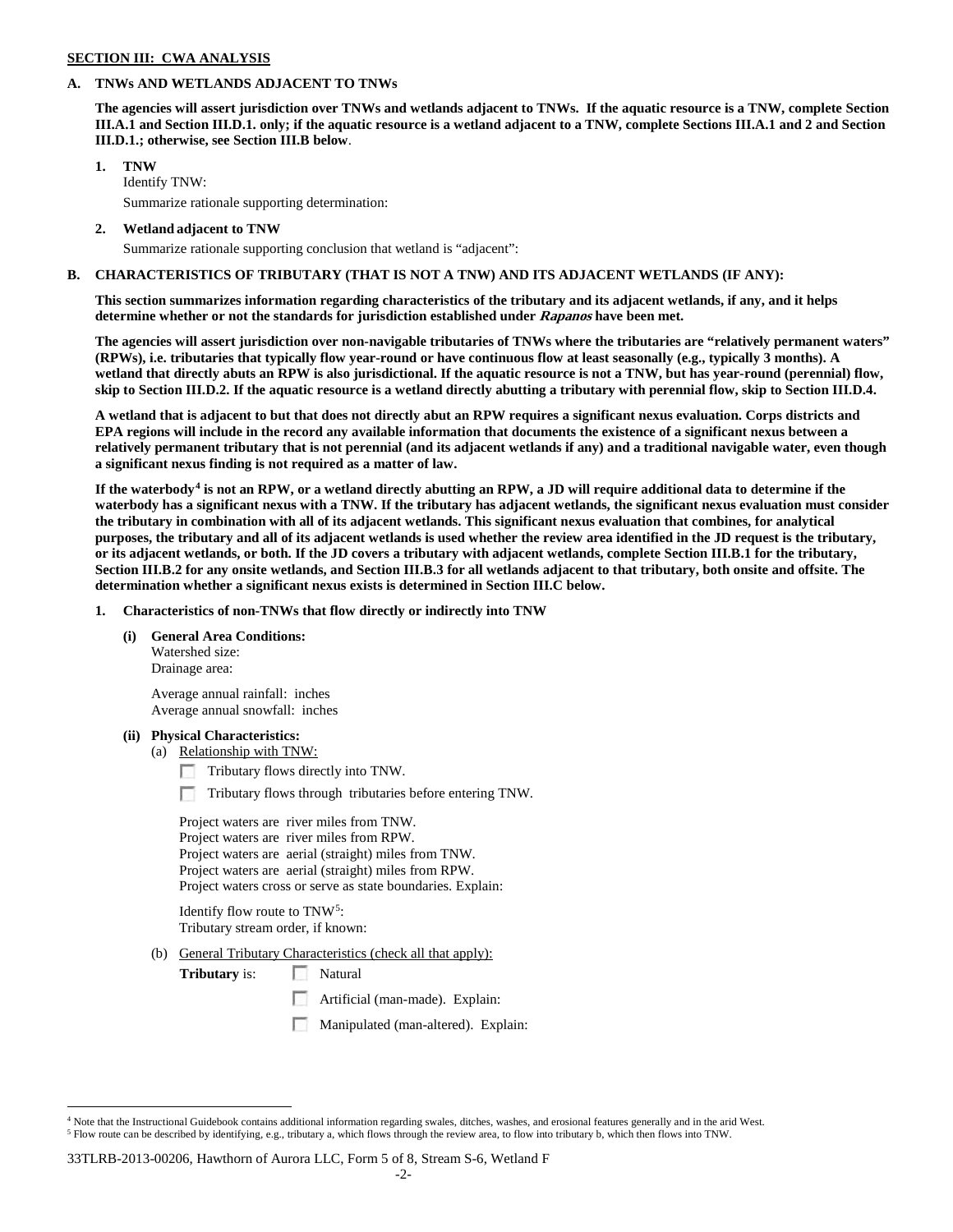### **SECTION III: CWA ANALYSIS**

## **A. TNWs AND WETLANDS ADJACENT TO TNWs**

**The agencies will assert jurisdiction over TNWs and wetlands adjacent to TNWs. If the aquatic resource is a TNW, complete Section III.A.1 and Section III.D.1. only; if the aquatic resource is a wetland adjacent to a TNW, complete Sections III.A.1 and 2 and Section III.D.1.; otherwise, see Section III.B below**.

## **1. TNW**

Identify TNW: Summarize rationale supporting determination:

**2. Wetland adjacent to TNW**

Summarize rationale supporting conclusion that wetland is "adjacent":

## **B. CHARACTERISTICS OF TRIBUTARY (THAT IS NOT A TNW) AND ITS ADJACENT WETLANDS (IF ANY):**

**This section summarizes information regarding characteristics of the tributary and its adjacent wetlands, if any, and it helps determine whether or not the standards for jurisdiction established under Rapanos have been met.** 

**The agencies will assert jurisdiction over non-navigable tributaries of TNWs where the tributaries are "relatively permanent waters" (RPWs), i.e. tributaries that typically flow year-round or have continuous flow at least seasonally (e.g., typically 3 months). A wetland that directly abuts an RPW is also jurisdictional. If the aquatic resource is not a TNW, but has year-round (perennial) flow, skip to Section III.D.2. If the aquatic resource is a wetland directly abutting a tributary with perennial flow, skip to Section III.D.4.**

**A wetland that is adjacent to but that does not directly abut an RPW requires a significant nexus evaluation. Corps districts and EPA regions will include in the record any available information that documents the existence of a significant nexus between a relatively permanent tributary that is not perennial (and its adjacent wetlands if any) and a traditional navigable water, even though a significant nexus finding is not required as a matter of law.**

**If the waterbody[4](#page-33-0) is not an RPW, or a wetland directly abutting an RPW, a JD will require additional data to determine if the waterbody has a significant nexus with a TNW. If the tributary has adjacent wetlands, the significant nexus evaluation must consider the tributary in combination with all of its adjacent wetlands. This significant nexus evaluation that combines, for analytical purposes, the tributary and all of its adjacent wetlands is used whether the review area identified in the JD request is the tributary, or its adjacent wetlands, or both. If the JD covers a tributary with adjacent wetlands, complete Section III.B.1 for the tributary, Section III.B.2 for any onsite wetlands, and Section III.B.3 for all wetlands adjacent to that tributary, both onsite and offsite. The determination whether a significant nexus exists is determined in Section III.C below.**

**1. Characteristics of non-TNWs that flow directly or indirectly into TNW**

#### **(i) General Area Conditions:**

Watershed size: Drainage area:

Average annual rainfall: inches Average annual snowfall: inches

## **(ii) Physical Characteristics:**

- (a) Relationship with TNW:
	- Tributary flows directly into TNW.
	- n Tributary flows through tributaries before entering TNW.

Project waters are river miles from TNW. Project waters are river miles from RPW. Project waters are aerial (straight) miles from TNW. Project waters are aerial (straight) miles from RPW. Project waters cross or serve as state boundaries. Explain:

Identify flow route to TNW[5:](#page-33-1) Tributary stream order, if known:

(b) General Tributary Characteristics (check all that apply):

**Tributary** is: Natural

- Artificial (man-made). Explain:
- Manipulated (man-altered). Explain:

#### 33TLRB-2013-00206, Hawthorn of Aurora LLC, Form 5 of 8, Stream S-6, Wetland F

<span id="page-33-1"></span><span id="page-33-0"></span><sup>&</sup>lt;sup>4</sup> Note that the Instructional Guidebook contains additional information regarding swales, ditches, washes, and erosional features generally and in the arid West. <sup>5</sup> Flow route can be described by identifying, e.g., tributary a, which flows through the review area, to flow into tributary b, which then flows into TNW.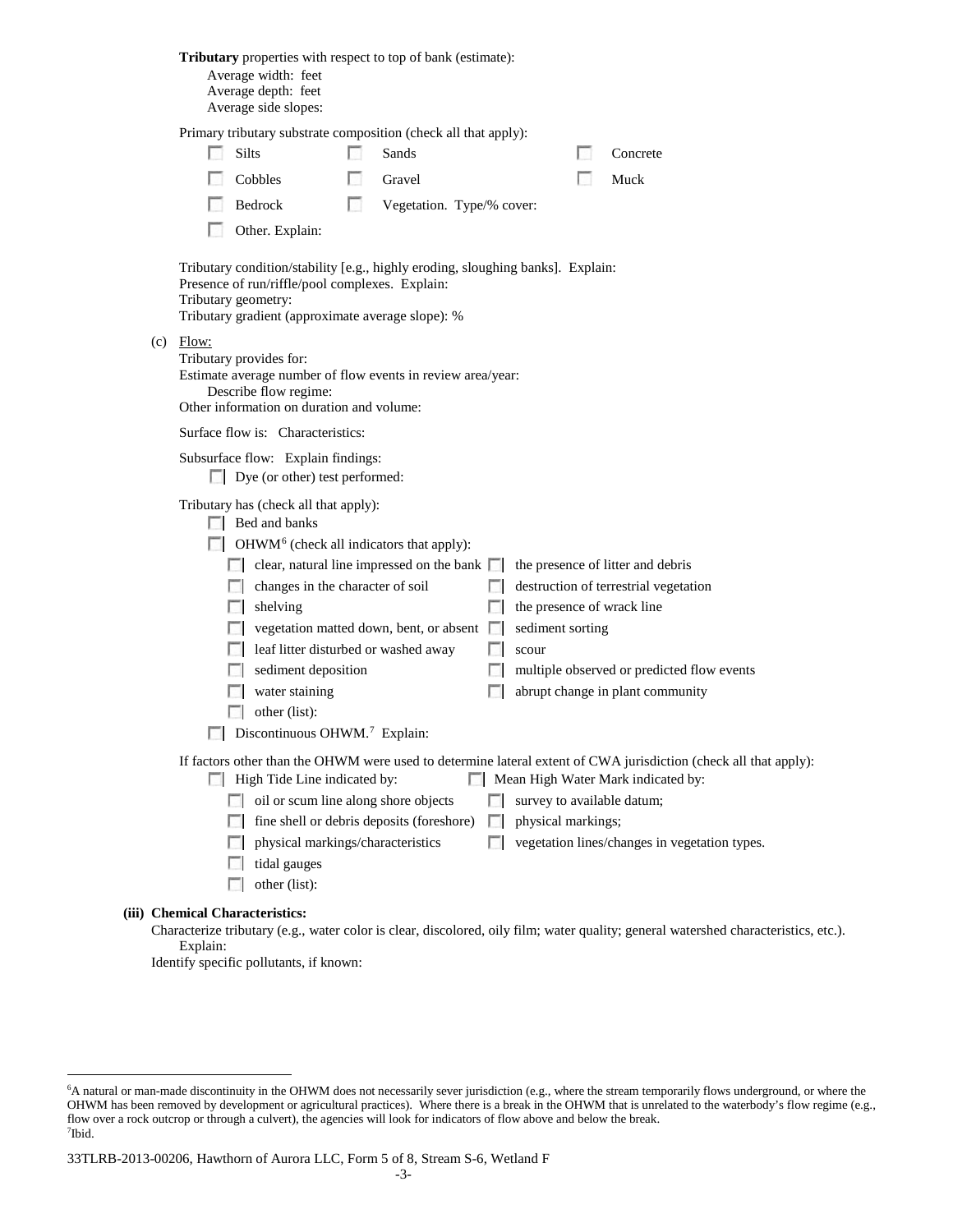|                                           |                               |                                                                                                                                                                                                                                                                              |                                                                |                                                                                                                                                                                                                                                                                                                                                                                                                           |                                                                                                                                                                                                                                                                                        |                                                                                                                                                                                                                                      | Concrete                                                                                                                                                                                                                                                                                                                                                                                                                                                               |  |
|-------------------------------------------|-------------------------------|------------------------------------------------------------------------------------------------------------------------------------------------------------------------------------------------------------------------------------------------------------------------------|----------------------------------------------------------------|---------------------------------------------------------------------------------------------------------------------------------------------------------------------------------------------------------------------------------------------------------------------------------------------------------------------------------------------------------------------------------------------------------------------------|----------------------------------------------------------------------------------------------------------------------------------------------------------------------------------------------------------------------------------------------------------------------------------------|--------------------------------------------------------------------------------------------------------------------------------------------------------------------------------------------------------------------------------------|------------------------------------------------------------------------------------------------------------------------------------------------------------------------------------------------------------------------------------------------------------------------------------------------------------------------------------------------------------------------------------------------------------------------------------------------------------------------|--|
|                                           |                               |                                                                                                                                                                                                                                                                              |                                                                |                                                                                                                                                                                                                                                                                                                                                                                                                           |                                                                                                                                                                                                                                                                                        |                                                                                                                                                                                                                                      | Muck                                                                                                                                                                                                                                                                                                                                                                                                                                                                   |  |
|                                           |                               |                                                                                                                                                                                                                                                                              |                                                                |                                                                                                                                                                                                                                                                                                                                                                                                                           |                                                                                                                                                                                                                                                                                        |                                                                                                                                                                                                                                      |                                                                                                                                                                                                                                                                                                                                                                                                                                                                        |  |
|                                           |                               |                                                                                                                                                                                                                                                                              |                                                                |                                                                                                                                                                                                                                                                                                                                                                                                                           |                                                                                                                                                                                                                                                                                        |                                                                                                                                                                                                                                      |                                                                                                                                                                                                                                                                                                                                                                                                                                                                        |  |
|                                           |                               |                                                                                                                                                                                                                                                                              |                                                                |                                                                                                                                                                                                                                                                                                                                                                                                                           |                                                                                                                                                                                                                                                                                        |                                                                                                                                                                                                                                      |                                                                                                                                                                                                                                                                                                                                                                                                                                                                        |  |
|                                           |                               |                                                                                                                                                                                                                                                                              |                                                                |                                                                                                                                                                                                                                                                                                                                                                                                                           |                                                                                                                                                                                                                                                                                        |                                                                                                                                                                                                                                      |                                                                                                                                                                                                                                                                                                                                                                                                                                                                        |  |
|                                           |                               |                                                                                                                                                                                                                                                                              |                                                                |                                                                                                                                                                                                                                                                                                                                                                                                                           |                                                                                                                                                                                                                                                                                        |                                                                                                                                                                                                                                      |                                                                                                                                                                                                                                                                                                                                                                                                                                                                        |  |
|                                           |                               |                                                                                                                                                                                                                                                                              |                                                                |                                                                                                                                                                                                                                                                                                                                                                                                                           |                                                                                                                                                                                                                                                                                        |                                                                                                                                                                                                                                      |                                                                                                                                                                                                                                                                                                                                                                                                                                                                        |  |
|                                           |                               |                                                                                                                                                                                                                                                                              |                                                                |                                                                                                                                                                                                                                                                                                                                                                                                                           |                                                                                                                                                                                                                                                                                        |                                                                                                                                                                                                                                      |                                                                                                                                                                                                                                                                                                                                                                                                                                                                        |  |
|                                           |                               |                                                                                                                                                                                                                                                                              |                                                                |                                                                                                                                                                                                                                                                                                                                                                                                                           |                                                                                                                                                                                                                                                                                        |                                                                                                                                                                                                                                      | destruction of terrestrial vegetation                                                                                                                                                                                                                                                                                                                                                                                                                                  |  |
|                                           |                               |                                                                                                                                                                                                                                                                              |                                                                | L.                                                                                                                                                                                                                                                                                                                                                                                                                        |                                                                                                                                                                                                                                                                                        |                                                                                                                                                                                                                                      |                                                                                                                                                                                                                                                                                                                                                                                                                                                                        |  |
|                                           |                               |                                                                                                                                                                                                                                                                              |                                                                |                                                                                                                                                                                                                                                                                                                                                                                                                           |                                                                                                                                                                                                                                                                                        |                                                                                                                                                                                                                                      |                                                                                                                                                                                                                                                                                                                                                                                                                                                                        |  |
|                                           |                               |                                                                                                                                                                                                                                                                              |                                                                |                                                                                                                                                                                                                                                                                                                                                                                                                           |                                                                                                                                                                                                                                                                                        |                                                                                                                                                                                                                                      |                                                                                                                                                                                                                                                                                                                                                                                                                                                                        |  |
|                                           |                               |                                                                                                                                                                                                                                                                              |                                                                |                                                                                                                                                                                                                                                                                                                                                                                                                           |                                                                                                                                                                                                                                                                                        |                                                                                                                                                                                                                                      |                                                                                                                                                                                                                                                                                                                                                                                                                                                                        |  |
|                                           |                               |                                                                                                                                                                                                                                                                              |                                                                |                                                                                                                                                                                                                                                                                                                                                                                                                           |                                                                                                                                                                                                                                                                                        |                                                                                                                                                                                                                                      |                                                                                                                                                                                                                                                                                                                                                                                                                                                                        |  |
| Discontinuous OHWM. <sup>7</sup> Explain: |                               |                                                                                                                                                                                                                                                                              |                                                                |                                                                                                                                                                                                                                                                                                                                                                                                                           |                                                                                                                                                                                                                                                                                        |                                                                                                                                                                                                                                      |                                                                                                                                                                                                                                                                                                                                                                                                                                                                        |  |
|                                           |                               |                                                                                                                                                                                                                                                                              |                                                                |                                                                                                                                                                                                                                                                                                                                                                                                                           |                                                                                                                                                                                                                                                                                        |                                                                                                                                                                                                                                      |                                                                                                                                                                                                                                                                                                                                                                                                                                                                        |  |
|                                           |                               |                                                                                                                                                                                                                                                                              |                                                                |                                                                                                                                                                                                                                                                                                                                                                                                                           |                                                                                                                                                                                                                                                                                        |                                                                                                                                                                                                                                      |                                                                                                                                                                                                                                                                                                                                                                                                                                                                        |  |
|                                           |                               |                                                                                                                                                                                                                                                                              |                                                                | L.                                                                                                                                                                                                                                                                                                                                                                                                                        |                                                                                                                                                                                                                                                                                        |                                                                                                                                                                                                                                      |                                                                                                                                                                                                                                                                                                                                                                                                                                                                        |  |
|                                           | tidal gauges<br>other (list): |                                                                                                                                                                                                                                                                              |                                                                | <b>Taratta</b>                                                                                                                                                                                                                                                                                                                                                                                                            |                                                                                                                                                                                                                                                                                        |                                                                                                                                                                                                                                      | vegetation lines/changes in vegetation types.                                                                                                                                                                                                                                                                                                                                                                                                                          |  |
|                                           | 1911<br>$(c)$ Flow:           | Average width: feet<br>Average depth: feet<br>Average side slopes:<br>Silts<br>Cobbles<br>Bedrock<br>Other. Explain:<br>Tributary geometry:<br>Tributary provides for:<br>Describe flow regime:<br>$\Box$ Bed and banks<br>shelving<br>L.<br>water staining<br>other (list): | L.<br>Surface flow is: Characteristics:<br>sediment deposition | Sands<br>Gravel<br>Presence of run/riffle/pool complexes. Explain:<br>Other information on duration and volume:<br>Subsurface flow: Explain findings:<br>Dye (or other) test performed:<br>Tributary has (check all that apply):<br>changes in the character of soil<br>leaf litter disturbed or washed away<br>High Tide Line indicated by:<br>oil or scum line along shore objects<br>physical markings/characteristics | Tributary gradient (approximate average slope): %<br>$\Box$ OHWM <sup>6</sup> (check all indicators that apply):<br>clear, natural line impressed on the bank $\Box$<br>$\Box$ vegetation matted down, bent, or absent $\Box$<br>L.<br>L.<br>fine shell or debris deposits (foreshore) | Tributary properties with respect to top of bank (estimate):<br>Primary tributary substrate composition (check all that apply):<br>Vegetation. Type/% cover:<br>Estimate average number of flow events in review area/year:<br>scour | Tributary condition/stability [e.g., highly eroding, sloughing banks]. Explain:<br>the presence of litter and debris<br>the presence of wrack line<br>sediment sorting<br>multiple observed or predicted flow events<br>abrupt change in plant community<br>If factors other than the OHWM were used to determine lateral extent of CWA jurisdiction (check all that apply):<br>Mean High Water Mark indicated by:<br>survey to available datum;<br>physical markings; |  |

## **(iii) Chemical Characteristics:**

Characterize tributary (e.g., water color is clear, discolored, oily film; water quality; general watershed characteristics, etc.). Explain:

Identify specific pollutants, if known:

<span id="page-34-0"></span> <sup>6</sup> <sup>6</sup>A natural or man-made discontinuity in the OHWM does not necessarily sever jurisdiction (e.g., where the stream temporarily flows underground, or where the OHWM has been removed by development or agricultural practices). Where there is a break in the OHWM that is unrelated to the waterbody's flow regime (e.g., flow over a rock outcrop or through a culvert), the agencies will look for indicators of flow above and below the break. 7 Ibid.

<span id="page-34-1"></span><sup>33</sup>TLRB-2013-00206, Hawthorn of Aurora LLC, Form 5 of 8, Stream S-6, Wetland F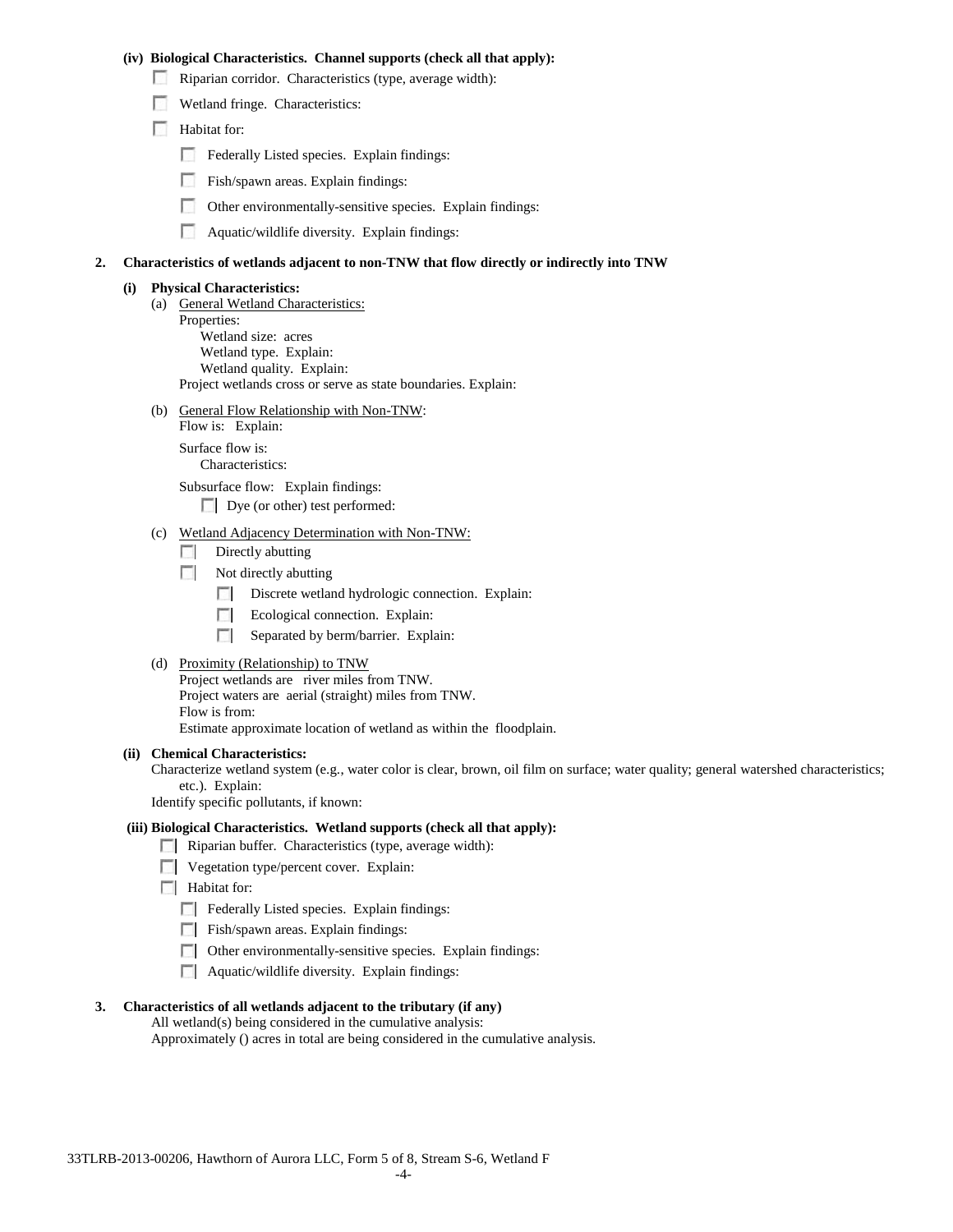#### **(iv) Biological Characteristics. Channel supports (check all that apply):**

- Riparian corridor. Characteristics (type, average width):
- Wetland fringe. Characteristics:
- Habitat for:
	- Federally Listed species. Explain findings:
	- Fish/spawn areas. Explain findings:
	- Other environmentally-sensitive species. Explain findings:
	- Aquatic/wildlife diversity. Explain findings:

#### **2. Characteristics of wetlands adjacent to non-TNW that flow directly or indirectly into TNW**

#### **(i) Physical Characteristics:**

- (a) General Wetland Characteristics:
- Properties: Wetland size: acres
	- Wetland type. Explain:
	- Wetland quality. Explain:

Project wetlands cross or serve as state boundaries. Explain:

(b) General Flow Relationship with Non-TNW:

Flow is: Explain: Surface flow is: Characteristics:

Subsurface flow: Explain findings:

Dye (or other) test performed:

#### (c) Wetland Adjacency Determination with Non-TNW:

- $\Box$  Directly abutting
- Not directly abutting
	- Discrete wetland hydrologic connection. Explain: 100
	- Ecological connection. Explain: **The Contract of the Contract of the Contract of the Contract of the Contract of the Contract of the Contract of the Contract of the Contract of the Contract of the Contract of the Contract of the Contract of the Contract**
	- $\sim$ Separated by berm/barrier. Explain:
- (d) Proximity (Relationship) to TNW

Project wetlands are river miles from TNW. Project waters are aerial (straight) miles from TNW.

Flow is from:

Estimate approximate location of wetland as within the floodplain.

#### **(ii) Chemical Characteristics:**

Characterize wetland system (e.g., water color is clear, brown, oil film on surface; water quality; general watershed characteristics; etc.). Explain:

Identify specific pollutants, if known:

## **(iii) Biological Characteristics. Wetland supports (check all that apply):**

- Riparian buffer. Characteristics (type, average width):
- **Vegetation type/percent cover.** Explain:
- $\Box$  Habitat for:
	- F Federally Listed species. Explain findings:
	- Fish/spawn areas. Explain findings:
	- Other environmentally-sensitive species. Explain findings:
	- **Aquatic/wildlife diversity. Explain findings:**

#### **3. Characteristics of all wetlands adjacent to the tributary (if any)**

All wetland(s) being considered in the cumulative analysis:

Approximately () acres in total are being considered in the cumulative analysis.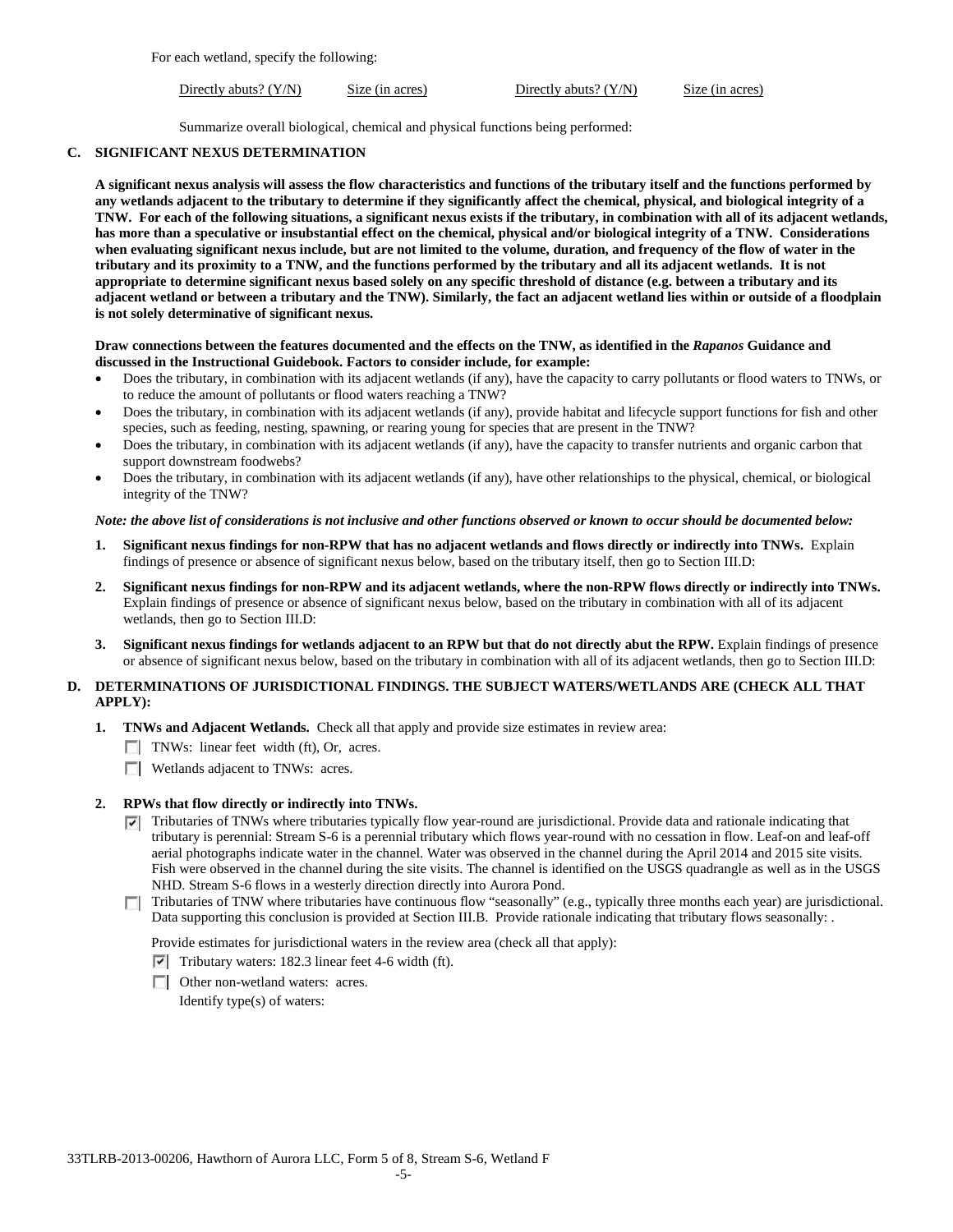For each wetland, specify the following:

Directly abuts? (Y/N) Size (in acres) Directly abuts? (Y/N) Size (in acres)

Summarize overall biological, chemical and physical functions being performed:

### **C. SIGNIFICANT NEXUS DETERMINATION**

**A significant nexus analysis will assess the flow characteristics and functions of the tributary itself and the functions performed by any wetlands adjacent to the tributary to determine if they significantly affect the chemical, physical, and biological integrity of a TNW. For each of the following situations, a significant nexus exists if the tributary, in combination with all of its adjacent wetlands, has more than a speculative or insubstantial effect on the chemical, physical and/or biological integrity of a TNW. Considerations when evaluating significant nexus include, but are not limited to the volume, duration, and frequency of the flow of water in the tributary and its proximity to a TNW, and the functions performed by the tributary and all its adjacent wetlands. It is not appropriate to determine significant nexus based solely on any specific threshold of distance (e.g. between a tributary and its adjacent wetland or between a tributary and the TNW). Similarly, the fact an adjacent wetland lies within or outside of a floodplain is not solely determinative of significant nexus.** 

#### **Draw connections between the features documented and the effects on the TNW, as identified in the** *Rapanos* **Guidance and discussed in the Instructional Guidebook. Factors to consider include, for example:**

- Does the tributary, in combination with its adjacent wetlands (if any), have the capacity to carry pollutants or flood waters to TNWs, or to reduce the amount of pollutants or flood waters reaching a TNW?
- Does the tributary, in combination with its adjacent wetlands (if any), provide habitat and lifecycle support functions for fish and other species, such as feeding, nesting, spawning, or rearing young for species that are present in the TNW?
- Does the tributary, in combination with its adjacent wetlands (if any), have the capacity to transfer nutrients and organic carbon that support downstream foodwebs?
- Does the tributary, in combination with its adjacent wetlands (if any), have other relationships to the physical, chemical, or biological integrity of the TNW?

## *Note: the above list of considerations is not inclusive and other functions observed or known to occur should be documented below:*

- **1. Significant nexus findings for non-RPW that has no adjacent wetlands and flows directly or indirectly into TNWs.** Explain findings of presence or absence of significant nexus below, based on the tributary itself, then go to Section III.D:
- **2. Significant nexus findings for non-RPW and its adjacent wetlands, where the non-RPW flows directly or indirectly into TNWs.**  Explain findings of presence or absence of significant nexus below, based on the tributary in combination with all of its adjacent wetlands, then go to Section III.D:
- **3. Significant nexus findings for wetlands adjacent to an RPW but that do not directly abut the RPW.** Explain findings of presence or absence of significant nexus below, based on the tributary in combination with all of its adjacent wetlands, then go to Section III.D:

# **D. DETERMINATIONS OF JURISDICTIONAL FINDINGS. THE SUBJECT WATERS/WETLANDS ARE (CHECK ALL THAT APPLY):**

- **1. TNWs and Adjacent Wetlands.** Check all that apply and provide size estimates in review area:
	- TNWs: linear feet width (ft), Or, acres.
	- **Wetlands adjacent to TNWs: acres.**

# **2. RPWs that flow directly or indirectly into TNWs.**

- Tributaries of TNWs where tributaries typically flow year-round are jurisdictional. Provide data and rationale indicating that tributary is perennial: Stream S-6 is a perennial tributary which flows year-round with no cessation in flow. Leaf-on and leaf-off aerial photographs indicate water in the channel. Water was observed in the channel during the April 2014 and 2015 site visits. Fish were observed in the channel during the site visits. The channel is identified on the USGS quadrangle as well as in the USGS NHD. Stream S-6 flows in a westerly direction directly into Aurora Pond.
- Tributaries of TNW where tributaries have continuous flow "seasonally" (e.g., typically three months each year) are jurisdictional.  $\Box$ Data supporting this conclusion is provided at Section III.B. Provide rationale indicating that tributary flows seasonally: .

Provide estimates for jurisdictional waters in the review area (check all that apply):

- $\triangledown$  Tributary waters: 182.3 linear feet 4-6 width (ft).
- **Other non-wetland waters: acres.**

Identify type(s) of waters: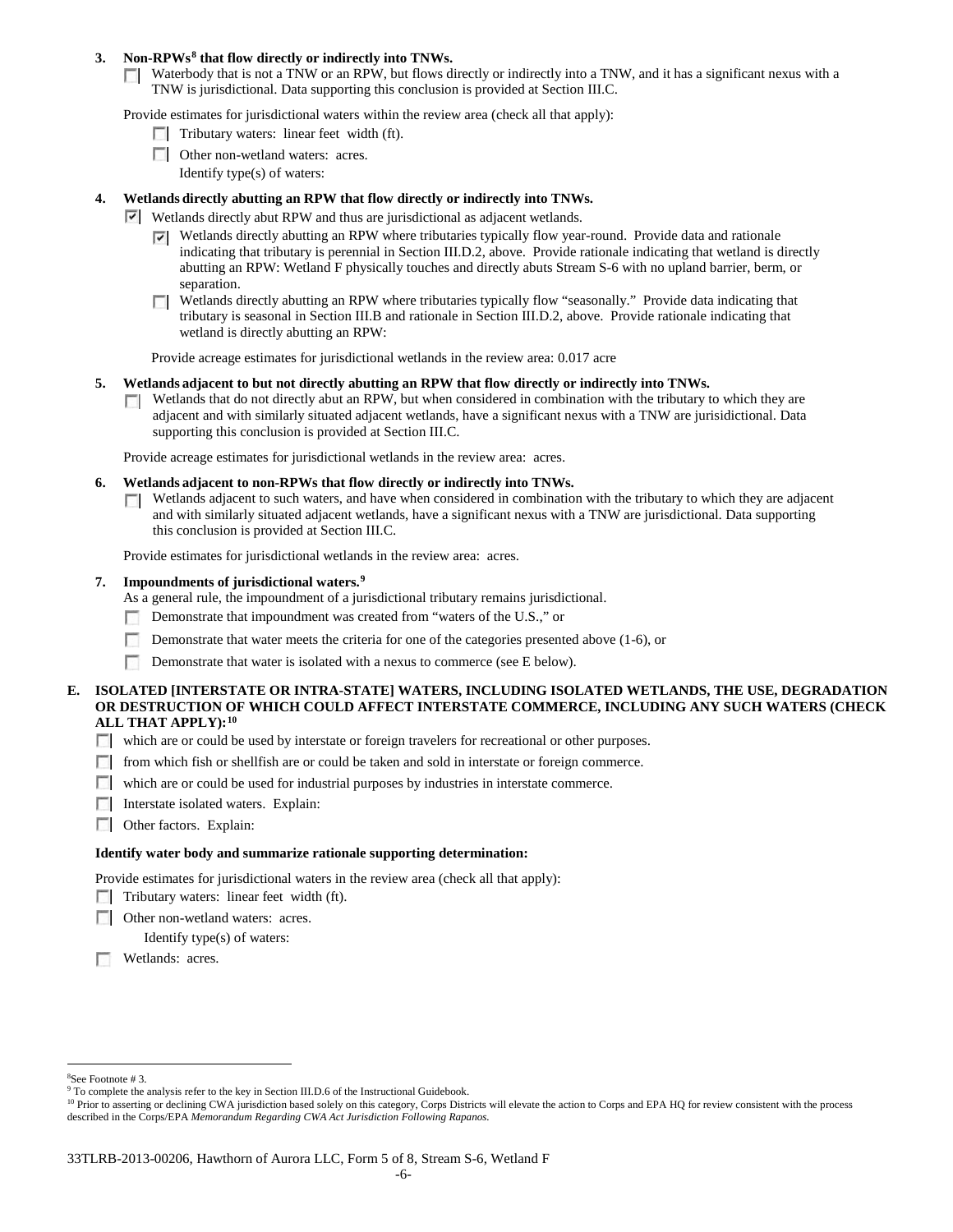## **3. Non-RPWs[8](#page-37-0) that flow directly or indirectly into TNWs.**

Waterbody that is not a TNW or an RPW, but flows directly or indirectly into a TNW, and it has a significant nexus with a TNW is jurisdictional. Data supporting this conclusion is provided at Section III.C.

Provide estimates for jurisdictional waters within the review area (check all that apply):

- $\Box$  Tributary waters: linear feet width (ft).
- **Other non-wetland waters: acres.** 
	- Identify type(s) of waters:

## **4. Wetlands directly abutting an RPW that flow directly or indirectly into TNWs.**

- Wetlands directly abut RPW and thus are jurisdictional as adjacent wetlands.
	- $\nabla$  Wetlands directly abutting an RPW where tributaries typically flow year-round. Provide data and rationale indicating that tributary is perennial in Section III.D.2, above. Provide rationale indicating that wetland is directly abutting an RPW: Wetland F physically touches and directly abuts Stream S-6 with no upland barrier, berm, or separation.
	- Wetlands directly abutting an RPW where tributaries typically flow "seasonally." Provide data indicating that tributary is seasonal in Section III.B and rationale in Section III.D.2, above. Provide rationale indicating that wetland is directly abutting an RPW:

Provide acreage estimates for jurisdictional wetlands in the review area: 0.017 acre

#### **5. Wetlands adjacent to but not directly abutting an RPW that flow directly or indirectly into TNWs.**

Wetlands that do not directly abut an RPW, but when considered in combination with the tributary to which they are **TT** adjacent and with similarly situated adjacent wetlands, have a significant nexus with a TNW are jurisidictional. Data supporting this conclusion is provided at Section III.C.

Provide acreage estimates for jurisdictional wetlands in the review area: acres.

#### **6. Wetlands adjacent to non-RPWs that flow directly or indirectly into TNWs.**

 $\Box$  Wetlands adjacent to such waters, and have when considered in combination with the tributary to which they are adjacent and with similarly situated adjacent wetlands, have a significant nexus with a TNW are jurisdictional. Data supporting this conclusion is provided at Section III.C.

Provide estimates for jurisdictional wetlands in the review area: acres.

### **7. Impoundments of jurisdictional waters. [9](#page-37-1)**

As a general rule, the impoundment of a jurisdictional tributary remains jurisdictional.

- Demonstrate that impoundment was created from "waters of the U.S.," or  $\sim$
- г Demonstrate that water meets the criteria for one of the categories presented above (1-6), or
- Demonstrate that water is isolated with a nexus to commerce (see E below).

## **E. ISOLATED [INTERSTATE OR INTRA-STATE] WATERS, INCLUDING ISOLATED WETLANDS, THE USE, DEGRADATION OR DESTRUCTION OF WHICH COULD AFFECT INTERSTATE COMMERCE, INCLUDING ANY SUCH WATERS (CHECK ALL THAT APPLY):[10](#page-37-2)**

- which are or could be used by interstate or foreign travelers for recreational or other purposes.
- from which fish or shellfish are or could be taken and sold in interstate or foreign commerce.
- which are or could be used for industrial purposes by industries in interstate commerce.
- Interstate isolated waters. Explain:
- **C** Other factors. Explain:

#### **Identify water body and summarize rationale supporting determination:**

Provide estimates for jurisdictional waters in the review area (check all that apply):

- Tributary waters: linear feet width (ft).
- □ Other non-wetland waters: acres.

Identify type(s) of waters:

**Wetlands:** acres.

 $\frac{1}{8}$ See Footnote # 3.

<span id="page-37-1"></span><span id="page-37-0"></span><sup>&</sup>lt;sup>9</sup> To complete the analysis refer to the key in Section III.D.6 of the Instructional Guidebook.

<span id="page-37-2"></span><sup>&</sup>lt;sup>10</sup> Prior to asserting or declining CWA jurisdiction based solely on this category, Corps Districts will elevate the action to Corps and EPA HQ for review consistent with the process described in the Corps/EPA *Memorandum Regarding CWA Act Jurisdiction Following Rapanos.*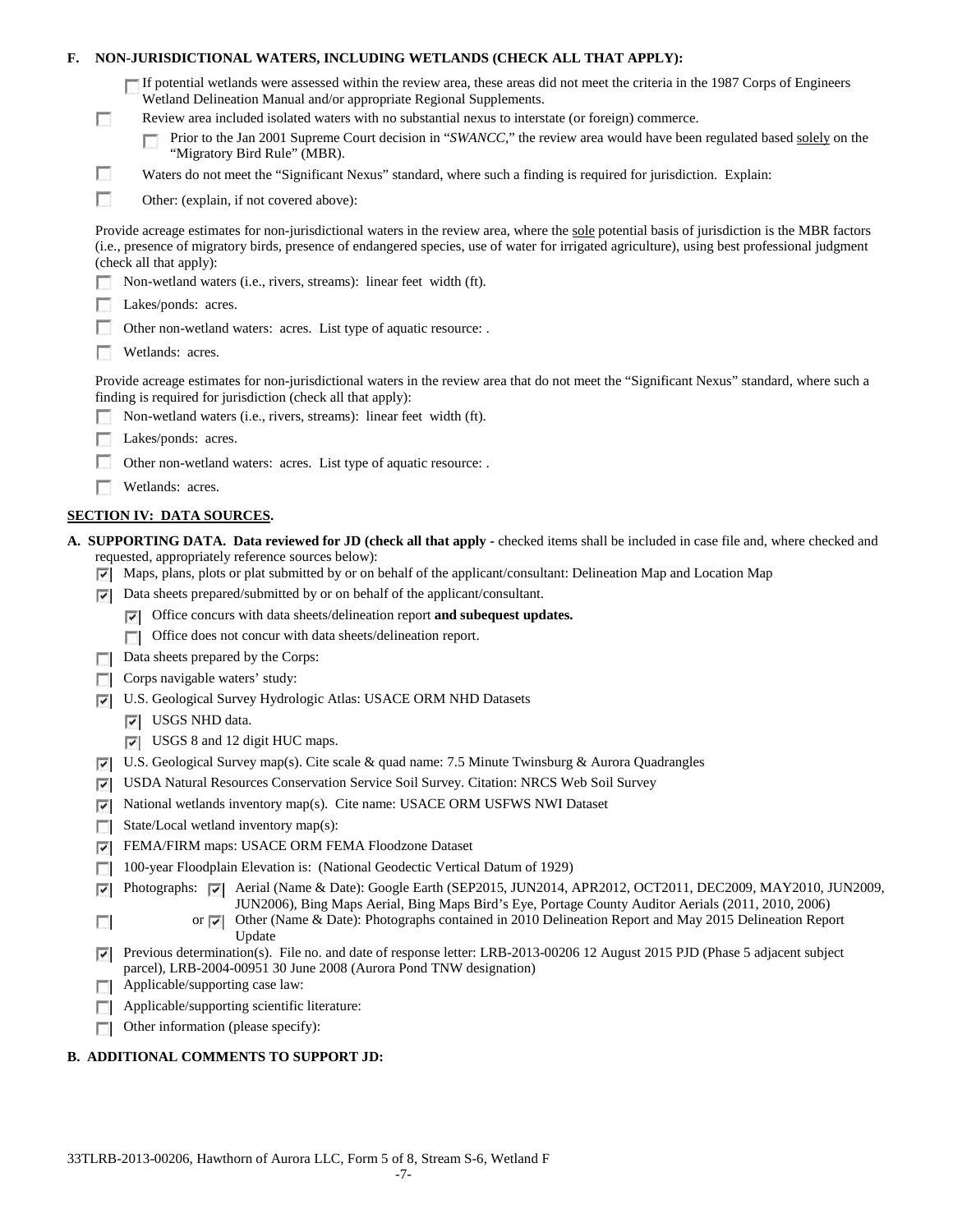## **F. NON-JURISDICTIONAL WATERS, INCLUDING WETLANDS (CHECK ALL THAT APPLY):**

| If potential wetlands were assessed within the review area, these areas did not meet the criteria in the 1987 Corps of Engineers |
|----------------------------------------------------------------------------------------------------------------------------------|
| Wetland Delineation Manual and/or appropriate Regional Supplements.                                                              |

- Review area included isolated waters with no substantial nexus to interstate (or foreign) commerce.
	- Prior to the Jan 2001 Supreme Court decision in "*SWANCC*," the review area would have been regulated based solely on the п "Migratory Bird Rule" (MBR).
- Waters do not meet the "Significant Nexus" standard, where such a finding is required for jurisdiction. Explain:
- F Other: (explain, if not covered above):

Provide acreage estimates for non-jurisdictional waters in the review area, where the sole potential basis of jurisdiction is the MBR factors (i.e., presence of migratory birds, presence of endangered species, use of water for irrigated agriculture), using best professional judgment (check all that apply):

- Non-wetland waters (i.e., rivers, streams): linear feet width (ft).
- Lakes/ponds: acres.
- Other non-wetland waters: acres. List type of aquatic resource: .
- **Wetlands:** acres.

П

г

Provide acreage estimates for non-jurisdictional waters in the review area that do not meet the "Significant Nexus" standard, where such a finding is required for jurisdiction (check all that apply):

- Non-wetland waters (i.e., rivers, streams): linear feet width (ft).
- Lakes/ponds: acres.
- **A** Other non-wetland waters: acres. List type of aquatic resource: .
- **Wetlands:** acres.

## **SECTION IV: DATA SOURCES.**

- **A. SUPPORTING DATA. Data reviewed for JD (check all that apply -** checked items shall be included in case file and, where checked and requested, appropriately reference sources below):
	- $\nabla$  Maps, plans, plots or plat submitted by or on behalf of the applicant/consultant: Delineation Map and Location Map
	- $\nabla$  Data sheets prepared/submitted by or on behalf of the applicant/consultant.
		- Office concurs with data sheets/delineation report **and subequest updates.**
		- Office does not concur with data sheets/delineation report.
	- Data sheets prepared by the Corps:
	- Corps navigable waters' study:
	- U.S. Geological Survey Hydrologic Atlas: USACE ORM NHD Datasets
		- **V** USGS NHD data.
		- USGS 8 and 12 digit HUC maps.
	- U.S. Geological Survey map(s). Cite scale & quad name: 7.5 Minute Twinsburg & Aurora Quadrangles
	- USDA Natural Resources Conservation Service Soil Survey. Citation: NRCS Web Soil Survey
	- National wetlands inventory map(s). Cite name: USACE ORM USFWS NWI Dataset ☞
	- State/Local wetland inventory map(s):
	- FEMA/FIRM maps: USACE ORM FEMA Floodzone Dataset ☞
	- 100-year Floodplain Elevation is: (National Geodectic Vertical Datum of 1929) L.

Photographs:  $\triangledown$  Aerial (Name & Date): Google Earth (SEP2015, JUN2014, APR2012, OCT2011, DEC2009, MAY2010, JUN2009, ⊽ JUN2006), Bing Maps Aerial, Bing Maps Bird's Eye, Portage County Auditor Aerials (2011, 2010, 2006)

- or  $\triangledown$  Other (Name & Date): Photographs contained in 2010 Delineation Report and May 2015 Delineation Report Update
- Previous determination(s). File no. and date of response letter: LRB-2013-00206 12 August 2015 PJD (Phase 5 adjacent subject ⊽ parcel), LRB-2004-00951 30 June 2008 (Aurora Pond TNW designation)
- **Applicable/supporting case law:**

П

- $\Box$  Applicable/supporting scientific literature:
- Other information (please specify):  $\overline{a}$

# **B. ADDITIONAL COMMENTS TO SUPPORT JD:**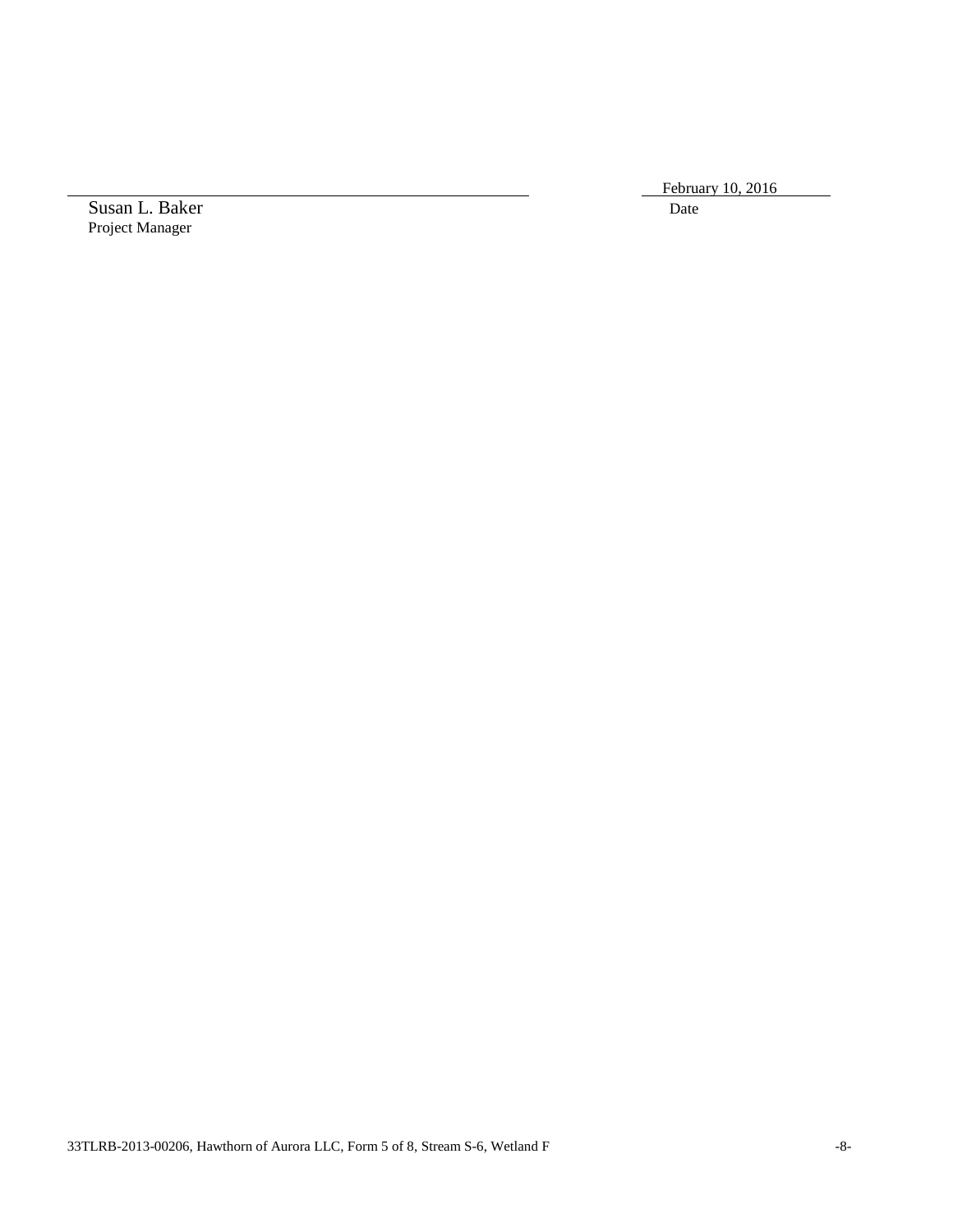February 10, 2016

Susan L. Baker Date Project Manager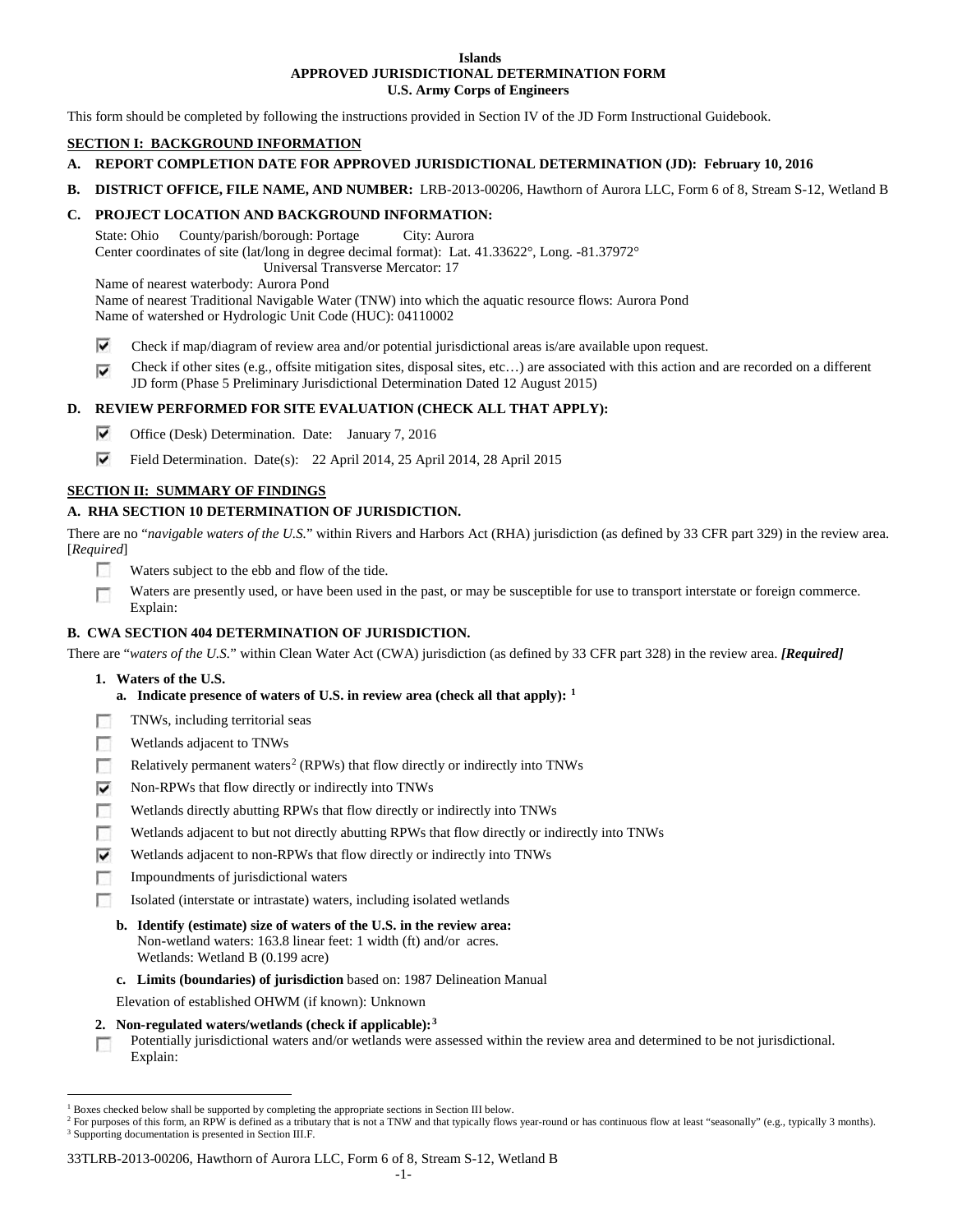#### **Islands APPROVED JURISDICTIONAL DETERMINATION FORM U.S. Army Corps of Engineers**

This form should be completed by following the instructions provided in Section IV of the JD Form Instructional Guidebook.

## **SECTION I: BACKGROUND INFORMATION**

- **A. REPORT COMPLETION DATE FOR APPROVED JURISDICTIONAL DETERMINATION (JD): February 10, 2016**
- **B. DISTRICT OFFICE, FILE NAME, AND NUMBER:** LRB-2013-00206, Hawthorn of Aurora LLC, Form 6 of 8, Stream S-12, Wetland B

### **C. PROJECT LOCATION AND BACKGROUND INFORMATION:**

State: Ohio County/parish/borough: Portage City: Aurora Center coordinates of site (lat/long in degree decimal format): Lat. 41.33622°, Long. -81.37972° Universal Transverse Mercator: 17

Name of nearest waterbody: Aurora Pond

Name of nearest Traditional Navigable Water (TNW) into which the aquatic resource flows: Aurora Pond Name of watershed or Hydrologic Unit Code (HUC): 04110002

- ⊽ Check if map/diagram of review area and/or potential jurisdictional areas is/are available upon request.
- Check if other sites (e.g., offsite mitigation sites, disposal sites, etc…) are associated with this action and are recorded on a different ⊽ JD form (Phase 5 Preliminary Jurisdictional Determination Dated 12 August 2015)

# **D. REVIEW PERFORMED FOR SITE EVALUATION (CHECK ALL THAT APPLY):**

- ⊽ Office (Desk) Determination. Date: January 7, 2016
- ⊽ Field Determination. Date(s): 22 April 2014, 25 April 2014, 28 April 2015

# **SECTION II: SUMMARY OF FINDINGS**

# **A. RHA SECTION 10 DETERMINATION OF JURISDICTION.**

There are no "*navigable waters of the U.S.*" within Rivers and Harbors Act (RHA) jurisdiction (as defined by 33 CFR part 329) in the review area. [*Required*]

- **IST** Waters subject to the ebb and flow of the tide.
- Waters are presently used, or have been used in the past, or may be susceptible for use to transport interstate or foreign commerce. Г Explain:

# **B. CWA SECTION 404 DETERMINATION OF JURISDICTION.**

There are "*waters of the U.S.*" within Clean Water Act (CWA) jurisdiction (as defined by 33 CFR part 328) in the review area. *[Required]*

- **1. Waters of the U.S.**
	- **a. Indicate presence of waters of U.S. in review area (check all that apply): [1](#page-40-0)**
- п TNWs, including territorial seas
- Wetlands adjacent to TNWs п
- П Relatively permanent waters<sup>[2](#page-40-1)</sup> (RPWs) that flow directly or indirectly into TNWs
- $\overline{\mathbf{v}}$ Non-RPWs that flow directly or indirectly into TNWs
- Wetlands directly abutting RPWs that flow directly or indirectly into TNWs п
- п Wetlands adjacent to but not directly abutting RPWs that flow directly or indirectly into TNWs
- ⊽ Wetlands adjacent to non-RPWs that flow directly or indirectly into TNWs
- в Impoundments of jurisdictional waters
- Isolated (interstate or intrastate) waters, including isolated wetlands n.
	- **b. Identify (estimate) size of waters of the U.S. in the review area:** Non-wetland waters: 163.8 linear feet: 1 width (ft) and/or acres. Wetlands: Wetland B (0.199 acre)
	- **c. Limits (boundaries) of jurisdiction** based on: 1987 Delineation Manual
	- Elevation of established OHWM (if known): Unknown
- **2. Non-regulated waters/wetlands (check if applicable):[3](#page-40-2)**

Potentially jurisdictional waters and/or wetlands were assessed within the review area and determined to be not jurisdictional.  $\sim$ Explain:

#### 33TLRB-2013-00206, Hawthorn of Aurora LLC, Form 6 of 8, Stream S-12, Wetland B

<span id="page-40-0"></span><sup>&</sup>lt;sup>1</sup> Boxes checked below shall be supported by completing the appropriate sections in Section III below.

<span id="page-40-2"></span><span id="page-40-1"></span><sup>&</sup>lt;sup>2</sup> For purposes of this form, an RPW is defined as a tributary that is not a TNW and that typically flows year-round or has continuous flow at least "seasonally" (e.g., typically 3 months). <sup>3</sup> Supporting documentation is presented in Section III.F.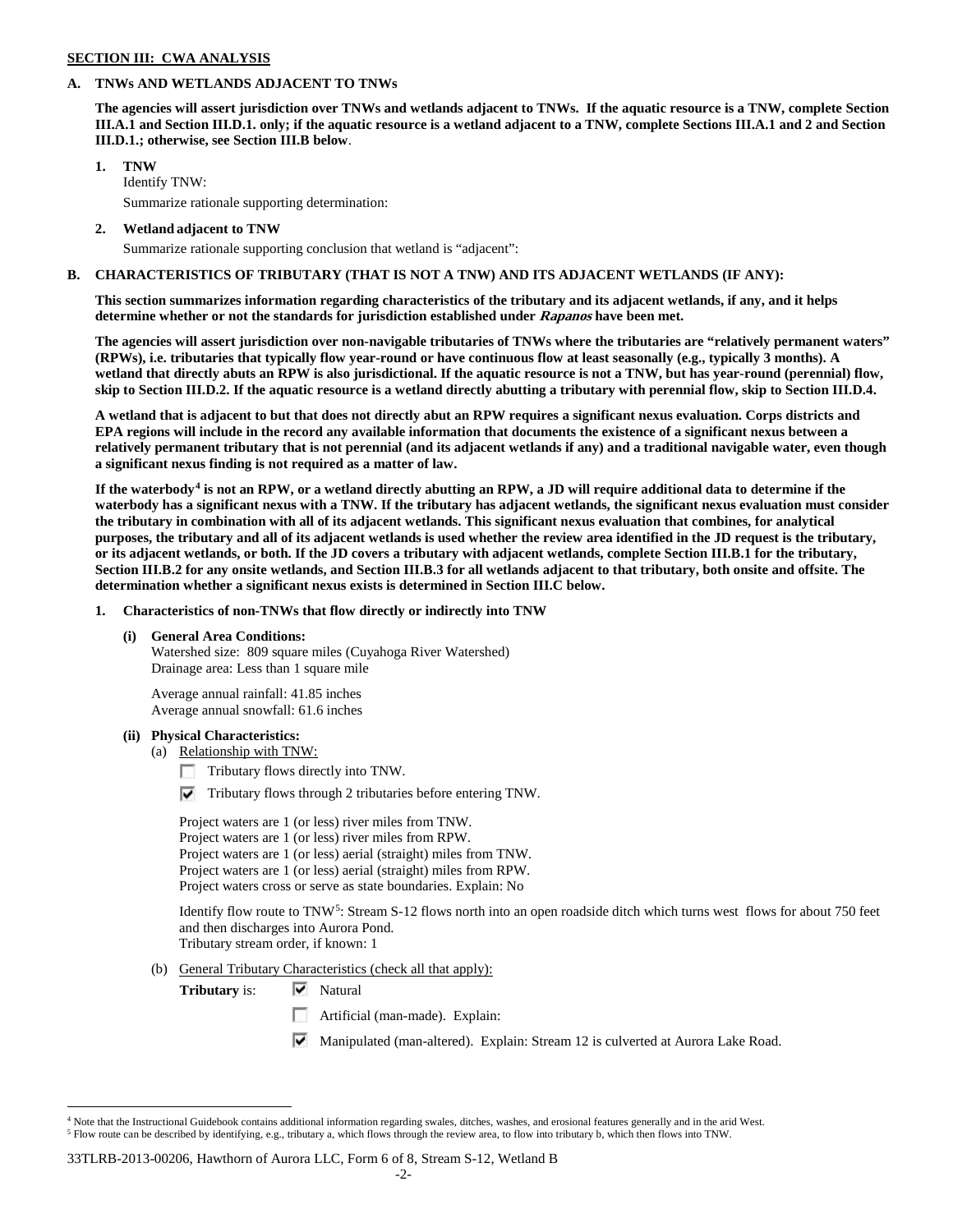### **SECTION III: CWA ANALYSIS**

### **A. TNWs AND WETLANDS ADJACENT TO TNWs**

**The agencies will assert jurisdiction over TNWs and wetlands adjacent to TNWs. If the aquatic resource is a TNW, complete Section III.A.1 and Section III.D.1. only; if the aquatic resource is a wetland adjacent to a TNW, complete Sections III.A.1 and 2 and Section III.D.1.; otherwise, see Section III.B below**.

## **1. TNW**

Identify TNW: Summarize rationale supporting determination:

**2. Wetland adjacent to TNW**

Summarize rationale supporting conclusion that wetland is "adjacent":

## **B. CHARACTERISTICS OF TRIBUTARY (THAT IS NOT A TNW) AND ITS ADJACENT WETLANDS (IF ANY):**

**This section summarizes information regarding characteristics of the tributary and its adjacent wetlands, if any, and it helps determine whether or not the standards for jurisdiction established under Rapanos have been met.** 

**The agencies will assert jurisdiction over non-navigable tributaries of TNWs where the tributaries are "relatively permanent waters" (RPWs), i.e. tributaries that typically flow year-round or have continuous flow at least seasonally (e.g., typically 3 months). A wetland that directly abuts an RPW is also jurisdictional. If the aquatic resource is not a TNW, but has year-round (perennial) flow, skip to Section III.D.2. If the aquatic resource is a wetland directly abutting a tributary with perennial flow, skip to Section III.D.4.**

**A wetland that is adjacent to but that does not directly abut an RPW requires a significant nexus evaluation. Corps districts and EPA regions will include in the record any available information that documents the existence of a significant nexus between a relatively permanent tributary that is not perennial (and its adjacent wetlands if any) and a traditional navigable water, even though a significant nexus finding is not required as a matter of law.**

**If the waterbody[4](#page-41-0) is not an RPW, or a wetland directly abutting an RPW, a JD will require additional data to determine if the waterbody has a significant nexus with a TNW. If the tributary has adjacent wetlands, the significant nexus evaluation must consider the tributary in combination with all of its adjacent wetlands. This significant nexus evaluation that combines, for analytical purposes, the tributary and all of its adjacent wetlands is used whether the review area identified in the JD request is the tributary, or its adjacent wetlands, or both. If the JD covers a tributary with adjacent wetlands, complete Section III.B.1 for the tributary, Section III.B.2 for any onsite wetlands, and Section III.B.3 for all wetlands adjacent to that tributary, both onsite and offsite. The determination whether a significant nexus exists is determined in Section III.C below.**

**1. Characteristics of non-TNWs that flow directly or indirectly into TNW**

## **(i) General Area Conditions:**

Watershed size: 809 square miles (Cuyahoga River Watershed) Drainage area: Less than 1 square mile

Average annual rainfall: 41.85 inches Average annual snowfall: 61.6 inches

#### **(ii) Physical Characteristics:**

- (a) Relationship with TNW:
	- Tributary flows directly into TNW.
	- $\triangledown$  Tributary flows through 2 tributaries before entering TNW.

Project waters are 1 (or less) river miles from TNW. Project waters are 1 (or less) river miles from RPW. Project waters are 1 (or less) aerial (straight) miles from TNW. Project waters are 1 (or less) aerial (straight) miles from RPW. Project waters cross or serve as state boundaries. Explain: No

Identify flow route to TNW[5:](#page-41-1) Stream S-12 flows north into an open roadside ditch which turns west flows for about 750 feet and then discharges into Aurora Pond.

Tributary stream order, if known: 1

(b) General Tributary Characteristics (check all that apply):

**Tributary** is:  $\overline{\mathbf{v}}$  Natural

- Artificial (man-made). Explain:
- Manipulated (man-altered). Explain: Stream 12 is culverted at Aurora Lake Road.

#### 33TLRB-2013-00206, Hawthorn of Aurora LLC, Form 6 of 8, Stream S-12, Wetland B

<span id="page-41-1"></span><span id="page-41-0"></span> $4$  Note that the Instructional Guidebook contains additional information regarding swales, ditches, washes, and erosional features generally and in the arid West. <sup>5</sup> Flow route can be described by identifying, e.g., tributary a, which flows through the review area, to flow into tributary b, which then flows into TNW.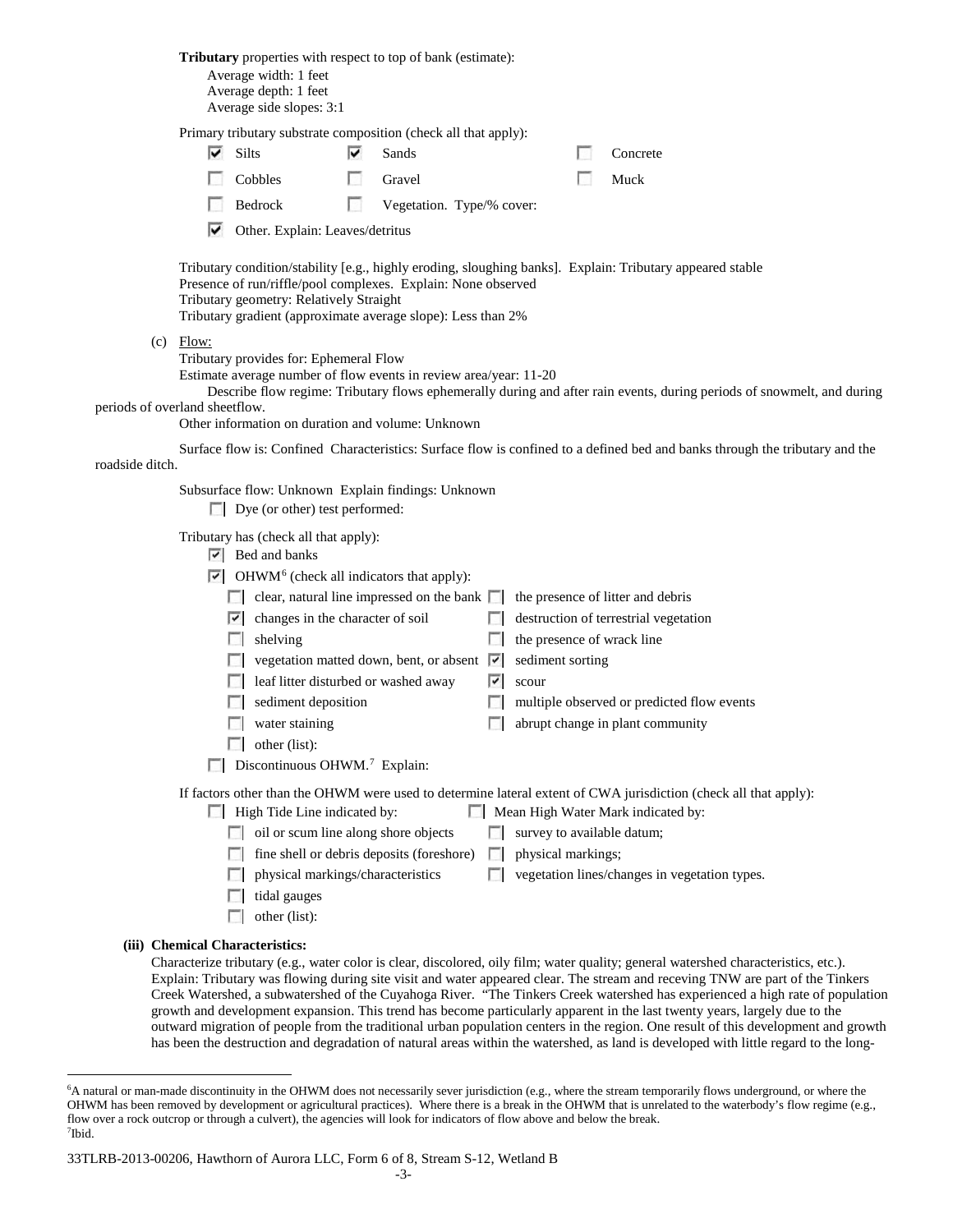|                                |             | Average width: 1 feet<br>Average depth: 1 feet<br>Average side slopes: 3:1                                                                                                                                                                                        | <b>Tributary</b> properties with respect to top of bank (estimate):                                                                                                                                          |                                                                   |                                                                                                                                                                                                         |
|--------------------------------|-------------|-------------------------------------------------------------------------------------------------------------------------------------------------------------------------------------------------------------------------------------------------------------------|--------------------------------------------------------------------------------------------------------------------------------------------------------------------------------------------------------------|-------------------------------------------------------------------|---------------------------------------------------------------------------------------------------------------------------------------------------------------------------------------------------------|
|                                |             |                                                                                                                                                                                                                                                                   | Primary tributary substrate composition (check all that apply):                                                                                                                                              |                                                                   |                                                                                                                                                                                                         |
|                                | ⊽           | Silts                                                                                                                                                                                                                                                             | է<br>Sands                                                                                                                                                                                                   |                                                                   | Concrete                                                                                                                                                                                                |
|                                |             | Cobbles                                                                                                                                                                                                                                                           | Gravel                                                                                                                                                                                                       |                                                                   | Muck                                                                                                                                                                                                    |
|                                |             | Bedrock                                                                                                                                                                                                                                                           | n<br>Vegetation. Type/% cover:                                                                                                                                                                               |                                                                   |                                                                                                                                                                                                         |
|                                | ⋉           | Other. Explain: Leaves/detritus                                                                                                                                                                                                                                   |                                                                                                                                                                                                              |                                                                   |                                                                                                                                                                                                         |
|                                |             | Tributary geometry: Relatively Straight                                                                                                                                                                                                                           | Presence of run/riffle/pool complexes. Explain: None observed<br>Tributary gradient (approximate average slope): Less than 2%                                                                                |                                                                   | Tributary condition/stability [e.g., highly eroding, sloughing banks]. Explain: Tributary appeared stable                                                                                               |
| periods of overland sheetflow. | $(c)$ Flow: | Tributary provides for: Ephemeral Flow                                                                                                                                                                                                                            | Estimate average number of flow events in review area/year: 11-20                                                                                                                                            |                                                                   | Describe flow regime: Tributary flows ephemerally during and after rain events, during periods of snowmelt, and during                                                                                  |
|                                |             |                                                                                                                                                                                                                                                                   | Other information on duration and volume: Unknown                                                                                                                                                            |                                                                   |                                                                                                                                                                                                         |
| roadside ditch.                |             |                                                                                                                                                                                                                                                                   |                                                                                                                                                                                                              |                                                                   | Surface flow is: Confined Characteristics: Surface flow is confined to a defined bed and banks through the tributary and the                                                                            |
|                                |             | $\Box$ Dye (or other) test performed:                                                                                                                                                                                                                             | Subsurface flow: Unknown Explain findings: Unknown                                                                                                                                                           |                                                                   |                                                                                                                                                                                                         |
|                                |             | Tributary has (check all that apply):<br>$\triangleright$ Bed and banks<br><b>COLLEGE</b><br>$\triangleright$ changes in the character of soil<br>shelving<br>sediment deposition<br>water staining<br>other (list):<br>Discontinuous OHWM. <sup>7</sup> Explain: | $\triangleright$ OHWM <sup>6</sup> (check all indicators that apply):<br>clear, natural line impressed on the bank $\Box$<br>vegetation matted down, bent, or absent<br>leaf litter disturbed or washed away | the presence of wrack line<br>sediment sorting<br>⊽<br>V<br>scour | the presence of litter and debris<br>$\Box$ destruction of terrestrial vegetation<br>multiple observed or predicted flow events<br>abrupt change in plant community                                     |
|                                | $\Box$      | High Tide Line indicated by:<br>H<br>tidal gauges<br>other (list):                                                                                                                                                                                                | oil or scum line along shore objects<br>fine shell or debris deposits (foreshore)<br>physical markings/characteristics                                                                                       | survey to available datum;<br>physical markings;<br>$\sim$        | If factors other than the OHWM were used to determine lateral extent of CWA jurisdiction (check all that apply):<br>Mean High Water Mark indicated by:<br>vegetation lines/changes in vegetation types. |
|                                |             | (iii) Chemical Characteristics:                                                                                                                                                                                                                                   |                                                                                                                                                                                                              |                                                                   | Characterize tributary (e.g., water color is clear, discolored, oily film; water quality; general watershed characteristics, etc.).                                                                     |

Explain: Tributary was flowing during site visit and water appeared clear. The stream and receving TNW are part of the Tinkers Creek Watershed, a subwatershed of the Cuyahoga River. "The Tinkers Creek watershed has experienced a high rate of population growth and development expansion. This trend has become particularly apparent in the last twenty years, largely due to the outward migration of people from the traditional urban population centers in the region. One result of this development and growth has been the destruction and degradation of natural areas within the watershed, as land is developed with little regard to the long-

<span id="page-42-0"></span> <sup>6</sup> <sup>6</sup>A natural or man-made discontinuity in the OHWM does not necessarily sever jurisdiction (e.g., where the stream temporarily flows underground, or where the OHWM has been removed by development or agricultural practices). Where there is a break in the OHWM that is unrelated to the waterbody's flow regime (e.g., flow over a rock outcrop or through a culvert), the agencies will look for indicators of flow above and below the break. 7 Ibid.

<span id="page-42-1"></span><sup>33</sup>TLRB-2013-00206, Hawthorn of Aurora LLC, Form 6 of 8, Stream S-12, Wetland B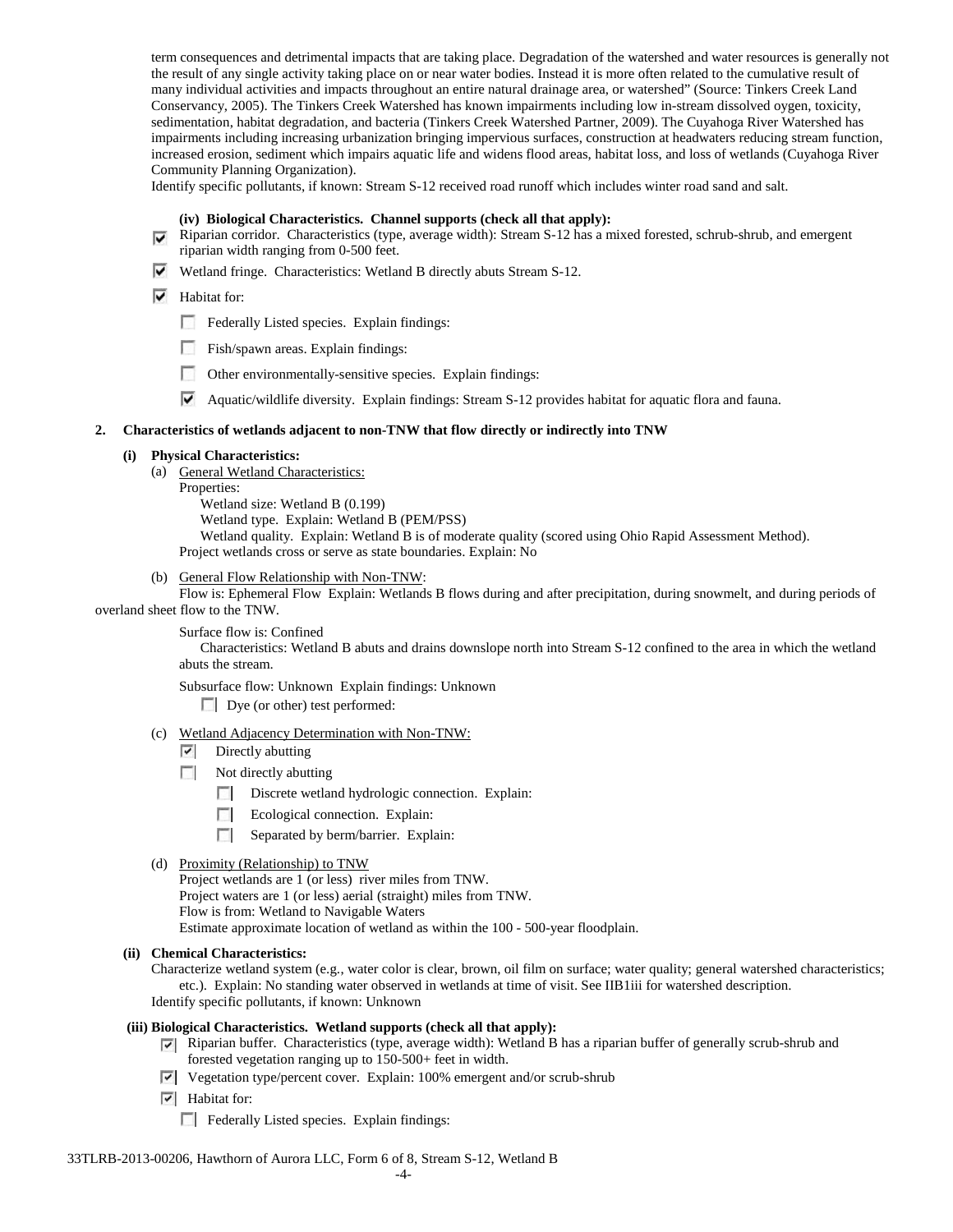term consequences and detrimental impacts that are taking place. Degradation of the watershed and water resources is generally not the result of any single activity taking place on or near water bodies. Instead it is more often related to the cumulative result of many individual activities and impacts throughout an entire natural drainage area, or watershed" (Source: Tinkers Creek Land Conservancy, 2005). The Tinkers Creek Watershed has known impairments including low in-stream dissolved oygen, toxicity, sedimentation, habitat degradation, and bacteria (Tinkers Creek Watershed Partner, 2009). The Cuyahoga River Watershed has impairments including increasing urbanization bringing impervious surfaces, construction at headwaters reducing stream function, increased erosion, sediment which impairs aquatic life and widens flood areas, habitat loss, and loss of wetlands (Cuyahoga River Community Planning Organization).

Identify specific pollutants, if known: Stream S-12 received road runoff which includes winter road sand and salt.

# **(iv) Biological Characteristics. Channel supports (check all that apply):**

- Riparian corridor. Characteristics (type, average width): Stream S-12 has a mixed forested, schrub-shrub, and emergent riparian width ranging from 0-500 feet.
- Wetland fringe. Characteristics: Wetland B directly abuts Stream S-12.

# $\overline{\triangledown}$  Habitat for:

- Federally Listed species. Explain findings:
- Fish/spawn areas. Explain findings:
- Other environmentally-sensitive species. Explain findings:
- Aquatic/wildlife diversity. Explain findings: Stream S-12 provides habitat for aquatic flora and fauna.

#### **2. Characteristics of wetlands adjacent to non-TNW that flow directly or indirectly into TNW**

#### **(i) Physical Characteristics:**

- (a) General Wetland Characteristics:
	- Properties:

Wetland size: Wetland B (0.199) Wetland type. Explain: Wetland B (PEM/PSS) Wetland quality. Explain: Wetland B is of moderate quality (scored using Ohio Rapid Assessment Method). Project wetlands cross or serve as state boundaries. Explain: No

(b) General Flow Relationship with Non-TNW:

Flow is: Ephemeral Flow Explain: Wetlands B flows during and after precipitation, during snowmelt, and during periods of overland sheet flow to the TNW.

Surface flow is: Confined

Characteristics: Wetland B abuts and drains downslope north into Stream S-12 confined to the area in which the wetland abuts the stream.

Subsurface flow: Unknown Explain findings: Unknown

Dye (or other) test performed:

- (c) Wetland Adjacency Determination with Non-TNW:
	- $\triangledown$  Directly abutting
	- $\Box$  Not directly abutting
		- Discrete wetland hydrologic connection. Explain:
		- **The Contract of the Contract of the Contract of the Contract of the Contract of the Contract of the Contract of the Contract of the Contract of the Contract of the Contract of the Contract of the Contract of the Contract** Ecological connection. Explain:
		- Separated by berm/barrier. Explain:
- (d) Proximity (Relationship) to TNW

Project wetlands are 1 (or less) river miles from TNW. Project waters are 1 (or less) aerial (straight) miles from TNW.

Flow is from: Wetland to Navigable Waters

Estimate approximate location of wetland as within the 100 - 500-year floodplain.

**(ii) Chemical Characteristics:**

Characterize wetland system (e.g., water color is clear, brown, oil film on surface; water quality; general watershed characteristics; etc.). Explain: No standing water observed in wetlands at time of visit. See IIB1iii for watershed description. Identify specific pollutants, if known: Unknown

#### **(iii) Biological Characteristics. Wetland supports (check all that apply):**

- Riparian buffer. Characteristics (type, average width): Wetland B has a riparian buffer of generally scrub-shrub and forested vegetation ranging up to 150-500+ feet in width.
- Vegetation type/percent cover. Explain: 100% emergent and/or scrub-shrub
- $\overline{\triangledown}$  Habitat for:
	- Federally Listed species. Explain findings: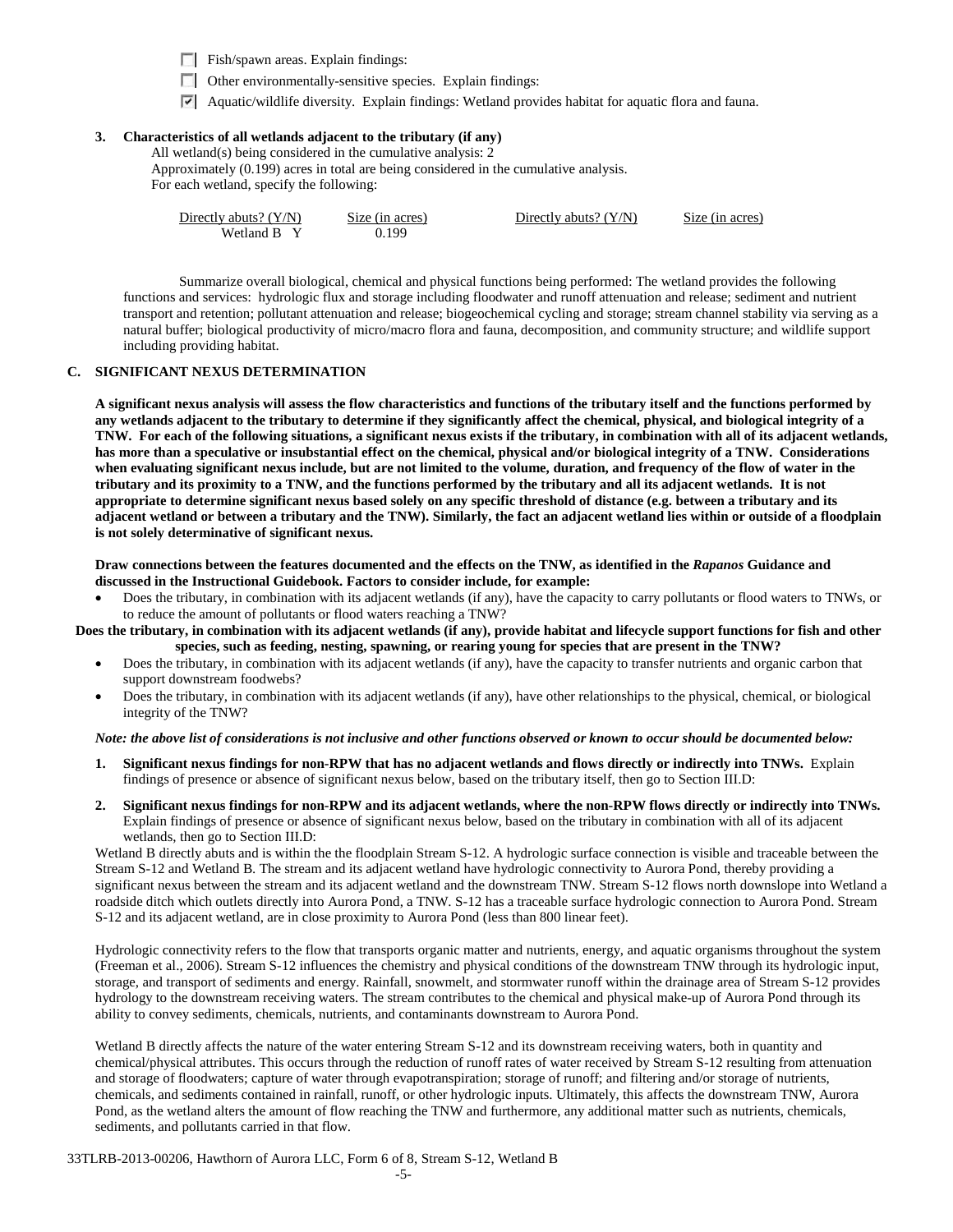Fish/spawn areas. Explain findings:

- $\Box$  Other environmentally-sensitive species. Explain findings:
- Aquatic/wildlife diversity. Explain findings: Wetland provides habitat for aquatic flora and fauna.

# **3. Characteristics of all wetlands adjacent to the tributary (if any)**

All wetland(s) being considered in the cumulative analysis: 2 Approximately (0.199) acres in total are being considered in the cumulative analysis.

For each wetland, specify the following:

| Directly abuts? $(Y/N)$ | Size (in acres) | Directly abuts? $(Y/N)$ | Size (in acres) |
|-------------------------|-----------------|-------------------------|-----------------|
| Wetland B Y             | 0.199           |                         |                 |

Summarize overall biological, chemical and physical functions being performed: The wetland provides the following functions and services: hydrologic flux and storage including floodwater and runoff attenuation and release; sediment and nutrient transport and retention; pollutant attenuation and release; biogeochemical cycling and storage; stream channel stability via serving as a natural buffer; biological productivity of micro/macro flora and fauna, decomposition, and community structure; and wildlife support including providing habitat.

## **C. SIGNIFICANT NEXUS DETERMINATION**

**A significant nexus analysis will assess the flow characteristics and functions of the tributary itself and the functions performed by any wetlands adjacent to the tributary to determine if they significantly affect the chemical, physical, and biological integrity of a TNW. For each of the following situations, a significant nexus exists if the tributary, in combination with all of its adjacent wetlands, has more than a speculative or insubstantial effect on the chemical, physical and/or biological integrity of a TNW. Considerations when evaluating significant nexus include, but are not limited to the volume, duration, and frequency of the flow of water in the tributary and its proximity to a TNW, and the functions performed by the tributary and all its adjacent wetlands. It is not appropriate to determine significant nexus based solely on any specific threshold of distance (e.g. between a tributary and its adjacent wetland or between a tributary and the TNW). Similarly, the fact an adjacent wetland lies within or outside of a floodplain is not solely determinative of significant nexus.** 

**Draw connections between the features documented and the effects on the TNW, as identified in the** *Rapanos* **Guidance and discussed in the Instructional Guidebook. Factors to consider include, for example:**

• Does the tributary, in combination with its adjacent wetlands (if any), have the capacity to carry pollutants or flood waters to TNWs, or to reduce the amount of pollutants or flood waters reaching a TNW?

**Does the tributary, in combination with its adjacent wetlands (if any), provide habitat and lifecycle support functions for fish and other species, such as feeding, nesting, spawning, or rearing young for species that are present in the TNW?** 

- Does the tributary, in combination with its adjacent wetlands (if any), have the capacity to transfer nutrients and organic carbon that support downstream foodwebs?
- Does the tributary, in combination with its adjacent wetlands (if any), have other relationships to the physical, chemical, or biological integrity of the TNW?

#### *Note: the above list of considerations is not inclusive and other functions observed or known to occur should be documented below:*

- **1. Significant nexus findings for non-RPW that has no adjacent wetlands and flows directly or indirectly into TNWs.** Explain findings of presence or absence of significant nexus below, based on the tributary itself, then go to Section III.D:
- **2. Significant nexus findings for non-RPW and its adjacent wetlands, where the non-RPW flows directly or indirectly into TNWs.**  Explain findings of presence or absence of significant nexus below, based on the tributary in combination with all of its adjacent wetlands, then go to Section III.D:

Wetland B directly abuts and is within the the floodplain Stream S-12. A hydrologic surface connection is visible and traceable between the Stream S-12 and Wetland B. The stream and its adjacent wetland have hydrologic connectivity to Aurora Pond, thereby providing a significant nexus between the stream and its adjacent wetland and the downstream TNW. Stream S-12 flows north downslope into Wetland a roadside ditch which outlets directly into Aurora Pond, a TNW. S-12 has a traceable surface hydrologic connection to Aurora Pond. Stream S-12 and its adjacent wetland, are in close proximity to Aurora Pond (less than 800 linear feet).

Hydrologic connectivity refers to the flow that transports organic matter and nutrients, energy, and aquatic organisms throughout the system (Freeman et al., 2006). Stream S-12 influences the chemistry and physical conditions of the downstream TNW through its hydrologic input, storage, and transport of sediments and energy. Rainfall, snowmelt, and stormwater runoff within the drainage area of Stream S-12 provides hydrology to the downstream receiving waters. The stream contributes to the chemical and physical make-up of Aurora Pond through its ability to convey sediments, chemicals, nutrients, and contaminants downstream to Aurora Pond.

Wetland B directly affects the nature of the water entering Stream S-12 and its downstream receiving waters, both in quantity and chemical/physical attributes. This occurs through the reduction of runoff rates of water received by Stream S-12 resulting from attenuation and storage of floodwaters; capture of water through evapotranspiration; storage of runoff; and filtering and/or storage of nutrients, chemicals, and sediments contained in rainfall, runoff, or other hydrologic inputs. Ultimately, this affects the downstream TNW, Aurora Pond, as the wetland alters the amount of flow reaching the TNW and furthermore, any additional matter such as nutrients, chemicals, sediments, and pollutants carried in that flow.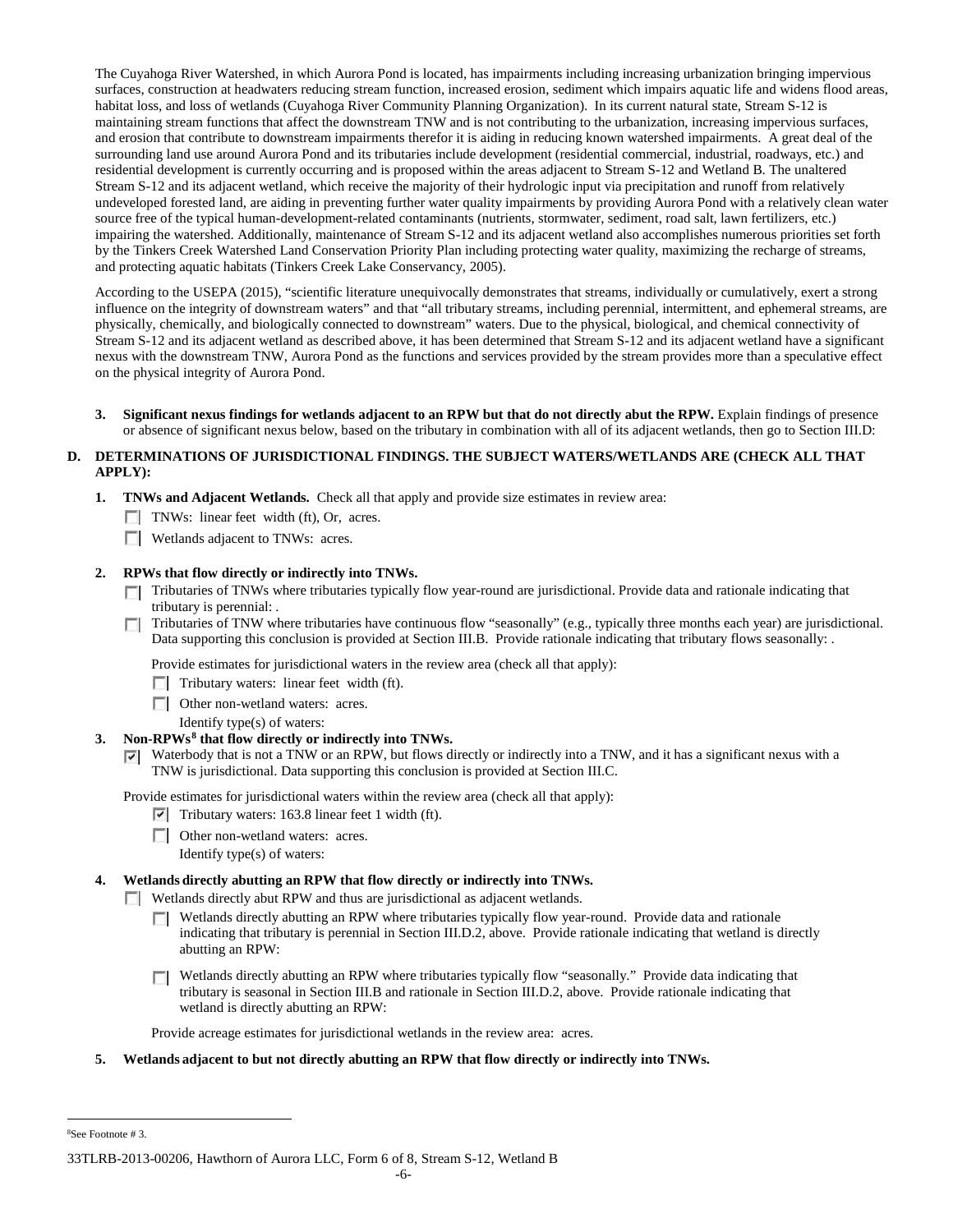The Cuyahoga River Watershed, in which Aurora Pond is located, has impairments including increasing urbanization bringing impervious surfaces, construction at headwaters reducing stream function, increased erosion, sediment which impairs aquatic life and widens flood areas, habitat loss, and loss of wetlands (Cuyahoga River Community Planning Organization). In its current natural state, Stream S-12 is maintaining stream functions that affect the downstream TNW and is not contributing to the urbanization, increasing impervious surfaces, and erosion that contribute to downstream impairments therefor it is aiding in reducing known watershed impairments. A great deal of the surrounding land use around Aurora Pond and its tributaries include development (residential commercial, industrial, roadways, etc.) and residential development is currently occurring and is proposed within the areas adjacent to Stream S-12 and Wetland B. The unaltered Stream S-12 and its adjacent wetland, which receive the majority of their hydrologic input via precipitation and runoff from relatively undeveloped forested land, are aiding in preventing further water quality impairments by providing Aurora Pond with a relatively clean water source free of the typical human-development-related contaminants (nutrients, stormwater, sediment, road salt, lawn fertilizers, etc.) impairing the watershed. Additionally, maintenance of Stream S-12 and its adjacent wetland also accomplishes numerous priorities set forth by the Tinkers Creek Watershed Land Conservation Priority Plan including protecting water quality, maximizing the recharge of streams, and protecting aquatic habitats (Tinkers Creek Lake Conservancy, 2005).

According to the USEPA (2015), "scientific literature unequivocally demonstrates that streams, individually or cumulatively, exert a strong influence on the integrity of downstream waters" and that "all tributary streams, including perennial, intermittent, and ephemeral streams, are physically, chemically, and biologically connected to downstream" waters. Due to the physical, biological, and chemical connectivity of Stream S-12 and its adjacent wetland as described above, it has been determined that Stream S-12 and its adjacent wetland have a significant nexus with the downstream TNW, Aurora Pond as the functions and services provided by the stream provides more than a speculative effect on the physical integrity of Aurora Pond.

**3. Significant nexus findings for wetlands adjacent to an RPW but that do not directly abut the RPW.** Explain findings of presence or absence of significant nexus below, based on the tributary in combination with all of its adjacent wetlands, then go to Section III.D:

# **D. DETERMINATIONS OF JURISDICTIONAL FINDINGS. THE SUBJECT WATERS/WETLANDS ARE (CHECK ALL THAT APPLY):**

- **1. TNWs and Adjacent Wetlands.** Check all that apply and provide size estimates in review area:
	- **TNWs:** linear feet width (ft), Or, acres.
	- **Wetlands adjacent to TNWs: acres.**

## **2. RPWs that flow directly or indirectly into TNWs.**

- Tributaries of TNWs where tributaries typically flow year-round are jurisdictional. Provide data and rationale indicating that tributary is perennial: .
- Tributaries of TNW where tributaries have continuous flow "seasonally" (e.g., typically three months each year) are jurisdictional.  $\sim$ Data supporting this conclusion is provided at Section III.B. Provide rationale indicating that tributary flows seasonally: .

Provide estimates for jurisdictional waters in the review area (check all that apply):

- $\Box$  Tributary waters: linear feet width (ft).
- **Other non-wetland waters: acres.** 
	- Identify type(s) of waters:

#### **3. Non-RPWs[8](#page-45-0) that flow directly or indirectly into TNWs.**

Waterbody that is not a TNW or an RPW, but flows directly or indirectly into a TNW, and it has a significant nexus with a TNW is jurisdictional. Data supporting this conclusion is provided at Section III.C.

Provide estimates for jurisdictional waters within the review area (check all that apply):

- $\triangledown$  Tributary waters: 163.8 linear feet 1 width (ft).
- **Other non-wetland waters: acres.** 
	- Identify type(s) of waters:

# **4. Wetlands directly abutting an RPW that flow directly or indirectly into TNWs.**

Wetlands directly abut RPW and thus are jurisdictional as adjacent wetlands.

- Wetlands directly abutting an RPW where tributaries typically flow year-round. Provide data and rationale  $\Box$ indicating that tributary is perennial in Section III.D.2, above. Provide rationale indicating that wetland is directly abutting an RPW:
- Wetlands directly abutting an RPW where tributaries typically flow "seasonally." Provide data indicating that tributary is seasonal in Section III.B and rationale in Section III.D.2, above. Provide rationale indicating that wetland is directly abutting an RPW:

Provide acreage estimates for jurisdictional wetlands in the review area: acres.

## **5. Wetlands adjacent to but not directly abutting an RPW that flow directly or indirectly into TNWs.**

<span id="page-45-0"></span> $\frac{1}{8}$ See Footnote # 3.

<sup>33</sup>TLRB-2013-00206, Hawthorn of Aurora LLC, Form 6 of 8, Stream S-12, Wetland B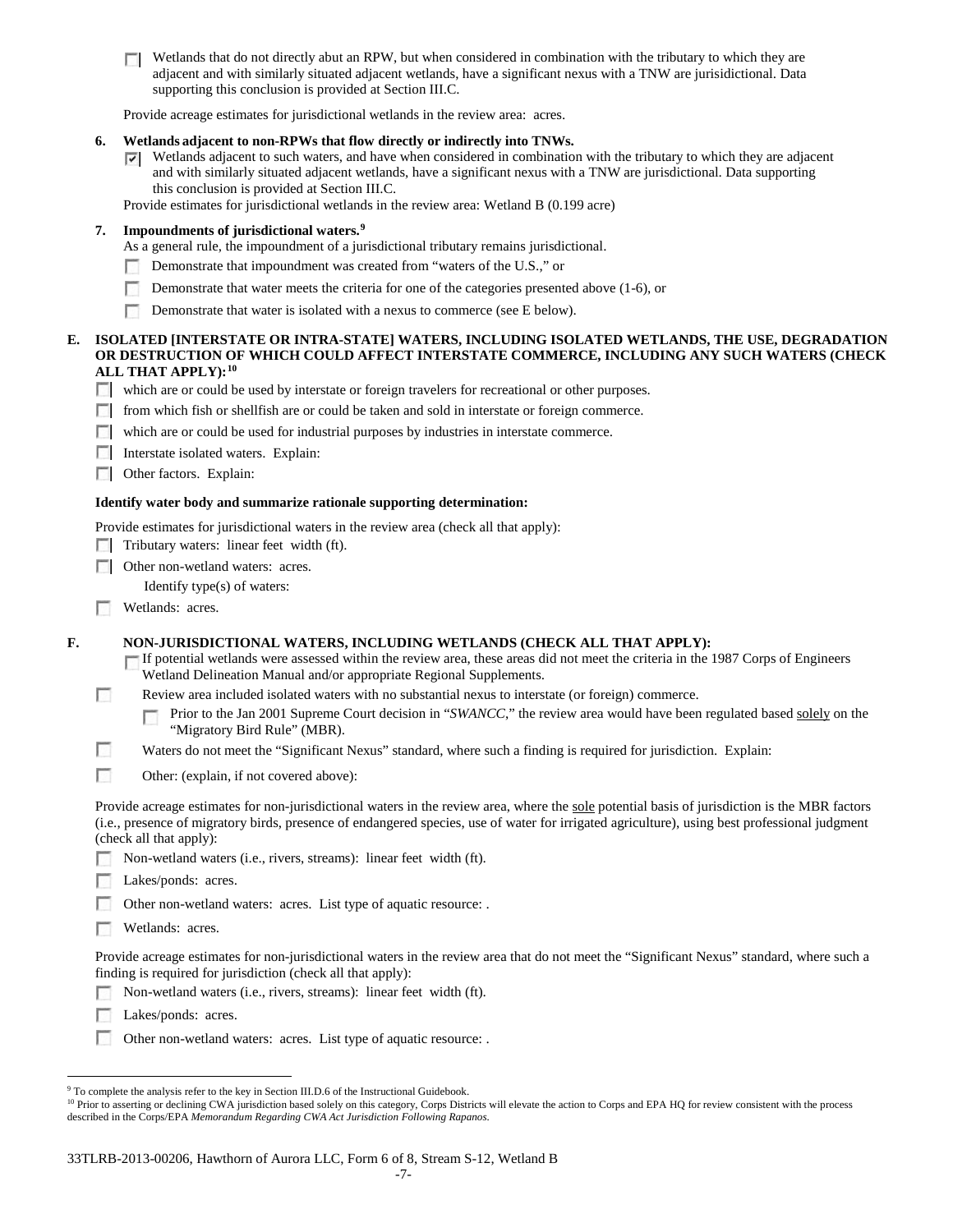$\Box$  Wetlands that do not directly abut an RPW, but when considered in combination with the tributary to which they are adjacent and with similarly situated adjacent wetlands, have a significant nexus with a TNW are jurisidictional. Data supporting this conclusion is provided at Section III.C.

Provide acreage estimates for jurisdictional wetlands in the review area: acres.

## **6. Wetlands adjacent to non-RPWs that flow directly or indirectly into TNWs.**

Wetlands adjacent to such waters, and have when considered in combination with the tributary to which they are adjacent and with similarly situated adjacent wetlands, have a significant nexus with a TNW are jurisdictional. Data supporting this conclusion is provided at Section III.C.

Provide estimates for jurisdictional wetlands in the review area: Wetland B (0.199 acre)

## **7. Impoundments of jurisdictional waters. [9](#page-46-0)**

- As a general rule, the impoundment of a jurisdictional tributary remains jurisdictional.
- Demonstrate that impoundment was created from "waters of the U.S.," or
- Demonstrate that water meets the criteria for one of the categories presented above (1-6), or m.
- $\sim$ Demonstrate that water is isolated with a nexus to commerce (see E below).

#### **E. ISOLATED [INTERSTATE OR INTRA-STATE] WATERS, INCLUDING ISOLATED WETLANDS, THE USE, DEGRADATION OR DESTRUCTION OF WHICH COULD AFFECT INTERSTATE COMMERCE, INCLUDING ANY SUCH WATERS (CHECK ALL THAT APPLY):[10](#page-46-1)**

- which are or could be used by interstate or foreign travelers for recreational or other purposes.
- from which fish or shellfish are or could be taken and sold in interstate or foreign commerce.
- which are or could be used for industrial purposes by industries in interstate commerce.
- Interstate isolated waters. Explain:
- **C** Other factors. Explain:

#### **Identify water body and summarize rationale supporting determination:**

Provide estimates for jurisdictional waters in the review area (check all that apply):

- $\Box$  Tributary waters: linear feet width (ft).
- □ Other non-wetland waters: acres.
	- Identify type(s) of waters:
- п Wetlands: acres.

**F. NON-JURISDICTIONAL WATERS, INCLUDING WETLANDS (CHECK ALL THAT APPLY):**

If potential wetlands were assessed within the review area, these areas did not meet the criteria in the 1987 Corps of Engineers Wetland Delineation Manual and/or appropriate Regional Supplements.

T. Review area included isolated waters with no substantial nexus to interstate (or foreign) commerce.

T Prior to the Jan 2001 Supreme Court decision in "*SWANCC*," the review area would have been regulated based solely on the "Migratory Bird Rule" (MBR).

- г Waters do not meet the "Significant Nexus" standard, where such a finding is required for jurisdiction. Explain:
- г Other: (explain, if not covered above):

Provide acreage estimates for non-jurisdictional waters in the review area, where the sole potential basis of jurisdiction is the MBR factors (i.e., presence of migratory birds, presence of endangered species, use of water for irrigated agriculture), using best professional judgment (check all that apply):

- Non-wetland waters (i.e., rivers, streams): linear feet width (ft).
- Lakes/ponds: acres.

Other non-wetland waters: acres. List type of aquatic resource: .

п. Wetlands: acres.

Provide acreage estimates for non-jurisdictional waters in the review area that do not meet the "Significant Nexus" standard, where such a finding is required for jurisdiction (check all that apply):

- Non-wetland waters (i.e., rivers, streams): linear feet width (ft).
- л Lakes/ponds: acres.
- n. Other non-wetland waters: acres. List type of aquatic resource: .

<span id="page-46-0"></span><sup>&</sup>lt;sup>9</sup> To complete the analysis refer to the key in Section III.D.6 of the Instructional Guidebook.

<span id="page-46-1"></span><sup>&</sup>lt;sup>10</sup> Prior to asserting or declining CWA jurisdiction based solely on this category, Corps Districts will elevate the action to Corps and EPA HQ for review consistent with the process described in the Corps/EPA *Memorandum Regarding CWA Act Jurisdiction Following Rapanos.*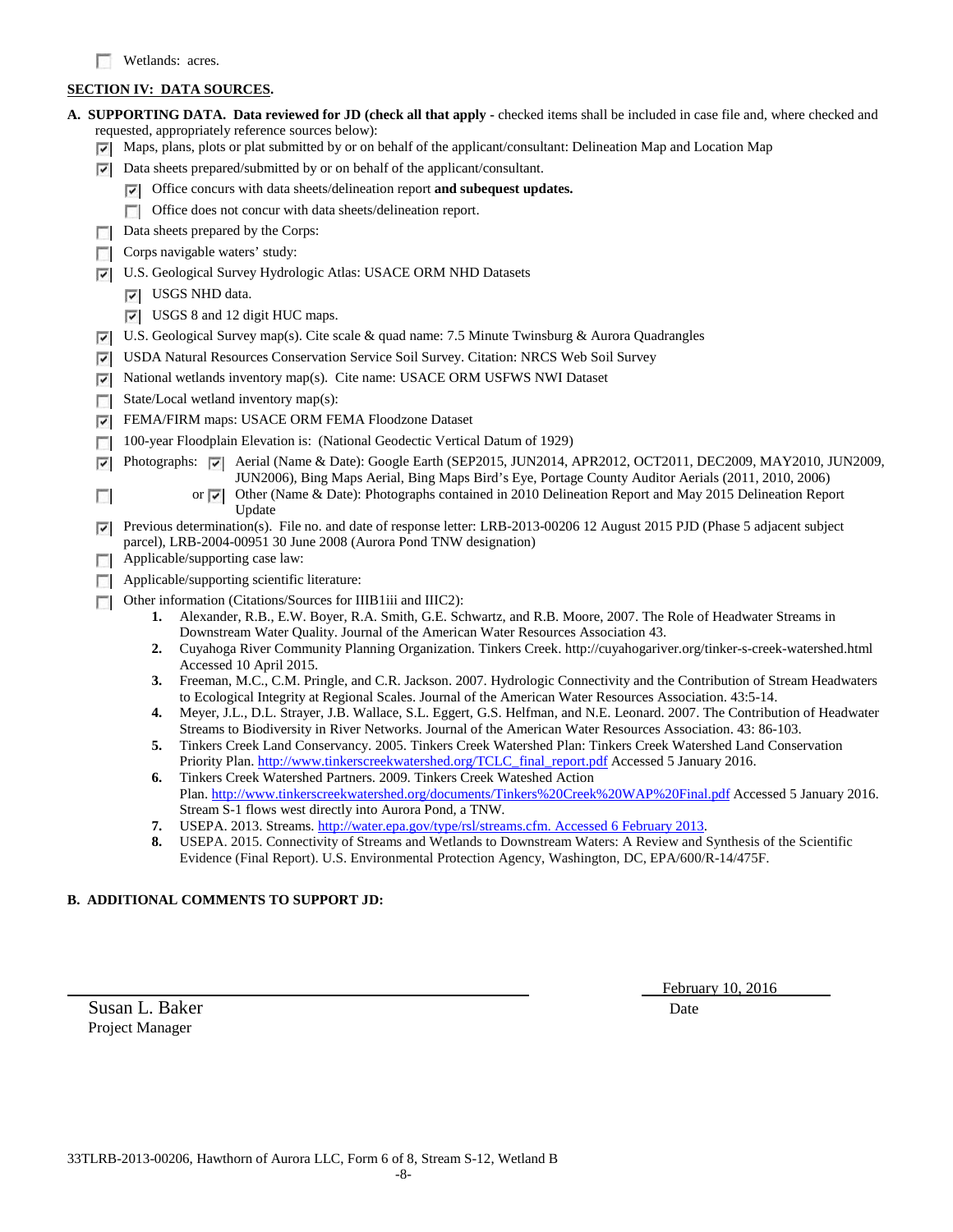# **SECTION IV: DATA SOURCES.**

|   | <b>A. SUPPORTING DATA. Data reviewed for JD (check all that apply -</b> checked items shall be included in case file and, where checked and                                                                                                    |  |  |  |  |  |
|---|------------------------------------------------------------------------------------------------------------------------------------------------------------------------------------------------------------------------------------------------|--|--|--|--|--|
|   | requested, appropriately reference sources below):                                                                                                                                                                                             |  |  |  |  |  |
| ⊽ | Maps, plans, plots or plat submitted by or on behalf of the applicant/consultant: Delineation Map and Location Map                                                                                                                             |  |  |  |  |  |
| ⊡ | Data sheets prepared/submitted by or on behalf of the applicant/consultant.                                                                                                                                                                    |  |  |  |  |  |
|   | $\triangledown$ Office concurs with data sheets/delineation report and subequest updates.                                                                                                                                                      |  |  |  |  |  |
|   | Office does not concur with data sheets/delineation report.                                                                                                                                                                                    |  |  |  |  |  |
|   | Data sheets prepared by the Corps:                                                                                                                                                                                                             |  |  |  |  |  |
|   | Corps navigable waters' study:                                                                                                                                                                                                                 |  |  |  |  |  |
| ⊽ | U.S. Geological Survey Hydrologic Atlas: USACE ORM NHD Datasets                                                                                                                                                                                |  |  |  |  |  |
|   | $ \nabla $ USGS NHD data.                                                                                                                                                                                                                      |  |  |  |  |  |
|   | $\triangledown$ USGS 8 and 12 digit HUC maps.                                                                                                                                                                                                  |  |  |  |  |  |
| ⊽ | U.S. Geological Survey map(s). Cite scale & quad name: 7.5 Minute Twinsburg & Aurora Quadrangles                                                                                                                                               |  |  |  |  |  |
| ⊽ | USDA Natural Resources Conservation Service Soil Survey. Citation: NRCS Web Soil Survey                                                                                                                                                        |  |  |  |  |  |
| ⊽ | National wetlands inventory map(s). Cite name: USACE ORM USFWS NWI Dataset                                                                                                                                                                     |  |  |  |  |  |
|   | State/Local wetland inventory map(s):                                                                                                                                                                                                          |  |  |  |  |  |
| ⊽ | FEMA/FIRM maps: USACE ORM FEMA Floodzone Dataset                                                                                                                                                                                               |  |  |  |  |  |
|   | 100-year Floodplain Elevation is: (National Geodectic Vertical Datum of 1929)                                                                                                                                                                  |  |  |  |  |  |
| ⊽ | Photographs: $\sqrt{\phantom{a}}$ Aerial (Name & Date): Google Earth (SEP2015, JUN2014, APR2012, OCT2011, DEC2009, MAY2010, JUN2009,<br>JUN2006), Bing Maps Aerial, Bing Maps Bird's Eye, Portage County Auditor Aerials (2011, 2010, 2006)    |  |  |  |  |  |
| п | Other (Name & Date): Photographs contained in 2010 Delineation Report and May 2015 Delineation Report<br>or $\overline{\mathbf{v}}$                                                                                                            |  |  |  |  |  |
| ⊽ | Update<br>Previous determination(s). File no. and date of response letter: LRB-2013-00206 12 August 2015 PJD (Phase 5 adjacent subject                                                                                                         |  |  |  |  |  |
|   | parcel), LRB-2004-00951 30 June 2008 (Aurora Pond TNW designation)                                                                                                                                                                             |  |  |  |  |  |
| п | Applicable/supporting case law:                                                                                                                                                                                                                |  |  |  |  |  |
|   | Applicable/supporting scientific literature:                                                                                                                                                                                                   |  |  |  |  |  |
|   | Other information (Citations/Sources for IIIB1iii and IIIC2):                                                                                                                                                                                  |  |  |  |  |  |
|   | Alexander, R.B., E.W. Boyer, R.A. Smith, G.E. Schwartz, and R.B. Moore, 2007. The Role of Headwater Streams in<br>1.                                                                                                                           |  |  |  |  |  |
|   | Downstream Water Quality. Journal of the American Water Resources Association 43.<br>Cuyahoga River Community Planning Organization. Tinkers Creek. http://cuyahogariver.org/tinker-s-creek-watershed.html<br>2.                               |  |  |  |  |  |
|   | Accessed 10 April 2015.                                                                                                                                                                                                                        |  |  |  |  |  |
|   | Freeman, M.C., C.M. Pringle, and C.R. Jackson. 2007. Hydrologic Connectivity and the Contribution of Stream Headwaters<br>3.                                                                                                                   |  |  |  |  |  |
|   | to Ecological Integrity at Regional Scales. Journal of the American Water Resources Association. 43:5-14.                                                                                                                                      |  |  |  |  |  |
|   | Meyer, J.L., D.L. Strayer, J.B. Wallace, S.L. Eggert, G.S. Helfman, and N.E. Leonard. 2007. The Contribution of Headwater<br>4.<br>Streams to Biodiversity in River Networks. Journal of the American Water Resources Association. 43: 86-103. |  |  |  |  |  |
|   | Tinkers Creek Land Conservancy. 2005. Tinkers Creek Watershed Plan: Tinkers Creek Watershed Land Conservation<br>5.                                                                                                                            |  |  |  |  |  |
|   | Priority Plan. http://www.tinkerscreekwatershed.org/TCLC_final_report.pdf Accessed 5 January 2016.                                                                                                                                             |  |  |  |  |  |
|   | Tinkers Creek Watershed Partners. 2009. Tinkers Creek Wateshed Action<br>6.<br>Plan. http://www.tinkerscreekwatershed.org/documents/Tinkers%20Creek%20WAP%20Final.pdf Accessed 5 January 2016.                                                 |  |  |  |  |  |
|   | Stream S-1 flows west directly into Aurora Pond, a TNW.                                                                                                                                                                                        |  |  |  |  |  |
|   | USEPA. 2013. Streams. http://water.epa.gov/type/rsl/streams.cfm. Accessed 6 February 2013.<br>7.                                                                                                                                               |  |  |  |  |  |
|   | 8.<br>USEPA. 2015. Connectivity of Streams and Wetlands to Downstream Waters: A Review and Synthesis of the Scientific                                                                                                                         |  |  |  |  |  |
|   | Evidence (Final Report). U.S. Environmental Protection Agency, Washington, DC, EPA/600/R-14/475F.                                                                                                                                              |  |  |  |  |  |

# **B. ADDITIONAL COMMENTS TO SUPPORT JD:**

Susan L. Baker Date Project Manager

February 10, 2016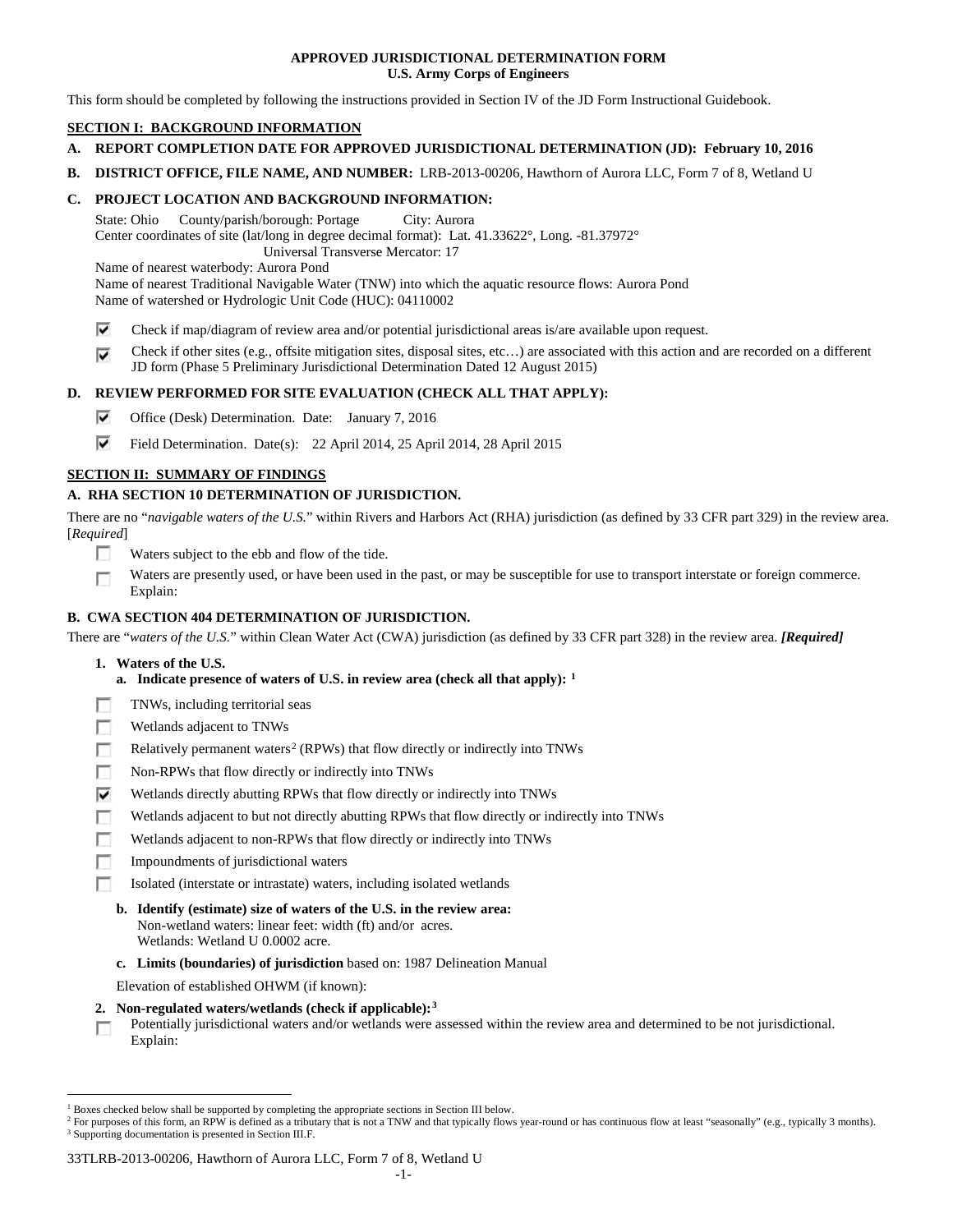## **APPROVED JURISDICTIONAL DETERMINATION FORM U.S. Army Corps of Engineers**

This form should be completed by following the instructions provided in Section IV of the JD Form Instructional Guidebook.

# **SECTION I: BACKGROUND INFORMATION**

- **A. REPORT COMPLETION DATE FOR APPROVED JURISDICTIONAL DETERMINATION (JD): February 10, 2016**
- **B. DISTRICT OFFICE, FILE NAME, AND NUMBER:** LRB-2013-00206, Hawthorn of Aurora LLC, Form 7 of 8, Wetland U

## **C. PROJECT LOCATION AND BACKGROUND INFORMATION:**

State: Ohio County/parish/borough: Portage City: Aurora Center coordinates of site (lat/long in degree decimal format): Lat. 41.33622°, Long. -81.37972° Universal Transverse Mercator: 17

Name of nearest waterbody: Aurora Pond

Name of nearest Traditional Navigable Water (TNW) into which the aquatic resource flows: Aurora Pond Name of watershed or Hydrologic Unit Code (HUC): 04110002

- ⊽ Check if map/diagram of review area and/or potential jurisdictional areas is/are available upon request.
- Check if other sites (e.g., offsite mitigation sites, disposal sites, etc…) are associated with this action and are recorded on a different ⊽ JD form (Phase 5 Preliminary Jurisdictional Determination Dated 12 August 2015)

# **D. REVIEW PERFORMED FOR SITE EVALUATION (CHECK ALL THAT APPLY):**

- ⊽ Office (Desk) Determination. Date: January 7, 2016
- ⊽ Field Determination. Date(s): 22 April 2014, 25 April 2014, 28 April 2015

# **SECTION II: SUMMARY OF FINDINGS**

# **A. RHA SECTION 10 DETERMINATION OF JURISDICTION.**

There are no "*navigable waters of the U.S.*" within Rivers and Harbors Act (RHA) jurisdiction (as defined by 33 CFR part 329) in the review area. [*Required*]

- n Waters subject to the ebb and flow of the tide.
- Waters are presently used, or have been used in the past, or may be susceptible for use to transport interstate or foreign commerce. п Explain:

## **B. CWA SECTION 404 DETERMINATION OF JURISDICTION.**

There are "*waters of the U.S.*" within Clean Water Act (CWA) jurisdiction (as defined by 33 CFR part 328) in the review area. *[Required]*

- **1. Waters of the U.S.**
	- **a. Indicate presence of waters of U.S. in review area (check all that apply): [1](#page-48-0)**
- F TNWs, including territorial seas
- п Wetlands adjacent to TNWs
- Relatively permanent waters<sup>[2](#page-48-1)</sup> (RPWs) that flow directly or indirectly into TNWs n
- г Non-RPWs that flow directly or indirectly into TNWs
- ⊽ Wetlands directly abutting RPWs that flow directly or indirectly into TNWs
- Wetlands adjacent to but not directly abutting RPWs that flow directly or indirectly into TNWs г
- Wetlands adjacent to non-RPWs that flow directly or indirectly into TNWs г
- Impoundments of jurisdictional waters
- n. Isolated (interstate or intrastate) waters, including isolated wetlands
	- **b. Identify (estimate) size of waters of the U.S. in the review area:** Non-wetland waters: linear feet: width (ft) and/or acres.
		- Wetlands: Wetland U 0.0002 acre.
	- **c. Limits (boundaries) of jurisdiction** based on: 1987 Delineation Manual

Elevation of established OHWM (if known):

- **2. Non-regulated waters/wetlands (check if applicable):[3](#page-48-2)**
- Potentially jurisdictional waters and/or wetlands were assessed within the review area and determined to be not jurisdictional. п Explain:

<span id="page-48-0"></span><sup>&</sup>lt;sup>1</sup> Boxes checked below shall be supported by completing the appropriate sections in Section III below.

<span id="page-48-2"></span><span id="page-48-1"></span><sup>&</sup>lt;sup>2</sup> For purposes of this form, an RPW is defined as a tributary that is not a TNW and that typically flows year-round or has continuous flow at least "seasonally" (e.g., typically 3 months). <sup>3</sup> Supporting documentation is presented in Section III.F.

<sup>33</sup>TLRB-2013-00206, Hawthorn of Aurora LLC, Form 7 of 8, Wetland U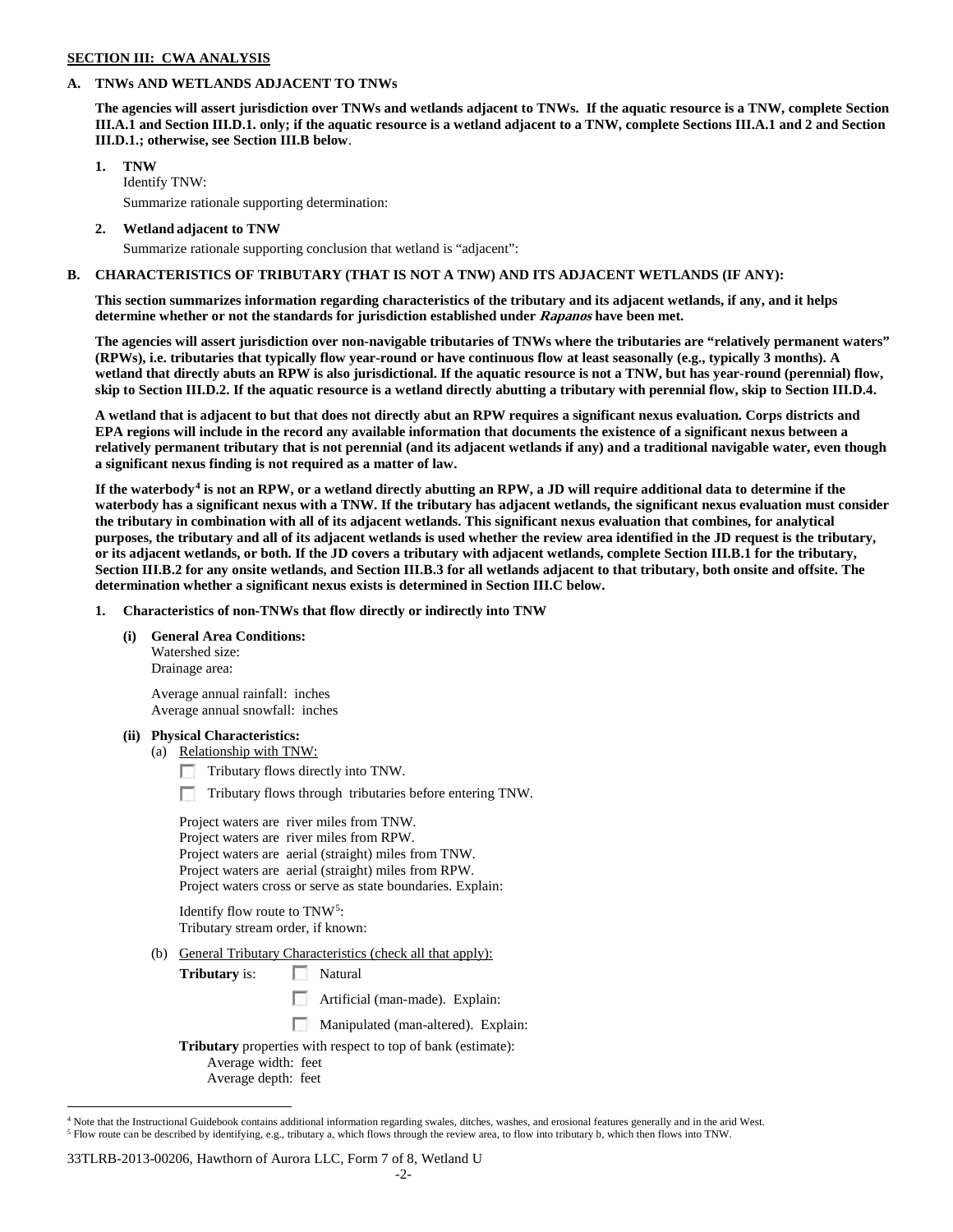### **SECTION III: CWA ANALYSIS**

### **A. TNWs AND WETLANDS ADJACENT TO TNWs**

**The agencies will assert jurisdiction over TNWs and wetlands adjacent to TNWs. If the aquatic resource is a TNW, complete Section III.A.1 and Section III.D.1. only; if the aquatic resource is a wetland adjacent to a TNW, complete Sections III.A.1 and 2 and Section III.D.1.; otherwise, see Section III.B below**.

## **1. TNW**

Identify TNW: Summarize rationale supporting determination:

**2. Wetland adjacent to TNW**

Summarize rationale supporting conclusion that wetland is "adjacent":

### **B. CHARACTERISTICS OF TRIBUTARY (THAT IS NOT A TNW) AND ITS ADJACENT WETLANDS (IF ANY):**

**This section summarizes information regarding characteristics of the tributary and its adjacent wetlands, if any, and it helps determine whether or not the standards for jurisdiction established under Rapanos have been met.** 

**The agencies will assert jurisdiction over non-navigable tributaries of TNWs where the tributaries are "relatively permanent waters" (RPWs), i.e. tributaries that typically flow year-round or have continuous flow at least seasonally (e.g., typically 3 months). A wetland that directly abuts an RPW is also jurisdictional. If the aquatic resource is not a TNW, but has year-round (perennial) flow, skip to Section III.D.2. If the aquatic resource is a wetland directly abutting a tributary with perennial flow, skip to Section III.D.4.**

**A wetland that is adjacent to but that does not directly abut an RPW requires a significant nexus evaluation. Corps districts and EPA regions will include in the record any available information that documents the existence of a significant nexus between a relatively permanent tributary that is not perennial (and its adjacent wetlands if any) and a traditional navigable water, even though a significant nexus finding is not required as a matter of law.**

**If the waterbody[4](#page-49-0) is not an RPW, or a wetland directly abutting an RPW, a JD will require additional data to determine if the waterbody has a significant nexus with a TNW. If the tributary has adjacent wetlands, the significant nexus evaluation must consider the tributary in combination with all of its adjacent wetlands. This significant nexus evaluation that combines, for analytical purposes, the tributary and all of its adjacent wetlands is used whether the review area identified in the JD request is the tributary, or its adjacent wetlands, or both. If the JD covers a tributary with adjacent wetlands, complete Section III.B.1 for the tributary, Section III.B.2 for any onsite wetlands, and Section III.B.3 for all wetlands adjacent to that tributary, both onsite and offsite. The determination whether a significant nexus exists is determined in Section III.C below.**

**1. Characteristics of non-TNWs that flow directly or indirectly into TNW**

#### **(i) General Area Conditions:**

Watershed size: Drainage area:

Average annual rainfall: inches Average annual snowfall: inches

## **(ii) Physical Characteristics:**

- (a) Relationship with TNW:
	- Tributary flows directly into TNW.
	- n Tributary flows through tributaries before entering TNW.

Project waters are river miles from TNW. Project waters are river miles from RPW. Project waters are aerial (straight) miles from TNW. Project waters are aerial (straight) miles from RPW. Project waters cross or serve as state boundaries. Explain:

Identify flow route to TNW[5:](#page-49-1) Tributary stream order, if known:

- (b) General Tributary Characteristics (check all that apply):
	- **Tributary** is: Natural
		- Artificial (man-made). Explain:
		- Manipulated (man-altered). Explain:

**Tributary** properties with respect to top of bank (estimate): Average width: feet

Average depth: feet

#### 33TLRB-2013-00206, Hawthorn of Aurora LLC, Form 7 of 8, Wetland U

<span id="page-49-1"></span><span id="page-49-0"></span><sup>&</sup>lt;sup>4</sup> Note that the Instructional Guidebook contains additional information regarding swales, ditches, washes, and erosional features generally and in the arid West. <sup>5</sup> Flow route can be described by identifying, e.g., tributary a, which flows through the review area, to flow into tributary b, which then flows into TNW.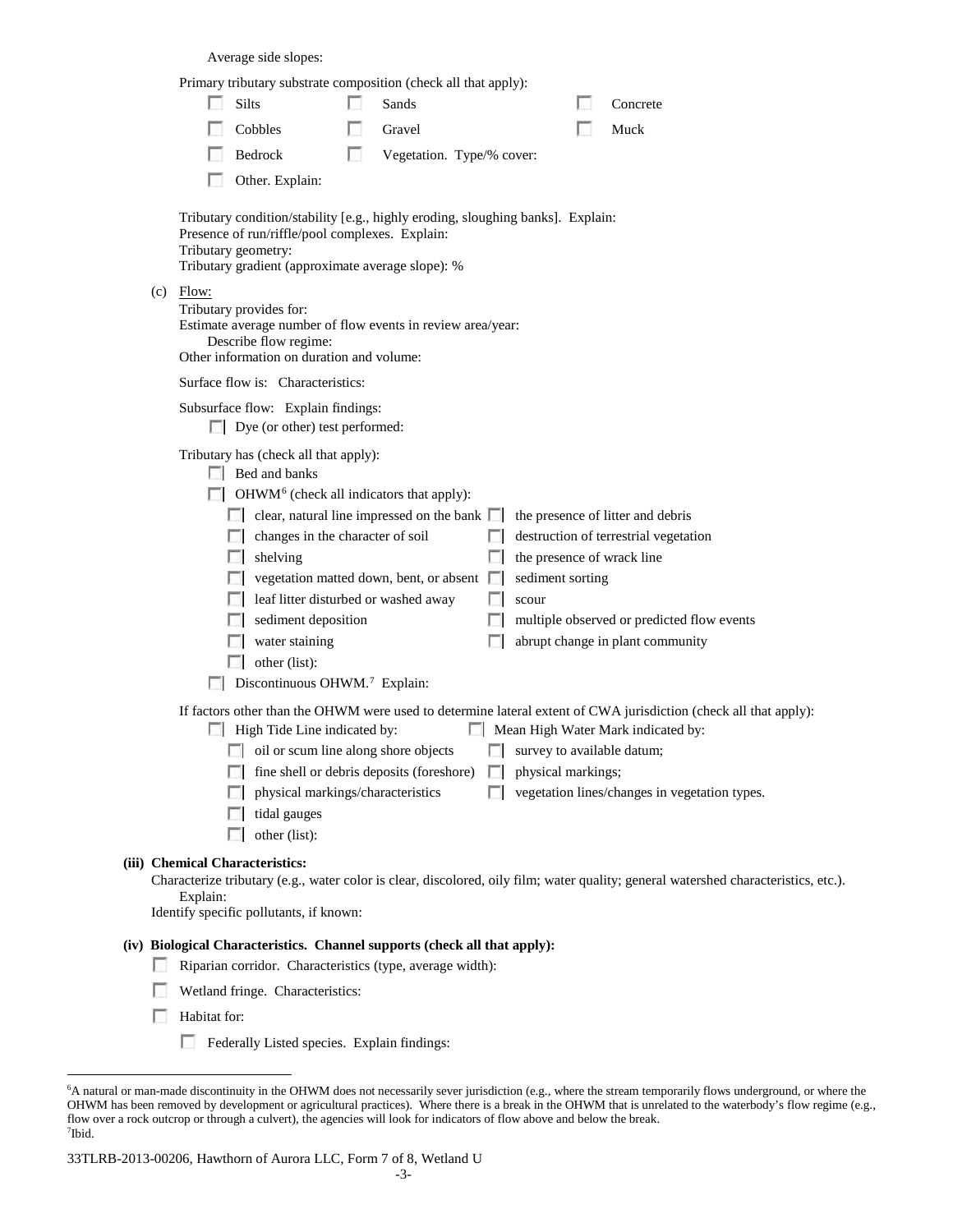Average side slopes:

|     |          | Primary tributary substrate composition (check all that apply):                                                                                                                                                                                                                                                                                                                                                                         |                           |    |                                                         |                                                                                                                                                                                                         |
|-----|----------|-----------------------------------------------------------------------------------------------------------------------------------------------------------------------------------------------------------------------------------------------------------------------------------------------------------------------------------------------------------------------------------------------------------------------------------------|---------------------------|----|---------------------------------------------------------|---------------------------------------------------------------------------------------------------------------------------------------------------------------------------------------------------------|
|     | L.       | Silts                                                                                                                                                                                                                                                                                                                                                                                                                                   | Sands                     |    |                                                         | Concrete                                                                                                                                                                                                |
|     |          | Cobbles                                                                                                                                                                                                                                                                                                                                                                                                                                 | Gravel                    |    |                                                         | Muck                                                                                                                                                                                                    |
|     |          | Bedrock                                                                                                                                                                                                                                                                                                                                                                                                                                 | Vegetation. Type/% cover: |    |                                                         |                                                                                                                                                                                                         |
|     |          | Other. Explain:                                                                                                                                                                                                                                                                                                                                                                                                                         |                           |    |                                                         |                                                                                                                                                                                                         |
|     |          | Tributary condition/stability [e.g., highly eroding, sloughing banks]. Explain:<br>Presence of run/riffle/pool complexes. Explain:<br>Tributary geometry:<br>Tributary gradient (approximate average slope): %                                                                                                                                                                                                                          |                           |    |                                                         |                                                                                                                                                                                                         |
| (c) | Flow:    | Tributary provides for:<br>Estimate average number of flow events in review area/year:<br>Describe flow regime:<br>Other information on duration and volume:                                                                                                                                                                                                                                                                            |                           |    |                                                         |                                                                                                                                                                                                         |
|     |          | Surface flow is: Characteristics:                                                                                                                                                                                                                                                                                                                                                                                                       |                           |    |                                                         |                                                                                                                                                                                                         |
|     |          | Subsurface flow: Explain findings:<br>Dye (or other) test performed:                                                                                                                                                                                                                                                                                                                                                                    |                           |    |                                                         |                                                                                                                                                                                                         |
|     |          | Tributary has (check all that apply):<br>$\Box$ Bed and banks<br>$\Box$ OHWM <sup>6</sup> (check all indicators that apply):<br>$\Box$ clear, natural line impressed on the bank $\Box$<br>changes in the character of soil<br>shelving<br>L.<br>vegetation matted down, bent, or absent<br>leaf litter disturbed or washed away<br>sediment deposition<br>water staining<br>other (list):<br>Discontinuous OHWM. <sup>7</sup> Explain: |                           | L. | the presence of wrack line<br>sediment sorting<br>scour | the presence of litter and debris<br>destruction of terrestrial vegetation<br>multiple observed or predicted flow events<br>abrupt change in plant community                                            |
|     |          | $\Box$ High Tide Line indicated by:<br>$\Box$ oil or scum line along shore objects<br>□ fine shell or debris deposits (foreshore) □ physical markings;<br>physical markings/characteristics<br>tidal gauges<br>n<br>other (list):                                                                                                                                                                                                       |                           |    | survey to available datum;                              | If factors other than the OHWM were used to determine lateral extent of CWA jurisdiction (check all that apply):<br>Mean High Water Mark indicated by:<br>vegetation lines/changes in vegetation types. |
|     | Explain: | (iii) Chemical Characteristics:<br>Identify specific pollutants, if known:                                                                                                                                                                                                                                                                                                                                                              |                           |    |                                                         | Characterize tributary (e.g., water color is clear, discolored, oily film; water quality; general watershed characteristics, etc.).                                                                     |
|     |          | (iv) Biological Characteristics. Channel supports (check all that apply):<br>Riparian corridor. Characteristics (type, average width):                                                                                                                                                                                                                                                                                                  |                           |    |                                                         |                                                                                                                                                                                                         |

- Wetland fringe. Characteristics:
- **Habitat for:** 
	- Federally Listed species. Explain findings:

<span id="page-50-0"></span> <sup>6</sup> <sup>6</sup>A natural or man-made discontinuity in the OHWM does not necessarily sever jurisdiction (e.g., where the stream temporarily flows underground, or where the OHWM has been removed by development or agricultural practices). Where there is a break in the OHWM that is unrelated to the waterbody's flow regime (e.g., flow over a rock outcrop or through a culvert), the agencies will look for indicators of flow above and below the break. 7 Ibid.

<span id="page-50-1"></span><sup>33</sup>TLRB-2013-00206, Hawthorn of Aurora LLC, Form 7 of 8, Wetland U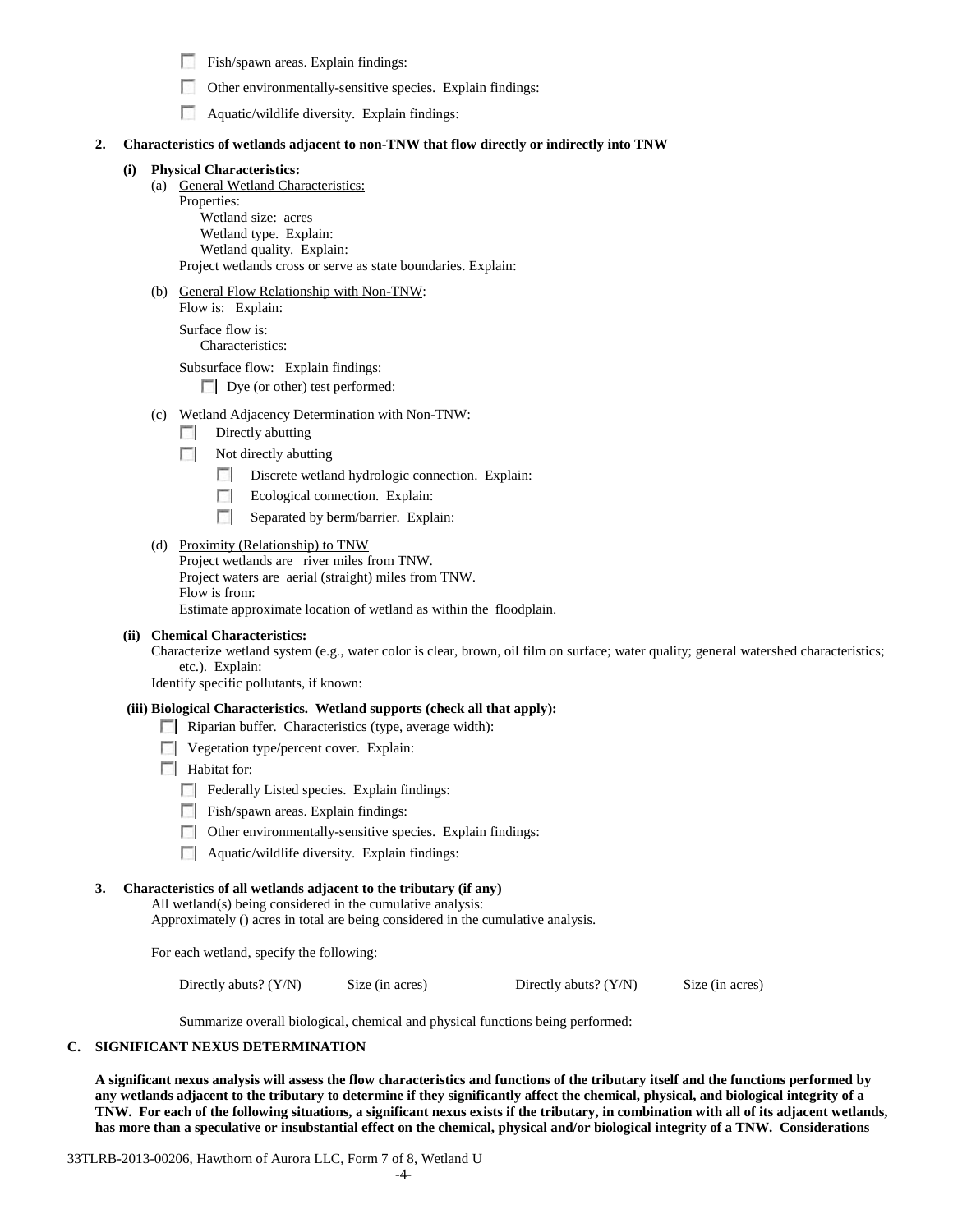$\Box$  Fish/spawn areas. Explain findings:

|  | Other environmentally-sensitive species. Explain findings: |  |  |
|--|------------------------------------------------------------|--|--|
|  |                                                            |  |  |

 $\Box$  Aquatic/wildlife diversity. Explain findings:

## **2. Characteristics of wetlands adjacent to non-TNW that flow directly or indirectly into TNW**

## **(i) Physical Characteristics:**

(a) General Wetland Characteristics:

Properties: Wetland size: acres Wetland type. Explain: Wetland quality. Explain: Project wetlands cross or serve as state boundaries. Explain:

(b) General Flow Relationship with Non-TNW:

Flow is: Explain: Surface flow is:

Characteristics:

Subsurface flow: Explain findings: Dye (or other) test performed:

- (c) Wetland Adjacency Determination with Non-TNW:
	- $\Box$  Directly abutting
	- Not directly abutting
		- Discrete wetland hydrologic connection. Explain:
		- $\mathcal{L}$ Ecological connection. Explain:
		- $\Box$  Separated by berm/barrier. Explain:
- (d) Proximity (Relationship) to TNW

Project wetlands are river miles from TNW. Project waters are aerial (straight) miles from TNW. Flow is from:

Estimate approximate location of wetland as within the floodplain.

#### **(ii) Chemical Characteristics:**

Characterize wetland system (e.g., water color is clear, brown, oil film on surface; water quality; general watershed characteristics; etc.). Explain:

Identify specific pollutants, if known:

#### **(iii) Biological Characteristics. Wetland supports (check all that apply):**

Riparian buffer. Characteristics (type, average width):

- **Vegetation type/percent cover.** Explain:
- **Habitat for:** 
	- F Federally Listed species. Explain findings:
	- Fish/spawn areas. Explain findings:
	- $\Box$  Other environmentally-sensitive species. Explain findings:
	- **Aquatic/wildlife diversity. Explain findings:**

# **3. Characteristics of all wetlands adjacent to the tributary (if any)**

All wetland(s) being considered in the cumulative analysis:

Approximately () acres in total are being considered in the cumulative analysis.

For each wetland, specify the following:

Directly abuts? (Y/N) Size (in acres) Directly abuts? (Y/N) Size (in acres)

Summarize overall biological, chemical and physical functions being performed:

## **C. SIGNIFICANT NEXUS DETERMINATION**

**A significant nexus analysis will assess the flow characteristics and functions of the tributary itself and the functions performed by any wetlands adjacent to the tributary to determine if they significantly affect the chemical, physical, and biological integrity of a TNW. For each of the following situations, a significant nexus exists if the tributary, in combination with all of its adjacent wetlands, has more than a speculative or insubstantial effect on the chemical, physical and/or biological integrity of a TNW. Considerations** 

33TLRB-2013-00206, Hawthorn of Aurora LLC, Form 7 of 8, Wetland U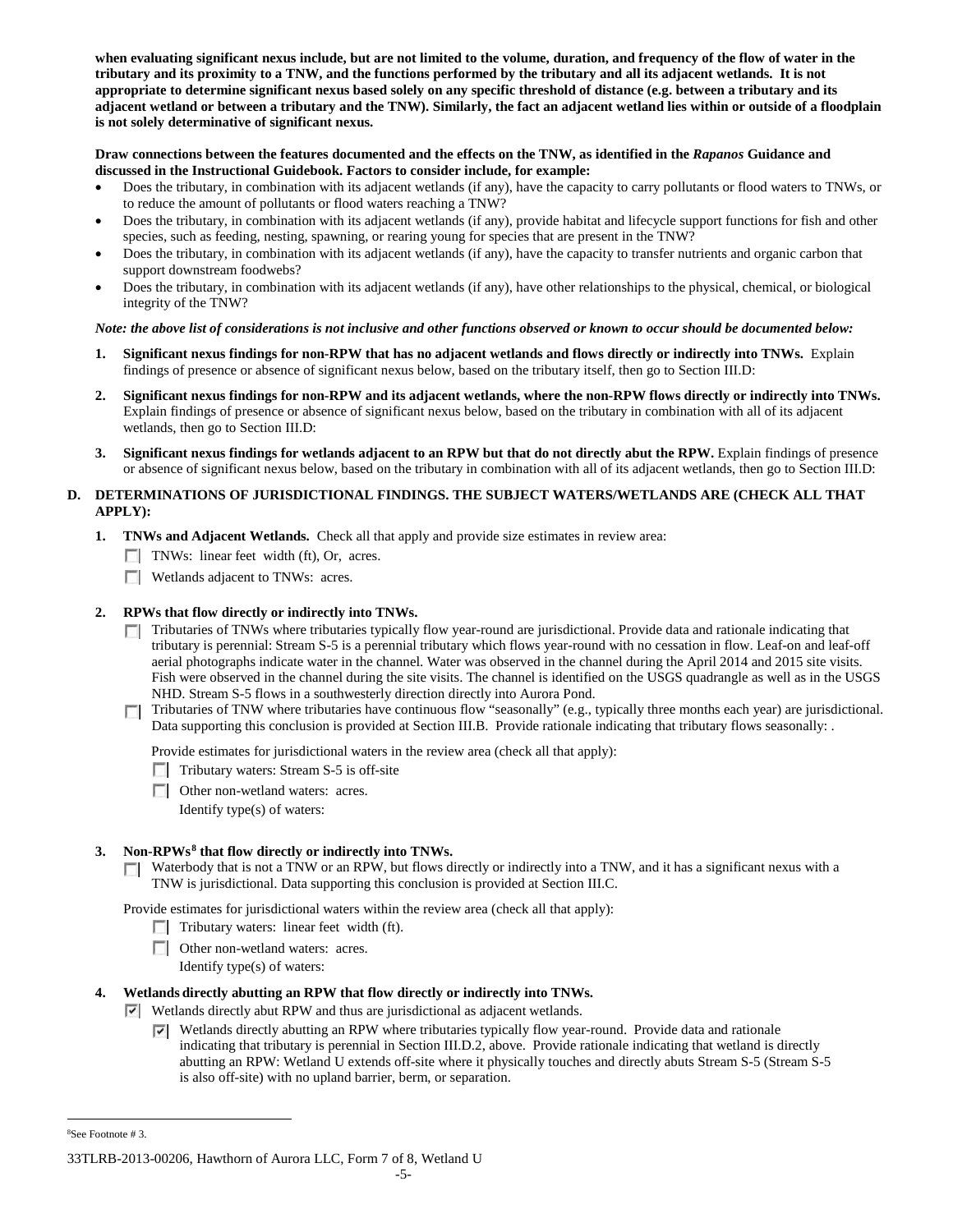**when evaluating significant nexus include, but are not limited to the volume, duration, and frequency of the flow of water in the tributary and its proximity to a TNW, and the functions performed by the tributary and all its adjacent wetlands. It is not appropriate to determine significant nexus based solely on any specific threshold of distance (e.g. between a tributary and its adjacent wetland or between a tributary and the TNW). Similarly, the fact an adjacent wetland lies within or outside of a floodplain is not solely determinative of significant nexus.** 

## **Draw connections between the features documented and the effects on the TNW, as identified in the** *Rapanos* **Guidance and discussed in the Instructional Guidebook. Factors to consider include, for example:**

- Does the tributary, in combination with its adjacent wetlands (if any), have the capacity to carry pollutants or flood waters to TNWs, or to reduce the amount of pollutants or flood waters reaching a TNW?
- Does the tributary, in combination with its adjacent wetlands (if any), provide habitat and lifecycle support functions for fish and other species, such as feeding, nesting, spawning, or rearing young for species that are present in the TNW?
- Does the tributary, in combination with its adjacent wetlands (if any), have the capacity to transfer nutrients and organic carbon that support downstream foodwebs?
- Does the tributary, in combination with its adjacent wetlands (if any), have other relationships to the physical, chemical, or biological integrity of the TNW?

# *Note: the above list of considerations is not inclusive and other functions observed or known to occur should be documented below:*

- **1. Significant nexus findings for non-RPW that has no adjacent wetlands and flows directly or indirectly into TNWs.** Explain findings of presence or absence of significant nexus below, based on the tributary itself, then go to Section III.D:
- **2. Significant nexus findings for non-RPW and its adjacent wetlands, where the non-RPW flows directly or indirectly into TNWs.**  Explain findings of presence or absence of significant nexus below, based on the tributary in combination with all of its adjacent wetlands, then go to Section III.D:
- **3. Significant nexus findings for wetlands adjacent to an RPW but that do not directly abut the RPW.** Explain findings of presence or absence of significant nexus below, based on the tributary in combination with all of its adjacent wetlands, then go to Section III.D:

# **D. DETERMINATIONS OF JURISDICTIONAL FINDINGS. THE SUBJECT WATERS/WETLANDS ARE (CHECK ALL THAT APPLY):**

- **1. TNWs and Adjacent Wetlands.** Check all that apply and provide size estimates in review area:
	- TNWs: linear feet width (ft), Or, acres.
	- **Wetlands adjacent to TNWs: acres.**

# **2. RPWs that flow directly or indirectly into TNWs.**

- Tributaries of TNWs where tributaries typically flow year-round are jurisdictional. Provide data and rationale indicating that tributary is perennial: Stream S-5 is a perennial tributary which flows year-round with no cessation in flow. Leaf-on and leaf-off aerial photographs indicate water in the channel. Water was observed in the channel during the April 2014 and 2015 site visits. Fish were observed in the channel during the site visits. The channel is identified on the USGS quadrangle as well as in the USGS NHD. Stream S-5 flows in a southwesterly direction directly into Aurora Pond.
- Tributaries of TNW where tributaries have continuous flow "seasonally" (e.g., typically three months each year) are jurisdictional. Data supporting this conclusion is provided at Section III.B. Provide rationale indicating that tributary flows seasonally: .

Provide estimates for jurisdictional waters in the review area (check all that apply):

- Tributary waters: Stream S-5 is off-site
- **Other non-wetland waters: acres.**

Identify type(s) of waters:

# **3. Non-RPWs[8](#page-52-0) that flow directly or indirectly into TNWs.**

**Number** Waterbody that is not a TNW or an RPW, but flows directly or indirectly into a TNW, and it has a significant nexus with a TNW is jurisdictional. Data supporting this conclusion is provided at Section III.C.

Provide estimates for jurisdictional waters within the review area (check all that apply):

- $\Box$  Tributary waters: linear feet width (ft).
- Other non-wetland waters: acres.

Identify type(s) of waters:

# **4. Wetlands directly abutting an RPW that flow directly or indirectly into TNWs.**

- Wetlands directly abut RPW and thus are jurisdictional as adjacent wetlands.
	- $\triangledown$  Wetlands directly abutting an RPW where tributaries typically flow year-round. Provide data and rationale indicating that tributary is perennial in Section III.D.2, above. Provide rationale indicating that wetland is directly abutting an RPW: Wetland U extends off-site where it physically touches and directly abuts Stream S-5 (Stream S-5 is also off-site) with no upland barrier, berm, or separation.

<span id="page-52-0"></span> $\frac{1}{8}$ See Footnote # 3.

<sup>33</sup>TLRB-2013-00206, Hawthorn of Aurora LLC, Form 7 of 8, Wetland U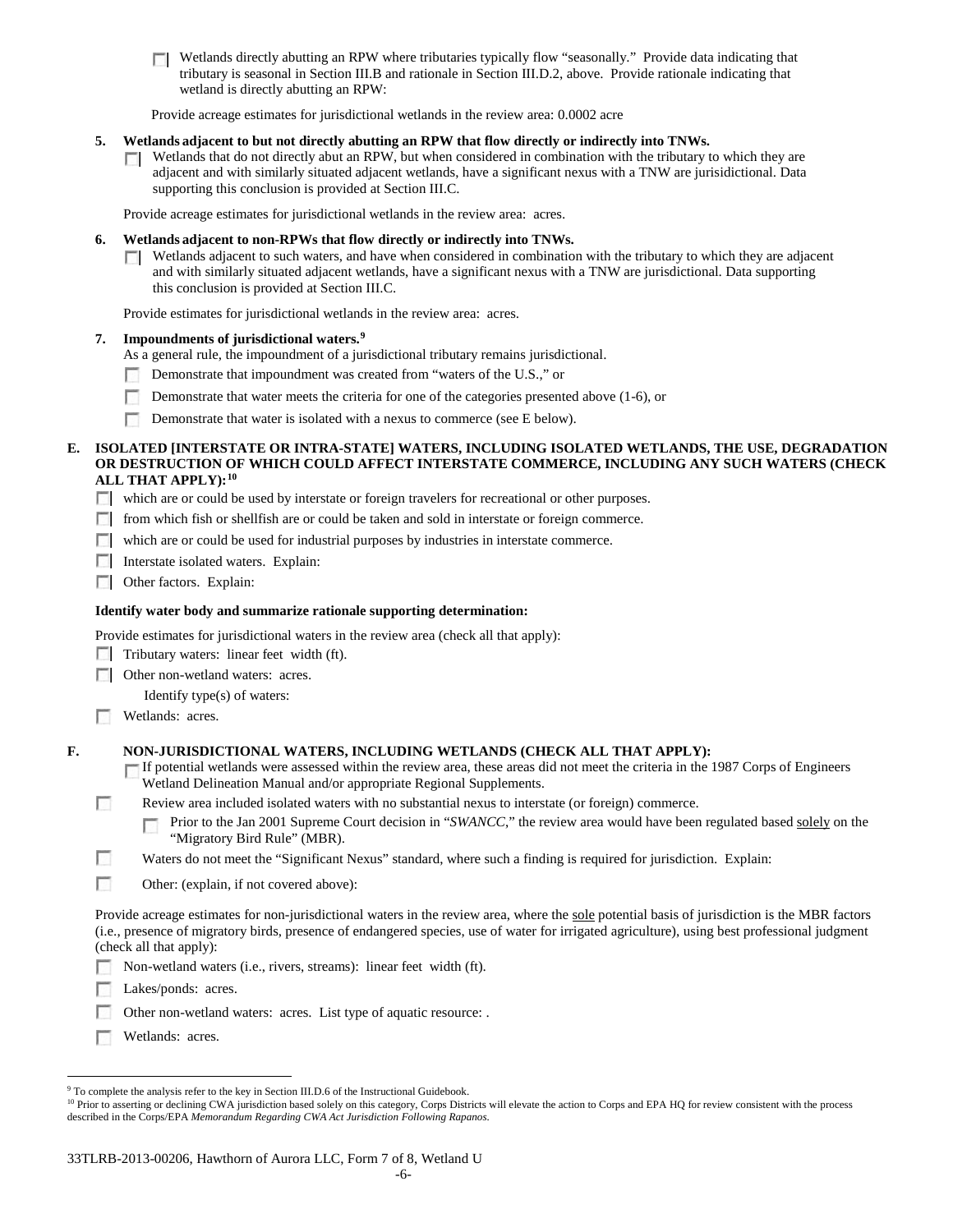**T** Wetlands directly abutting an RPW where tributaries typically flow "seasonally." Provide data indicating that tributary is seasonal in Section III.B and rationale in Section III.D.2, above. Provide rationale indicating that wetland is directly abutting an RPW:

Provide acreage estimates for jurisdictional wetlands in the review area: 0.0002 acre

#### **5. Wetlands adjacent to but not directly abutting an RPW that flow directly or indirectly into TNWs.**

 $\Box$  Wetlands that do not directly abut an RPW, but when considered in combination with the tributary to which they are adjacent and with similarly situated adjacent wetlands, have a significant nexus with a TNW are jurisidictional. Data supporting this conclusion is provided at Section III.C.

Provide acreage estimates for jurisdictional wetlands in the review area: acres.

#### **6. Wetlands adjacent to non-RPWs that flow directly or indirectly into TNWs.**

**Netlands adjacent to such waters, and have when considered in combination with the tributary to which they are adjacent** and with similarly situated adjacent wetlands, have a significant nexus with a TNW are jurisdictional. Data supporting this conclusion is provided at Section III.C.

Provide estimates for jurisdictional wetlands in the review area: acres.

#### **7. Impoundments of jurisdictional waters. [9](#page-53-0)**

- As a general rule, the impoundment of a jurisdictional tributary remains jurisdictional.
- Demonstrate that impoundment was created from "waters of the U.S.," or Г.
- n Demonstrate that water meets the criteria for one of the categories presented above (1-6), or
- Demonstrate that water is isolated with a nexus to commerce (see E below).

## **E. ISOLATED [INTERSTATE OR INTRA-STATE] WATERS, INCLUDING ISOLATED WETLANDS, THE USE, DEGRADATION OR DESTRUCTION OF WHICH COULD AFFECT INTERSTATE COMMERCE, INCLUDING ANY SUCH WATERS (CHECK ALL THAT APPLY):[10](#page-53-1)**

- which are or could be used by interstate or foreign travelers for recreational or other purposes.
- from which fish or shellfish are or could be taken and sold in interstate or foreign commerce.
- which are or could be used for industrial purposes by industries in interstate commerce.
- Interstate isolated waters.Explain:
- **Other factors. Explain:**

#### **Identify water body and summarize rationale supporting determination:**

Provide estimates for jurisdictional waters in the review area (check all that apply):

- $\Box$  Tributary waters: linear feet width (ft).
- **Other non-wetland waters: acres.**

Identify type(s) of waters:

**Wetlands:** acres.

#### **F. NON-JURISDICTIONAL WATERS, INCLUDING WETLANDS (CHECK ALL THAT APPLY):**

- If potential wetlands were assessed within the review area, these areas did not meet the criteria in the 1987 Corps of Engineers Wetland Delineation Manual and/or appropriate Regional Supplements.
- п Review area included isolated waters with no substantial nexus to interstate (or foreign) commerce.
	- Prior to the Jan 2001 Supreme Court decision in "*SWANCC*," the review area would have been regulated based solely on the "Migratory Bird Rule" (MBR).
- г Waters do not meet the "Significant Nexus" standard, where such a finding is required for jurisdiction. Explain:
- **In** Other: (explain, if not covered above):

Provide acreage estimates for non-jurisdictional waters in the review area, where the sole potential basis of jurisdiction is the MBR factors (i.e., presence of migratory birds, presence of endangered species, use of water for irrigated agriculture), using best professional judgment (check all that apply):

- Non-wetland waters (i.e., rivers, streams): linear feet width (ft).
- n. Lakes/ponds: acres.
- Other non-wetland waters: acres. List type of aquatic resource: .
- **Wetlands:** acres.

<span id="page-53-0"></span><sup>&</sup>lt;sup>9</sup> To complete the analysis refer to the key in Section III.D.6 of the Instructional Guidebook.

<span id="page-53-1"></span><sup>&</sup>lt;sup>10</sup> Prior to asserting or declining CWA jurisdiction based solely on this category, Corps Districts will elevate the action to Corps and EPA HQ for review consistent with the process described in the Corps/EPA *Memorandum Regarding CWA Act Jurisdiction Following Rapanos.*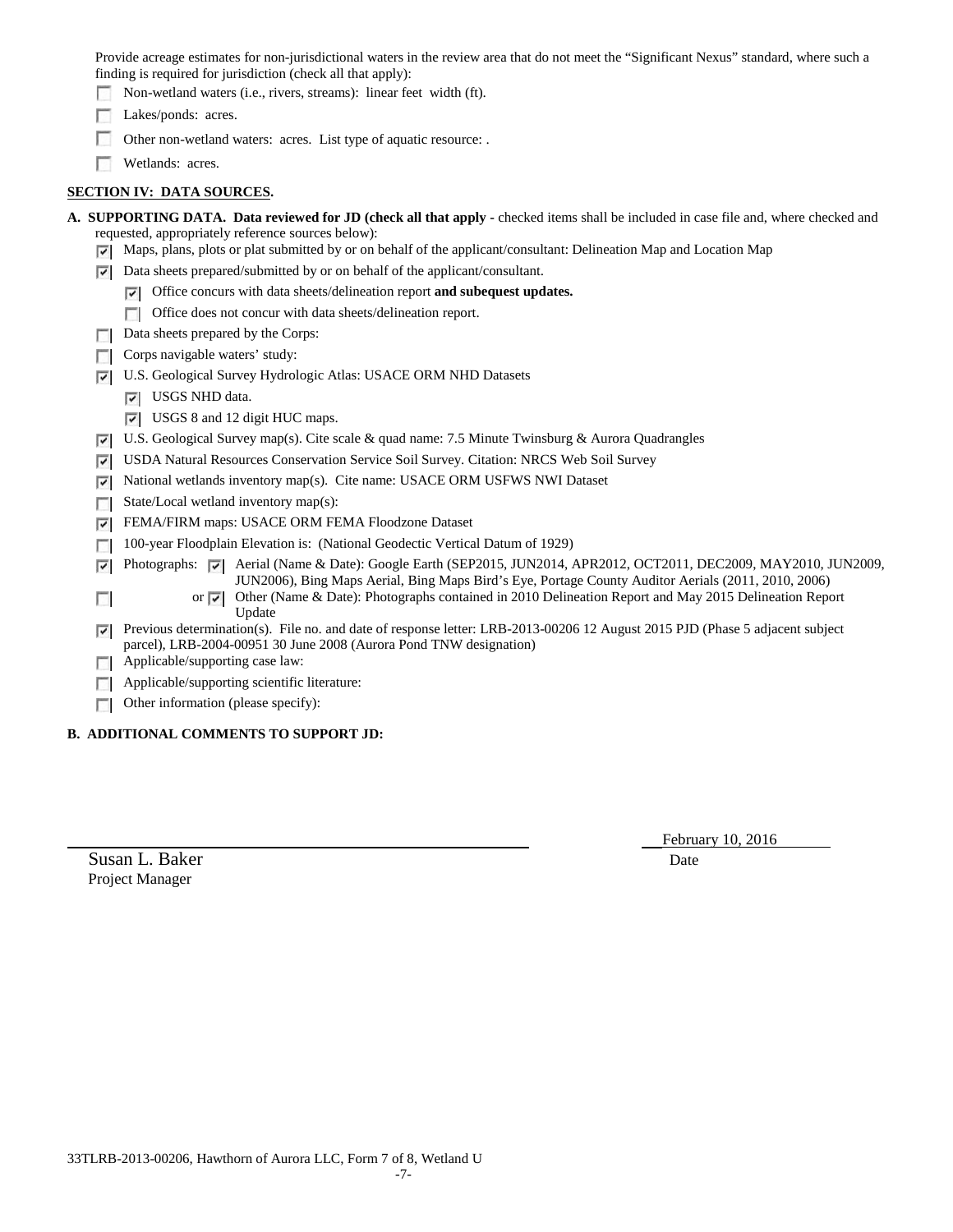Provide acreage estimates for non-jurisdictional waters in the review area that do not meet the "Significant Nexus" standard, where such a finding is required for jurisdiction (check all that apply):

Non-wetland waters (i.e., rivers, streams): linear feet width (ft).

Lakes/ponds: acres.

Г. Other non-wetland waters: acres. List type of aquatic resource: .

**Wetlands:** acres.

# **SECTION IV: DATA SOURCES.**

|  | A. SUPPORTING DATA. Data reviewed for JD (check all that apply - checked items shall be included in case file and, where checked and |  |
|--|--------------------------------------------------------------------------------------------------------------------------------------|--|
|  | requested, appropriately reference sources below):                                                                                   |  |

- $\triangledown$  Maps, plans, plots or plat submitted by or on behalf of the applicant/consultant: Delineation Map and Location Map
- $\triangleright$  Data sheets prepared/submitted by or on behalf of the applicant/consultant.
	- Office concurs with data sheets/delineation report **and subequest updates.**
	- Office does not concur with data sheets/delineation report.
- Data sheets prepared by the Corps:
- $\Box$  Corps navigable waters' study:
- U.S. Geological Survey Hydrologic Atlas: USACE ORM NHD Datasets
	- **V** USGS NHD data.
	- USGS 8 and 12 digit HUC maps.
- $\triangledown$  U.S. Geological Survey map(s). Cite scale & quad name: 7.5 Minute Twinsburg & Aurora Quadrangles
- USDA Natural Resources Conservation Service Soil Survey. Citation: NRCS Web Soil Survey
- National wetlands inventory map(s). Cite name: USACE ORM USFWS NWI Dataset
- State/Local wetland inventory map(s):
- FEMA/FIRM maps: USACE ORM FEMA Floodzone Dataset
- 100-year Floodplain Elevation is: (National Geodectic Vertical Datum of 1929)
- Photographs: Aerial (Name & Date): Google Earth (SEP2015, JUN2014, APR2012, OCT2011, DEC2009, MAY2010, JUN2009, JUN2006), Bing Maps Aerial, Bing Maps Bird's Eye, Portage County Auditor Aerials (2011, 2010, 2006)
	- or  $\overline{z}$  Other (Name & Date): Photographs contained in 2010 Delineation Report and May 2015 Delineation Report Update
- Previous determination(s). File no. and date of response letter: LRB-2013-00206 12 August 2015 PJD (Phase 5 adjacent subject parcel), LRB-2004-00951 30 June 2008 (Aurora Pond TNW designation)
- **Applicable/supporting case law:**
- **Applicable/supporting scientific literature:**
- $\Box$  Other information (please specify):

# **B. ADDITIONAL COMMENTS TO SUPPORT JD:**

February 10, 2016

Susan L. Baker Date Project Manager

 $\sim$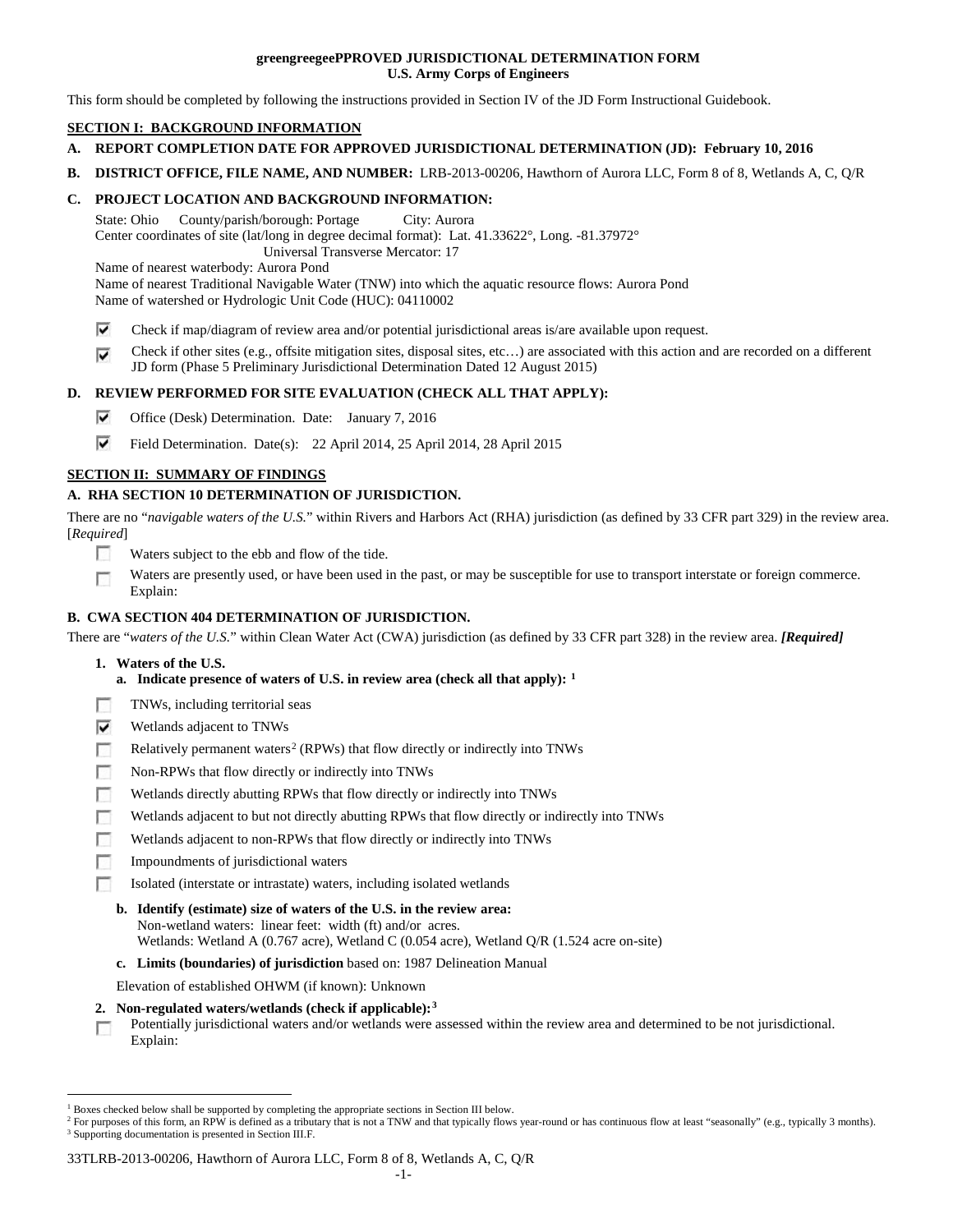## **greengreegeePPROVED JURISDICTIONAL DETERMINATION FORM U.S. Army Corps of Engineers**

This form should be completed by following the instructions provided in Section IV of the JD Form Instructional Guidebook.

# **SECTION I: BACKGROUND INFORMATION**

- **A. REPORT COMPLETION DATE FOR APPROVED JURISDICTIONAL DETERMINATION (JD): February 10, 2016**
- **B. DISTRICT OFFICE, FILE NAME, AND NUMBER:** LRB-2013-00206, Hawthorn of Aurora LLC, Form 8 of 8, Wetlands A, C, Q/R

# **C. PROJECT LOCATION AND BACKGROUND INFORMATION:**

State: Ohio County/parish/borough: Portage City: Aurora Center coordinates of site (lat/long in degree decimal format): Lat. 41.33622°, Long. -81.37972° Universal Transverse Mercator: 17

Name of nearest waterbody: Aurora Pond

Name of nearest Traditional Navigable Water (TNW) into which the aquatic resource flows: Aurora Pond Name of watershed or Hydrologic Unit Code (HUC): 04110002

- ⊽ Check if map/diagram of review area and/or potential jurisdictional areas is/are available upon request.
- Check if other sites (e.g., offsite mitigation sites, disposal sites, etc…) are associated with this action and are recorded on a different ⊽ JD form (Phase 5 Preliminary Jurisdictional Determination Dated 12 August 2015)

# **D. REVIEW PERFORMED FOR SITE EVALUATION (CHECK ALL THAT APPLY):**

- ⊽ Office (Desk) Determination. Date: January 7, 2016
- ⊽ Field Determination. Date(s): 22 April 2014, 25 April 2014, 28 April 2015

# **SECTION II: SUMMARY OF FINDINGS**

# **A. RHA SECTION 10 DETERMINATION OF JURISDICTION.**

There are no "*navigable waters of the U.S.*" within Rivers and Harbors Act (RHA) jurisdiction (as defined by 33 CFR part 329) in the review area. [*Required*]

- n Waters subject to the ebb and flow of the tide.
- Waters are presently used, or have been used in the past, or may be susceptible for use to transport interstate or foreign commerce. п Explain:

# **B. CWA SECTION 404 DETERMINATION OF JURISDICTION.**

There are "*waters of the U.S.*" within Clean Water Act (CWA) jurisdiction (as defined by 33 CFR part 328) in the review area. *[Required]*

- **1. Waters of the U.S.**
	- **a. Indicate presence of waters of U.S. in review area (check all that apply): [1](#page-55-0)**
- г TNWs, including territorial seas
- ⊽ Wetlands adjacent to TNWs
- Relatively permanent waters<sup>[2](#page-55-1)</sup> (RPWs) that flow directly or indirectly into TNWs n
- Гō Non-RPWs that flow directly or indirectly into TNWs
- œ Wetlands directly abutting RPWs that flow directly or indirectly into TNWs
- Wetlands adjacent to but not directly abutting RPWs that flow directly or indirectly into TNWs г
- Wetlands adjacent to non-RPWs that flow directly or indirectly into TNWs г
- Impoundments of jurisdictional waters
- n. Isolated (interstate or intrastate) waters, including isolated wetlands

# **b. Identify (estimate) size of waters of the U.S. in the review area:** Non-wetland waters: linear feet: width (ft) and/or acres.

- Wetlands: Wetland A (0.767 acre), Wetland C (0.054 acre), Wetland Q/R (1.524 acre on-site)
- **c. Limits (boundaries) of jurisdiction** based on: 1987 Delineation Manual

Elevation of established OHWM (if known): Unknown

- **2. Non-regulated waters/wetlands (check if applicable):[3](#page-55-2)**
- Potentially jurisdictional waters and/or wetlands were assessed within the review area and determined to be not jurisdictional. п Explain:

#### 33TLRB-2013-00206, Hawthorn of Aurora LLC, Form 8 of 8, Wetlands A, C, Q/R

<span id="page-55-0"></span><sup>&</sup>lt;sup>1</sup> Boxes checked below shall be supported by completing the appropriate sections in Section III below.

<span id="page-55-2"></span><span id="page-55-1"></span><sup>&</sup>lt;sup>2</sup> For purposes of this form, an RPW is defined as a tributary that is not a TNW and that typically flows year-round or has continuous flow at least "seasonally" (e.g., typically 3 months). <sup>3</sup> Supporting documentation is presented in Section III.F.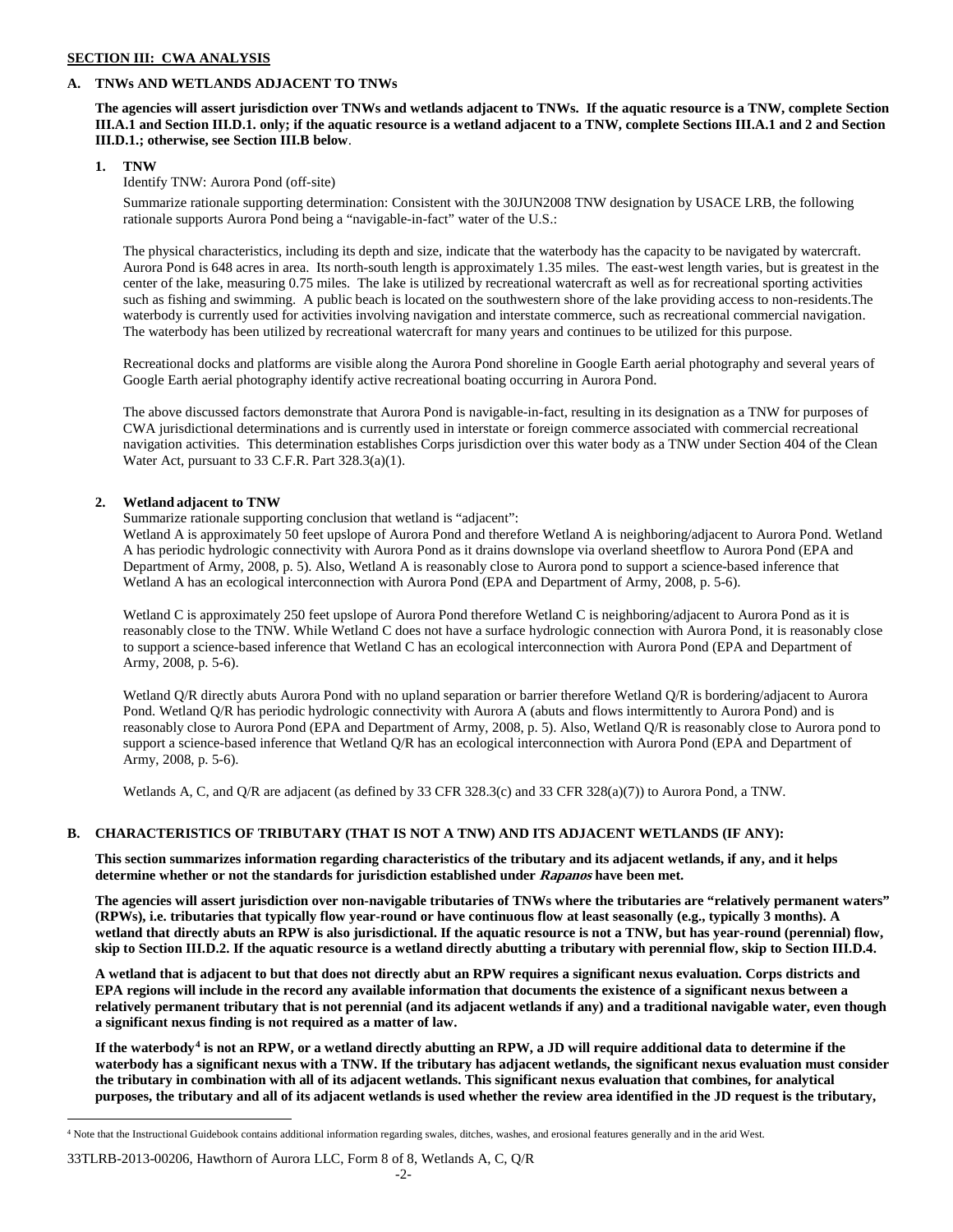## **SECTION III: CWA ANALYSIS**

## **A. TNWs AND WETLANDS ADJACENT TO TNWs**

**The agencies will assert jurisdiction over TNWs and wetlands adjacent to TNWs. If the aquatic resource is a TNW, complete Section III.A.1 and Section III.D.1. only; if the aquatic resource is a wetland adjacent to a TNW, complete Sections III.A.1 and 2 and Section III.D.1.; otherwise, see Section III.B below**.

## **1. TNW**

# Identify TNW: Aurora Pond (off-site)

Summarize rationale supporting determination: Consistent with the 30JUN2008 TNW designation by USACE LRB, the following rationale supports Aurora Pond being a "navigable-in-fact" water of the U.S.:

The physical characteristics, including its depth and size, indicate that the waterbody has the capacity to be navigated by watercraft. Aurora Pond is 648 acres in area. Its north-south length is approximately 1.35 miles. The east-west length varies, but is greatest in the center of the lake, measuring 0.75 miles. The lake is utilized by recreational watercraft as well as for recreational sporting activities such as fishing and swimming. A public beach is located on the southwestern shore of the lake providing access to non-residents.The waterbody is currently used for activities involving navigation and interstate commerce, such as recreational commercial navigation. The waterbody has been utilized by recreational watercraft for many years and continues to be utilized for this purpose.

Recreational docks and platforms are visible along the Aurora Pond shoreline in Google Earth aerial photography and several years of Google Earth aerial photography identify active recreational boating occurring in Aurora Pond.

The above discussed factors demonstrate that Aurora Pond is navigable-in-fact, resulting in its designation as a TNW for purposes of CWA jurisdictional determinations and is currently used in interstate or foreign commerce associated with commercial recreational navigation activities. This determination establishes Corps jurisdiction over this water body as a TNW under Section 404 of the Clean Water Act, pursuant to 33 C.F.R. Part 328.3(a)(1).

# **2. Wetland adjacent to TNW**

Summarize rationale supporting conclusion that wetland is "adjacent":

Wetland A is approximately 50 feet upslope of Aurora Pond and therefore Wetland A is neighboring/adjacent to Aurora Pond. Wetland A has periodic hydrologic connectivity with Aurora Pond as it drains downslope via overland sheetflow to Aurora Pond (EPA and Department of Army, 2008, p. 5). Also, Wetland A is reasonably close to Aurora pond to support a science-based inference that Wetland A has an ecological interconnection with Aurora Pond (EPA and Department of Army, 2008, p. 5-6).

Wetland C is approximately 250 feet upslope of Aurora Pond therefore Wetland C is neighboring/adjacent to Aurora Pond as it is reasonably close to the TNW. While Wetland C does not have a surface hydrologic connection with Aurora Pond, it is reasonably close to support a science-based inference that Wetland C has an ecological interconnection with Aurora Pond (EPA and Department of Army, 2008, p. 5-6).

Wetland Q/R directly abuts Aurora Pond with no upland separation or barrier therefore Wetland Q/R is bordering/adjacent to Aurora Pond. Wetland Q/R has periodic hydrologic connectivity with Aurora A (abuts and flows intermittently to Aurora Pond) and is reasonably close to Aurora Pond (EPA and Department of Army, 2008, p. 5). Also, Wetland Q/R is reasonably close to Aurora pond to support a science-based inference that Wetland Q/R has an ecological interconnection with Aurora Pond (EPA and Department of Army, 2008, p. 5-6).

Wetlands A, C, and Q/R are adjacent (as defined by 33 CFR 328.3(c) and 33 CFR 328(a)(7)) to Aurora Pond, a TNW.

# **B. CHARACTERISTICS OF TRIBUTARY (THAT IS NOT A TNW) AND ITS ADJACENT WETLANDS (IF ANY):**

**This section summarizes information regarding characteristics of the tributary and its adjacent wetlands, if any, and it helps determine whether or not the standards for jurisdiction established under Rapanos have been met.** 

**The agencies will assert jurisdiction over non-navigable tributaries of TNWs where the tributaries are "relatively permanent waters" (RPWs), i.e. tributaries that typically flow year-round or have continuous flow at least seasonally (e.g., typically 3 months). A wetland that directly abuts an RPW is also jurisdictional. If the aquatic resource is not a TNW, but has year-round (perennial) flow, skip to Section III.D.2. If the aquatic resource is a wetland directly abutting a tributary with perennial flow, skip to Section III.D.4.**

**A wetland that is adjacent to but that does not directly abut an RPW requires a significant nexus evaluation. Corps districts and EPA regions will include in the record any available information that documents the existence of a significant nexus between a relatively permanent tributary that is not perennial (and its adjacent wetlands if any) and a traditional navigable water, even though a significant nexus finding is not required as a matter of law.**

**If the waterbody[4](#page-56-0) is not an RPW, or a wetland directly abutting an RPW, a JD will require additional data to determine if the waterbody has a significant nexus with a TNW. If the tributary has adjacent wetlands, the significant nexus evaluation must consider the tributary in combination with all of its adjacent wetlands. This significant nexus evaluation that combines, for analytical purposes, the tributary and all of its adjacent wetlands is used whether the review area identified in the JD request is the tributary,** 

<span id="page-56-0"></span> <sup>4</sup> Note that the Instructional Guidebook contains additional information regarding swales, ditches, washes, and erosional features generally and in the arid West.

<sup>33</sup>TLRB-2013-00206, Hawthorn of Aurora LLC, Form 8 of 8, Wetlands A, C, Q/R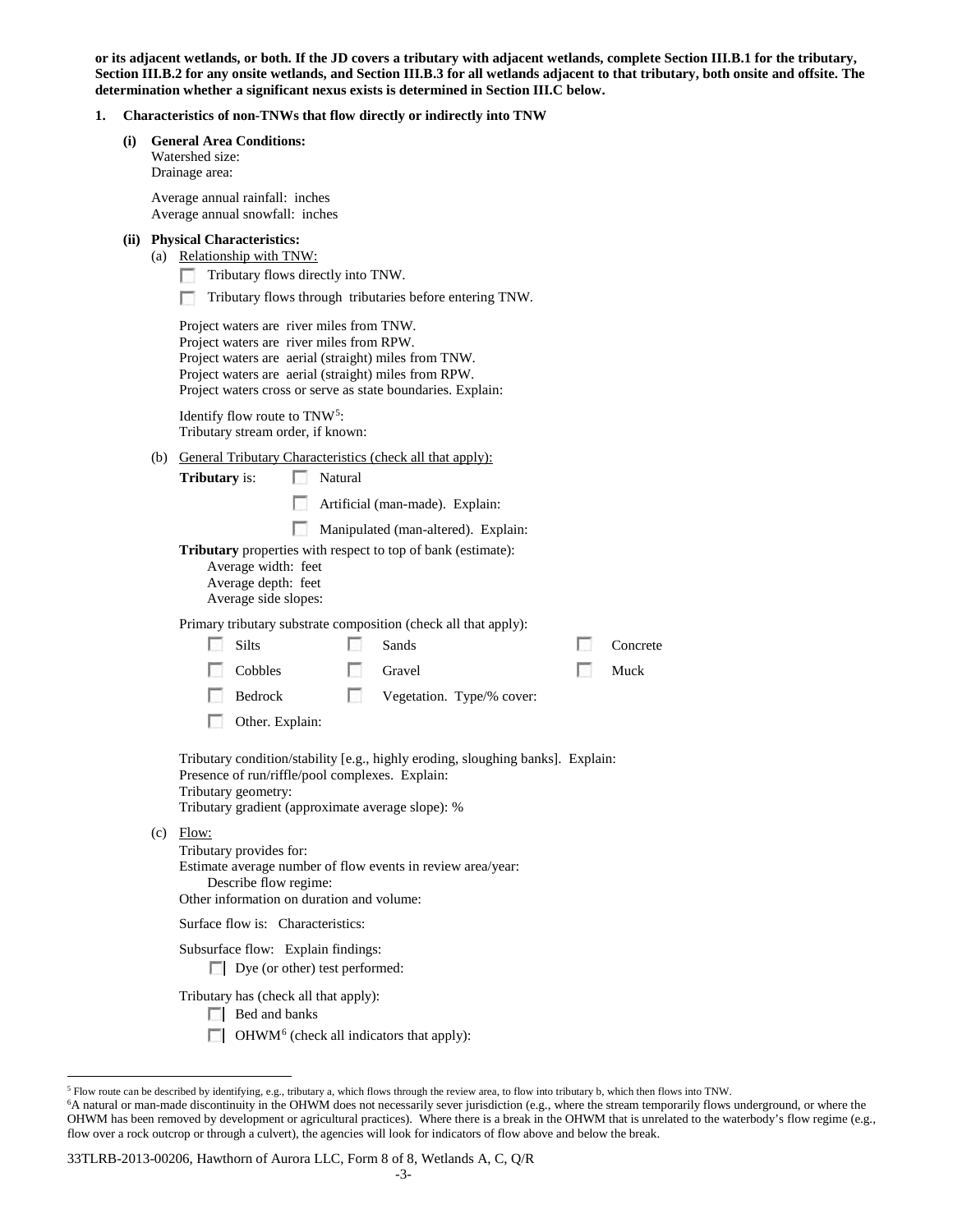**or its adjacent wetlands, or both. If the JD covers a tributary with adjacent wetlands, complete Section III.B.1 for the tributary, Section III.B.2 for any onsite wetlands, and Section III.B.3 for all wetlands adjacent to that tributary, both onsite and offsite. The determination whether a significant nexus exists is determined in Section III.C below.**

# **1. Characteristics of non-TNWs that flow directly or indirectly into TNW**

|     |                                                                      | Characteristics of hon-lin ws that how directly or muffectly muo lin w                                                                                                                                                  |       |          |  |
|-----|----------------------------------------------------------------------|-------------------------------------------------------------------------------------------------------------------------------------------------------------------------------------------------------------------------|-------|----------|--|
| (i) | <b>General Area Conditions:</b><br>Watershed size:<br>Drainage area: |                                                                                                                                                                                                                         |       |          |  |
|     |                                                                      | Average annual rainfall: inches<br>Average annual snowfall: inches                                                                                                                                                      |       |          |  |
|     |                                                                      | (ii) Physical Characteristics:<br>(a) Relationship with TNW:<br>Tributary flows directly into TNW.<br>Tributary flows through tributaries before entering TNW.<br>Project waters are river miles from TNW.              |       |          |  |
|     |                                                                      | Project waters are river miles from RPW.<br>Project waters are aerial (straight) miles from TNW.<br>Project waters are aerial (straight) miles from RPW.<br>Project waters cross or serve as state boundaries. Explain: |       |          |  |
|     |                                                                      | Identify flow route to TNW <sup>5</sup> :<br>Tributary stream order, if known:                                                                                                                                          |       |          |  |
|     |                                                                      | (b) General Tributary Characteristics (check all that apply):<br><b>Tributary</b> is:<br>Natural<br>L.<br>$\sim 10$<br>Artificial (man-made). Explain:                                                                  |       |          |  |
|     |                                                                      | Manipulated (man-altered). Explain:<br><b>Tributary</b> properties with respect to top of bank (estimate):<br>Average width: feet<br>Average depth: feet<br>Average side slopes:                                        |       |          |  |
|     |                                                                      | Primary tributary substrate composition (check all that apply):<br>Silts<br>Sands                                                                                                                                       | L. S. | Concrete |  |
|     |                                                                      | Cobbles<br>Gravel                                                                                                                                                                                                       | n.    | Muck     |  |
|     |                                                                      | n<br>Bedrock<br>Vegetation. Type/% cover:<br>Other. Explain:<br>L.                                                                                                                                                      |       |          |  |
|     |                                                                      | Tributary condition/stability [e.g., highly eroding, sloughing banks]. Explain:<br>Presence of run/riffle/pool complexes. Explain:<br>Tributary geometry:<br>Tributary gradient (approximate average slope): %          |       |          |  |
|     |                                                                      | $(c)$ Flow:<br>Tributary provides for:<br>Estimate average number of flow events in review area/year:<br>Describe flow regime:<br>Other information on duration and volume:                                             |       |          |  |
|     |                                                                      | Surface flow is: Characteristics:                                                                                                                                                                                       |       |          |  |
|     |                                                                      | Subsurface flow: Explain findings:<br>Dye (or other) test performed:                                                                                                                                                    |       |          |  |
|     |                                                                      | Tributary has (check all that apply):<br>$\Box$ Bed and banks                                                                                                                                                           |       |          |  |

 $\Box$  OHWM<sup>[6](#page-57-1)</sup> (check all indicators that apply):

<span id="page-57-0"></span> <sup>5</sup> Flow route can be described by identifying, e.g., tributary a, which flows through the review area, to flow into tributary b, which then flows into TNW.

<span id="page-57-1"></span><sup>6</sup> A natural or man-made discontinuity in the OHWM does not necessarily sever jurisdiction (e.g., where the stream temporarily flows underground, or where the OHWM has been removed by development or agricultural practices). Where there is a break in the OHWM that is unrelated to the waterbody's flow regime (e.g., flow over a rock outcrop or through a culvert), the agencies will look for indicators of flow above and below the break.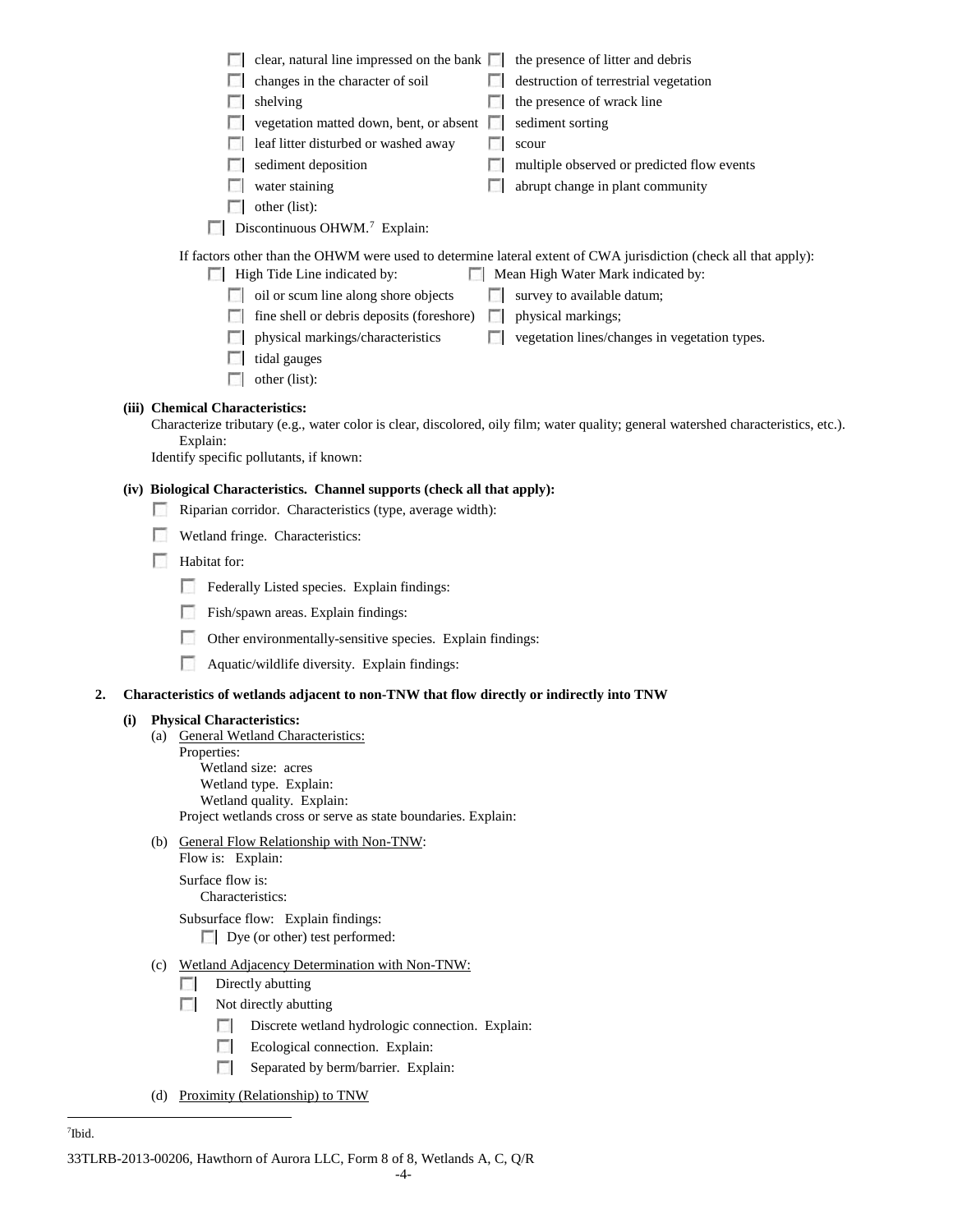|    |     |     | clear, natural line impressed on the bank $\Box$<br>the presence of litter and debris                                               |
|----|-----|-----|-------------------------------------------------------------------------------------------------------------------------------------|
|    |     |     | changes in the character of soil<br>destruction of terrestrial vegetation                                                           |
|    |     |     | the presence of wrack line<br>shelving                                                                                              |
|    |     |     | vegetation matted down, bent, or absent<br>sediment sorting                                                                         |
|    |     |     | leaf litter disturbed or washed away<br>scour                                                                                       |
|    |     |     | sediment deposition<br>multiple observed or predicted flow events                                                                   |
|    |     |     | water staining<br>abrupt change in plant community                                                                                  |
|    |     |     | other (list):                                                                                                                       |
|    |     |     | Discontinuous OHWM. <sup>7</sup> Explain:                                                                                           |
|    |     |     | If factors other than the OHWM were used to determine lateral extent of CWA jurisdiction (check all that apply):                    |
|    |     |     | High Tide Line indicated by:<br>Mean High Water Mark indicated by:                                                                  |
|    |     |     | oil or scum line along shore objects<br>survey to available datum;                                                                  |
|    |     |     | fine shell or debris deposits (foreshore)<br>physical markings;                                                                     |
|    |     |     |                                                                                                                                     |
|    |     |     | physical markings/characteristics<br>vegetation lines/changes in vegetation types.                                                  |
|    |     |     | tidal gauges                                                                                                                        |
|    |     |     | other (list):                                                                                                                       |
|    |     |     | (iii) Chemical Characteristics:                                                                                                     |
|    |     |     | Characterize tributary (e.g., water color is clear, discolored, oily film; water quality; general watershed characteristics, etc.). |
|    |     |     | Explain:<br>Identify specific pollutants, if known:                                                                                 |
|    |     |     |                                                                                                                                     |
|    |     |     | (iv) Biological Characteristics. Channel supports (check all that apply):                                                           |
|    |     |     | Riparian corridor. Characteristics (type, average width):                                                                           |
|    |     |     | Wetland fringe. Characteristics:                                                                                                    |
|    |     | u   | Habitat for:                                                                                                                        |
|    |     |     | Federally Listed species. Explain findings:                                                                                         |
|    |     |     | Fish/spawn areas. Explain findings:                                                                                                 |
|    |     |     | Other environmentally-sensitive species. Explain findings:                                                                          |
|    |     |     | Aquatic/wildlife diversity. Explain findings:                                                                                       |
| 2. |     |     | Characteristics of wetlands adjacent to non-TNW that flow directly or indirectly into TNW                                           |
|    | (i) |     | <b>Physical Characteristics:</b>                                                                                                    |
|    |     | (a) | <b>General Wetland Characteristics:</b>                                                                                             |
|    |     |     | Properties:                                                                                                                         |
|    |     |     | Wetland size: acres<br>Wetland type. Explain:                                                                                       |
|    |     |     | Wetland quality. Explain:                                                                                                           |
|    |     |     | Project wetlands cross or serve as state boundaries. Explain:                                                                       |
|    |     |     | (b) General Flow Relationship with Non-TNW:                                                                                         |
|    |     |     | Flow is: Explain:                                                                                                                   |
|    |     |     | Surface flow is:<br>Characteristics:                                                                                                |
|    |     |     | Subsurface flow: Explain findings:                                                                                                  |
|    |     |     | $\Box$ Dye (or other) test performed:                                                                                               |
|    |     | (c) | Wetland Adjacency Determination with Non-TNW:                                                                                       |
|    |     |     | Directly abutting<br><b>COL</b>                                                                                                     |
|    |     |     | Not directly abutting<br>$\sim$                                                                                                     |
|    |     |     | Discrete wetland hydrologic connection. Explain:                                                                                    |
|    |     |     | Ecological connection. Explain:<br>П                                                                                                |
|    |     |     | Separated by berm/barrier. Explain:<br>п                                                                                            |
|    |     |     |                                                                                                                                     |

(d) Proximity (Relationship) to TNW

<span id="page-58-0"></span> $\frac{1}{7}$ <sup>7</sup>Ibid.

<sup>33</sup>TLRB-2013-00206, Hawthorn of Aurora LLC, Form 8 of 8, Wetlands A, C, Q/R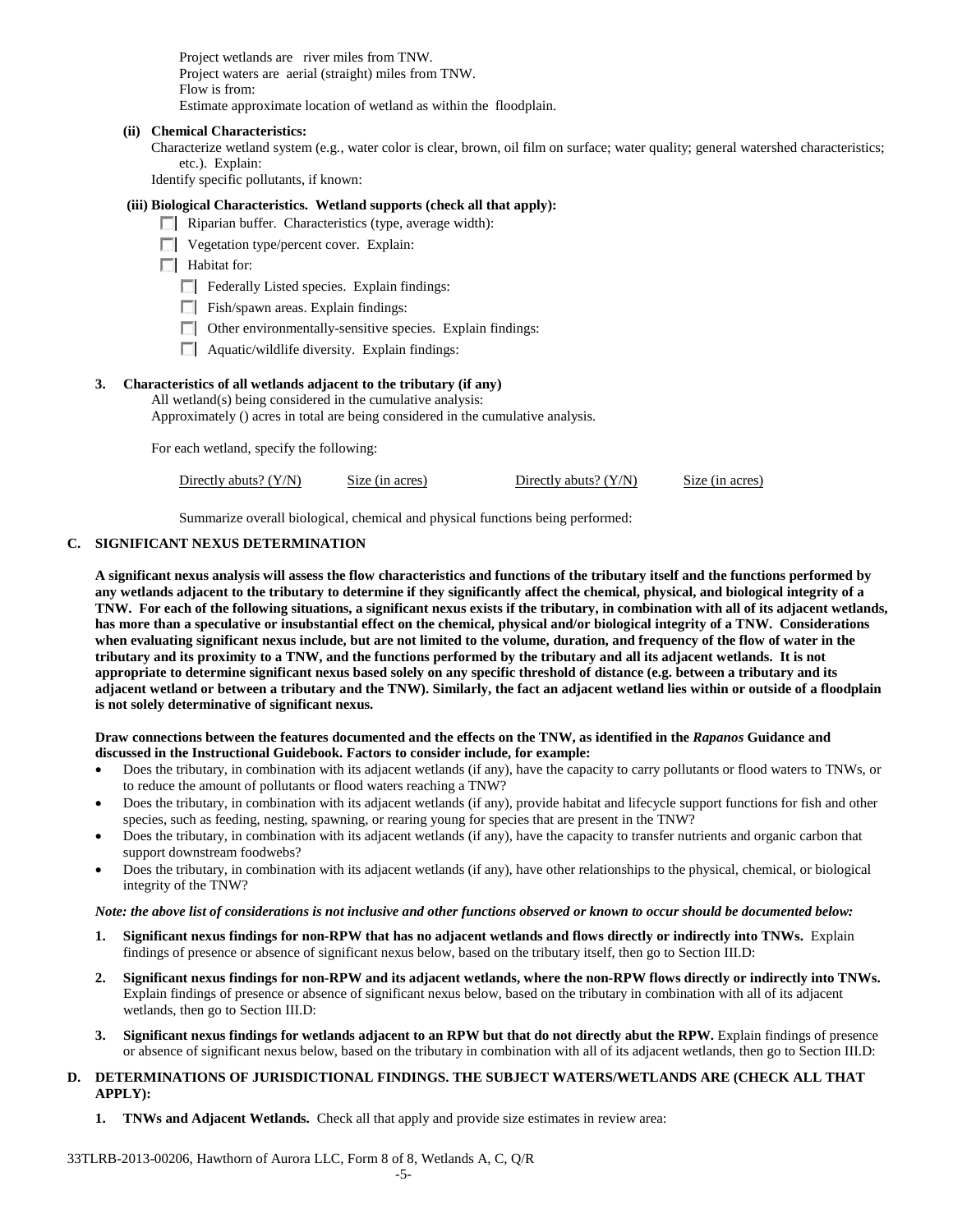Project wetlands are river miles from TNW. Project waters are aerial (straight) miles from TNW. Flow is from: Estimate approximate location of wetland as within the floodplain.

#### **(ii) Chemical Characteristics:**

Characterize wetland system (e.g., water color is clear, brown, oil film on surface; water quality; general watershed characteristics; etc.). Explain:

Identify specific pollutants, if known:

# **(iii) Biological Characteristics. Wetland supports (check all that apply):**

- Riparian buffer. Characteristics (type, average width):
- **Vegetation type/percent cover. Explain:**

**Habitat for:** 

- Federally Listed species. Explain findings:
- Fish/spawn areas. Explain findings:
- Other environmentally-sensitive species. Explain findings:
- $\Box$  Aquatic/wildlife diversity. Explain findings:

## **3. Characteristics of all wetlands adjacent to the tributary (if any)**

All wetland(s) being considered in the cumulative analysis:

Approximately () acres in total are being considered in the cumulative analysis.

For each wetland, specify the following:

| Directly abuts? $(Y/N)$ | Size (in acres) | Directly abuts? $(Y/N)$ | Size (in acres) |
|-------------------------|-----------------|-------------------------|-----------------|
|-------------------------|-----------------|-------------------------|-----------------|

Summarize overall biological, chemical and physical functions being performed:

# **C. SIGNIFICANT NEXUS DETERMINATION**

**A significant nexus analysis will assess the flow characteristics and functions of the tributary itself and the functions performed by any wetlands adjacent to the tributary to determine if they significantly affect the chemical, physical, and biological integrity of a TNW. For each of the following situations, a significant nexus exists if the tributary, in combination with all of its adjacent wetlands, has more than a speculative or insubstantial effect on the chemical, physical and/or biological integrity of a TNW. Considerations when evaluating significant nexus include, but are not limited to the volume, duration, and frequency of the flow of water in the tributary and its proximity to a TNW, and the functions performed by the tributary and all its adjacent wetlands. It is not appropriate to determine significant nexus based solely on any specific threshold of distance (e.g. between a tributary and its adjacent wetland or between a tributary and the TNW). Similarly, the fact an adjacent wetland lies within or outside of a floodplain is not solely determinative of significant nexus.** 

### **Draw connections between the features documented and the effects on the TNW, as identified in the** *Rapanos* **Guidance and discussed in the Instructional Guidebook. Factors to consider include, for example:**

- Does the tributary, in combination with its adjacent wetlands (if any), have the capacity to carry pollutants or flood waters to TNWs, or to reduce the amount of pollutants or flood waters reaching a TNW?
- Does the tributary, in combination with its adjacent wetlands (if any), provide habitat and lifecycle support functions for fish and other species, such as feeding, nesting, spawning, or rearing young for species that are present in the TNW?
- Does the tributary, in combination with its adjacent wetlands (if any), have the capacity to transfer nutrients and organic carbon that support downstream foodwebs?
- Does the tributary, in combination with its adjacent wetlands (if any), have other relationships to the physical, chemical, or biological integrity of the TNW?

#### *Note: the above list of considerations is not inclusive and other functions observed or known to occur should be documented below:*

- **1. Significant nexus findings for non-RPW that has no adjacent wetlands and flows directly or indirectly into TNWs.** Explain findings of presence or absence of significant nexus below, based on the tributary itself, then go to Section III.D:
- **2. Significant nexus findings for non-RPW and its adjacent wetlands, where the non-RPW flows directly or indirectly into TNWs.**  Explain findings of presence or absence of significant nexus below, based on the tributary in combination with all of its adjacent wetlands, then go to Section III.D:
- **3. Significant nexus findings for wetlands adjacent to an RPW but that do not directly abut the RPW.** Explain findings of presence or absence of significant nexus below, based on the tributary in combination with all of its adjacent wetlands, then go to Section III.D:

## **D. DETERMINATIONS OF JURISDICTIONAL FINDINGS. THE SUBJECT WATERS/WETLANDS ARE (CHECK ALL THAT APPLY):**

**1. TNWs and Adjacent Wetlands.** Check all that apply and provide size estimates in review area: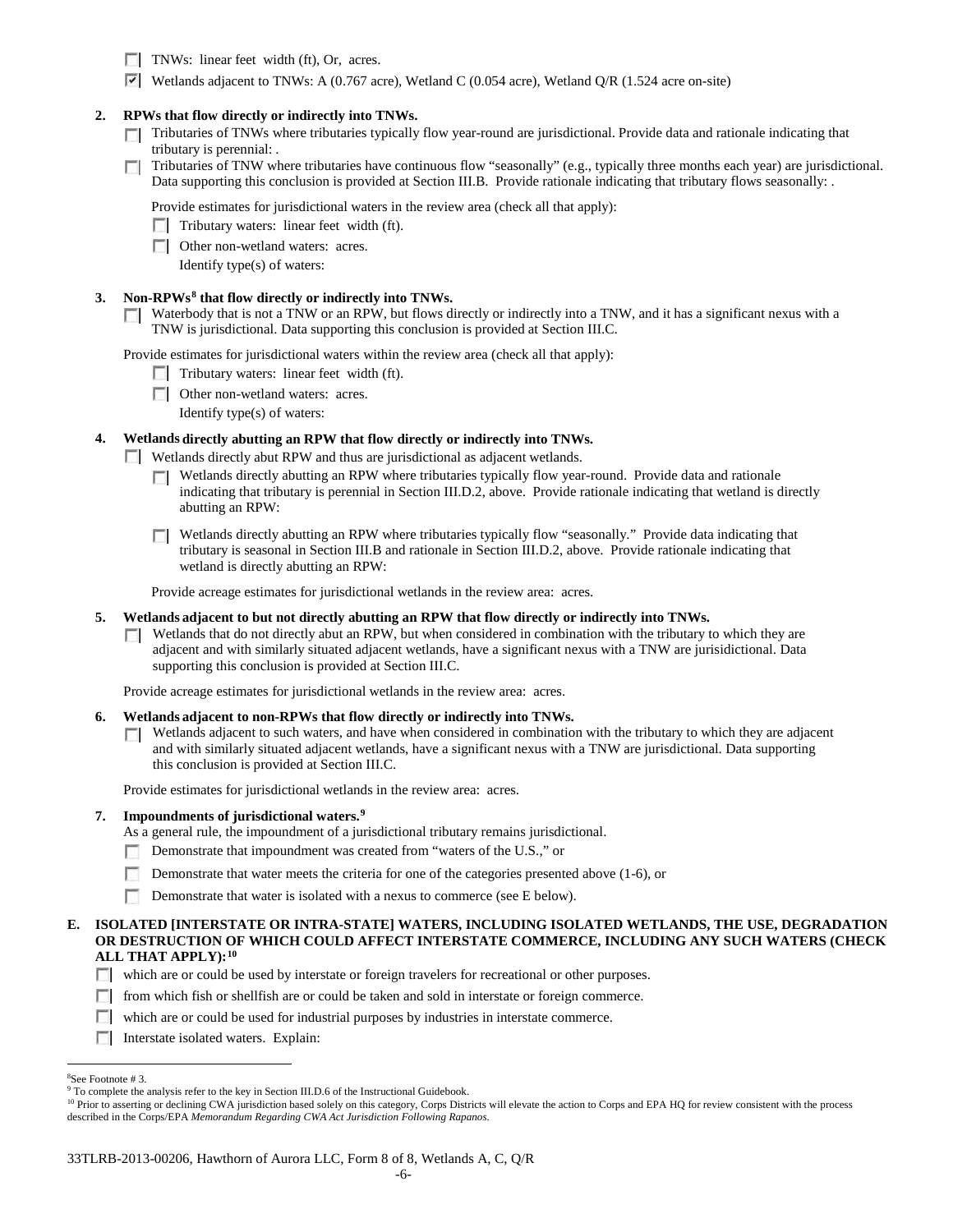- TNWs: linear feet width (ft), Or, acres.
- **Vetlands adjacent to TNWs:** A (0.767 acre), Wetland C (0.054 acre), Wetland O/R (1.524 acre on-site)

## **2. RPWs that flow directly or indirectly into TNWs.**

- Tributaries of TNWs where tributaries typically flow year-round are jurisdictional. Provide data and rationale indicating that tributary is perennial: .
- Tributaries of TNW where tributaries have continuous flow "seasonally" (e.g., typically three months each year) are jurisdictional.  $\sim$ Data supporting this conclusion is provided at Section III.B. Provide rationale indicating that tributary flows seasonally: .

Provide estimates for jurisdictional waters in the review area (check all that apply):

- $\Box$  Tributary waters: linear feet width (ft).
- **Other non-wetland waters: acres.** 
	- Identify type(s) of waters:

## **3. Non-RPWs[8](#page-60-0) that flow directly or indirectly into TNWs.**

 $\Box$  Waterbody that is not a TNW or an RPW, but flows directly or indirectly into a TNW, and it has a significant nexus with a TNW is jurisdictional. Data supporting this conclusion is provided at Section III.C.

Provide estimates for jurisdictional waters within the review area (check all that apply):

- $\Box$  Tributary waters: linear feet width (ft).
- **Other non-wetland waters: acres.** 
	- Identify type(s) of waters:

## **4. Wetlands directly abutting an RPW that flow directly or indirectly into TNWs.**

**Wetlands directly abut RPW and thus are jurisdictional as adjacent wetlands.** 

- Wetlands directly abutting an RPW where tributaries typically flow year-round. Provide data and rationale  $\sim$ indicating that tributary is perennial in Section III.D.2, above. Provide rationale indicating that wetland is directly abutting an RPW:
- Wetlands directly abutting an RPW where tributaries typically flow "seasonally." Provide data indicating that tributary is seasonal in Section III.B and rationale in Section III.D.2, above. Provide rationale indicating that wetland is directly abutting an RPW:

Provide acreage estimates for jurisdictional wetlands in the review area: acres.

- **5. Wetlands adjacent to but not directly abutting an RPW that flow directly or indirectly into TNWs.**
	- **T** Wetlands that do not directly abut an RPW, but when considered in combination with the tributary to which they are adjacent and with similarly situated adjacent wetlands, have a significant nexus with a TNW are jurisidictional. Data supporting this conclusion is provided at Section III.C.

Provide acreage estimates for jurisdictional wetlands in the review area: acres.

#### **6. Wetlands adjacent to non-RPWs that flow directly or indirectly into TNWs.**

Wetlands adjacent to such waters, and have when considered in combination with the tributary to which they are adjacent **TT** and with similarly situated adjacent wetlands, have a significant nexus with a TNW are jurisdictional. Data supporting this conclusion is provided at Section III.C.

Provide estimates for jurisdictional wetlands in the review area: acres.

## **7. Impoundments of jurisdictional waters. [9](#page-60-1)**

As a general rule, the impoundment of a jurisdictional tributary remains jurisdictional.

- Demonstrate that impoundment was created from "waters of the U.S.," or
- Demonstrate that water meets the criteria for one of the categories presented above (1-6), or
- Demonstrate that water is isolated with a nexus to commerce (see E below).

#### **E. ISOLATED [INTERSTATE OR INTRA-STATE] WATERS, INCLUDING ISOLATED WETLANDS, THE USE, DEGRADATION OR DESTRUCTION OF WHICH COULD AFFECT INTERSTATE COMMERCE, INCLUDING ANY SUCH WATERS (CHECK ALL THAT APPLY):[10](#page-60-2)**

- which are or could be used by interstate or foreign travelers for recreational or other purposes.
- $\Box$  from which fish or shellfish are or could be taken and sold in interstate or foreign commerce.
- which are or could be used for industrial purposes by industries in interstate commerce.
- Interstate isolated waters. Explain:

 $\frac{1}{8}$ See Footnote # 3.

<span id="page-60-2"></span><span id="page-60-1"></span><span id="page-60-0"></span><sup>&</sup>lt;sup>9</sup> To complete the analysis refer to the key in Section III.D.6 of the Instructional Guidebook.

<sup>&</sup>lt;sup>10</sup> Prior to asserting or declining CWA jurisdiction based solely on this category, Corps Districts will elevate the action to Corps and EPA HQ for review consistent with the process described in the Corps/EPA *Memorandum Regarding CWA Act Jurisdiction Following Rapanos.*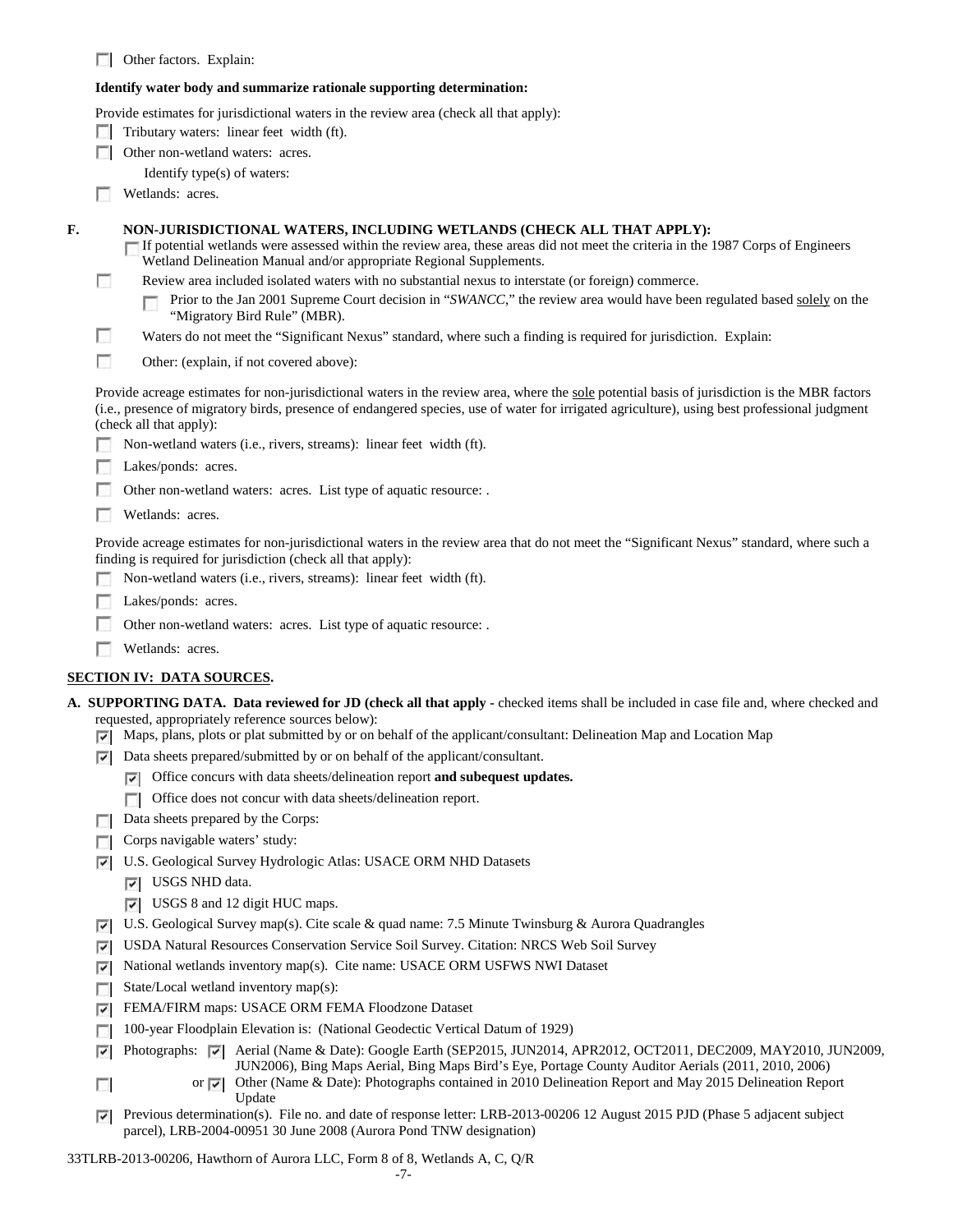**Deta** Other factors. Explain:

#### **Identify water body and summarize rationale supporting determination:**

Provide estimates for jurisdictional waters in the review area (check all that apply):

- $\Box$  Tributary waters: linear feet width (ft).
- **Other non-wetland waters: acres.** 
	- Identify type(s) of waters:
- **Wetlands:** acres.

П

- **F. NON-JURISDICTIONAL WATERS, INCLUDING WETLANDS (CHECK ALL THAT APPLY):**
	- If potential wetlands were assessed within the review area, these areas did not meet the criteria in the 1987 Corps of Engineers Wetland Delineation Manual and/or appropriate Regional Supplements.
	- Review area included isolated waters with no substantial nexus to interstate (or foreign) commerce.
		- Prior to the Jan 2001 Supreme Court decision in "*SWANCC*," the review area would have been regulated based solely on the п "Migratory Bird Rule" (MBR).
	- F Waters do not meet the "Significant Nexus" standard, where such a finding is required for jurisdiction. Explain:
	- П Other: (explain, if not covered above):

Provide acreage estimates for non-jurisdictional waters in the review area, where the sole potential basis of jurisdiction is the MBR factors (i.e., presence of migratory birds, presence of endangered species, use of water for irrigated agriculture), using best professional judgment (check all that apply):

- Non-wetland waters (i.e., rivers, streams): linear feet width (ft).
- Lakes/ponds: acres.
- Other non-wetland waters: acres. List type of aquatic resource: .
- **Wetlands:** acres.

Provide acreage estimates for non-jurisdictional waters in the review area that do not meet the "Significant Nexus" standard, where such a finding is required for jurisdiction (check all that apply):

- Non-wetland waters (i.e., rivers, streams): linear feet width (ft). п.
- Lakes/ponds: acres. n
- Other non-wetland waters: acres. List type of aquatic resource: .
- **Wetlands: acres.**

# **SECTION IV: DATA SOURCES.**

**A. SUPPORTING DATA. Data reviewed for JD (check all that apply -** checked items shall be included in case file and, where checked and requested, appropriately reference sources below):

- Maps, plans, plots or plat submitted by or on behalf of the applicant/consultant: Delineation Map and Location Map
- Data sheets prepared/submitted by or on behalf of the applicant/consultant.
	- Office concurs with data sheets/delineation report **and subequest updates.**
	- Office does not concur with data sheets/delineation report.
- Data sheets prepared by the Corps:
- Corps navigable waters' study:
- U.S. Geological Survey Hydrologic Atlas: USACE ORM NHD Datasets
	- USGS NHD data.

п

- USGS 8 and 12 digit HUC maps.
- U.S. Geological Survey map(s). Cite scale & quad name: 7.5 Minute Twinsburg & Aurora Quadrangles
- USDA Natural Resources Conservation Service Soil Survey. Citation: NRCS Web Soil Survey
- National wetlands inventory map(s). Cite name: USACE ORM USFWS NWI Dataset
- State/Local wetland inventory map(s):
- FEMA/FIRM maps: USACE ORM FEMA Floodzone Dataset
- 100-year Floodplain Elevation is: (National Geodectic Vertical Datum of 1929)
- Photographs:  $\blacktriangledown$  Aerial (Name & Date): Google Earth (SEP2015, JUN2014, APR2012, OCT2011, DEC2009, MAY2010, JUN2009, ⊽ JUN2006), Bing Maps Aerial, Bing Maps Bird's Eye, Portage County Auditor Aerials (2011, 2010, 2006)
	- or Other (Name & Date): Photographs contained in 2010 Delineation Report and May 2015 Delineation Report Update
- Previous determination(s). File no. and date of response letter: LRB-2013-00206 12 August 2015 PJD (Phase 5 adjacent subject ⊽ parcel), LRB-2004-00951 30 June 2008 (Aurora Pond TNW designation)
- 33TLRB-2013-00206, Hawthorn of Aurora LLC, Form 8 of 8, Wetlands A, C, Q/R